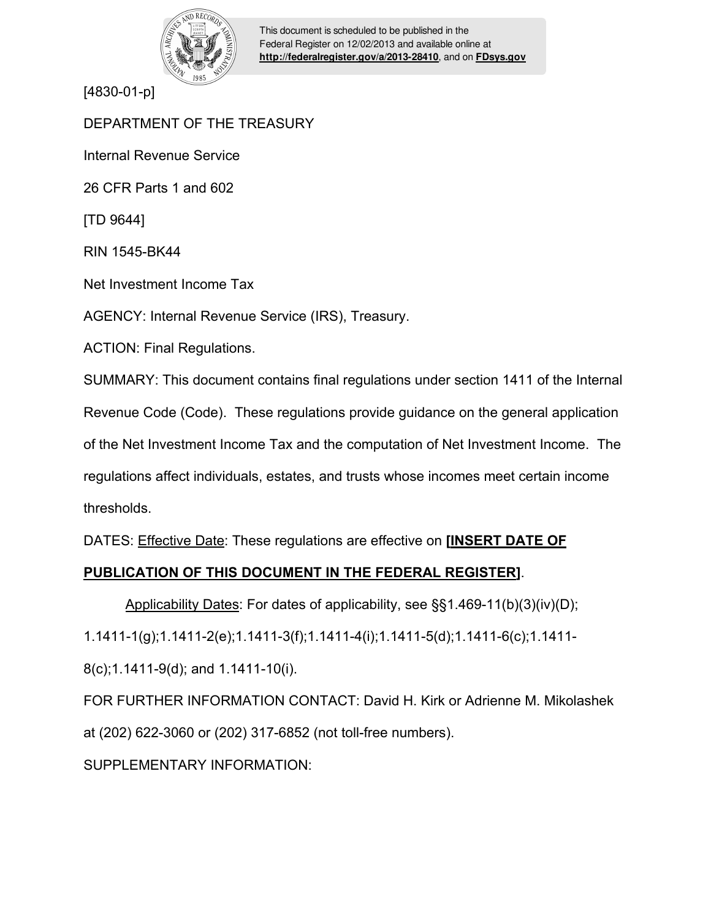

This document is scheduled to be published in the Federal Register on 12/02/2013 and available online at **<http://federalregister.gov/a/2013-28410>**, and on **[FDsys.gov](http://federalregister.gov/a/2013-28410.pdf)**

[4830-01-p]

DEPARTMENT OF THE TREASURY

Internal Revenue Service

26 CFR Parts 1 and 602

[TD 9644]

RIN 1545-BK44

Net Investment Income Tax

AGENCY: Internal Revenue Service (IRS), Treasury.

ACTION: Final Regulations.

SUMMARY: This document contains final regulations under section 1411 of the Internal

Revenue Code (Code). These regulations provide guidance on the general application

of the Net Investment Income Tax and the computation of Net Investment Income. The

regulations affect individuals, estates, and trusts whose incomes meet certain income thresholds.

DATES: Effective Date: These regulations are effective on **[INSERT DATE OF** 

# **PUBLICATION OF THIS DOCUMENT IN THE FEDERAL REGISTER]**.

Applicability Dates: For dates of applicability, see §§1.469-11(b)(3)(iv)(D);

1.1411-1(g);1.1411-2(e);1.1411-3(f);1.1411-4(i);1.1411-5(d);1.1411-6(c);1.1411-

8(c);1.1411-9(d); and 1.1411-10(i).

FOR FURTHER INFORMATION CONTACT: David H. Kirk or Adrienne M. Mikolashek at (202) 622-3060 or (202) 317-6852 (not toll-free numbers).

SUPPLEMENTARY INFORMATION: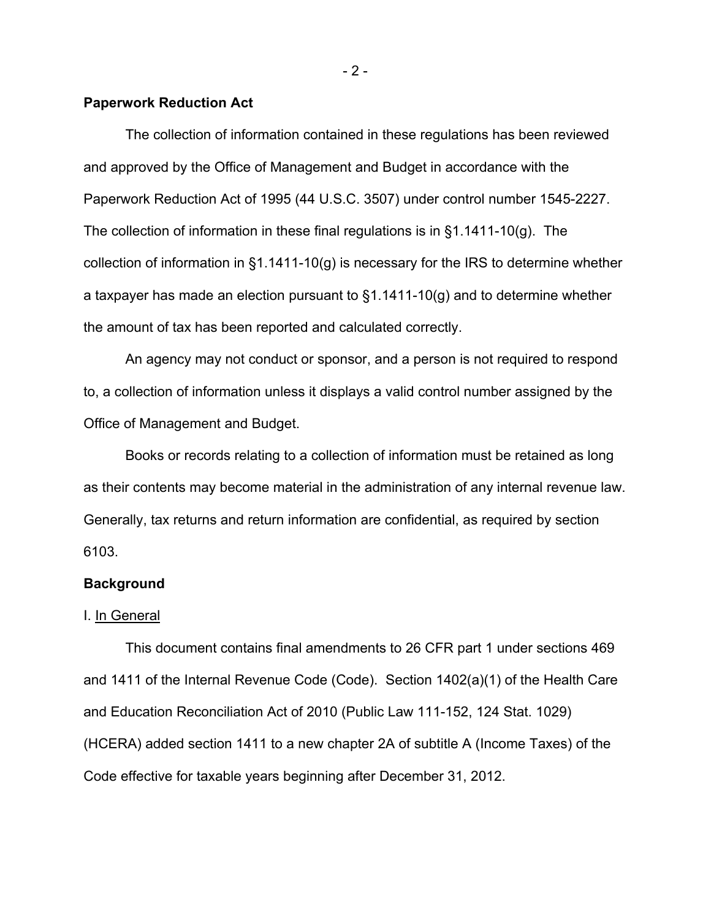# **Paperwork Reduction Act**

The collection of information contained in these regulations has been reviewed and approved by the Office of Management and Budget in accordance with the Paperwork Reduction Act of 1995 (44 U.S.C. 3507) under control number 1545-2227. The collection of information in these final regulations is in §1.1411-10(g). The collection of information in §1.1411-10(g) is necessary for the IRS to determine whether a taxpayer has made an election pursuant to §1.1411-10(g) and to determine whether the amount of tax has been reported and calculated correctly.

An agency may not conduct or sponsor, and a person is not required to respond to, a collection of information unless it displays a valid control number assigned by the Office of Management and Budget.

Books or records relating to a collection of information must be retained as long as their contents may become material in the administration of any internal revenue law. Generally, tax returns and return information are confidential, as required by section 6103.

### **Background**

## I. In General

This document contains final amendments to 26 CFR part 1 under sections 469 and 1411 of the Internal Revenue Code (Code). Section 1402(a)(1) of the Health Care and Education Reconciliation Act of 2010 (Public Law 111-152, 124 Stat. 1029) (HCERA) added section 1411 to a new chapter 2A of subtitle A (Income Taxes) of the Code effective for taxable years beginning after December 31, 2012.

- 2 -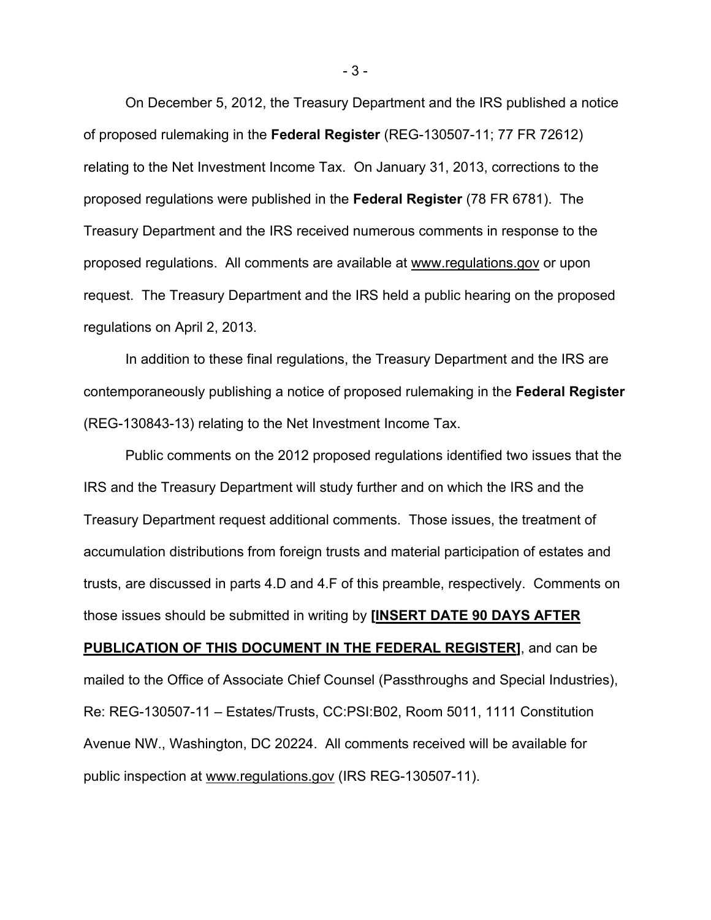On December 5, 2012, the Treasury Department and the IRS published a notice of proposed rulemaking in the **Federal Register** (REG-130507-11; 77 FR 72612) relating to the Net Investment Income Tax. On January 31, 2013, corrections to the proposed regulations were published in the **Federal Register** (78 FR 6781). The Treasury Department and the IRS received numerous comments in response to the proposed regulations. All comments are available at www.regulations.gov or upon request. The Treasury Department and the IRS held a public hearing on the proposed regulations on April 2, 2013.

In addition to these final regulations, the Treasury Department and the IRS are contemporaneously publishing a notice of proposed rulemaking in the **Federal Register** (REG-130843-13) relating to the Net Investment Income Tax.

Public comments on the 2012 proposed regulations identified two issues that the IRS and the Treasury Department will study further and on which the IRS and the Treasury Department request additional comments. Those issues, the treatment of accumulation distributions from foreign trusts and material participation of estates and trusts, are discussed in parts 4.D and 4.F of this preamble, respectively. Comments on those issues should be submitted in writing by **[INSERT DATE 90 DAYS AFTER PUBLICATION OF THIS DOCUMENT IN THE FEDERAL REGISTER]**, and can be mailed to the Office of Associate Chief Counsel (Passthroughs and Special Industries), Re: REG-130507-11 – Estates/Trusts, CC:PSI:B02, Room 5011, 1111 Constitution Avenue NW., Washington, DC 20224. All comments received will be available for public inspection at www.regulations.gov (IRS REG-130507-11).

- 3 -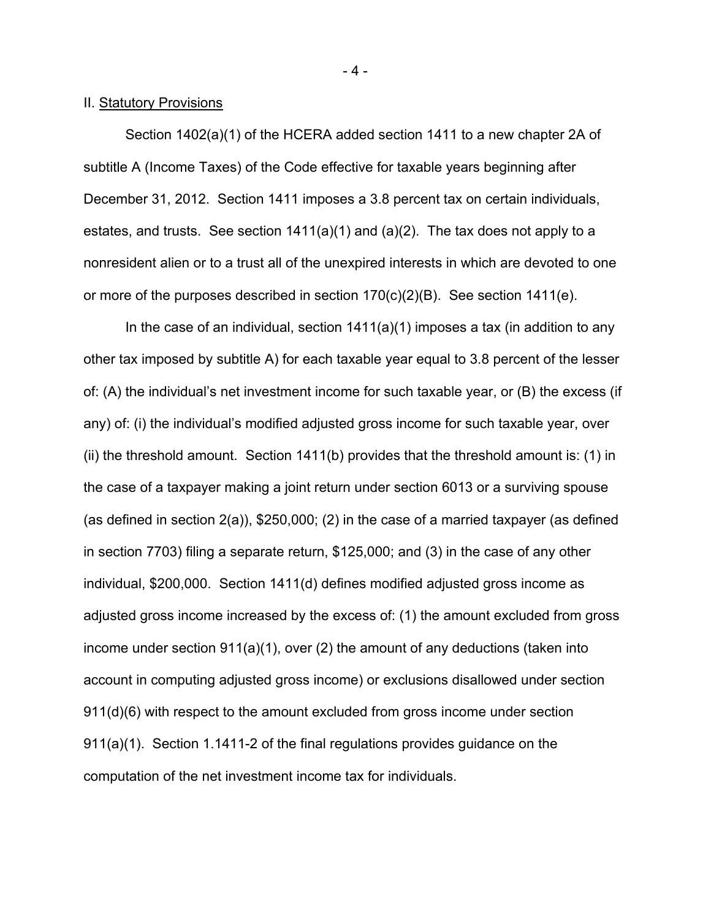### II. Statutory Provisions

Section 1402(a)(1) of the HCERA added section 1411 to a new chapter 2A of subtitle A (Income Taxes) of the Code effective for taxable years beginning after December 31, 2012. Section 1411 imposes a 3.8 percent tax on certain individuals, estates, and trusts. See section 1411(a)(1) and (a)(2). The tax does not apply to a nonresident alien or to a trust all of the unexpired interests in which are devoted to one or more of the purposes described in section 170(c)(2)(B). See section 1411(e).

In the case of an individual, section 1411(a)(1) imposes a tax (in addition to any other tax imposed by subtitle A) for each taxable year equal to 3.8 percent of the lesser of: (A) the individual's net investment income for such taxable year, or (B) the excess (if any) of: (i) the individual's modified adjusted gross income for such taxable year, over (ii) the threshold amount. Section 1411(b) provides that the threshold amount is: (1) in the case of a taxpayer making a joint return under section 6013 or a surviving spouse (as defined in section 2(a)), \$250,000; (2) in the case of a married taxpayer (as defined in section 7703) filing a separate return, \$125,000; and (3) in the case of any other individual, \$200,000. Section 1411(d) defines modified adjusted gross income as adjusted gross income increased by the excess of: (1) the amount excluded from gross income under section 911(a)(1), over (2) the amount of any deductions (taken into account in computing adjusted gross income) or exclusions disallowed under section 911(d)(6) with respect to the amount excluded from gross income under section 911(a)(1). Section 1.1411-2 of the final regulations provides guidance on the computation of the net investment income tax for individuals.

- 4 -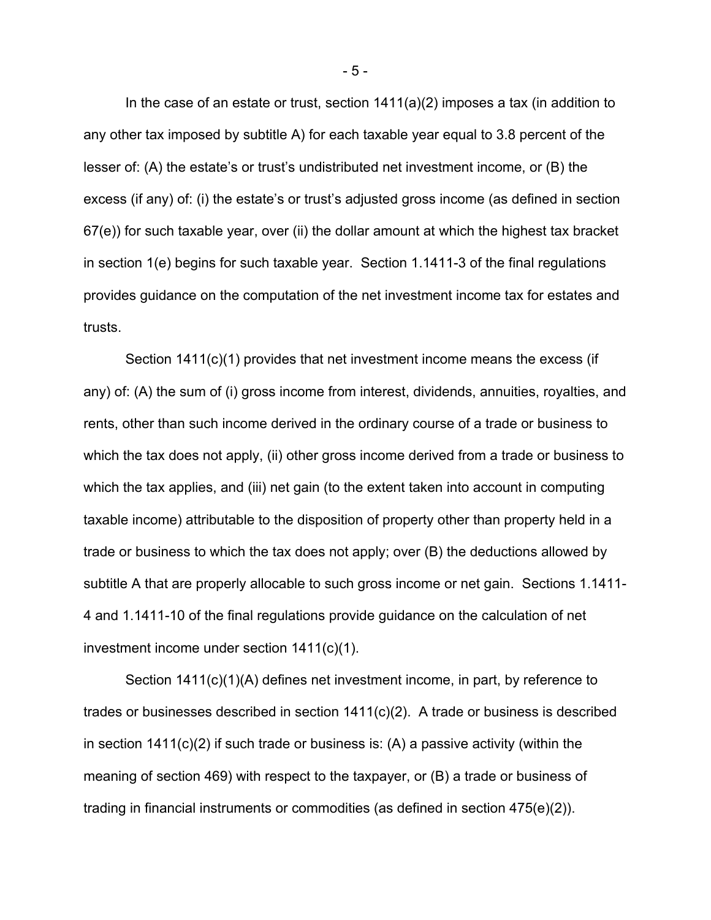In the case of an estate or trust, section 1411(a)(2) imposes a tax (in addition to any other tax imposed by subtitle A) for each taxable year equal to 3.8 percent of the lesser of: (A) the estate's or trust's undistributed net investment income, or (B) the excess (if any) of: (i) the estate's or trust's adjusted gross income (as defined in section 67(e)) for such taxable year, over (ii) the dollar amount at which the highest tax bracket in section 1(e) begins for such taxable year. Section 1.1411-3 of the final regulations provides guidance on the computation of the net investment income tax for estates and trusts.

Section 1411(c)(1) provides that net investment income means the excess (if any) of: (A) the sum of (i) gross income from interest, dividends, annuities, royalties, and rents, other than such income derived in the ordinary course of a trade or business to which the tax does not apply, (ii) other gross income derived from a trade or business to which the tax applies, and (iii) net gain (to the extent taken into account in computing taxable income) attributable to the disposition of property other than property held in a trade or business to which the tax does not apply; over (B) the deductions allowed by subtitle A that are properly allocable to such gross income or net gain. Sections 1.1411- 4 and 1.1411-10 of the final regulations provide guidance on the calculation of net investment income under section 1411(c)(1).

Section 1411(c)(1)(A) defines net investment income, in part, by reference to trades or businesses described in section 1411(c)(2). A trade or business is described in section  $1411(c)(2)$  if such trade or business is: (A) a passive activity (within the meaning of section 469) with respect to the taxpayer, or (B) a trade or business of trading in financial instruments or commodities (as defined in section 475(e)(2)).

- 5 -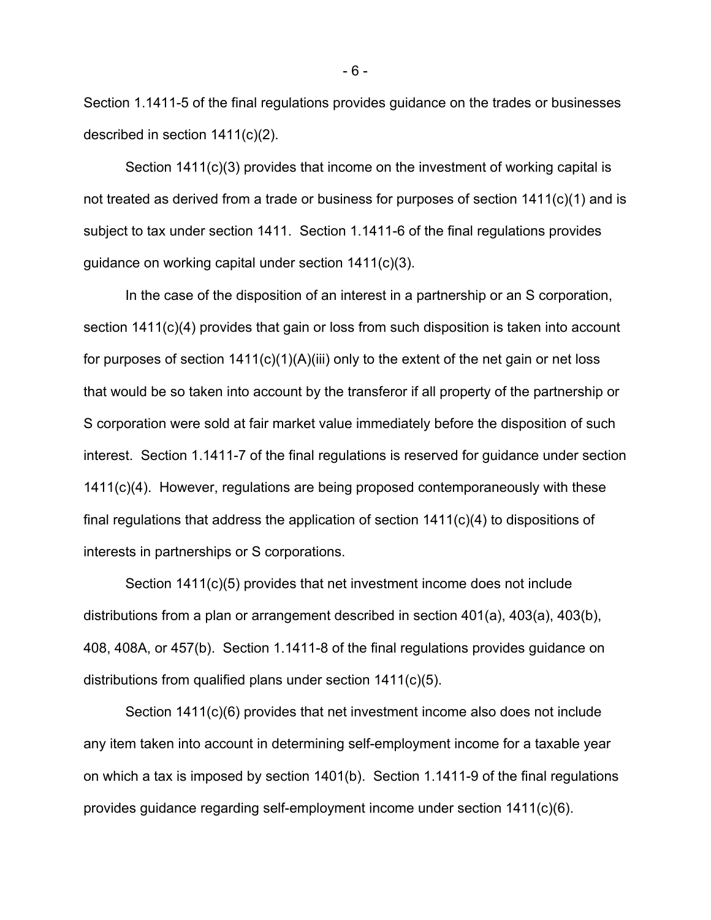Section 1.1411-5 of the final regulations provides guidance on the trades or businesses described in section 1411(c)(2).

Section 1411(c)(3) provides that income on the investment of working capital is not treated as derived from a trade or business for purposes of section 1411(c)(1) and is subject to tax under section 1411. Section 1.1411-6 of the final regulations provides guidance on working capital under section 1411(c)(3).

In the case of the disposition of an interest in a partnership or an S corporation, section 1411(c)(4) provides that gain or loss from such disposition is taken into account for purposes of section  $1411(c)(1)(A)(iii)$  only to the extent of the net gain or net loss that would be so taken into account by the transferor if all property of the partnership or S corporation were sold at fair market value immediately before the disposition of such interest. Section 1.1411-7 of the final regulations is reserved for guidance under section 1411(c)(4). However, regulations are being proposed contemporaneously with these final regulations that address the application of section 1411(c)(4) to dispositions of interests in partnerships or S corporations.

Section 1411(c)(5) provides that net investment income does not include distributions from a plan or arrangement described in section 401(a), 403(a), 403(b), 408, 408A, or 457(b). Section 1.1411-8 of the final regulations provides guidance on distributions from qualified plans under section 1411(c)(5).

Section 1411(c)(6) provides that net investment income also does not include any item taken into account in determining self-employment income for a taxable year on which a tax is imposed by section 1401(b). Section 1.1411-9 of the final regulations provides guidance regarding self-employment income under section 1411(c)(6).

- 6 -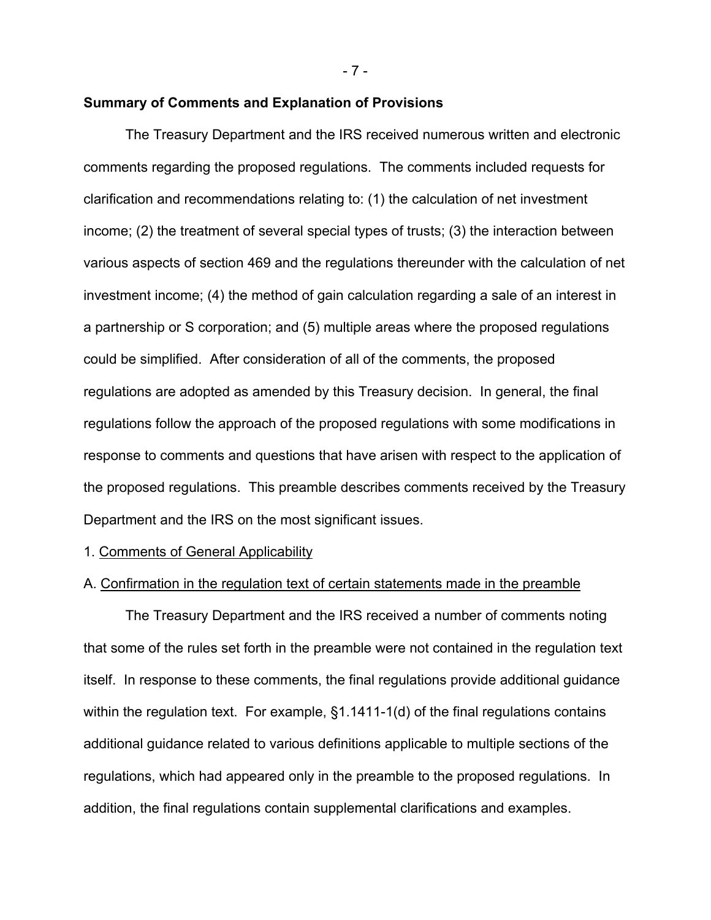- 7 -

### **Summary of Comments and Explanation of Provisions**

The Treasury Department and the IRS received numerous written and electronic comments regarding the proposed regulations. The comments included requests for clarification and recommendations relating to: (1) the calculation of net investment income; (2) the treatment of several special types of trusts; (3) the interaction between various aspects of section 469 and the regulations thereunder with the calculation of net investment income; (4) the method of gain calculation regarding a sale of an interest in a partnership or S corporation; and (5) multiple areas where the proposed regulations could be simplified. After consideration of all of the comments, the proposed regulations are adopted as amended by this Treasury decision. In general, the final regulations follow the approach of the proposed regulations with some modifications in response to comments and questions that have arisen with respect to the application of the proposed regulations. This preamble describes comments received by the Treasury Department and the IRS on the most significant issues.

# 1. Comments of General Applicability

# A. Confirmation in the regulation text of certain statements made in the preamble

The Treasury Department and the IRS received a number of comments noting that some of the rules set forth in the preamble were not contained in the regulation text itself. In response to these comments, the final regulations provide additional guidance within the regulation text. For example, §1.1411-1(d) of the final regulations contains additional guidance related to various definitions applicable to multiple sections of the regulations, which had appeared only in the preamble to the proposed regulations. In addition, the final regulations contain supplemental clarifications and examples.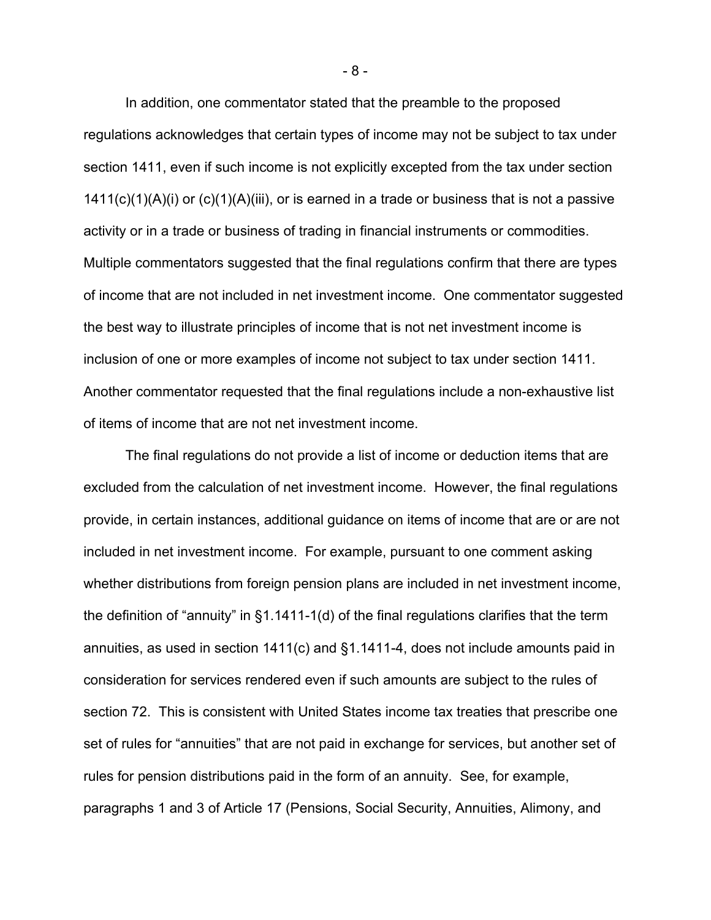In addition, one commentator stated that the preamble to the proposed regulations acknowledges that certain types of income may not be subject to tax under section 1411, even if such income is not explicitly excepted from the tax under section  $1411(c)(1)(A)(i)$  or  $(c)(1)(A)(iii)$ , or is earned in a trade or business that is not a passive activity or in a trade or business of trading in financial instruments or commodities. Multiple commentators suggested that the final regulations confirm that there are types of income that are not included in net investment income. One commentator suggested the best way to illustrate principles of income that is not net investment income is inclusion of one or more examples of income not subject to tax under section 1411. Another commentator requested that the final regulations include a non-exhaustive list of items of income that are not net investment income.

The final regulations do not provide a list of income or deduction items that are excluded from the calculation of net investment income. However, the final regulations provide, in certain instances, additional guidance on items of income that are or are not included in net investment income. For example, pursuant to one comment asking whether distributions from foreign pension plans are included in net investment income, the definition of "annuity" in §1.1411-1(d) of the final regulations clarifies that the term annuities, as used in section 1411(c) and §1.1411-4, does not include amounts paid in consideration for services rendered even if such amounts are subject to the rules of section 72. This is consistent with United States income tax treaties that prescribe one set of rules for "annuities" that are not paid in exchange for services, but another set of rules for pension distributions paid in the form of an annuity. See, for example, paragraphs 1 and 3 of Article 17 (Pensions, Social Security, Annuities, Alimony, and

- 8 -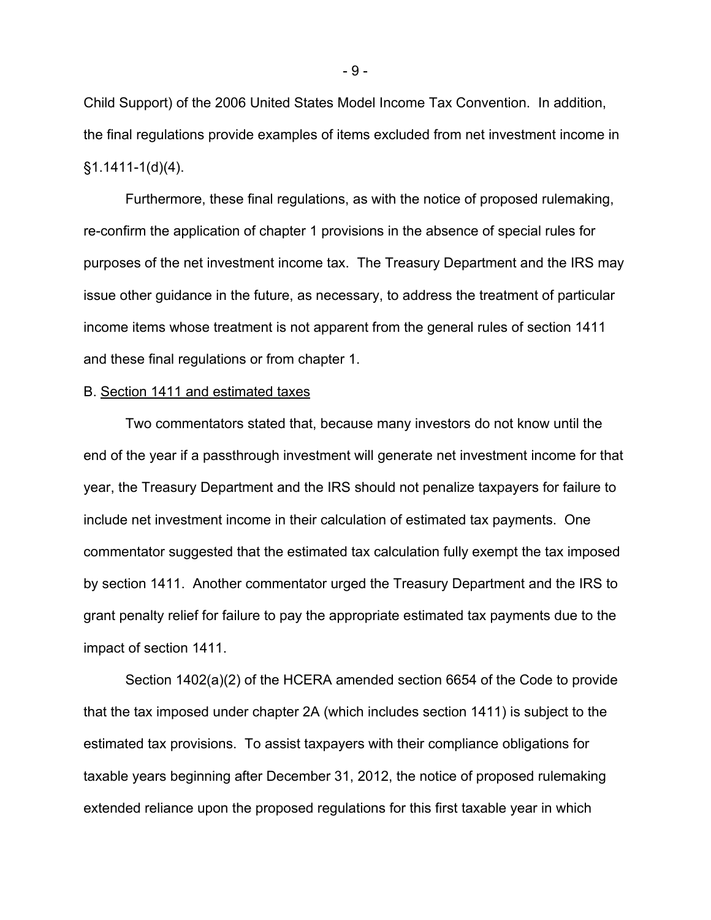Child Support) of the 2006 United States Model Income Tax Convention. In addition, the final regulations provide examples of items excluded from net investment income in  $§1.1411-1(d)(4).$ 

Furthermore, these final regulations, as with the notice of proposed rulemaking, re-confirm the application of chapter 1 provisions in the absence of special rules for purposes of the net investment income tax. The Treasury Department and the IRS may issue other guidance in the future, as necessary, to address the treatment of particular income items whose treatment is not apparent from the general rules of section 1411 and these final regulations or from chapter 1.

# B. Section 1411 and estimated taxes

Two commentators stated that, because many investors do not know until the end of the year if a passthrough investment will generate net investment income for that year, the Treasury Department and the IRS should not penalize taxpayers for failure to include net investment income in their calculation of estimated tax payments. One commentator suggested that the estimated tax calculation fully exempt the tax imposed by section 1411. Another commentator urged the Treasury Department and the IRS to grant penalty relief for failure to pay the appropriate estimated tax payments due to the impact of section 1411.

Section 1402(a)(2) of the HCERA amended section 6654 of the Code to provide that the tax imposed under chapter 2A (which includes section 1411) is subject to the estimated tax provisions. To assist taxpayers with their compliance obligations for taxable years beginning after December 31, 2012, the notice of proposed rulemaking extended reliance upon the proposed regulations for this first taxable year in which

- 9 -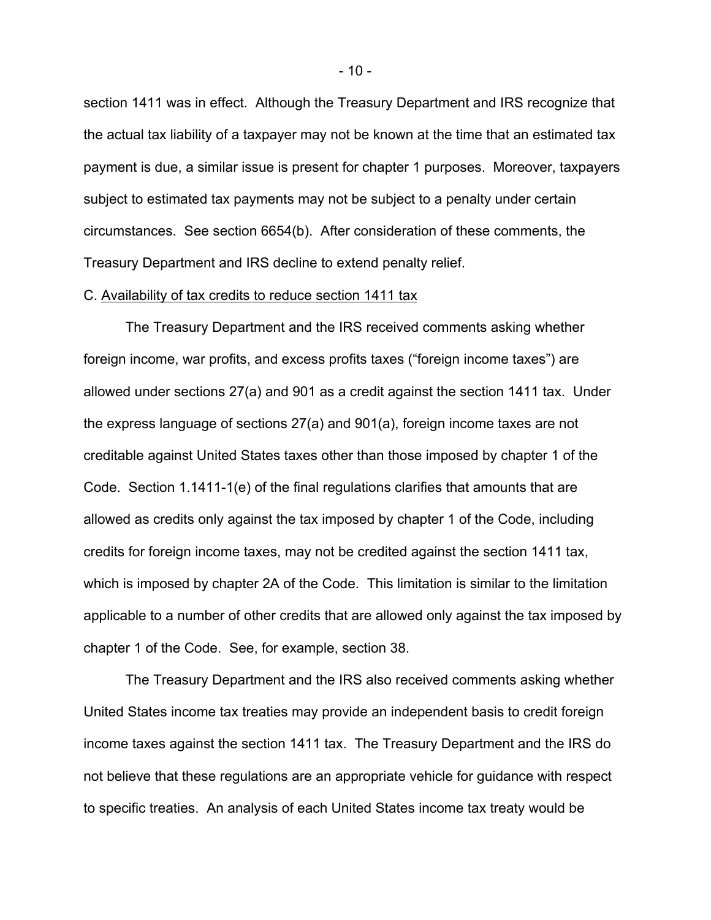section 1411 was in effect. Although the Treasury Department and IRS recognize that the actual tax liability of a taxpayer may not be known at the time that an estimated tax payment is due, a similar issue is present for chapter 1 purposes. Moreover, taxpayers subject to estimated tax payments may not be subject to a penalty under certain circumstances. See section 6654(b). After consideration of these comments, the Treasury Department and IRS decline to extend penalty relief.

#### C. Availability of tax credits to reduce section 1411 tax

The Treasury Department and the IRS received comments asking whether foreign income, war profits, and excess profits taxes ("foreign income taxes") are allowed under sections 27(a) and 901 as a credit against the section 1411 tax. Under the express language of sections 27(a) and 901(a), foreign income taxes are not creditable against United States taxes other than those imposed by chapter 1 of the Code. Section 1.1411-1(e) of the final regulations clarifies that amounts that are allowed as credits only against the tax imposed by chapter 1 of the Code, including credits for foreign income taxes, may not be credited against the section 1411 tax, which is imposed by chapter 2A of the Code. This limitation is similar to the limitation applicable to a number of other credits that are allowed only against the tax imposed by chapter 1 of the Code. See, for example, section 38.

The Treasury Department and the IRS also received comments asking whether United States income tax treaties may provide an independent basis to credit foreign income taxes against the section 1411 tax. The Treasury Department and the IRS do not believe that these regulations are an appropriate vehicle for guidance with respect to specific treaties. An analysis of each United States income tax treaty would be

- 10 -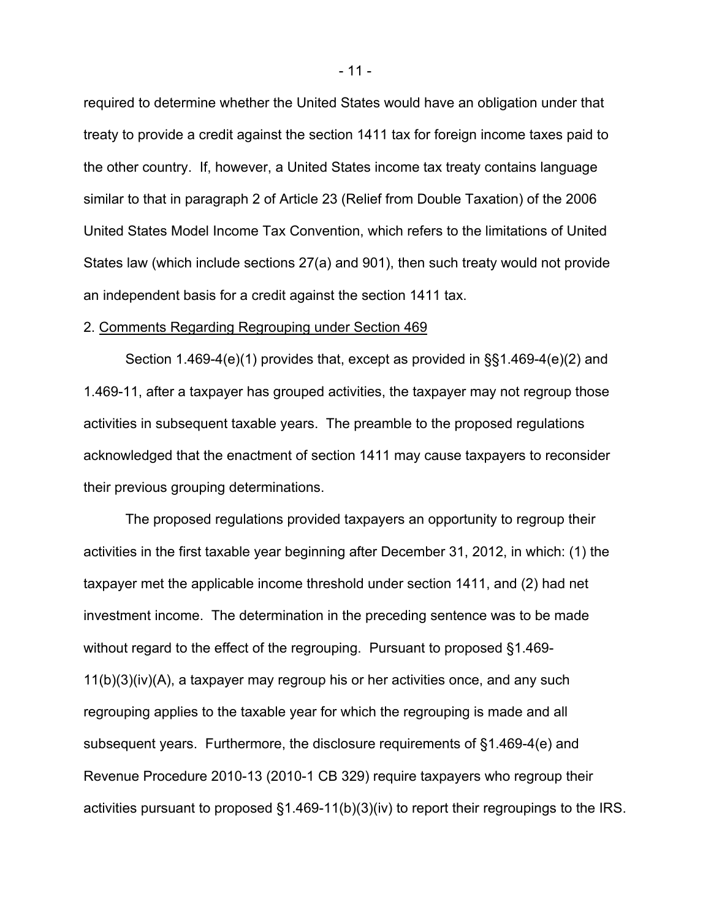required to determine whether the United States would have an obligation under that treaty to provide a credit against the section 1411 tax for foreign income taxes paid to the other country. If, however, a United States income tax treaty contains language similar to that in paragraph 2 of Article 23 (Relief from Double Taxation) of the 2006 United States Model Income Tax Convention, which refers to the limitations of United States law (which include sections 27(a) and 901), then such treaty would not provide an independent basis for a credit against the section 1411 tax.

### 2. Comments Regarding Regrouping under Section 469

Section 1.469-4(e)(1) provides that, except as provided in §§1.469-4(e)(2) and 1.469-11, after a taxpayer has grouped activities, the taxpayer may not regroup those activities in subsequent taxable years. The preamble to the proposed regulations acknowledged that the enactment of section 1411 may cause taxpayers to reconsider their previous grouping determinations.

The proposed regulations provided taxpayers an opportunity to regroup their activities in the first taxable year beginning after December 31, 2012, in which: (1) the taxpayer met the applicable income threshold under section 1411, and (2) had net investment income. The determination in the preceding sentence was to be made without regard to the effect of the regrouping. Pursuant to proposed §1.469- 11(b)(3)(iv)(A), a taxpayer may regroup his or her activities once, and any such regrouping applies to the taxable year for which the regrouping is made and all subsequent years. Furthermore, the disclosure requirements of §1.469-4(e) and Revenue Procedure 2010-13 (2010-1 CB 329) require taxpayers who regroup their activities pursuant to proposed §1.469-11(b)(3)(iv) to report their regroupings to the IRS.

- 11 -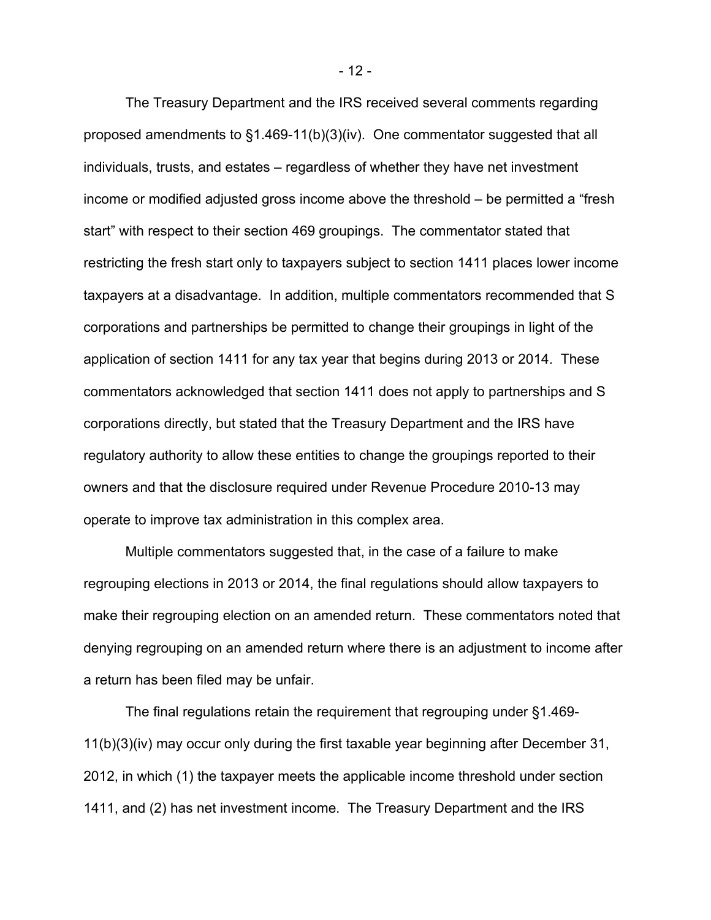The Treasury Department and the IRS received several comments regarding proposed amendments to §1.469-11(b)(3)(iv). One commentator suggested that all individuals, trusts, and estates – regardless of whether they have net investment income or modified adjusted gross income above the threshold – be permitted a "fresh start" with respect to their section 469 groupings. The commentator stated that restricting the fresh start only to taxpayers subject to section 1411 places lower income taxpayers at a disadvantage. In addition, multiple commentators recommended that S corporations and partnerships be permitted to change their groupings in light of the application of section 1411 for any tax year that begins during 2013 or 2014. These commentators acknowledged that section 1411 does not apply to partnerships and S corporations directly, but stated that the Treasury Department and the IRS have regulatory authority to allow these entities to change the groupings reported to their owners and that the disclosure required under Revenue Procedure 2010-13 may operate to improve tax administration in this complex area.

Multiple commentators suggested that, in the case of a failure to make regrouping elections in 2013 or 2014, the final regulations should allow taxpayers to make their regrouping election on an amended return. These commentators noted that denying regrouping on an amended return where there is an adjustment to income after a return has been filed may be unfair.

The final regulations retain the requirement that regrouping under §1.469- 11(b)(3)(iv) may occur only during the first taxable year beginning after December 31, 2012, in which (1) the taxpayer meets the applicable income threshold under section 1411, and (2) has net investment income. The Treasury Department and the IRS

- 12 -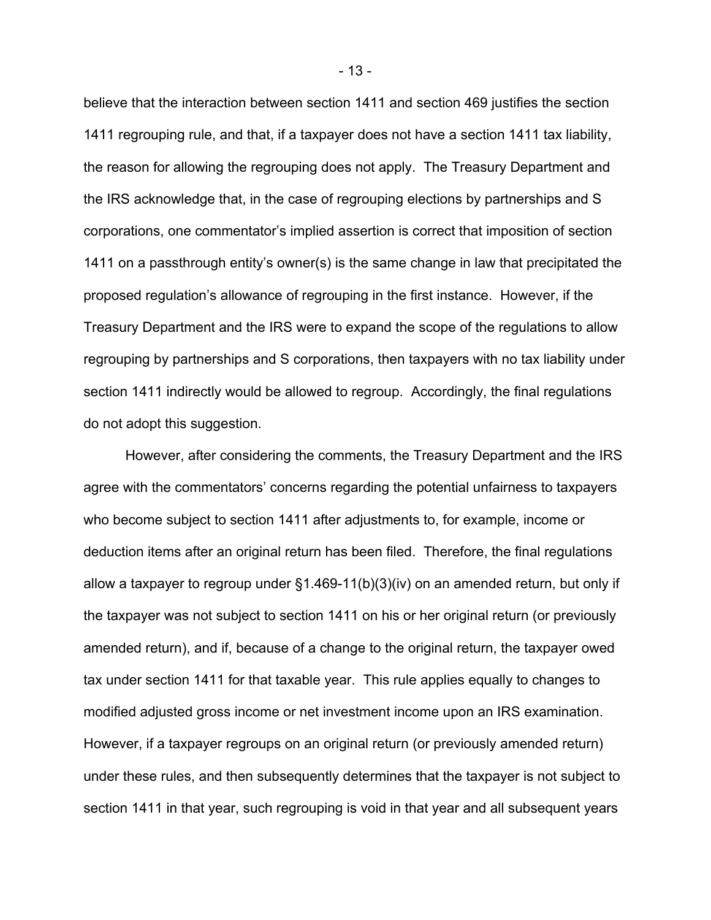believe that the interaction between section 1411 and section 469 justifies the section 1411 regrouping rule, and that, if a taxpayer does not have a section 1411 tax liability, the reason for allowing the regrouping does not apply. The Treasury Department and the IRS acknowledge that, in the case of regrouping elections by partnerships and S corporations, one commentator's implied assertion is correct that imposition of section 1411 on a passthrough entity's owner(s) is the same change in law that precipitated the proposed regulation's allowance of regrouping in the first instance. However, if the Treasury Department and the IRS were to expand the scope of the regulations to allow regrouping by partnerships and S corporations, then taxpayers with no tax liability under section 1411 indirectly would be allowed to regroup. Accordingly, the final regulations do not adopt this suggestion.

 However, after considering the comments, the Treasury Department and the IRS agree with the commentators' concerns regarding the potential unfairness to taxpayers who become subject to section 1411 after adjustments to, for example, income or deduction items after an original return has been filed. Therefore, the final regulations allow a taxpayer to regroup under §1.469-11(b)(3)(iv) on an amended return, but only if the taxpayer was not subject to section 1411 on his or her original return (or previously amended return), and if, because of a change to the original return, the taxpayer owed tax under section 1411 for that taxable year. This rule applies equally to changes to modified adjusted gross income or net investment income upon an IRS examination. However, if a taxpayer regroups on an original return (or previously amended return) under these rules, and then subsequently determines that the taxpayer is not subject to section 1411 in that year, such regrouping is void in that year and all subsequent years

- 13 -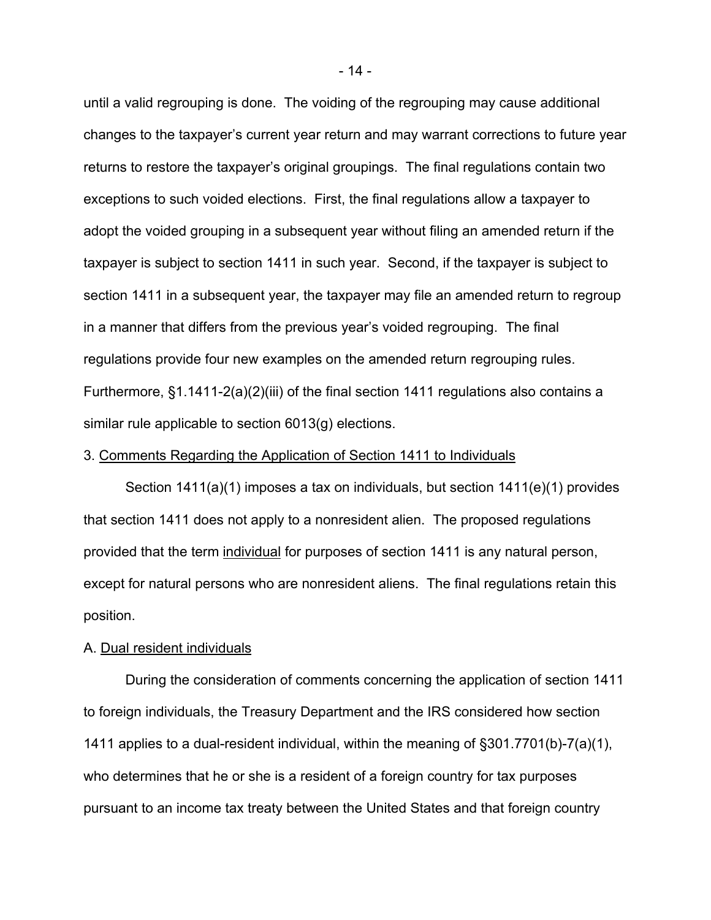until a valid regrouping is done. The voiding of the regrouping may cause additional changes to the taxpayer's current year return and may warrant corrections to future year returns to restore the taxpayer's original groupings. The final regulations contain two exceptions to such voided elections. First, the final regulations allow a taxpayer to adopt the voided grouping in a subsequent year without filing an amended return if the taxpayer is subject to section 1411 in such year. Second, if the taxpayer is subject to section 1411 in a subsequent year, the taxpayer may file an amended return to regroup in a manner that differs from the previous year's voided regrouping. The final regulations provide four new examples on the amended return regrouping rules. Furthermore, §1.1411-2(a)(2)(iii) of the final section 1411 regulations also contains a similar rule applicable to section 6013(g) elections.

# 3. Comments Regarding the Application of Section 1411 to Individuals

Section 1411(a)(1) imposes a tax on individuals, but section 1411(e)(1) provides that section 1411 does not apply to a nonresident alien. The proposed regulations provided that the term individual for purposes of section 1411 is any natural person, except for natural persons who are nonresident aliens. The final regulations retain this position.

### A. Dual resident individuals

During the consideration of comments concerning the application of section 1411 to foreign individuals, the Treasury Department and the IRS considered how section 1411 applies to a dual-resident individual, within the meaning of §301.7701(b)-7(a)(1), who determines that he or she is a resident of a foreign country for tax purposes pursuant to an income tax treaty between the United States and that foreign country

- 14 -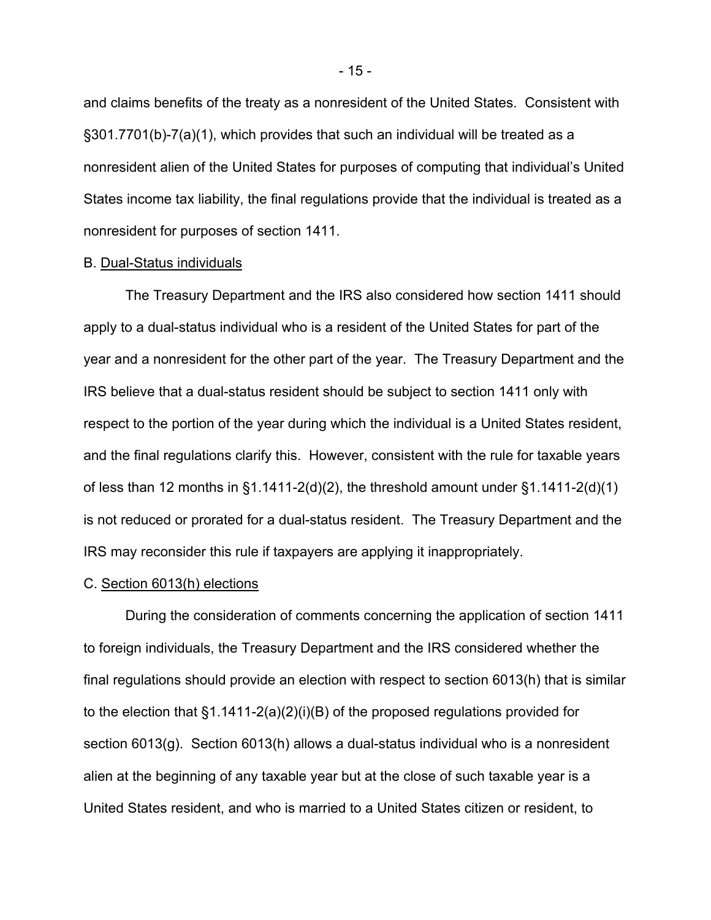and claims benefits of the treaty as a nonresident of the United States. Consistent with §301.7701(b)-7(a)(1), which provides that such an individual will be treated as a nonresident alien of the United States for purposes of computing that individual's United States income tax liability, the final regulations provide that the individual is treated as a nonresident for purposes of section 1411.

#### B. Dual-Status individuals

The Treasury Department and the IRS also considered how section 1411 should apply to a dual-status individual who is a resident of the United States for part of the year and a nonresident for the other part of the year. The Treasury Department and the IRS believe that a dual-status resident should be subject to section 1411 only with respect to the portion of the year during which the individual is a United States resident, and the final regulations clarify this. However, consistent with the rule for taxable years of less than 12 months in  $\S1.1411-2(d)(2)$ , the threshold amount under  $\S1.1411-2(d)(1)$ is not reduced or prorated for a dual-status resident. The Treasury Department and the IRS may reconsider this rule if taxpayers are applying it inappropriately.

# C. Section 6013(h) elections

During the consideration of comments concerning the application of section 1411 to foreign individuals, the Treasury Department and the IRS considered whether the final regulations should provide an election with respect to section 6013(h) that is similar to the election that  $\S1.1411-2(a)(2)(i)(B)$  of the proposed regulations provided for section 6013(g). Section 6013(h) allows a dual-status individual who is a nonresident alien at the beginning of any taxable year but at the close of such taxable year is a United States resident, and who is married to a United States citizen or resident, to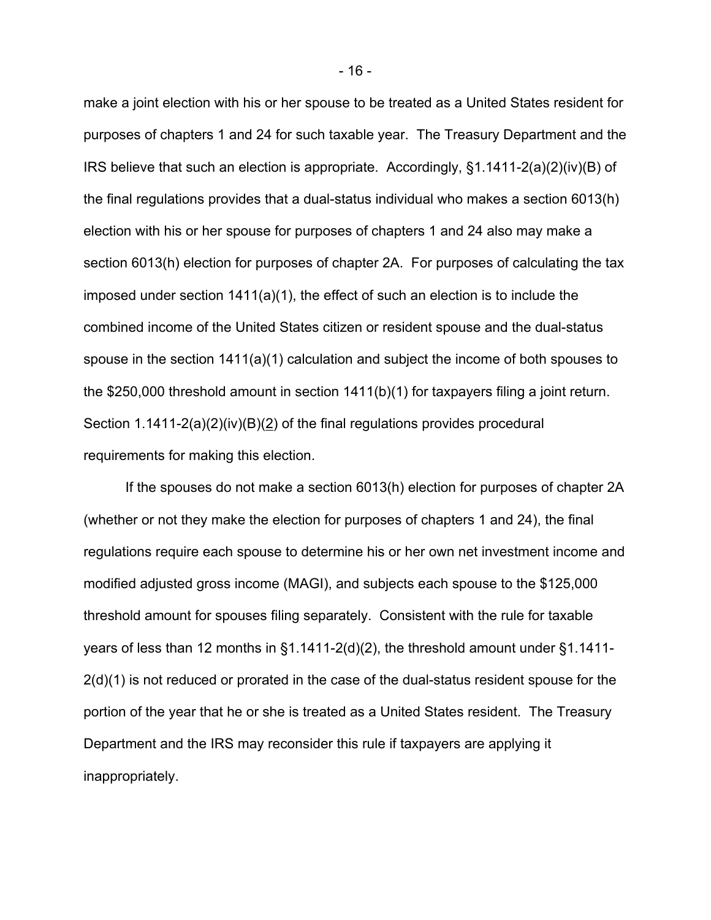make a joint election with his or her spouse to be treated as a United States resident for purposes of chapters 1 and 24 for such taxable year. The Treasury Department and the IRS believe that such an election is appropriate. Accordingly,  $\S1.1411-2(a)(2)(iv)(B)$  of the final regulations provides that a dual-status individual who makes a section 6013(h) election with his or her spouse for purposes of chapters 1 and 24 also may make a section 6013(h) election for purposes of chapter 2A. For purposes of calculating the tax imposed under section 1411(a)(1), the effect of such an election is to include the combined income of the United States citizen or resident spouse and the dual-status spouse in the section  $1411(a)(1)$  calculation and subject the income of both spouses to the \$250,000 threshold amount in section 1411(b)(1) for taxpayers filing a joint return. Section 1.1411-2(a)(2)(iv)(B)(2) of the final regulations provides procedural requirements for making this election.

If the spouses do not make a section 6013(h) election for purposes of chapter 2A (whether or not they make the election for purposes of chapters 1 and 24), the final regulations require each spouse to determine his or her own net investment income and modified adjusted gross income (MAGI), and subjects each spouse to the \$125,000 threshold amount for spouses filing separately. Consistent with the rule for taxable years of less than 12 months in §1.1411-2(d)(2), the threshold amount under §1.1411- 2(d)(1) is not reduced or prorated in the case of the dual-status resident spouse for the portion of the year that he or she is treated as a United States resident. The Treasury Department and the IRS may reconsider this rule if taxpayers are applying it inappropriately.

- 16 -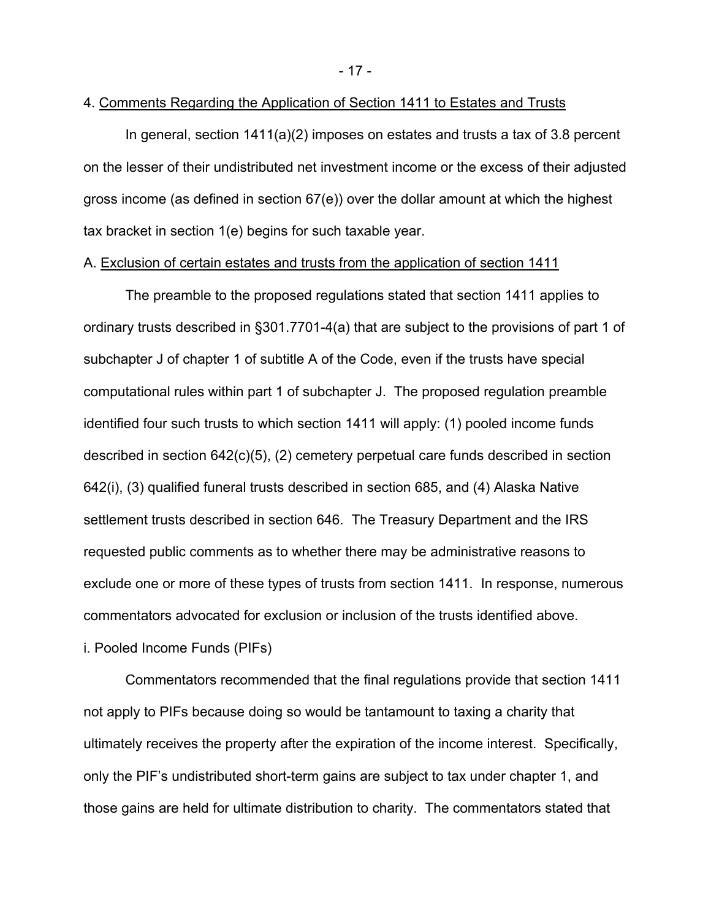- 17 -

# 4. Comments Regarding the Application of Section 1411 to Estates and Trusts

In general, section 1411(a)(2) imposes on estates and trusts a tax of 3.8 percent on the lesser of their undistributed net investment income or the excess of their adjusted gross income (as defined in section 67(e)) over the dollar amount at which the highest tax bracket in section 1(e) begins for such taxable year.

# A. Exclusion of certain estates and trusts from the application of section 1411

The preamble to the proposed regulations stated that section 1411 applies to ordinary trusts described in §301.7701-4(a) that are subject to the provisions of part 1 of subchapter J of chapter 1 of subtitle A of the Code, even if the trusts have special computational rules within part 1 of subchapter J. The proposed regulation preamble identified four such trusts to which section 1411 will apply: (1) pooled income funds described in section 642(c)(5), (2) cemetery perpetual care funds described in section 642(i), (3) qualified funeral trusts described in section 685, and (4) Alaska Native settlement trusts described in section 646. The Treasury Department and the IRS requested public comments as to whether there may be administrative reasons to exclude one or more of these types of trusts from section 1411. In response, numerous commentators advocated for exclusion or inclusion of the trusts identified above. i. Pooled Income Funds (PIFs)

Commentators recommended that the final regulations provide that section 1411 not apply to PIFs because doing so would be tantamount to taxing a charity that ultimately receives the property after the expiration of the income interest. Specifically, only the PIF's undistributed short-term gains are subject to tax under chapter 1, and those gains are held for ultimate distribution to charity. The commentators stated that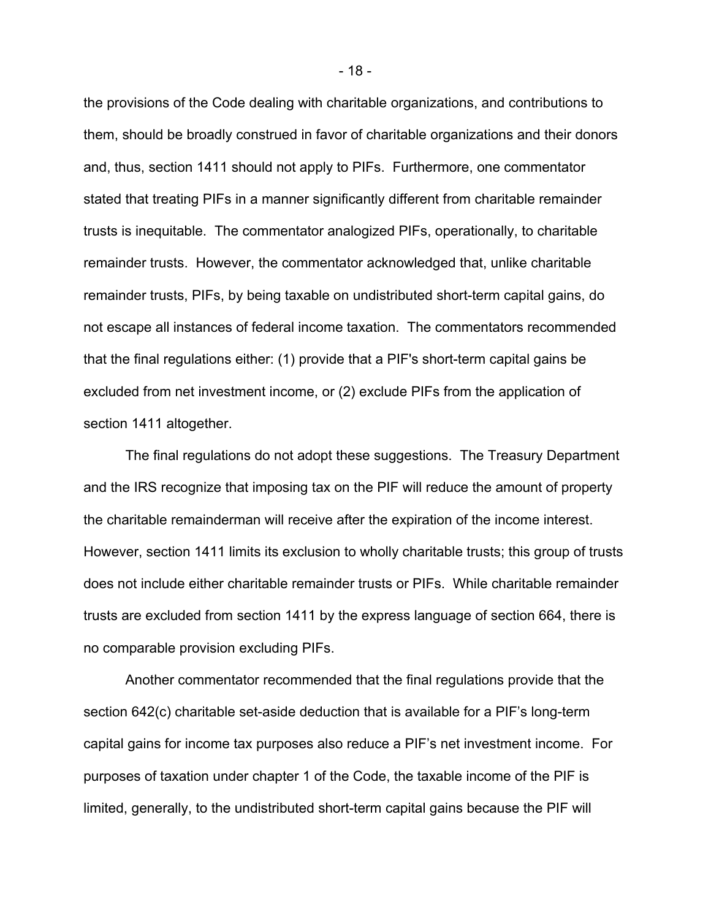the provisions of the Code dealing with charitable organizations, and contributions to them, should be broadly construed in favor of charitable organizations and their donors and, thus, section 1411 should not apply to PIFs. Furthermore, one commentator stated that treating PIFs in a manner significantly different from charitable remainder trusts is inequitable. The commentator analogized PIFs, operationally, to charitable remainder trusts. However, the commentator acknowledged that, unlike charitable remainder trusts, PIFs, by being taxable on undistributed short-term capital gains, do not escape all instances of federal income taxation. The commentators recommended that the final regulations either: (1) provide that a PIF's short-term capital gains be excluded from net investment income, or (2) exclude PIFs from the application of section 1411 altogether.

The final regulations do not adopt these suggestions. The Treasury Department and the IRS recognize that imposing tax on the PIF will reduce the amount of property the charitable remainderman will receive after the expiration of the income interest. However, section 1411 limits its exclusion to wholly charitable trusts; this group of trusts does not include either charitable remainder trusts or PIFs. While charitable remainder trusts are excluded from section 1411 by the express language of section 664, there is no comparable provision excluding PIFs.

Another commentator recommended that the final regulations provide that the section 642(c) charitable set-aside deduction that is available for a PIF's long-term capital gains for income tax purposes also reduce a PIF's net investment income. For purposes of taxation under chapter 1 of the Code, the taxable income of the PIF is limited, generally, to the undistributed short-term capital gains because the PIF will

- 18 -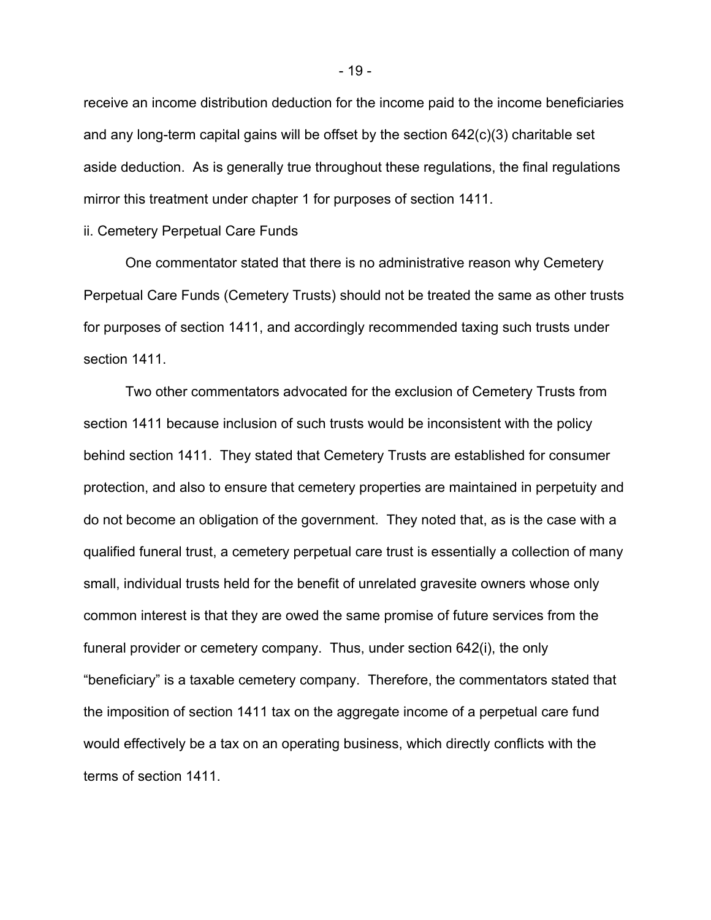receive an income distribution deduction for the income paid to the income beneficiaries and any long-term capital gains will be offset by the section 642(c)(3) charitable set aside deduction. As is generally true throughout these regulations, the final regulations mirror this treatment under chapter 1 for purposes of section 1411.

# ii. Cemetery Perpetual Care Funds

One commentator stated that there is no administrative reason why Cemetery Perpetual Care Funds (Cemetery Trusts) should not be treated the same as other trusts for purposes of section 1411, and accordingly recommended taxing such trusts under section 1411.

Two other commentators advocated for the exclusion of Cemetery Trusts from section 1411 because inclusion of such trusts would be inconsistent with the policy behind section 1411. They stated that Cemetery Trusts are established for consumer protection, and also to ensure that cemetery properties are maintained in perpetuity and do not become an obligation of the government. They noted that, as is the case with a qualified funeral trust, a cemetery perpetual care trust is essentially a collection of many small, individual trusts held for the benefit of unrelated gravesite owners whose only common interest is that they are owed the same promise of future services from the funeral provider or cemetery company. Thus, under section 642(i), the only "beneficiary" is a taxable cemetery company. Therefore, the commentators stated that the imposition of section 1411 tax on the aggregate income of a perpetual care fund would effectively be a tax on an operating business, which directly conflicts with the terms of section 1411.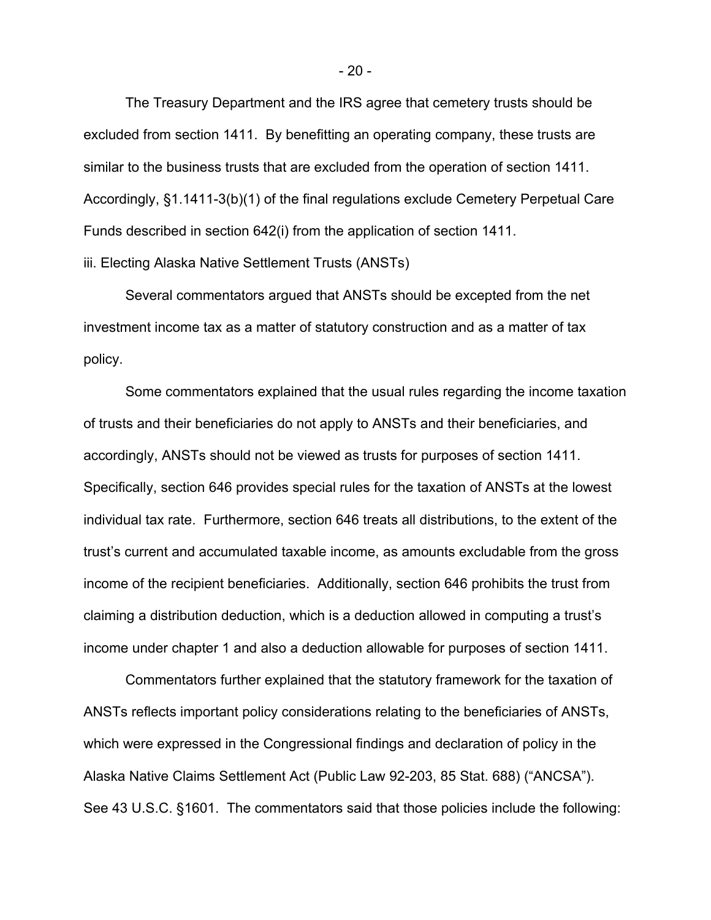The Treasury Department and the IRS agree that cemetery trusts should be excluded from section 1411. By benefitting an operating company, these trusts are similar to the business trusts that are excluded from the operation of section 1411. Accordingly, §1.1411-3(b)(1) of the final regulations exclude Cemetery Perpetual Care Funds described in section 642(i) from the application of section 1411.

iii. Electing Alaska Native Settlement Trusts (ANSTs)

Several commentators argued that ANSTs should be excepted from the net investment income tax as a matter of statutory construction and as a matter of tax policy.

Some commentators explained that the usual rules regarding the income taxation of trusts and their beneficiaries do not apply to ANSTs and their beneficiaries, and accordingly, ANSTs should not be viewed as trusts for purposes of section 1411. Specifically, section 646 provides special rules for the taxation of ANSTs at the lowest individual tax rate. Furthermore, section 646 treats all distributions, to the extent of the trust's current and accumulated taxable income, as amounts excludable from the gross income of the recipient beneficiaries. Additionally, section 646 prohibits the trust from claiming a distribution deduction, which is a deduction allowed in computing a trust's income under chapter 1 and also a deduction allowable for purposes of section 1411.

Commentators further explained that the statutory framework for the taxation of ANSTs reflects important policy considerations relating to the beneficiaries of ANSTs, which were expressed in the Congressional findings and declaration of policy in the Alaska Native Claims Settlement Act (Public Law 92-203, 85 Stat. 688) ("ANCSA"). See 43 U.S.C. §1601. The commentators said that those policies include the following: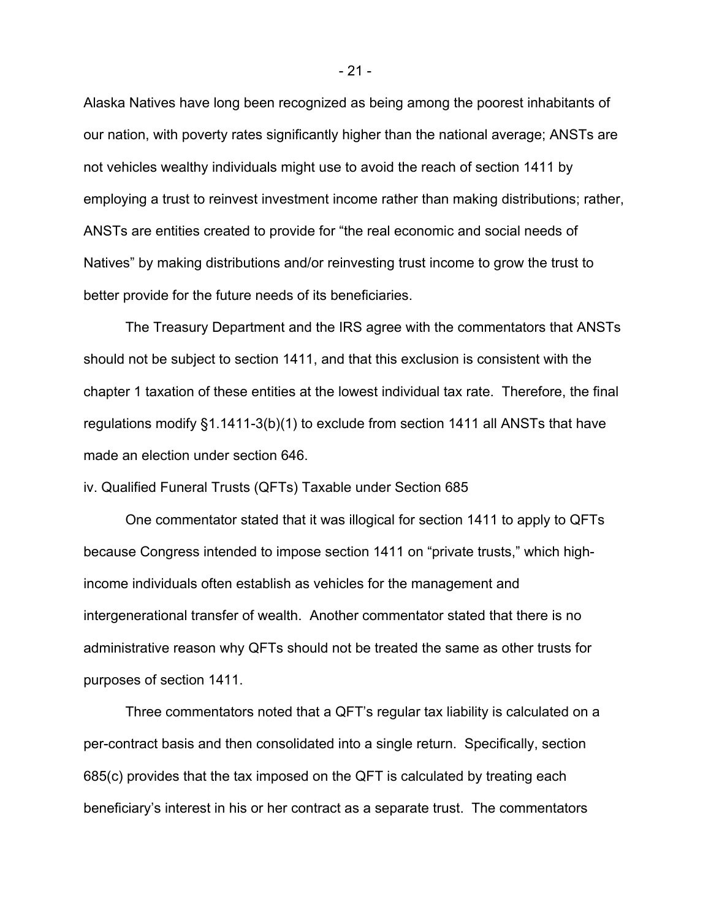Alaska Natives have long been recognized as being among the poorest inhabitants of our nation, with poverty rates significantly higher than the national average; ANSTs are not vehicles wealthy individuals might use to avoid the reach of section 1411 by employing a trust to reinvest investment income rather than making distributions; rather, ANSTs are entities created to provide for "the real economic and social needs of Natives" by making distributions and/or reinvesting trust income to grow the trust to better provide for the future needs of its beneficiaries.

The Treasury Department and the IRS agree with the commentators that ANSTs should not be subject to section 1411, and that this exclusion is consistent with the chapter 1 taxation of these entities at the lowest individual tax rate. Therefore, the final regulations modify §1.1411-3(b)(1) to exclude from section 1411 all ANSTs that have made an election under section 646.

iv. Qualified Funeral Trusts (QFTs) Taxable under Section 685

One commentator stated that it was illogical for section 1411 to apply to QFTs because Congress intended to impose section 1411 on "private trusts," which highincome individuals often establish as vehicles for the management and intergenerational transfer of wealth. Another commentator stated that there is no administrative reason why QFTs should not be treated the same as other trusts for purposes of section 1411.

Three commentators noted that a QFT's regular tax liability is calculated on a per-contract basis and then consolidated into a single return. Specifically, section 685(c) provides that the tax imposed on the QFT is calculated by treating each beneficiary's interest in his or her contract as a separate trust. The commentators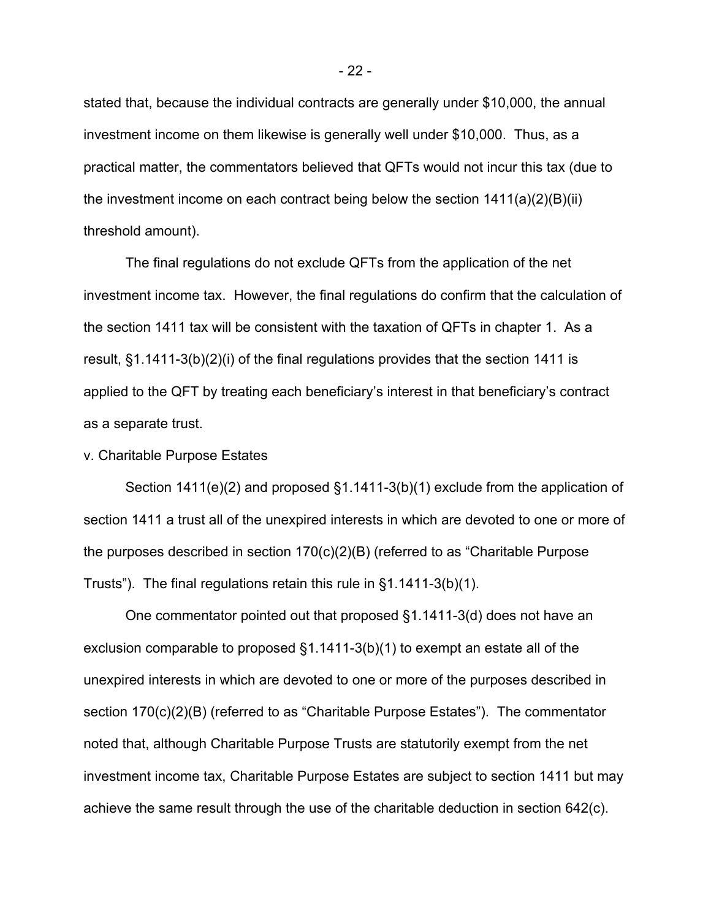stated that, because the individual contracts are generally under \$10,000, the annual investment income on them likewise is generally well under \$10,000. Thus, as a practical matter, the commentators believed that QFTs would not incur this tax (due to the investment income on each contract being below the section 1411(a)(2)(B)(ii) threshold amount).

The final regulations do not exclude QFTs from the application of the net investment income tax. However, the final regulations do confirm that the calculation of the section 1411 tax will be consistent with the taxation of QFTs in chapter 1. As a result, §1.1411-3(b)(2)(i) of the final regulations provides that the section 1411 is applied to the QFT by treating each beneficiary's interest in that beneficiary's contract as a separate trust.

v. Charitable Purpose Estates

Section  $1411(e)(2)$  and proposed  $\S1.1411-3(b)(1)$  exclude from the application of section 1411 a trust all of the unexpired interests in which are devoted to one or more of the purposes described in section 170(c)(2)(B) (referred to as "Charitable Purpose Trusts"). The final regulations retain this rule in §1.1411-3(b)(1).

One commentator pointed out that proposed §1.1411-3(d) does not have an exclusion comparable to proposed §1.1411-3(b)(1) to exempt an estate all of the unexpired interests in which are devoted to one or more of the purposes described in section 170(c)(2)(B) (referred to as "Charitable Purpose Estates"). The commentator noted that, although Charitable Purpose Trusts are statutorily exempt from the net investment income tax, Charitable Purpose Estates are subject to section 1411 but may achieve the same result through the use of the charitable deduction in section 642(c).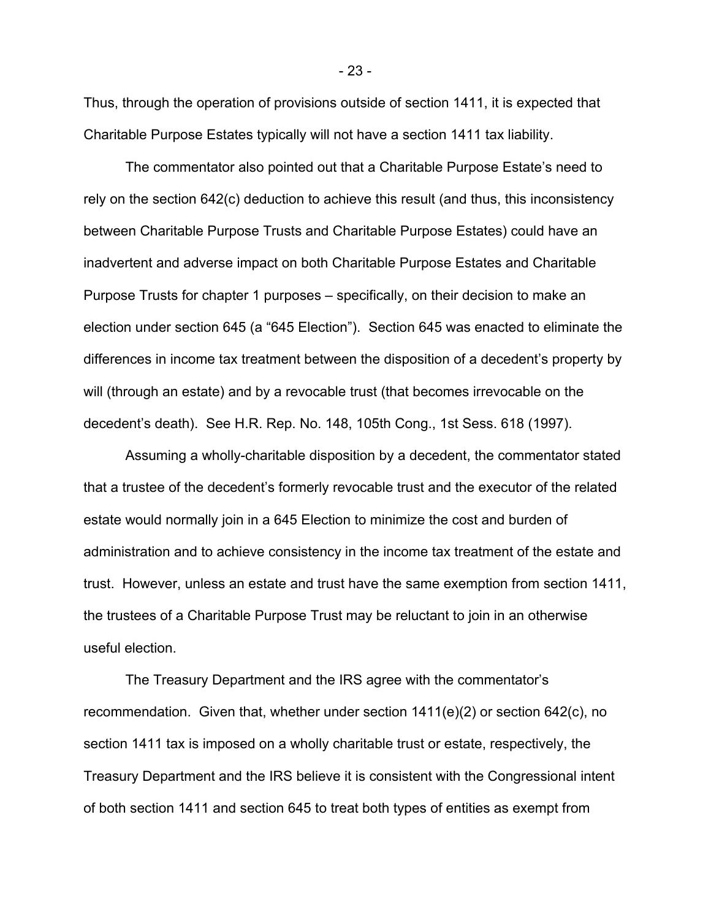Thus, through the operation of provisions outside of section 1411, it is expected that Charitable Purpose Estates typically will not have a section 1411 tax liability.

The commentator also pointed out that a Charitable Purpose Estate's need to rely on the section 642(c) deduction to achieve this result (and thus, this inconsistency between Charitable Purpose Trusts and Charitable Purpose Estates) could have an inadvertent and adverse impact on both Charitable Purpose Estates and Charitable Purpose Trusts for chapter 1 purposes – specifically, on their decision to make an election under section 645 (a "645 Election"). Section 645 was enacted to eliminate the differences in income tax treatment between the disposition of a decedent's property by will (through an estate) and by a revocable trust (that becomes irrevocable on the decedent's death). See H.R. Rep. No. 148, 105th Cong., 1st Sess. 618 (1997).

Assuming a wholly-charitable disposition by a decedent, the commentator stated that a trustee of the decedent's formerly revocable trust and the executor of the related estate would normally join in a 645 Election to minimize the cost and burden of administration and to achieve consistency in the income tax treatment of the estate and trust. However, unless an estate and trust have the same exemption from section 1411, the trustees of a Charitable Purpose Trust may be reluctant to join in an otherwise useful election.

The Treasury Department and the IRS agree with the commentator's recommendation. Given that, whether under section 1411(e)(2) or section 642(c), no section 1411 tax is imposed on a wholly charitable trust or estate, respectively, the Treasury Department and the IRS believe it is consistent with the Congressional intent of both section 1411 and section 645 to treat both types of entities as exempt from

- 23 -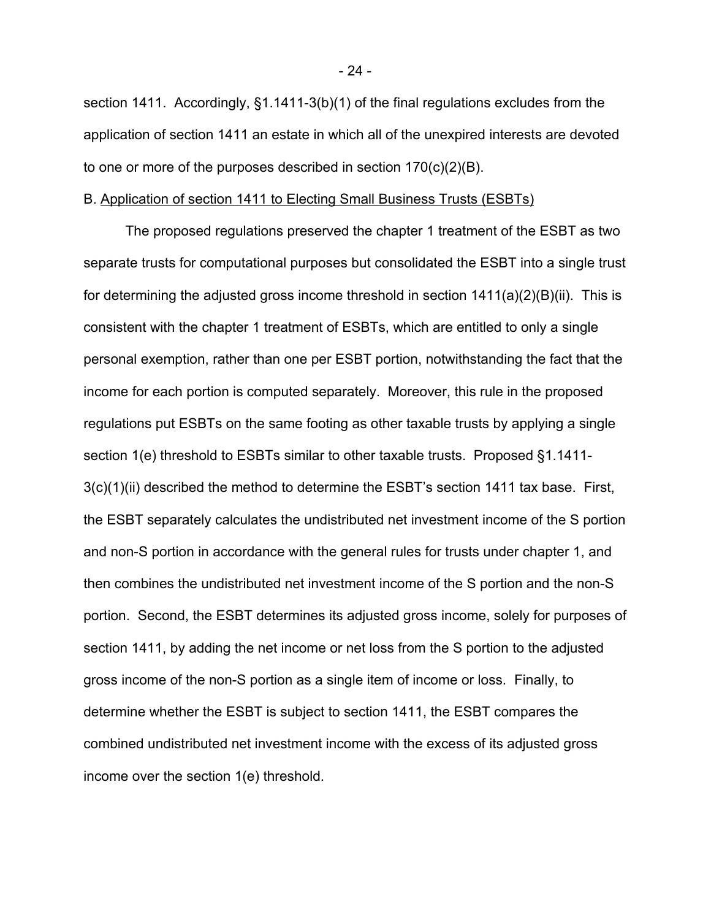section 1411. Accordingly, §1.1411-3(b)(1) of the final regulations excludes from the application of section 1411 an estate in which all of the unexpired interests are devoted to one or more of the purposes described in section 170(c)(2)(B).

### B. Application of section 1411 to Electing Small Business Trusts (ESBTs)

The proposed regulations preserved the chapter 1 treatment of the ESBT as two separate trusts for computational purposes but consolidated the ESBT into a single trust for determining the adjusted gross income threshold in section  $1411(a)(2)(B)(ii)$ . This is consistent with the chapter 1 treatment of ESBTs, which are entitled to only a single personal exemption, rather than one per ESBT portion, notwithstanding the fact that the income for each portion is computed separately. Moreover, this rule in the proposed regulations put ESBTs on the same footing as other taxable trusts by applying a single section 1(e) threshold to ESBTs similar to other taxable trusts. Proposed §1.1411-3(c)(1)(ii) described the method to determine the ESBT's section 1411 tax base. First, the ESBT separately calculates the undistributed net investment income of the S portion and non-S portion in accordance with the general rules for trusts under chapter 1, and then combines the undistributed net investment income of the S portion and the non-S portion. Second, the ESBT determines its adjusted gross income, solely for purposes of section 1411, by adding the net income or net loss from the S portion to the adjusted gross income of the non-S portion as a single item of income or loss. Finally, to determine whether the ESBT is subject to section 1411, the ESBT compares the combined undistributed net investment income with the excess of its adjusted gross income over the section 1(e) threshold.

- 24 -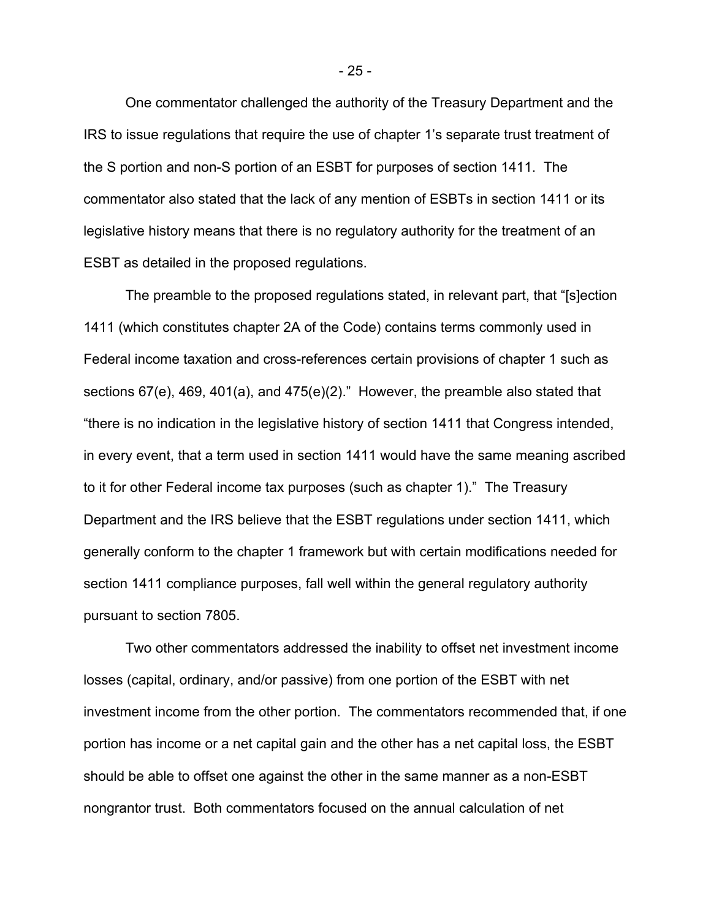One commentator challenged the authority of the Treasury Department and the IRS to issue regulations that require the use of chapter 1's separate trust treatment of the S portion and non-S portion of an ESBT for purposes of section 1411. The commentator also stated that the lack of any mention of ESBTs in section 1411 or its legislative history means that there is no regulatory authority for the treatment of an ESBT as detailed in the proposed regulations.

The preamble to the proposed regulations stated, in relevant part, that "[s]ection 1411 (which constitutes chapter 2A of the Code) contains terms commonly used in Federal income taxation and cross-references certain provisions of chapter 1 such as sections 67(e), 469, 401(a), and 475(e)(2)." However, the preamble also stated that "there is no indication in the legislative history of section 1411 that Congress intended, in every event, that a term used in section 1411 would have the same meaning ascribed to it for other Federal income tax purposes (such as chapter 1)." The Treasury Department and the IRS believe that the ESBT regulations under section 1411, which generally conform to the chapter 1 framework but with certain modifications needed for section 1411 compliance purposes, fall well within the general regulatory authority pursuant to section 7805.

Two other commentators addressed the inability to offset net investment income losses (capital, ordinary, and/or passive) from one portion of the ESBT with net investment income from the other portion. The commentators recommended that, if one portion has income or a net capital gain and the other has a net capital loss, the ESBT should be able to offset one against the other in the same manner as a non-ESBT nongrantor trust. Both commentators focused on the annual calculation of net

- 25 -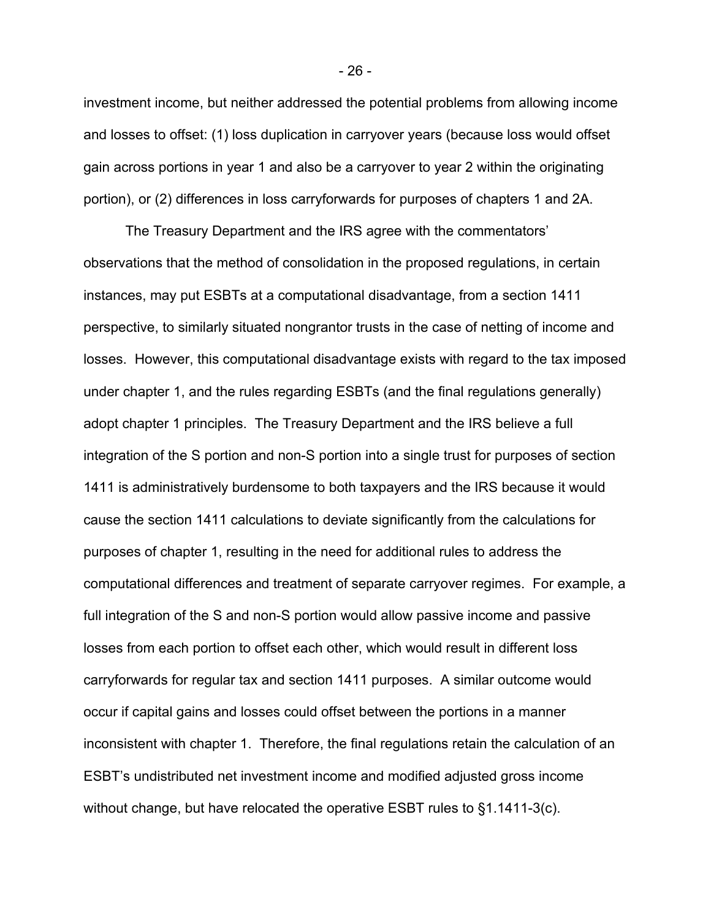investment income, but neither addressed the potential problems from allowing income and losses to offset: (1) loss duplication in carryover years (because loss would offset gain across portions in year 1 and also be a carryover to year 2 within the originating portion), or (2) differences in loss carryforwards for purposes of chapters 1 and 2A.

The Treasury Department and the IRS agree with the commentators' observations that the method of consolidation in the proposed regulations, in certain instances, may put ESBTs at a computational disadvantage, from a section 1411 perspective, to similarly situated nongrantor trusts in the case of netting of income and losses. However, this computational disadvantage exists with regard to the tax imposed under chapter 1, and the rules regarding ESBTs (and the final regulations generally) adopt chapter 1 principles. The Treasury Department and the IRS believe a full integration of the S portion and non-S portion into a single trust for purposes of section 1411 is administratively burdensome to both taxpayers and the IRS because it would cause the section 1411 calculations to deviate significantly from the calculations for purposes of chapter 1, resulting in the need for additional rules to address the computational differences and treatment of separate carryover regimes. For example, a full integration of the S and non-S portion would allow passive income and passive losses from each portion to offset each other, which would result in different loss carryforwards for regular tax and section 1411 purposes. A similar outcome would occur if capital gains and losses could offset between the portions in a manner inconsistent with chapter 1. Therefore, the final regulations retain the calculation of an ESBT's undistributed net investment income and modified adjusted gross income without change, but have relocated the operative ESBT rules to §1.1411-3(c).

- 26 -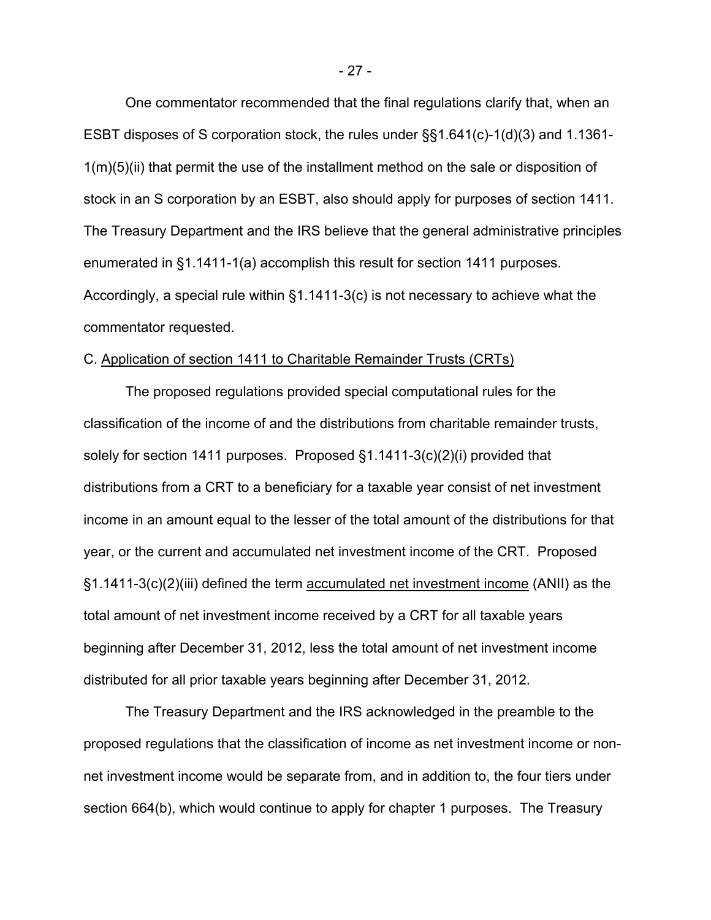One commentator recommended that the final regulations clarify that, when an ESBT disposes of S corporation stock, the rules under §§1.641(c)-1(d)(3) and 1.1361- 1(m)(5)(ii) that permit the use of the installment method on the sale or disposition of stock in an S corporation by an ESBT, also should apply for purposes of section 1411. The Treasury Department and the IRS believe that the general administrative principles enumerated in §1.1411-1(a) accomplish this result for section 1411 purposes. Accordingly, a special rule within §1.1411-3(c) is not necessary to achieve what the commentator requested.

# C. Application of section 1411 to Charitable Remainder Trusts (CRTs)

The proposed regulations provided special computational rules for the classification of the income of and the distributions from charitable remainder trusts, solely for section 1411 purposes. Proposed §1.1411-3(c)(2)(i) provided that distributions from a CRT to a beneficiary for a taxable year consist of net investment income in an amount equal to the lesser of the total amount of the distributions for that year, or the current and accumulated net investment income of the CRT. Proposed §1.1411-3(c)(2)(iii) defined the term accumulated net investment income (ANII) as the total amount of net investment income received by a CRT for all taxable years beginning after December 31, 2012, less the total amount of net investment income distributed for all prior taxable years beginning after December 31, 2012.

The Treasury Department and the IRS acknowledged in the preamble to the proposed regulations that the classification of income as net investment income or nonnet investment income would be separate from, and in addition to, the four tiers under section 664(b), which would continue to apply for chapter 1 purposes. The Treasury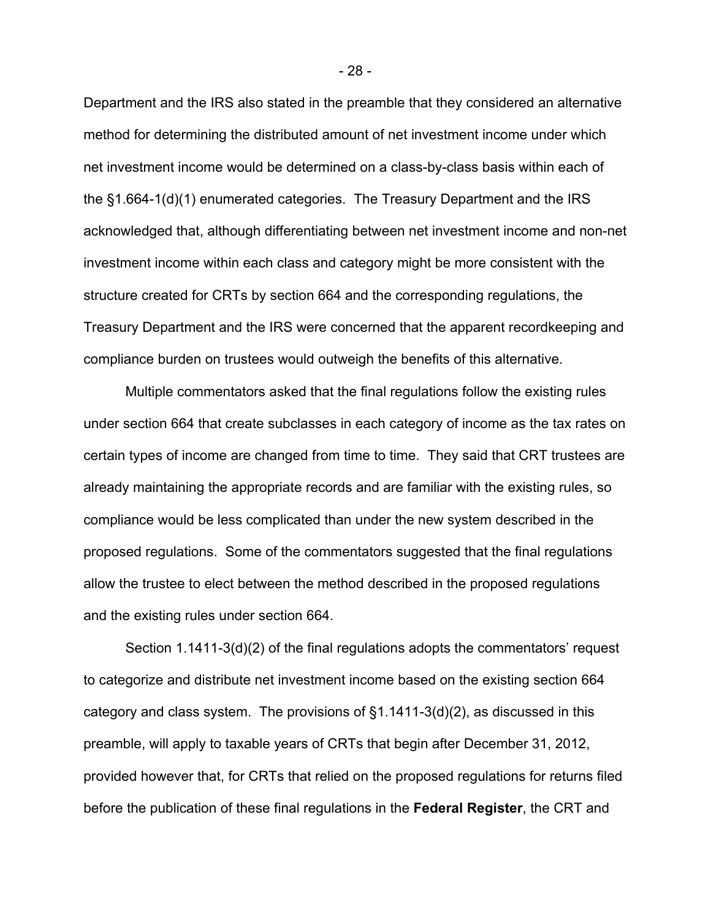Department and the IRS also stated in the preamble that they considered an alternative method for determining the distributed amount of net investment income under which net investment income would be determined on a class-by-class basis within each of the §1.664-1(d)(1) enumerated categories. The Treasury Department and the IRS acknowledged that, although differentiating between net investment income and non-net investment income within each class and category might be more consistent with the structure created for CRTs by section 664 and the corresponding regulations, the Treasury Department and the IRS were concerned that the apparent recordkeeping and compliance burden on trustees would outweigh the benefits of this alternative.

Multiple commentators asked that the final regulations follow the existing rules under section 664 that create subclasses in each category of income as the tax rates on certain types of income are changed from time to time. They said that CRT trustees are already maintaining the appropriate records and are familiar with the existing rules, so compliance would be less complicated than under the new system described in the proposed regulations. Some of the commentators suggested that the final regulations allow the trustee to elect between the method described in the proposed regulations and the existing rules under section 664.

Section 1.1411-3(d)(2) of the final regulations adopts the commentators' request to categorize and distribute net investment income based on the existing section 664 category and class system. The provisions of §1.1411-3(d)(2), as discussed in this preamble, will apply to taxable years of CRTs that begin after December 31, 2012, provided however that, for CRTs that relied on the proposed regulations for returns filed before the publication of these final regulations in the **Federal Register**, the CRT and

- 28 -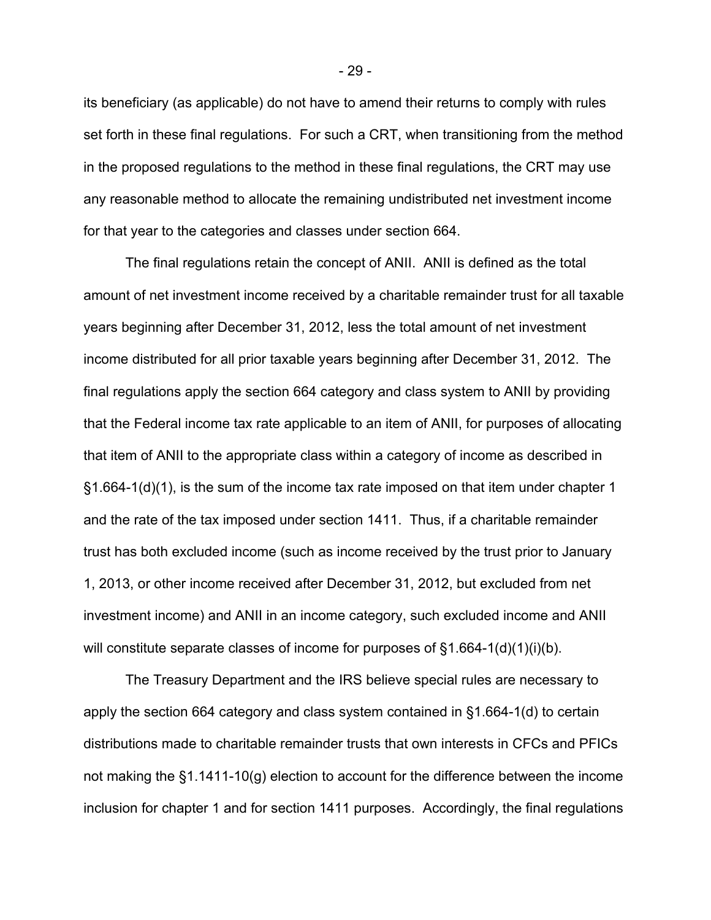its beneficiary (as applicable) do not have to amend their returns to comply with rules set forth in these final regulations. For such a CRT, when transitioning from the method in the proposed regulations to the method in these final regulations, the CRT may use any reasonable method to allocate the remaining undistributed net investment income for that year to the categories and classes under section 664.

The final regulations retain the concept of ANII. ANII is defined as the total amount of net investment income received by a charitable remainder trust for all taxable years beginning after December 31, 2012, less the total amount of net investment income distributed for all prior taxable years beginning after December 31, 2012. The final regulations apply the section 664 category and class system to ANII by providing that the Federal income tax rate applicable to an item of ANII, for purposes of allocating that item of ANII to the appropriate class within a category of income as described in §1.664-1(d)(1), is the sum of the income tax rate imposed on that item under chapter 1 and the rate of the tax imposed under section 1411. Thus, if a charitable remainder trust has both excluded income (such as income received by the trust prior to January 1, 2013, or other income received after December 31, 2012, but excluded from net investment income) and ANII in an income category, such excluded income and ANII will constitute separate classes of income for purposes of  $§1.664-1(d)(1)(i)(b)$ .

The Treasury Department and the IRS believe special rules are necessary to apply the section 664 category and class system contained in §1.664-1(d) to certain distributions made to charitable remainder trusts that own interests in CFCs and PFICs not making the §1.1411-10(g) election to account for the difference between the income inclusion for chapter 1 and for section 1411 purposes. Accordingly, the final regulations

- 29 -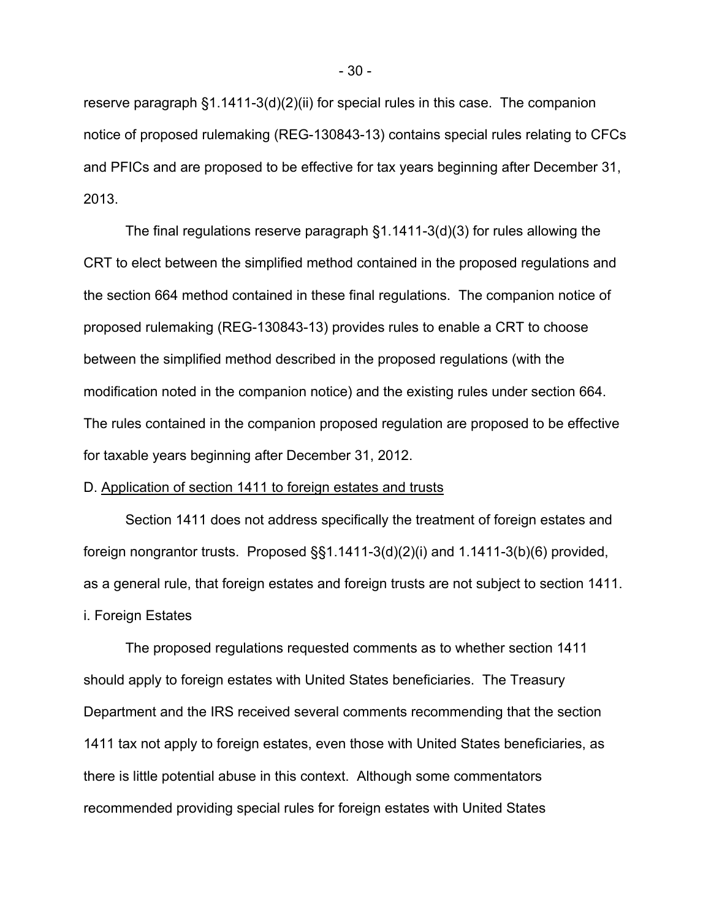reserve paragraph §1.1411-3(d)(2)(ii) for special rules in this case. The companion notice of proposed rulemaking (REG-130843-13) contains special rules relating to CFCs and PFICs and are proposed to be effective for tax years beginning after December 31, 2013.

The final regulations reserve paragraph §1.1411-3(d)(3) for rules allowing the CRT to elect between the simplified method contained in the proposed regulations and the section 664 method contained in these final regulations. The companion notice of proposed rulemaking (REG-130843-13) provides rules to enable a CRT to choose between the simplified method described in the proposed regulations (with the modification noted in the companion notice) and the existing rules under section 664. The rules contained in the companion proposed regulation are proposed to be effective for taxable years beginning after December 31, 2012.

### D. Application of section 1411 to foreign estates and trusts

Section 1411 does not address specifically the treatment of foreign estates and foreign nongrantor trusts. Proposed §§1.1411-3(d)(2)(i) and 1.1411-3(b)(6) provided, as a general rule, that foreign estates and foreign trusts are not subject to section 1411. i. Foreign Estates

 The proposed regulations requested comments as to whether section 1411 should apply to foreign estates with United States beneficiaries. The Treasury Department and the IRS received several comments recommending that the section 1411 tax not apply to foreign estates, even those with United States beneficiaries, as there is little potential abuse in this context. Although some commentators recommended providing special rules for foreign estates with United States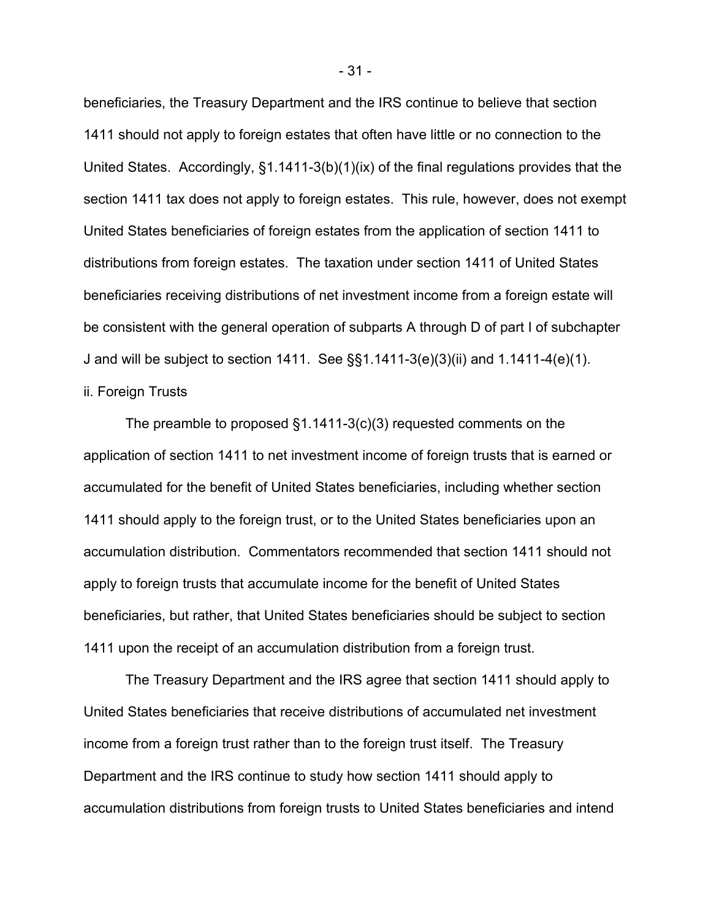beneficiaries, the Treasury Department and the IRS continue to believe that section 1411 should not apply to foreign estates that often have little or no connection to the United States. Accordingly, §1.1411-3(b)(1)(ix) of the final regulations provides that the section 1411 tax does not apply to foreign estates. This rule, however, does not exempt United States beneficiaries of foreign estates from the application of section 1411 to distributions from foreign estates. The taxation under section 1411 of United States beneficiaries receiving distributions of net investment income from a foreign estate will be consistent with the general operation of subparts A through D of part I of subchapter J and will be subject to section 1411. See §§1.1411-3(e)(3)(ii) and 1.1411-4(e)(1). ii. Foreign Trusts

The preamble to proposed §1.1411-3(c)(3) requested comments on the application of section 1411 to net investment income of foreign trusts that is earned or accumulated for the benefit of United States beneficiaries, including whether section 1411 should apply to the foreign trust, or to the United States beneficiaries upon an accumulation distribution. Commentators recommended that section 1411 should not apply to foreign trusts that accumulate income for the benefit of United States beneficiaries, but rather, that United States beneficiaries should be subject to section 1411 upon the receipt of an accumulation distribution from a foreign trust.

The Treasury Department and the IRS agree that section 1411 should apply to United States beneficiaries that receive distributions of accumulated net investment income from a foreign trust rather than to the foreign trust itself. The Treasury Department and the IRS continue to study how section 1411 should apply to accumulation distributions from foreign trusts to United States beneficiaries and intend

- 31 -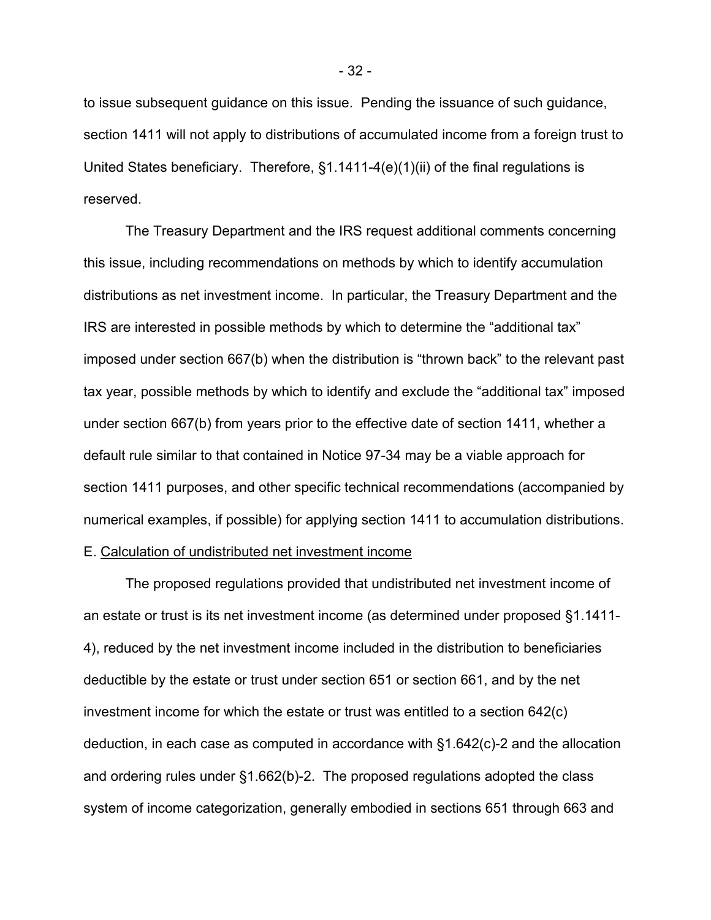to issue subsequent guidance on this issue. Pending the issuance of such guidance, section 1411 will not apply to distributions of accumulated income from a foreign trust to United States beneficiary. Therefore, §1.1411-4(e)(1)(ii) of the final regulations is reserved.

The Treasury Department and the IRS request additional comments concerning this issue, including recommendations on methods by which to identify accumulation distributions as net investment income. In particular, the Treasury Department and the IRS are interested in possible methods by which to determine the "additional tax" imposed under section 667(b) when the distribution is "thrown back" to the relevant past tax year, possible methods by which to identify and exclude the "additional tax" imposed under section 667(b) from years prior to the effective date of section 1411, whether a default rule similar to that contained in Notice 97-34 may be a viable approach for section 1411 purposes, and other specific technical recommendations (accompanied by numerical examples, if possible) for applying section 1411 to accumulation distributions. E. Calculation of undistributed net investment income

The proposed regulations provided that undistributed net investment income of an estate or trust is its net investment income (as determined under proposed §1.1411- 4), reduced by the net investment income included in the distribution to beneficiaries deductible by the estate or trust under section 651 or section 661, and by the net investment income for which the estate or trust was entitled to a section 642(c) deduction, in each case as computed in accordance with §1.642(c)-2 and the allocation and ordering rules under §1.662(b)-2. The proposed regulations adopted the class system of income categorization, generally embodied in sections 651 through 663 and

- 32 -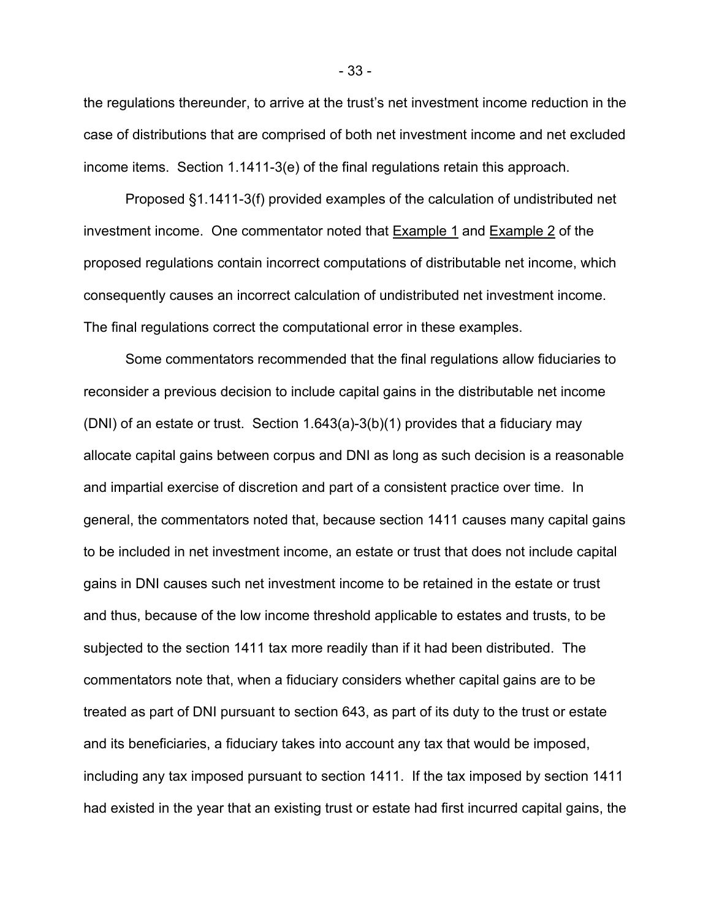the regulations thereunder, to arrive at the trust's net investment income reduction in the case of distributions that are comprised of both net investment income and net excluded income items. Section 1.1411-3(e) of the final regulations retain this approach.

Proposed §1.1411-3(f) provided examples of the calculation of undistributed net investment income. One commentator noted that Example 1 and Example 2 of the proposed regulations contain incorrect computations of distributable net income, which consequently causes an incorrect calculation of undistributed net investment income. The final regulations correct the computational error in these examples.

Some commentators recommended that the final regulations allow fiduciaries to reconsider a previous decision to include capital gains in the distributable net income (DNI) of an estate or trust. Section 1.643(a)-3(b)(1) provides that a fiduciary may allocate capital gains between corpus and DNI as long as such decision is a reasonable and impartial exercise of discretion and part of a consistent practice over time. In general, the commentators noted that, because section 1411 causes many capital gains to be included in net investment income, an estate or trust that does not include capital gains in DNI causes such net investment income to be retained in the estate or trust and thus, because of the low income threshold applicable to estates and trusts, to be subjected to the section 1411 tax more readily than if it had been distributed. The commentators note that, when a fiduciary considers whether capital gains are to be treated as part of DNI pursuant to section 643, as part of its duty to the trust or estate and its beneficiaries, a fiduciary takes into account any tax that would be imposed, including any tax imposed pursuant to section 1411. If the tax imposed by section 1411 had existed in the year that an existing trust or estate had first incurred capital gains, the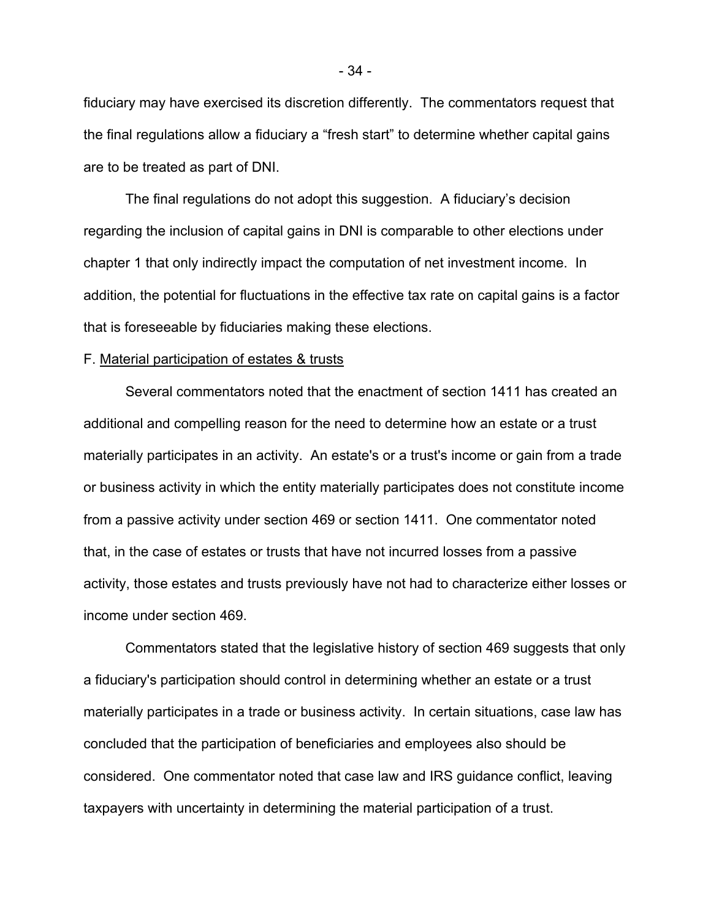fiduciary may have exercised its discretion differently. The commentators request that the final regulations allow a fiduciary a "fresh start" to determine whether capital gains are to be treated as part of DNI.

The final regulations do not adopt this suggestion. A fiduciary's decision regarding the inclusion of capital gains in DNI is comparable to other elections under chapter 1 that only indirectly impact the computation of net investment income. In addition, the potential for fluctuations in the effective tax rate on capital gains is a factor that is foreseeable by fiduciaries making these elections.

#### F. Material participation of estates & trusts

Several commentators noted that the enactment of section 1411 has created an additional and compelling reason for the need to determine how an estate or a trust materially participates in an activity. An estate's or a trust's income or gain from a trade or business activity in which the entity materially participates does not constitute income from a passive activity under section 469 or section 1411. One commentator noted that, in the case of estates or trusts that have not incurred losses from a passive activity, those estates and trusts previously have not had to characterize either losses or income under section 469.

Commentators stated that the legislative history of section 469 suggests that only a fiduciary's participation should control in determining whether an estate or a trust materially participates in a trade or business activity. In certain situations, case law has concluded that the participation of beneficiaries and employees also should be considered. One commentator noted that case law and IRS guidance conflict, leaving taxpayers with uncertainty in determining the material participation of a trust.

- 34 -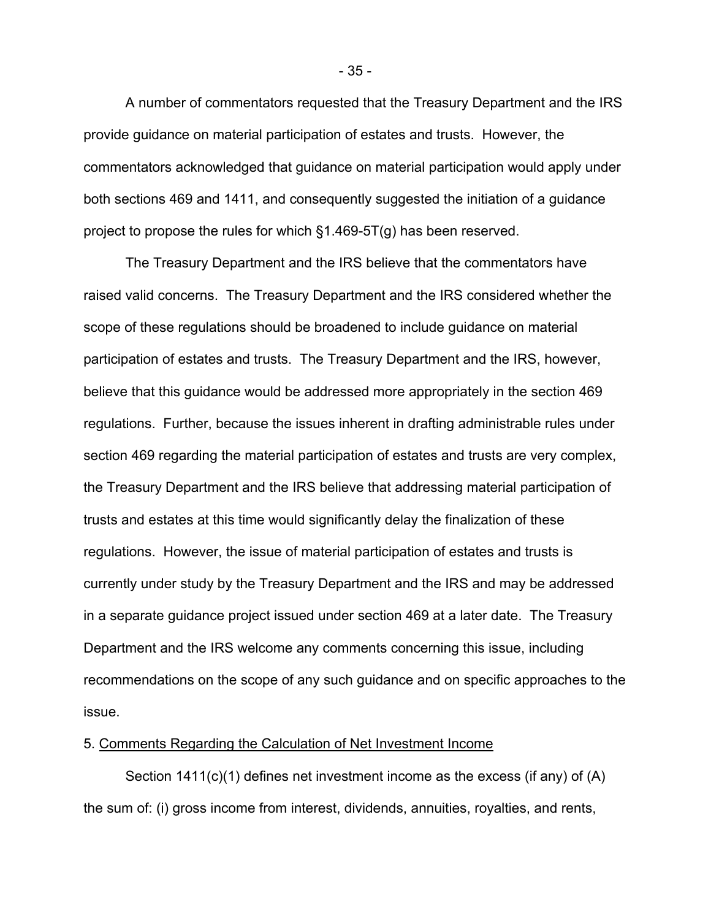A number of commentators requested that the Treasury Department and the IRS provide guidance on material participation of estates and trusts. However, the commentators acknowledged that guidance on material participation would apply under both sections 469 and 1411, and consequently suggested the initiation of a guidance project to propose the rules for which §1.469-5T(g) has been reserved.

The Treasury Department and the IRS believe that the commentators have raised valid concerns. The Treasury Department and the IRS considered whether the scope of these regulations should be broadened to include guidance on material participation of estates and trusts. The Treasury Department and the IRS, however, believe that this guidance would be addressed more appropriately in the section 469 regulations. Further, because the issues inherent in drafting administrable rules under section 469 regarding the material participation of estates and trusts are very complex, the Treasury Department and the IRS believe that addressing material participation of trusts and estates at this time would significantly delay the finalization of these regulations. However, the issue of material participation of estates and trusts is currently under study by the Treasury Department and the IRS and may be addressed in a separate guidance project issued under section 469 at a later date. The Treasury Department and the IRS welcome any comments concerning this issue, including recommendations on the scope of any such guidance and on specific approaches to the issue.

# 5. Comments Regarding the Calculation of Net Investment Income

Section 1411(c)(1) defines net investment income as the excess (if any) of (A) the sum of: (i) gross income from interest, dividends, annuities, royalties, and rents,

- 35 -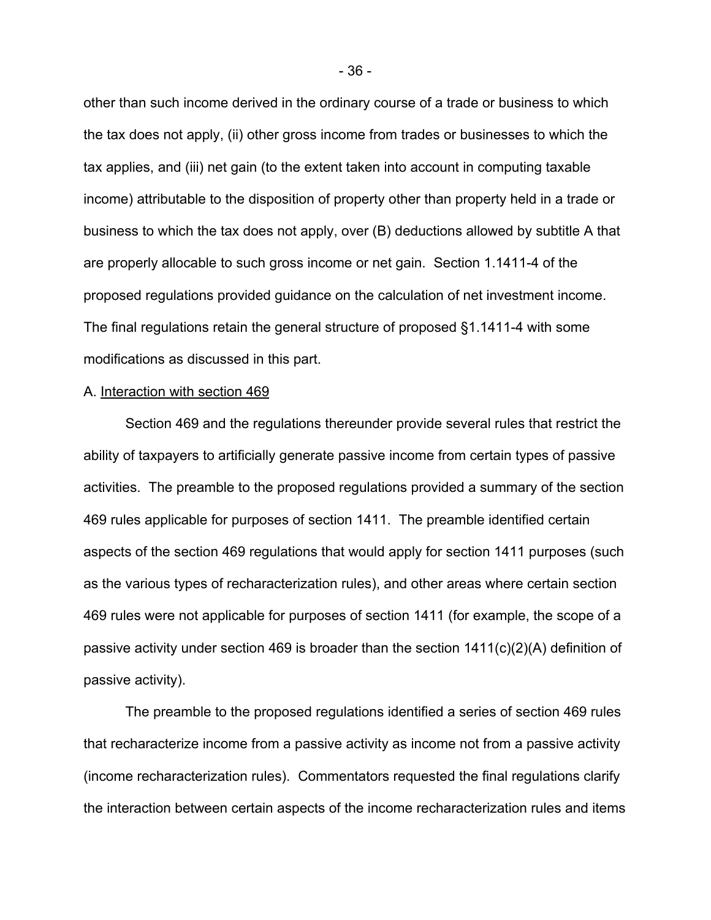other than such income derived in the ordinary course of a trade or business to which the tax does not apply, (ii) other gross income from trades or businesses to which the tax applies, and (iii) net gain (to the extent taken into account in computing taxable income) attributable to the disposition of property other than property held in a trade or business to which the tax does not apply, over (B) deductions allowed by subtitle A that are properly allocable to such gross income or net gain. Section 1.1411-4 of the proposed regulations provided guidance on the calculation of net investment income. The final regulations retain the general structure of proposed §1.1411-4 with some modifications as discussed in this part.

### A. Interaction with section 469

Section 469 and the regulations thereunder provide several rules that restrict the ability of taxpayers to artificially generate passive income from certain types of passive activities. The preamble to the proposed regulations provided a summary of the section 469 rules applicable for purposes of section 1411. The preamble identified certain aspects of the section 469 regulations that would apply for section 1411 purposes (such as the various types of recharacterization rules), and other areas where certain section 469 rules were not applicable for purposes of section 1411 (for example, the scope of a passive activity under section 469 is broader than the section 1411(c)(2)(A) definition of passive activity).

The preamble to the proposed regulations identified a series of section 469 rules that recharacterize income from a passive activity as income not from a passive activity (income recharacterization rules). Commentators requested the final regulations clarify the interaction between certain aspects of the income recharacterization rules and items

- 36 -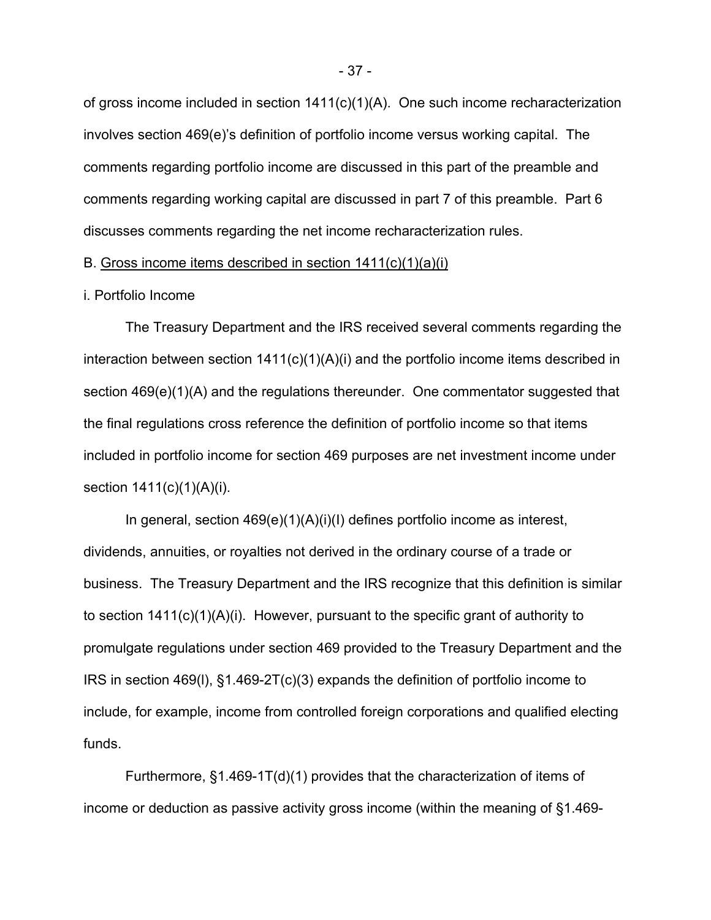of gross income included in section 1411(c)(1)(A). One such income recharacterization involves section 469(e)'s definition of portfolio income versus working capital. The comments regarding portfolio income are discussed in this part of the preamble and comments regarding working capital are discussed in part 7 of this preamble. Part 6 discusses comments regarding the net income recharacterization rules.

# B. Gross income items described in section 1411(c)(1)(a)(i)

#### i. Portfolio Income

 The Treasury Department and the IRS received several comments regarding the interaction between section  $1411(c)(1)(A)(i)$  and the portfolio income items described in section 469(e)(1)(A) and the regulations thereunder. One commentator suggested that the final regulations cross reference the definition of portfolio income so that items included in portfolio income for section 469 purposes are net investment income under section  $1411(c)(1)(A)(i)$ .

In general, section 469(e)(1)(A)(i)(I) defines portfolio income as interest, dividends, annuities, or royalties not derived in the ordinary course of a trade or business. The Treasury Department and the IRS recognize that this definition is similar to section 1411(c)(1)(A)(i). However, pursuant to the specific grant of authority to promulgate regulations under section 469 provided to the Treasury Department and the IRS in section 469(l), §1.469-2T(c)(3) expands the definition of portfolio income to include, for example, income from controlled foreign corporations and qualified electing funds.

Furthermore, §1.469-1T(d)(1) provides that the characterization of items of income or deduction as passive activity gross income (within the meaning of §1.469-

- 37 -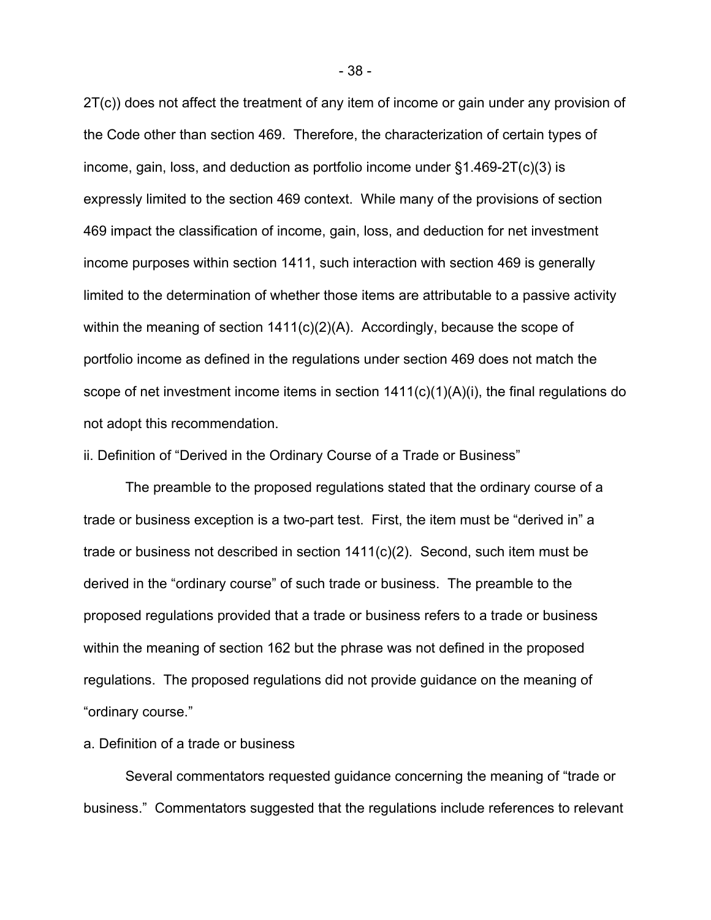2T(c)) does not affect the treatment of any item of income or gain under any provision of the Code other than section 469. Therefore, the characterization of certain types of income, gain, loss, and deduction as portfolio income under  $\S1.469-2T(c)(3)$  is expressly limited to the section 469 context. While many of the provisions of section 469 impact the classification of income, gain, loss, and deduction for net investment income purposes within section 1411, such interaction with section 469 is generally limited to the determination of whether those items are attributable to a passive activity within the meaning of section 1411(c)(2)(A). Accordingly, because the scope of portfolio income as defined in the regulations under section 469 does not match the scope of net investment income items in section  $1411(c)(1)(A)(i)$ , the final regulations do not adopt this recommendation.

ii. Definition of "Derived in the Ordinary Course of a Trade or Business"

The preamble to the proposed regulations stated that the ordinary course of a trade or business exception is a two-part test. First, the item must be "derived in" a trade or business not described in section 1411(c)(2). Second, such item must be derived in the "ordinary course" of such trade or business. The preamble to the proposed regulations provided that a trade or business refers to a trade or business within the meaning of section 162 but the phrase was not defined in the proposed regulations. The proposed regulations did not provide guidance on the meaning of "ordinary course."

a. Definition of a trade or business

Several commentators requested guidance concerning the meaning of "trade or business." Commentators suggested that the regulations include references to relevant

- 38 -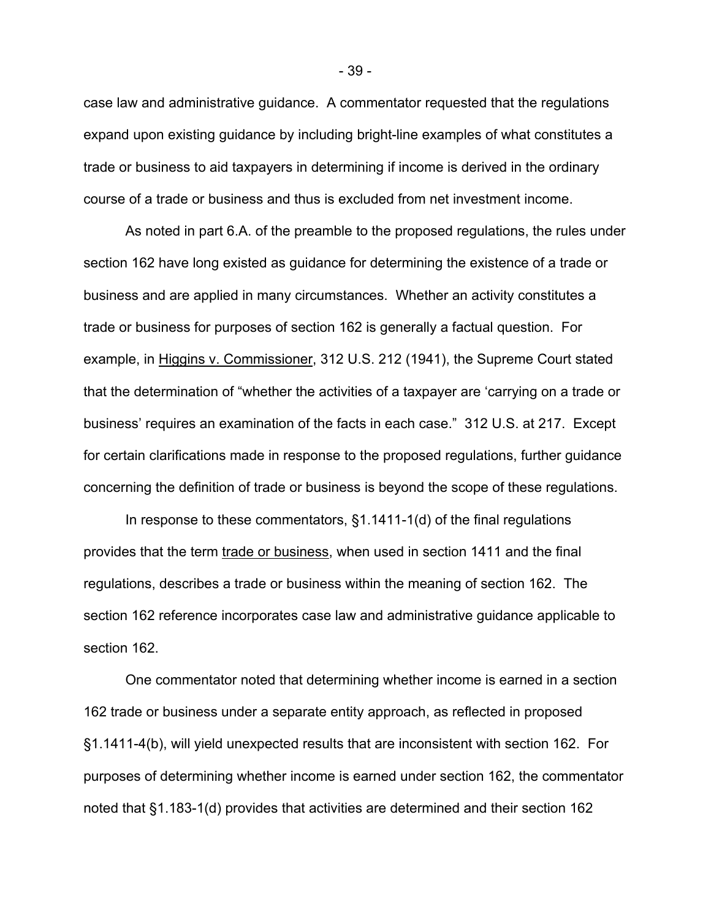case law and administrative guidance. A commentator requested that the regulations expand upon existing guidance by including bright-line examples of what constitutes a trade or business to aid taxpayers in determining if income is derived in the ordinary course of a trade or business and thus is excluded from net investment income.

As noted in part 6.A. of the preamble to the proposed regulations, the rules under section 162 have long existed as guidance for determining the existence of a trade or business and are applied in many circumstances. Whether an activity constitutes a trade or business for purposes of section 162 is generally a factual question. For example, in Higgins v. Commissioner, 312 U.S. 212 (1941), the Supreme Court stated that the determination of "whether the activities of a taxpayer are 'carrying on a trade or business' requires an examination of the facts in each case." 312 U.S. at 217. Except for certain clarifications made in response to the proposed regulations, further guidance concerning the definition of trade or business is beyond the scope of these regulations.

In response to these commentators,  $§1.1411-1(d)$  of the final regulations provides that the term trade or business, when used in section 1411 and the final regulations, describes a trade or business within the meaning of section 162. The section 162 reference incorporates case law and administrative guidance applicable to section 162.

One commentator noted that determining whether income is earned in a section 162 trade or business under a separate entity approach, as reflected in proposed §1.1411-4(b), will yield unexpected results that are inconsistent with section 162. For purposes of determining whether income is earned under section 162, the commentator noted that §1.183-1(d) provides that activities are determined and their section 162

- 39 -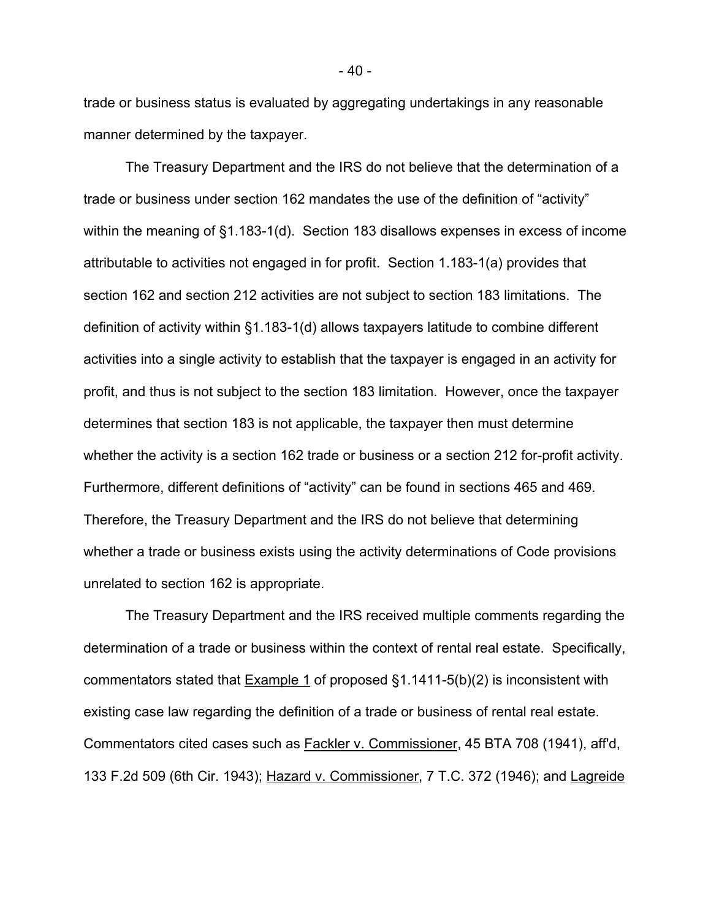trade or business status is evaluated by aggregating undertakings in any reasonable manner determined by the taxpayer.

The Treasury Department and the IRS do not believe that the determination of a trade or business under section 162 mandates the use of the definition of "activity" within the meaning of §1.183-1(d). Section 183 disallows expenses in excess of income attributable to activities not engaged in for profit. Section 1.183-1(a) provides that section 162 and section 212 activities are not subject to section 183 limitations. The definition of activity within §1.183-1(d) allows taxpayers latitude to combine different activities into a single activity to establish that the taxpayer is engaged in an activity for profit, and thus is not subject to the section 183 limitation. However, once the taxpayer determines that section 183 is not applicable, the taxpayer then must determine whether the activity is a section 162 trade or business or a section 212 for-profit activity. Furthermore, different definitions of "activity" can be found in sections 465 and 469. Therefore, the Treasury Department and the IRS do not believe that determining whether a trade or business exists using the activity determinations of Code provisions unrelated to section 162 is appropriate.

The Treasury Department and the IRS received multiple comments regarding the determination of a trade or business within the context of rental real estate. Specifically, commentators stated that Example 1 of proposed §1.1411-5(b)(2) is inconsistent with existing case law regarding the definition of a trade or business of rental real estate. Commentators cited cases such as Fackler v. Commissioner, 45 BTA 708 (1941), aff'd, 133 F.2d 509 (6th Cir. 1943); Hazard v. Commissioner, 7 T.C. 372 (1946); and Lagreide

- 40 -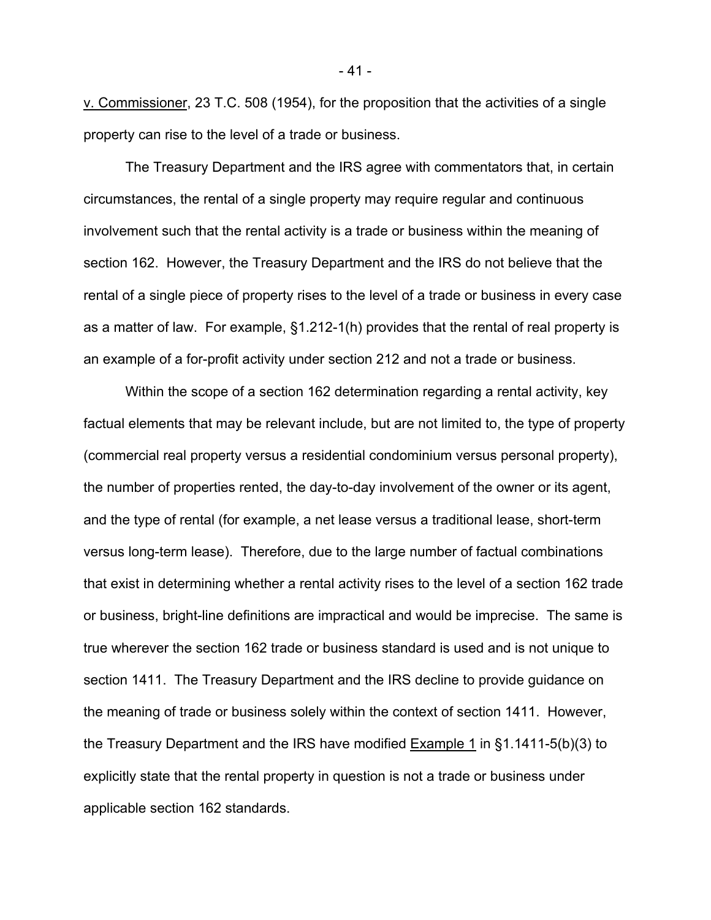v. Commissioner, 23 T.C. 508 (1954), for the proposition that the activities of a single property can rise to the level of a trade or business.

The Treasury Department and the IRS agree with commentators that, in certain circumstances, the rental of a single property may require regular and continuous involvement such that the rental activity is a trade or business within the meaning of section 162. However, the Treasury Department and the IRS do not believe that the rental of a single piece of property rises to the level of a trade or business in every case as a matter of law. For example, §1.212-1(h) provides that the rental of real property is an example of a for-profit activity under section 212 and not a trade or business.

Within the scope of a section 162 determination regarding a rental activity, key factual elements that may be relevant include, but are not limited to, the type of property (commercial real property versus a residential condominium versus personal property), the number of properties rented, the day-to-day involvement of the owner or its agent, and the type of rental (for example, a net lease versus a traditional lease, short-term versus long-term lease). Therefore, due to the large number of factual combinations that exist in determining whether a rental activity rises to the level of a section 162 trade or business, bright-line definitions are impractical and would be imprecise. The same is true wherever the section 162 trade or business standard is used and is not unique to section 1411. The Treasury Department and the IRS decline to provide guidance on the meaning of trade or business solely within the context of section 1411. However, the Treasury Department and the IRS have modified Example 1 in §1.1411-5(b)(3) to explicitly state that the rental property in question is not a trade or business under applicable section 162 standards.

- 41 -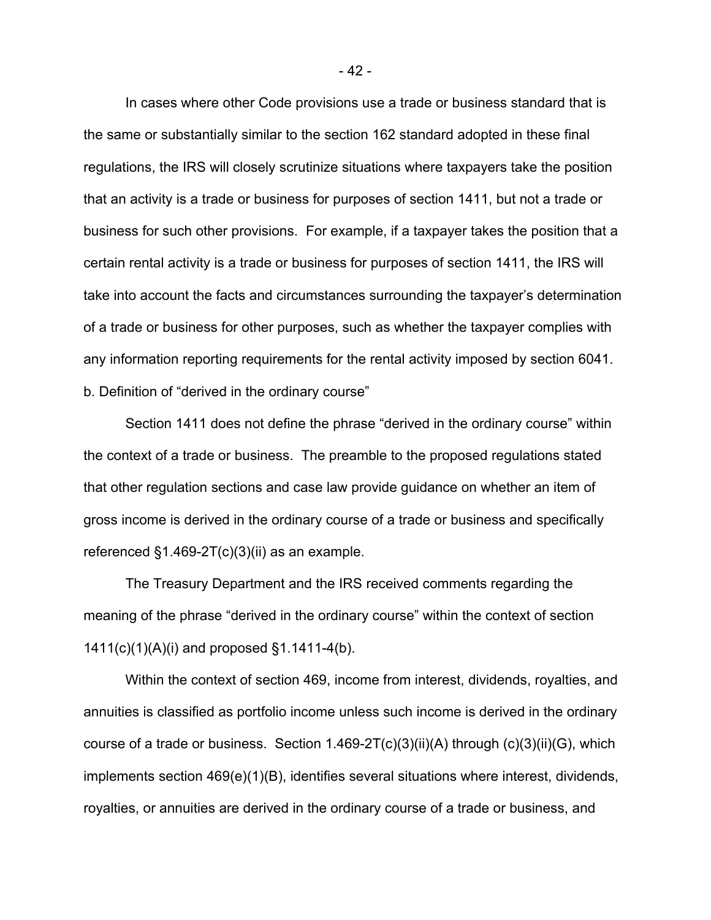In cases where other Code provisions use a trade or business standard that is the same or substantially similar to the section 162 standard adopted in these final regulations, the IRS will closely scrutinize situations where taxpayers take the position that an activity is a trade or business for purposes of section 1411, but not a trade or business for such other provisions. For example, if a taxpayer takes the position that a certain rental activity is a trade or business for purposes of section 1411, the IRS will take into account the facts and circumstances surrounding the taxpayer's determination of a trade or business for other purposes, such as whether the taxpayer complies with any information reporting requirements for the rental activity imposed by section 6041. b. Definition of "derived in the ordinary course"

Section 1411 does not define the phrase "derived in the ordinary course" within the context of a trade or business. The preamble to the proposed regulations stated that other regulation sections and case law provide guidance on whether an item of gross income is derived in the ordinary course of a trade or business and specifically referenced  $\S1.469-2T(c)(3)(ii)$  as an example.

The Treasury Department and the IRS received comments regarding the meaning of the phrase "derived in the ordinary course" within the context of section 1411(c)(1)(A)(i) and proposed §1.1411-4(b).

Within the context of section 469, income from interest, dividends, royalties, and annuities is classified as portfolio income unless such income is derived in the ordinary course of a trade or business. Section 1.469-2T(c)(3)(ii)(A) through (c)(3)(ii)(G), which implements section 469(e)(1)(B), identifies several situations where interest, dividends, royalties, or annuities are derived in the ordinary course of a trade or business, and

- 42 -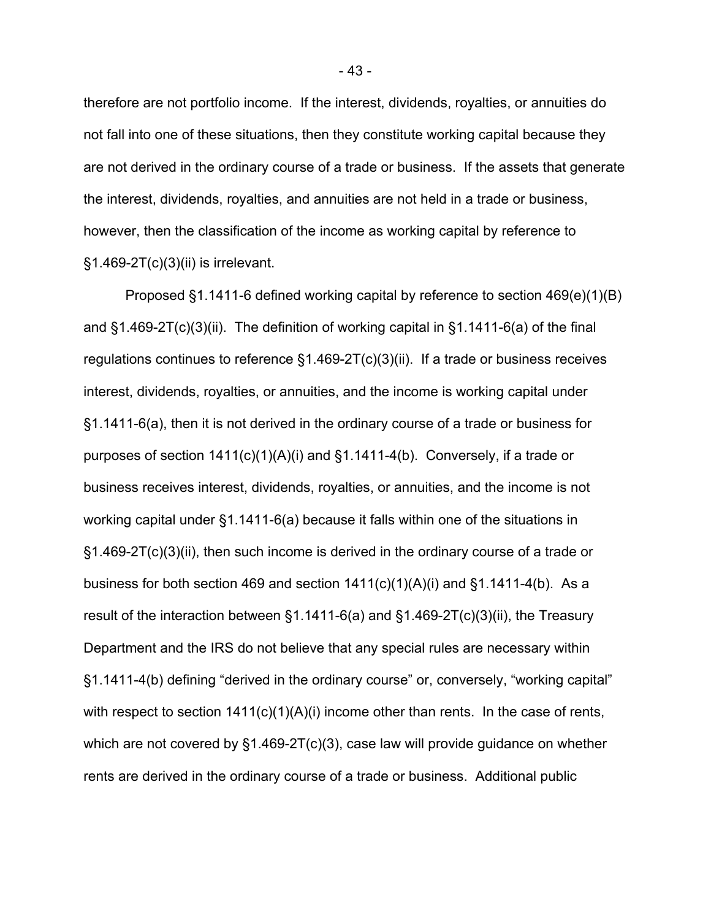therefore are not portfolio income. If the interest, dividends, royalties, or annuities do not fall into one of these situations, then they constitute working capital because they are not derived in the ordinary course of a trade or business. If the assets that generate the interest, dividends, royalties, and annuities are not held in a trade or business, however, then the classification of the income as working capital by reference to §1.469-2T(c)(3)(ii) is irrelevant.

Proposed §1.1411-6 defined working capital by reference to section 469(e)(1)(B) and §1.469-2T(c)(3)(ii). The definition of working capital in §1.1411-6(a) of the final regulations continues to reference §1.469-2T(c)(3)(ii). If a trade or business receives interest, dividends, royalties, or annuities, and the income is working capital under §1.1411-6(a), then it is not derived in the ordinary course of a trade or business for purposes of section 1411(c)(1)(A)(i) and §1.1411-4(b). Conversely, if a trade or business receives interest, dividends, royalties, or annuities, and the income is not working capital under §1.1411-6(a) because it falls within one of the situations in §1.469-2T(c)(3)(ii), then such income is derived in the ordinary course of a trade or business for both section 469 and section  $1411(c)(1)(A)(i)$  and  $§1.1411-4(b)$ . As a result of the interaction between §1.1411-6(a) and §1.469-2T(c)(3)(ii), the Treasury Department and the IRS do not believe that any special rules are necessary within §1.1411-4(b) defining "derived in the ordinary course" or, conversely, "working capital" with respect to section 1411(c)(1)(A)(i) income other than rents. In the case of rents, which are not covered by §1.469-2T(c)(3), case law will provide guidance on whether rents are derived in the ordinary course of a trade or business. Additional public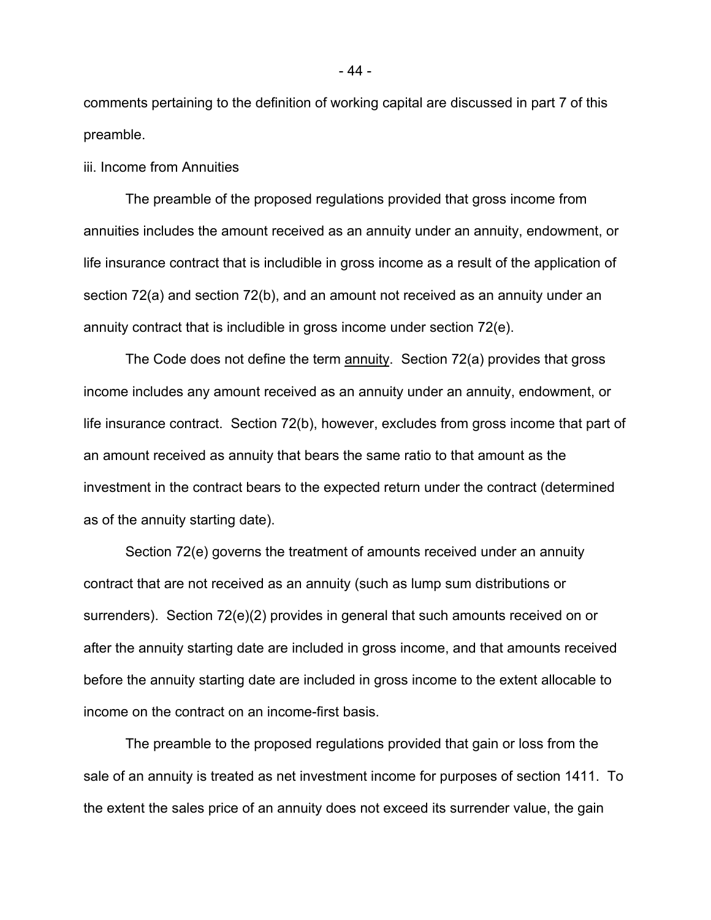comments pertaining to the definition of working capital are discussed in part 7 of this preamble.

iii. Income from Annuities

The preamble of the proposed regulations provided that gross income from annuities includes the amount received as an annuity under an annuity, endowment, or life insurance contract that is includible in gross income as a result of the application of section 72(a) and section 72(b), and an amount not received as an annuity under an annuity contract that is includible in gross income under section 72(e).

The Code does not define the term annuity. Section 72(a) provides that gross income includes any amount received as an annuity under an annuity, endowment, or life insurance contract. Section 72(b), however, excludes from gross income that part of an amount received as annuity that bears the same ratio to that amount as the investment in the contract bears to the expected return under the contract (determined as of the annuity starting date).

Section 72(e) governs the treatment of amounts received under an annuity contract that are not received as an annuity (such as lump sum distributions or surrenders). Section 72(e)(2) provides in general that such amounts received on or after the annuity starting date are included in gross income, and that amounts received before the annuity starting date are included in gross income to the extent allocable to income on the contract on an income-first basis.

The preamble to the proposed regulations provided that gain or loss from the sale of an annuity is treated as net investment income for purposes of section 1411. To the extent the sales price of an annuity does not exceed its surrender value, the gain

- 44 -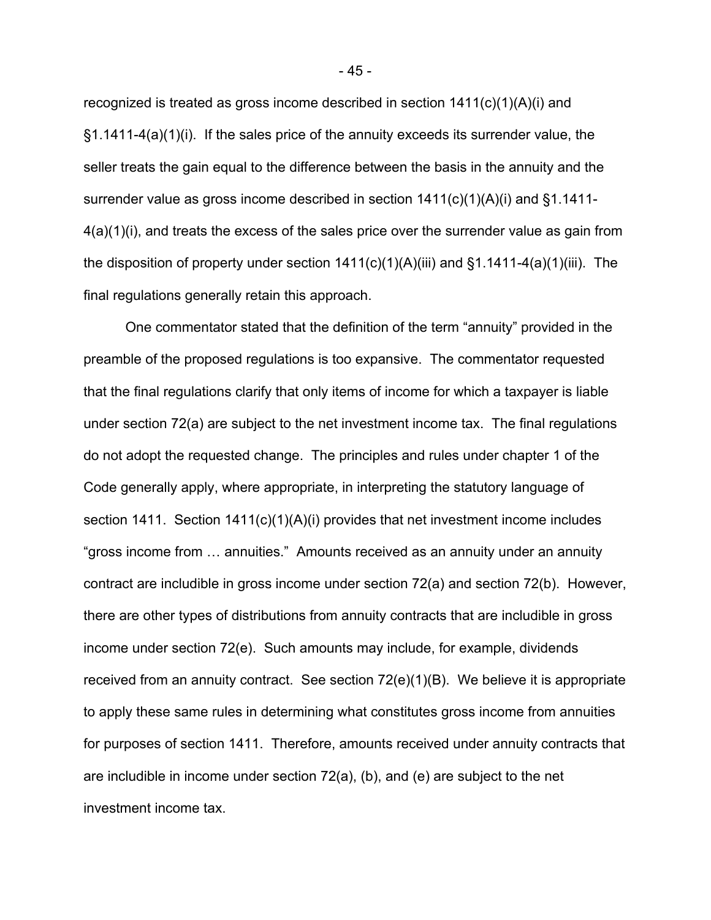recognized is treated as gross income described in section  $1411(c)(1)(A)(i)$  and §1.1411-4(a)(1)(i). If the sales price of the annuity exceeds its surrender value, the seller treats the gain equal to the difference between the basis in the annuity and the surrender value as gross income described in section 1411(c)(1)(A)(i) and §1.1411- 4(a)(1)(i), and treats the excess of the sales price over the surrender value as gain from the disposition of property under section  $1411(c)(1)(A)(iii)$  and  $§1.1411-4(a)(1)(iii)$ . The final regulations generally retain this approach.

One commentator stated that the definition of the term "annuity" provided in the preamble of the proposed regulations is too expansive. The commentator requested that the final regulations clarify that only items of income for which a taxpayer is liable under section 72(a) are subject to the net investment income tax. The final regulations do not adopt the requested change. The principles and rules under chapter 1 of the Code generally apply, where appropriate, in interpreting the statutory language of section 1411. Section 1411(c)(1)(A)(i) provides that net investment income includes "gross income from … annuities." Amounts received as an annuity under an annuity contract are includible in gross income under section 72(a) and section 72(b). However, there are other types of distributions from annuity contracts that are includible in gross income under section 72(e). Such amounts may include, for example, dividends received from an annuity contract. See section 72(e)(1)(B). We believe it is appropriate to apply these same rules in determining what constitutes gross income from annuities for purposes of section 1411. Therefore, amounts received under annuity contracts that are includible in income under section 72(a), (b), and (e) are subject to the net investment income tax.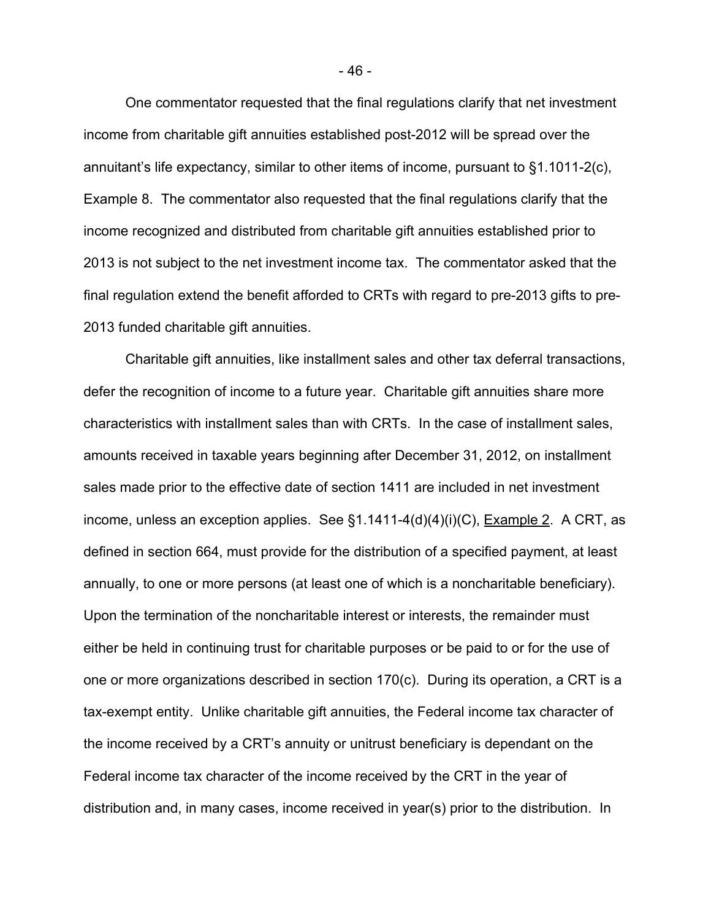One commentator requested that the final regulations clarify that net investment income from charitable gift annuities established post-2012 will be spread over the annuitant's life expectancy, similar to other items of income, pursuant to §1.1011-2(c), Example 8. The commentator also requested that the final regulations clarify that the income recognized and distributed from charitable gift annuities established prior to 2013 is not subject to the net investment income tax. The commentator asked that the final regulation extend the benefit afforded to CRTs with regard to pre-2013 gifts to pre-2013 funded charitable gift annuities.

Charitable gift annuities, like installment sales and other tax deferral transactions, defer the recognition of income to a future year. Charitable gift annuities share more characteristics with installment sales than with CRTs. In the case of installment sales, amounts received in taxable years beginning after December 31, 2012, on installment sales made prior to the effective date of section 1411 are included in net investment income, unless an exception applies. See §1.1411-4(d)(4)(i)(C), Example 2. A CRT, as defined in section 664, must provide for the distribution of a specified payment, at least annually, to one or more persons (at least one of which is a noncharitable beneficiary). Upon the termination of the noncharitable interest or interests, the remainder must either be held in continuing trust for charitable purposes or be paid to or for the use of one or more organizations described in section 170(c). During its operation, a CRT is a tax-exempt entity. Unlike charitable gift annuities, the Federal income tax character of the income received by a CRT's annuity or unitrust beneficiary is dependant on the Federal income tax character of the income received by the CRT in the year of distribution and, in many cases, income received in year(s) prior to the distribution. In

- 46 -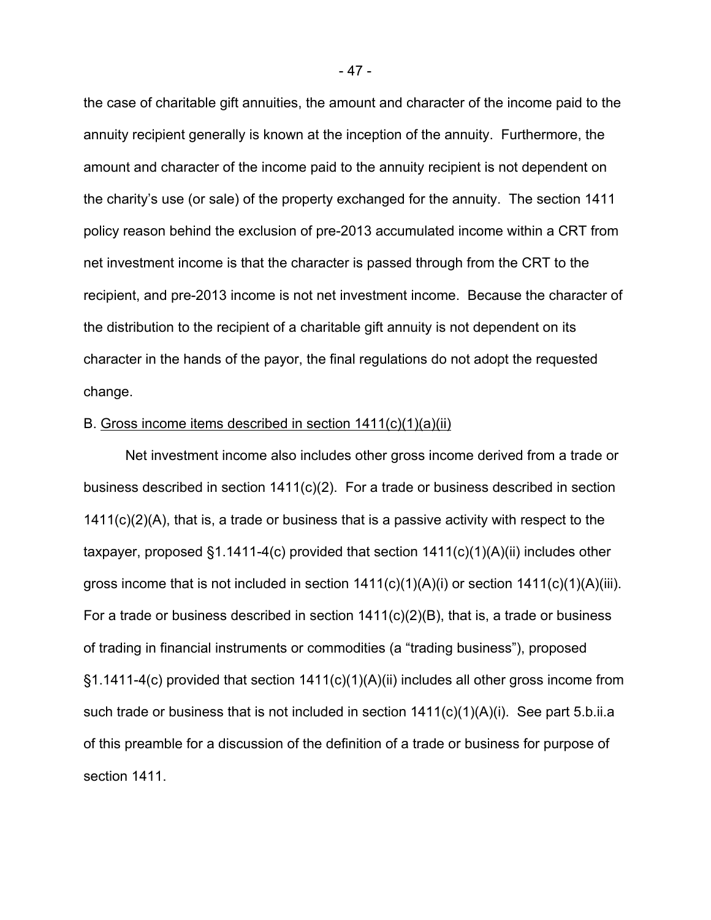the case of charitable gift annuities, the amount and character of the income paid to the annuity recipient generally is known at the inception of the annuity. Furthermore, the amount and character of the income paid to the annuity recipient is not dependent on the charity's use (or sale) of the property exchanged for the annuity. The section 1411 policy reason behind the exclusion of pre-2013 accumulated income within a CRT from net investment income is that the character is passed through from the CRT to the recipient, and pre-2013 income is not net investment income. Because the character of the distribution to the recipient of a charitable gift annuity is not dependent on its character in the hands of the payor, the final regulations do not adopt the requested change.

#### B. Gross income items described in section 1411(c)(1)(a)(ii)

Net investment income also includes other gross income derived from a trade or business described in section 1411(c)(2). For a trade or business described in section 1411(c)(2)(A), that is, a trade or business that is a passive activity with respect to the taxpayer, proposed §1.1411-4(c) provided that section 1411(c)(1)(A)(ii) includes other gross income that is not included in section  $1411(c)(1)(A)(i)$  or section  $1411(c)(1)(A)(iii)$ . For a trade or business described in section 1411(c)(2)(B), that is, a trade or business of trading in financial instruments or commodities (a "trading business"), proposed  $\S1.1411$ -4(c) provided that section  $1411(c)(1)(A)(ii)$  includes all other gross income from such trade or business that is not included in section  $1411(c)(1)(A)(i)$ . See part 5.b.ii.a of this preamble for a discussion of the definition of a trade or business for purpose of section 1411.

- 47 -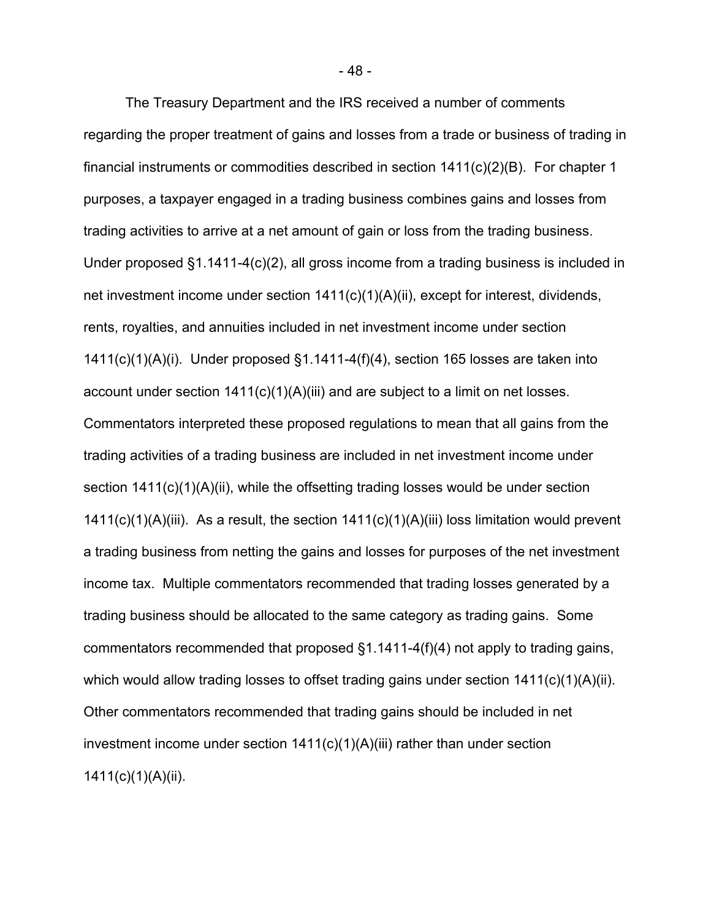The Treasury Department and the IRS received a number of comments regarding the proper treatment of gains and losses from a trade or business of trading in financial instruments or commodities described in section 1411(c)(2)(B). For chapter 1 purposes, a taxpayer engaged in a trading business combines gains and losses from trading activities to arrive at a net amount of gain or loss from the trading business. Under proposed §1.1411-4(c)(2), all gross income from a trading business is included in net investment income under section 1411(c)(1)(A)(ii), except for interest, dividends, rents, royalties, and annuities included in net investment income under section 1411(c)(1)(A)(i). Under proposed §1.1411-4(f)(4), section 165 losses are taken into account under section 1411(c)(1)(A)(iii) and are subject to a limit on net losses. Commentators interpreted these proposed regulations to mean that all gains from the trading activities of a trading business are included in net investment income under section 1411(c)(1)(A)(ii), while the offsetting trading losses would be under section  $1411(c)(1)(A)(iii)$ . As a result, the section  $1411(c)(1)(A)(iii)$  loss limitation would prevent a trading business from netting the gains and losses for purposes of the net investment income tax. Multiple commentators recommended that trading losses generated by a trading business should be allocated to the same category as trading gains. Some commentators recommended that proposed §1.1411-4(f)(4) not apply to trading gains, which would allow trading losses to offset trading gains under section 1411(c)(1)(A)(ii). Other commentators recommended that trading gains should be included in net investment income under section  $1411(c)(1)(A)(iii)$  rather than under section 1411(c)(1)(A)(ii).

- 48 -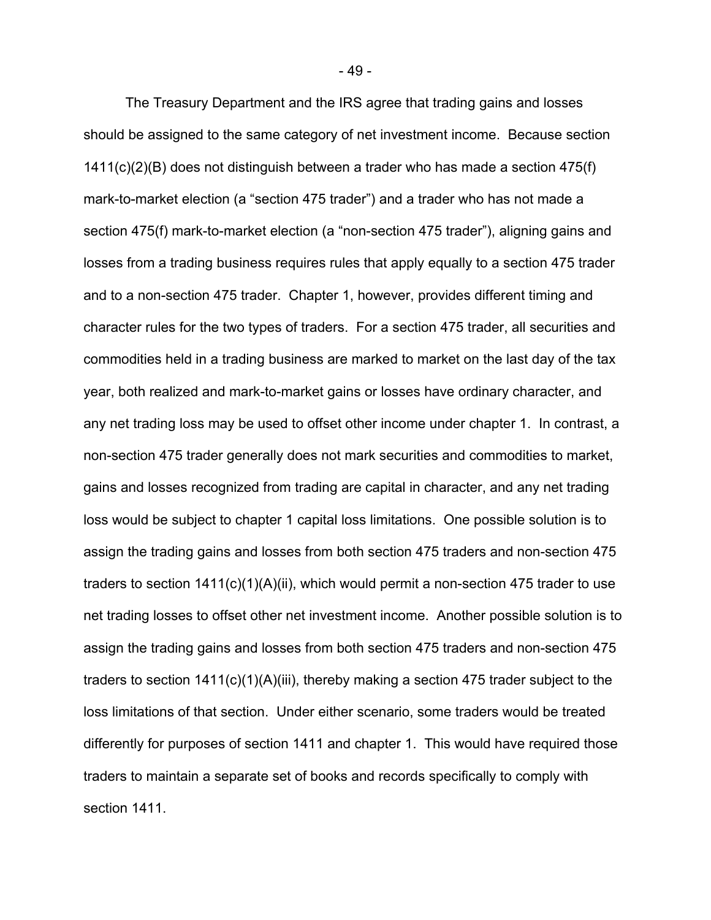The Treasury Department and the IRS agree that trading gains and losses should be assigned to the same category of net investment income. Because section 1411(c)(2)(B) does not distinguish between a trader who has made a section 475(f) mark-to-market election (a "section 475 trader") and a trader who has not made a section 475(f) mark-to-market election (a "non-section 475 trader"), aligning gains and losses from a trading business requires rules that apply equally to a section 475 trader and to a non-section 475 trader. Chapter 1, however, provides different timing and character rules for the two types of traders. For a section 475 trader, all securities and commodities held in a trading business are marked to market on the last day of the tax year, both realized and mark-to-market gains or losses have ordinary character, and any net trading loss may be used to offset other income under chapter 1. In contrast, a non-section 475 trader generally does not mark securities and commodities to market, gains and losses recognized from trading are capital in character, and any net trading loss would be subject to chapter 1 capital loss limitations. One possible solution is to assign the trading gains and losses from both section 475 traders and non-section 475 traders to section 1411(c)(1)(A)(ii), which would permit a non-section 475 trader to use net trading losses to offset other net investment income. Another possible solution is to assign the trading gains and losses from both section 475 traders and non-section 475 traders to section  $1411(c)(1)(A)(iii)$ , thereby making a section 475 trader subject to the loss limitations of that section. Under either scenario, some traders would be treated differently for purposes of section 1411 and chapter 1. This would have required those traders to maintain a separate set of books and records specifically to comply with section 1411.

- 49 -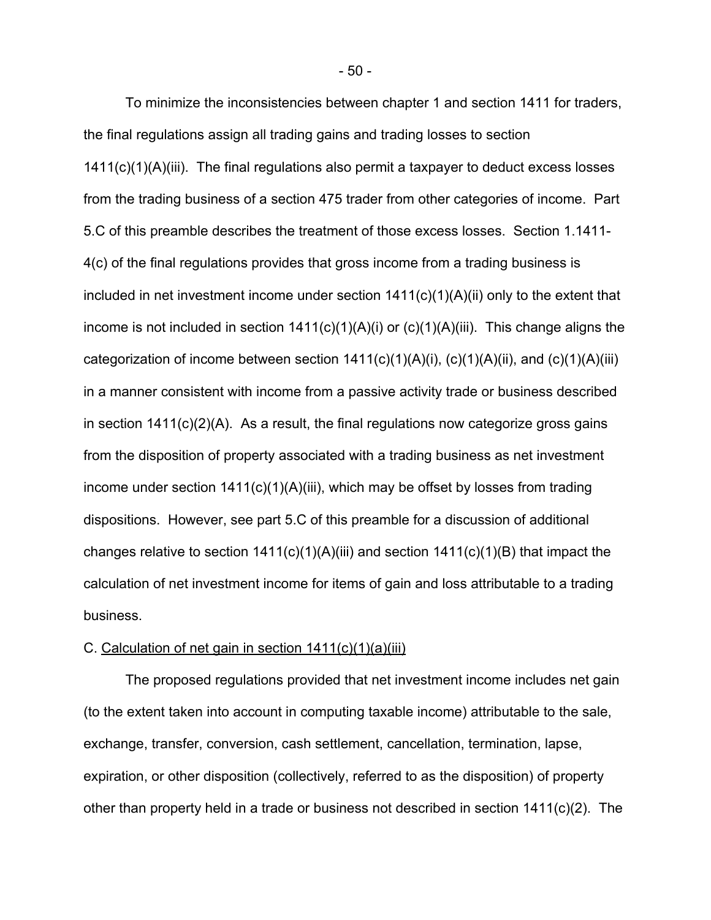To minimize the inconsistencies between chapter 1 and section 1411 for traders, the final regulations assign all trading gains and trading losses to section 1411(c)(1)(A)(iii). The final regulations also permit a taxpayer to deduct excess losses from the trading business of a section 475 trader from other categories of income. Part 5.C of this preamble describes the treatment of those excess losses. Section 1.1411- 4(c) of the final regulations provides that gross income from a trading business is included in net investment income under section 1411(c)(1)(A)(ii) only to the extent that income is not included in section 1411(c)(1)(A)(i) or (c)(1)(A)(iii). This change aligns the categorization of income between section  $1411(c)(1)(A)(i)$ ,  $(c)(1)(A)(ii)$ , and  $(c)(1)(A)(iii)$ in a manner consistent with income from a passive activity trade or business described in section 1411(c)(2)(A). As a result, the final regulations now categorize gross gains from the disposition of property associated with a trading business as net investment income under section 1411(c)(1)(A)(iii), which may be offset by losses from trading dispositions. However, see part 5.C of this preamble for a discussion of additional changes relative to section  $1411(c)(1)(A)(iii)$  and section  $1411(c)(1)(B)$  that impact the calculation of net investment income for items of gain and loss attributable to a trading business.

#### C. Calculation of net gain in section  $1411(c)(1)(a)(iii)$

The proposed regulations provided that net investment income includes net gain (to the extent taken into account in computing taxable income) attributable to the sale, exchange, transfer, conversion, cash settlement, cancellation, termination, lapse, expiration, or other disposition (collectively, referred to as the disposition) of property other than property held in a trade or business not described in section 1411(c)(2). The

- 50 -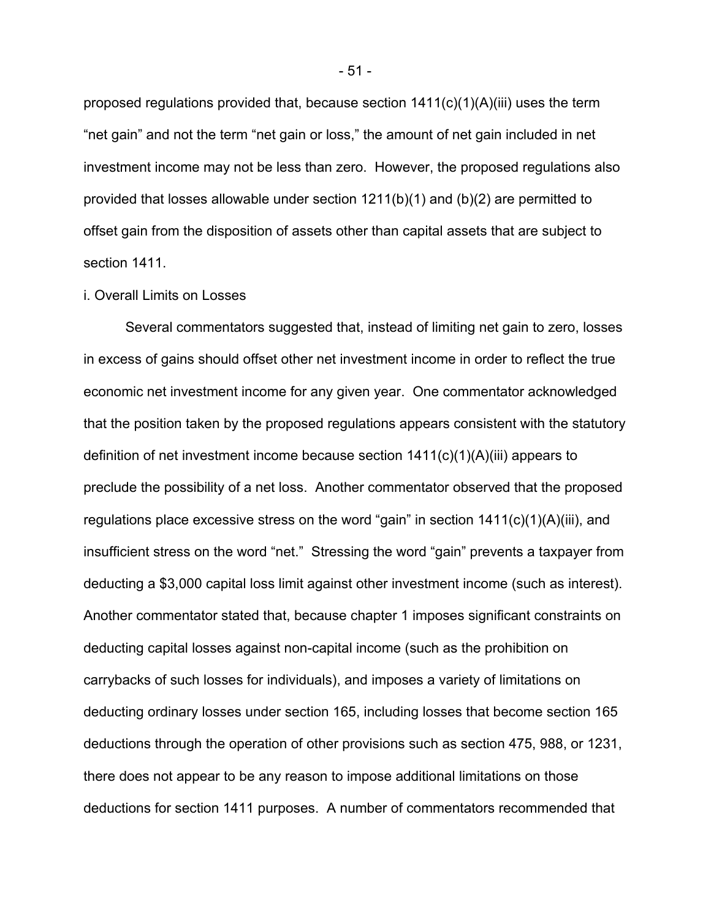proposed requiations provided that, because section  $1411(c)(1)(A)(iii)$  uses the term "net gain" and not the term "net gain or loss," the amount of net gain included in net investment income may not be less than zero. However, the proposed regulations also provided that losses allowable under section  $1211(b)(1)$  and  $(b)(2)$  are permitted to offset gain from the disposition of assets other than capital assets that are subject to section 1411.

#### i. Overall Limits on Losses

Several commentators suggested that, instead of limiting net gain to zero, losses in excess of gains should offset other net investment income in order to reflect the true economic net investment income for any given year. One commentator acknowledged that the position taken by the proposed regulations appears consistent with the statutory definition of net investment income because section 1411(c)(1)(A)(iii) appears to preclude the possibility of a net loss. Another commentator observed that the proposed regulations place excessive stress on the word "gain" in section 1411(c)(1)(A)(iii), and insufficient stress on the word "net." Stressing the word "gain" prevents a taxpayer from deducting a \$3,000 capital loss limit against other investment income (such as interest). Another commentator stated that, because chapter 1 imposes significant constraints on deducting capital losses against non-capital income (such as the prohibition on carrybacks of such losses for individuals), and imposes a variety of limitations on deducting ordinary losses under section 165, including losses that become section 165 deductions through the operation of other provisions such as section 475, 988, or 1231, there does not appear to be any reason to impose additional limitations on those deductions for section 1411 purposes. A number of commentators recommended that

- 51 -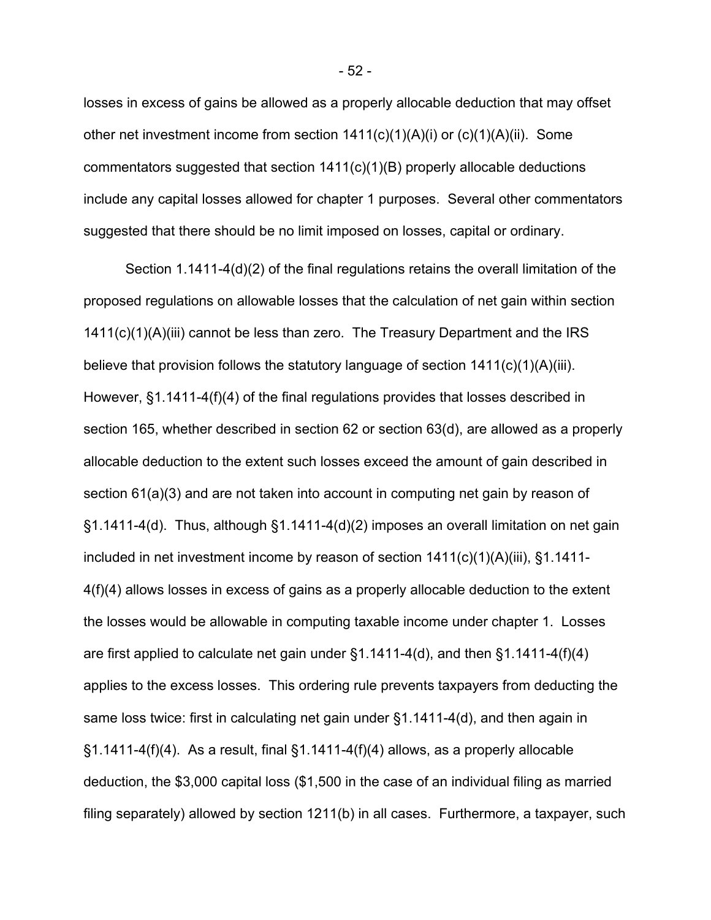losses in excess of gains be allowed as a properly allocable deduction that may offset other net investment income from section 1411(c)(1)(A)(i) or (c)(1)(A)(ii). Some commentators suggested that section 1411(c)(1)(B) properly allocable deductions include any capital losses allowed for chapter 1 purposes. Several other commentators suggested that there should be no limit imposed on losses, capital or ordinary.

 Section 1.1411-4(d)(2) of the final regulations retains the overall limitation of the proposed regulations on allowable losses that the calculation of net gain within section 1411(c)(1)(A)(iii) cannot be less than zero. The Treasury Department and the IRS believe that provision follows the statutory language of section 1411(c)(1)(A)(iii). However, §1.1411-4(f)(4) of the final regulations provides that losses described in section 165, whether described in section 62 or section 63(d), are allowed as a properly allocable deduction to the extent such losses exceed the amount of gain described in section 61(a)(3) and are not taken into account in computing net gain by reason of §1.1411-4(d). Thus, although §1.1411-4(d)(2) imposes an overall limitation on net gain included in net investment income by reason of section 1411(c)(1)(A)(iii), §1.1411- 4(f)(4) allows losses in excess of gains as a properly allocable deduction to the extent the losses would be allowable in computing taxable income under chapter 1. Losses are first applied to calculate net gain under §1.1411-4(d), and then §1.1411-4(f)(4) applies to the excess losses. This ordering rule prevents taxpayers from deducting the same loss twice: first in calculating net gain under §1.1411-4(d), and then again in  $\S1.1411-4(f)(4)$ . As a result, final  $\S1.1411-4(f)(4)$  allows, as a properly allocable deduction, the \$3,000 capital loss (\$1,500 in the case of an individual filing as married filing separately) allowed by section 1211(b) in all cases. Furthermore, a taxpayer, such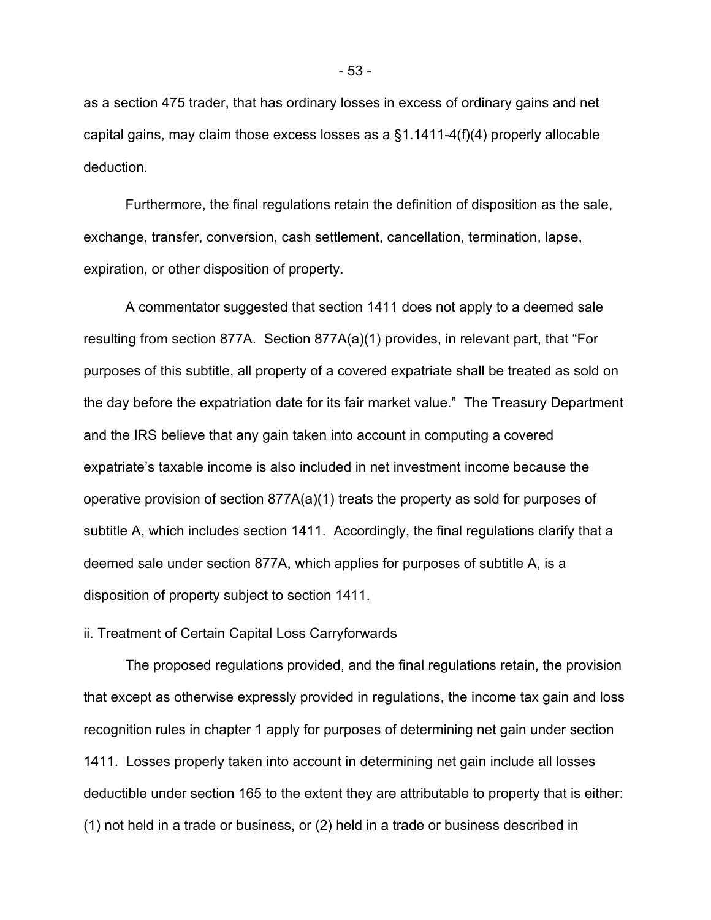as a section 475 trader, that has ordinary losses in excess of ordinary gains and net capital gains, may claim those excess losses as a §1.1411-4(f)(4) properly allocable deduction.

Furthermore, the final regulations retain the definition of disposition as the sale, exchange, transfer, conversion, cash settlement, cancellation, termination, lapse, expiration, or other disposition of property.

A commentator suggested that section 1411 does not apply to a deemed sale resulting from section 877A. Section 877A(a)(1) provides, in relevant part, that "For purposes of this subtitle, all property of a covered expatriate shall be treated as sold on the day before the expatriation date for its fair market value." The Treasury Department and the IRS believe that any gain taken into account in computing a covered expatriate's taxable income is also included in net investment income because the operative provision of section 877A(a)(1) treats the property as sold for purposes of subtitle A, which includes section 1411. Accordingly, the final regulations clarify that a deemed sale under section 877A, which applies for purposes of subtitle A, is a disposition of property subject to section 1411.

# ii. Treatment of Certain Capital Loss Carryforwards

 The proposed regulations provided, and the final regulations retain, the provision that except as otherwise expressly provided in regulations, the income tax gain and loss recognition rules in chapter 1 apply for purposes of determining net gain under section 1411. Losses properly taken into account in determining net gain include all losses deductible under section 165 to the extent they are attributable to property that is either: (1) not held in a trade or business, or (2) held in a trade or business described in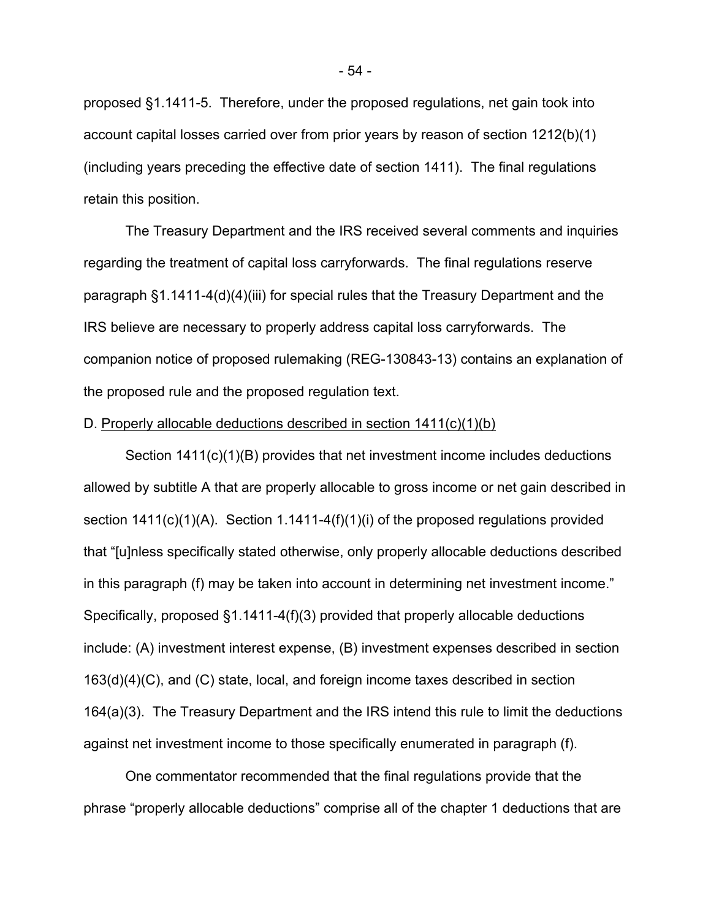proposed §1.1411-5. Therefore, under the proposed regulations, net gain took into account capital losses carried over from prior years by reason of section 1212(b)(1) (including years preceding the effective date of section 1411). The final regulations retain this position.

The Treasury Department and the IRS received several comments and inquiries regarding the treatment of capital loss carryforwards. The final regulations reserve paragraph §1.1411-4(d)(4)(iii) for special rules that the Treasury Department and the IRS believe are necessary to properly address capital loss carryforwards. The companion notice of proposed rulemaking (REG-130843-13) contains an explanation of the proposed rule and the proposed regulation text.

## D. Properly allocable deductions described in section 1411(c)(1)(b)

Section 1411(c)(1)(B) provides that net investment income includes deductions allowed by subtitle A that are properly allocable to gross income or net gain described in section 1411(c)(1)(A). Section 1.1411-4(f)(1)(i) of the proposed regulations provided that "[u]nless specifically stated otherwise, only properly allocable deductions described in this paragraph (f) may be taken into account in determining net investment income." Specifically, proposed §1.1411-4(f)(3) provided that properly allocable deductions include: (A) investment interest expense, (B) investment expenses described in section 163(d)(4)(C), and (C) state, local, and foreign income taxes described in section 164(a)(3). The Treasury Department and the IRS intend this rule to limit the deductions against net investment income to those specifically enumerated in paragraph (f).

One commentator recommended that the final regulations provide that the phrase "properly allocable deductions" comprise all of the chapter 1 deductions that are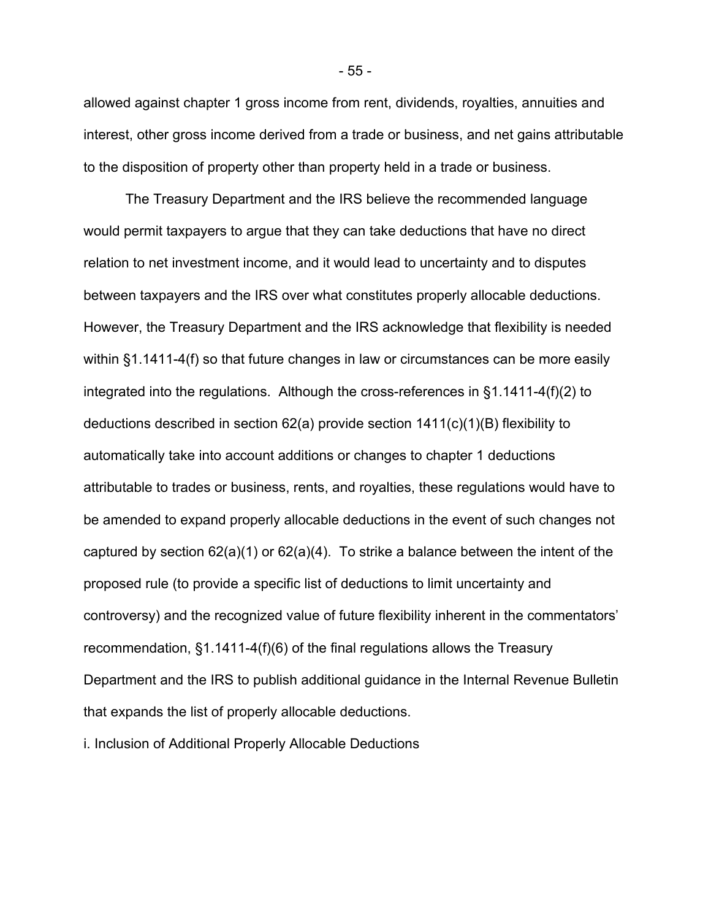allowed against chapter 1 gross income from rent, dividends, royalties, annuities and interest, other gross income derived from a trade or business, and net gains attributable to the disposition of property other than property held in a trade or business.

The Treasury Department and the IRS believe the recommended language would permit taxpayers to argue that they can take deductions that have no direct relation to net investment income, and it would lead to uncertainty and to disputes between taxpayers and the IRS over what constitutes properly allocable deductions. However, the Treasury Department and the IRS acknowledge that flexibility is needed within §1.1411-4(f) so that future changes in law or circumstances can be more easily integrated into the regulations. Although the cross-references in §1.1411-4(f)(2) to deductions described in section 62(a) provide section 1411(c)(1)(B) flexibility to automatically take into account additions or changes to chapter 1 deductions attributable to trades or business, rents, and royalties, these regulations would have to be amended to expand properly allocable deductions in the event of such changes not captured by section  $62(a)(1)$  or  $62(a)(4)$ . To strike a balance between the intent of the proposed rule (to provide a specific list of deductions to limit uncertainty and controversy) and the recognized value of future flexibility inherent in the commentators' recommendation, §1.1411-4(f)(6) of the final regulations allows the Treasury Department and the IRS to publish additional guidance in the Internal Revenue Bulletin that expands the list of properly allocable deductions.

i. Inclusion of Additional Properly Allocable Deductions

- 55 -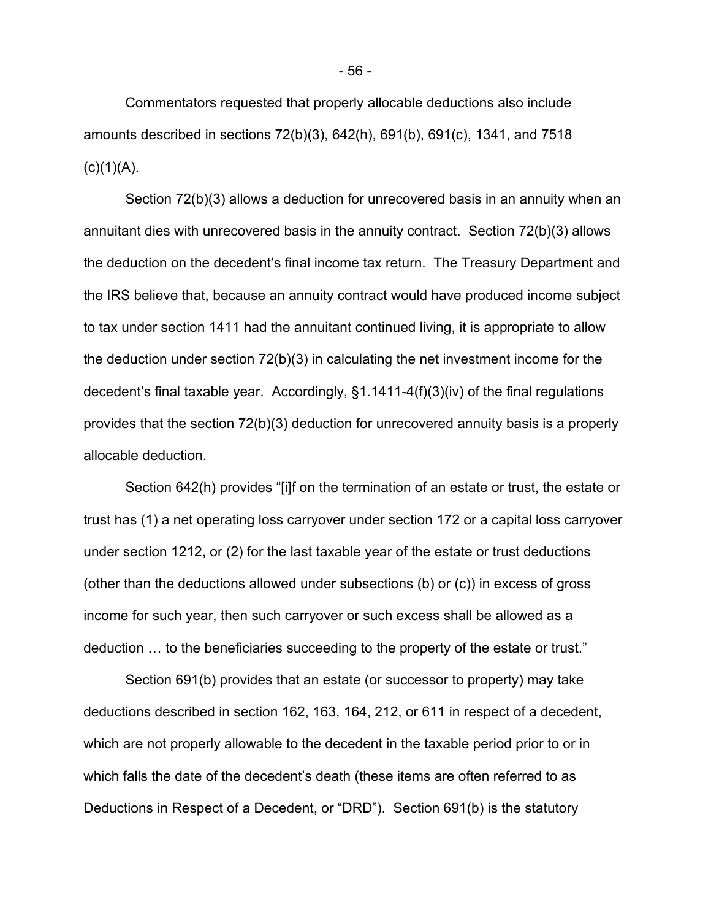Commentators requested that properly allocable deductions also include amounts described in sections 72(b)(3), 642(h), 691(b), 691(c), 1341, and 7518  $(c)(1)(A)$ .

Section 72(b)(3) allows a deduction for unrecovered basis in an annuity when an annuitant dies with unrecovered basis in the annuity contract. Section 72(b)(3) allows the deduction on the decedent's final income tax return. The Treasury Department and the IRS believe that, because an annuity contract would have produced income subject to tax under section 1411 had the annuitant continued living, it is appropriate to allow the deduction under section 72(b)(3) in calculating the net investment income for the decedent's final taxable year. Accordingly, §1.1411-4(f)(3)(iv) of the final regulations provides that the section 72(b)(3) deduction for unrecovered annuity basis is a properly allocable deduction.

Section 642(h) provides "[i]f on the termination of an estate or trust, the estate or trust has (1) a net operating loss carryover under section 172 or a capital loss carryover under section 1212, or (2) for the last taxable year of the estate or trust deductions (other than the deductions allowed under subsections (b) or (c)) in excess of gross income for such year, then such carryover or such excess shall be allowed as a deduction … to the beneficiaries succeeding to the property of the estate or trust."

Section 691(b) provides that an estate (or successor to property) may take deductions described in section 162, 163, 164, 212, or 611 in respect of a decedent, which are not properly allowable to the decedent in the taxable period prior to or in which falls the date of the decedent's death (these items are often referred to as Deductions in Respect of a Decedent, or "DRD"). Section 691(b) is the statutory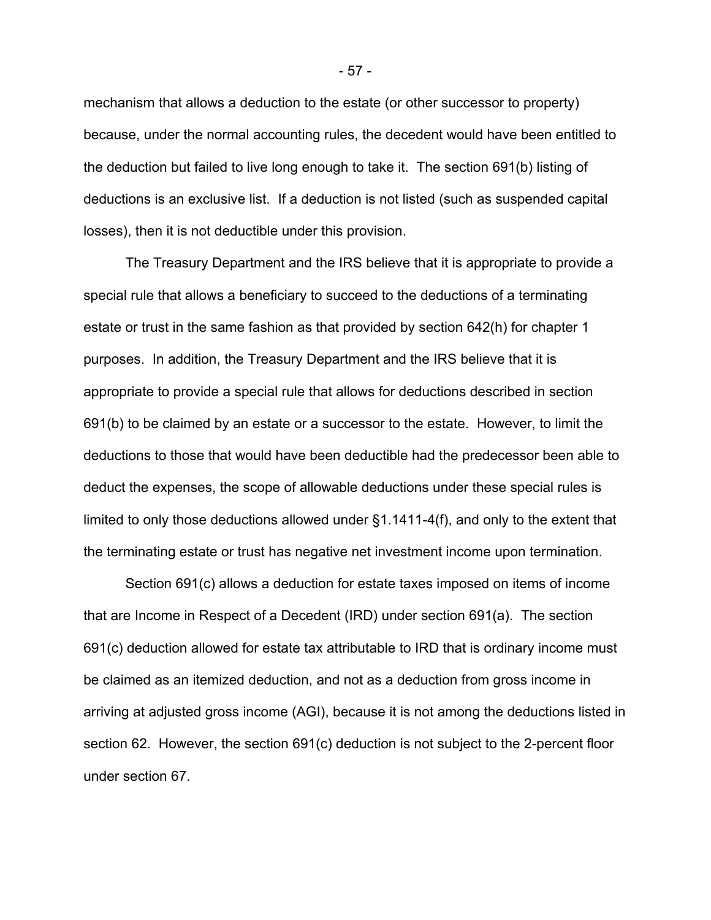mechanism that allows a deduction to the estate (or other successor to property) because, under the normal accounting rules, the decedent would have been entitled to the deduction but failed to live long enough to take it. The section 691(b) listing of deductions is an exclusive list. If a deduction is not listed (such as suspended capital losses), then it is not deductible under this provision.

The Treasury Department and the IRS believe that it is appropriate to provide a special rule that allows a beneficiary to succeed to the deductions of a terminating estate or trust in the same fashion as that provided by section 642(h) for chapter 1 purposes. In addition, the Treasury Department and the IRS believe that it is appropriate to provide a special rule that allows for deductions described in section 691(b) to be claimed by an estate or a successor to the estate. However, to limit the deductions to those that would have been deductible had the predecessor been able to deduct the expenses, the scope of allowable deductions under these special rules is limited to only those deductions allowed under §1.1411-4(f), and only to the extent that the terminating estate or trust has negative net investment income upon termination.

Section 691(c) allows a deduction for estate taxes imposed on items of income that are Income in Respect of a Decedent (IRD) under section 691(a). The section 691(c) deduction allowed for estate tax attributable to IRD that is ordinary income must be claimed as an itemized deduction, and not as a deduction from gross income in arriving at adjusted gross income (AGI), because it is not among the deductions listed in section 62. However, the section 691(c) deduction is not subject to the 2-percent floor under section 67.

- 57 -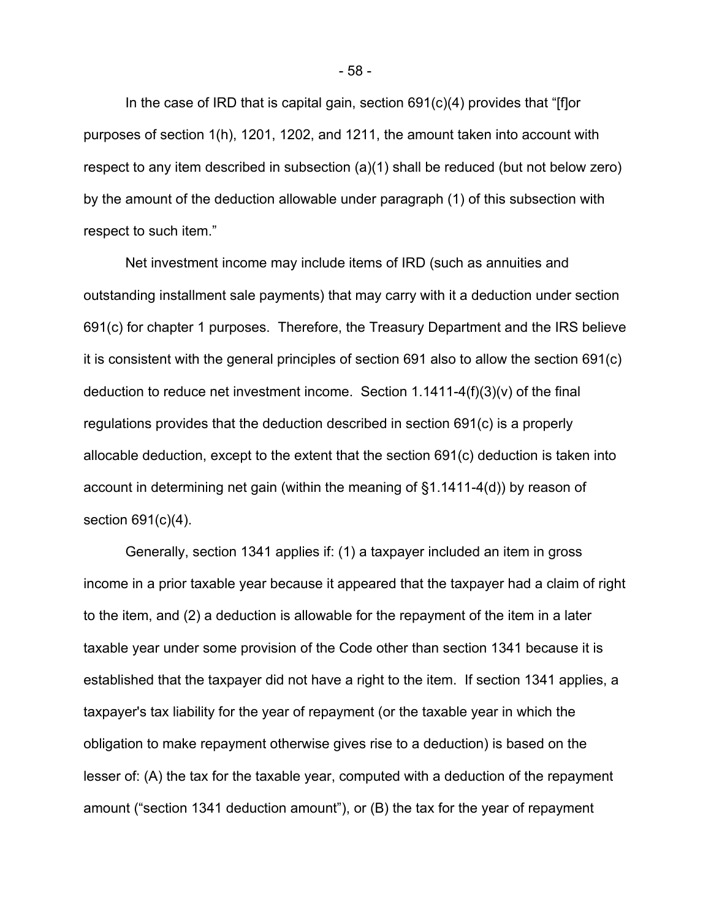In the case of IRD that is capital gain, section 691(c)(4) provides that "[f]or purposes of section 1(h), 1201, 1202, and 1211, the amount taken into account with respect to any item described in subsection (a)(1) shall be reduced (but not below zero) by the amount of the deduction allowable under paragraph (1) of this subsection with respect to such item."

Net investment income may include items of IRD (such as annuities and outstanding installment sale payments) that may carry with it a deduction under section 691(c) for chapter 1 purposes. Therefore, the Treasury Department and the IRS believe it is consistent with the general principles of section 691 also to allow the section 691(c) deduction to reduce net investment income. Section 1.1411-4(f)(3)(v) of the final regulations provides that the deduction described in section 691(c) is a properly allocable deduction, except to the extent that the section 691(c) deduction is taken into account in determining net gain (within the meaning of §1.1411-4(d)) by reason of section 691(c)(4).

Generally, section 1341 applies if: (1) a taxpayer included an item in gross income in a prior taxable year because it appeared that the taxpayer had a claim of right to the item, and (2) a deduction is allowable for the repayment of the item in a later taxable year under some provision of the Code other than section 1341 because it is established that the taxpayer did not have a right to the item. If section 1341 applies, a taxpayer's tax liability for the year of repayment (or the taxable year in which the obligation to make repayment otherwise gives rise to a deduction) is based on the lesser of: (A) the tax for the taxable year, computed with a deduction of the repayment amount ("section 1341 deduction amount"), or (B) the tax for the year of repayment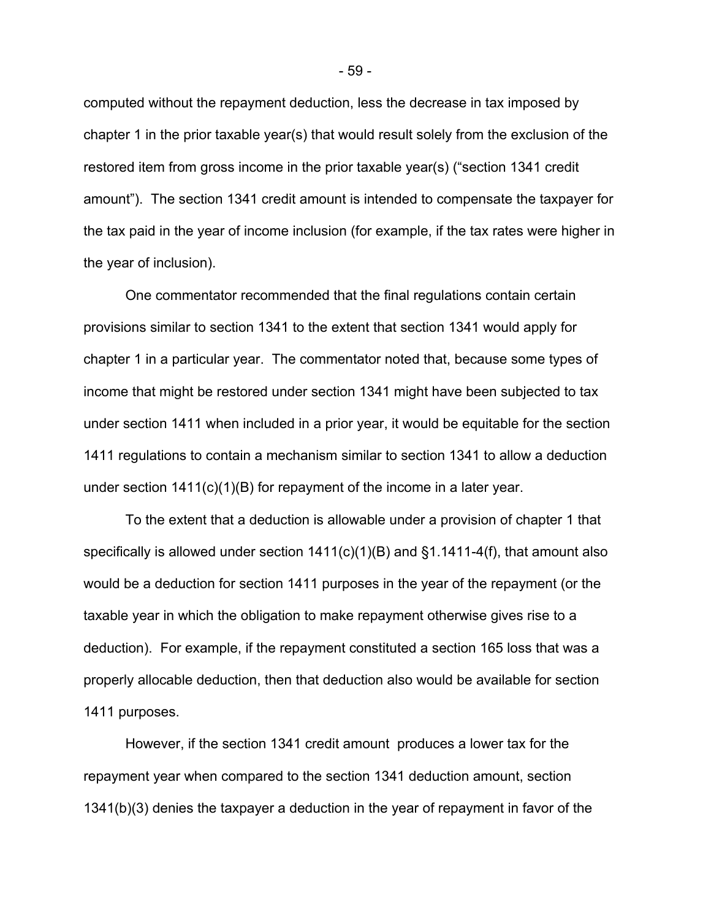computed without the repayment deduction, less the decrease in tax imposed by chapter 1 in the prior taxable year(s) that would result solely from the exclusion of the restored item from gross income in the prior taxable year(s) ("section 1341 credit amount"). The section 1341 credit amount is intended to compensate the taxpayer for the tax paid in the year of income inclusion (for example, if the tax rates were higher in the year of inclusion).

One commentator recommended that the final regulations contain certain provisions similar to section 1341 to the extent that section 1341 would apply for chapter 1 in a particular year. The commentator noted that, because some types of income that might be restored under section 1341 might have been subjected to tax under section 1411 when included in a prior year, it would be equitable for the section 1411 regulations to contain a mechanism similar to section 1341 to allow a deduction under section 1411(c)(1)(B) for repayment of the income in a later year.

To the extent that a deduction is allowable under a provision of chapter 1 that specifically is allowed under section  $1411(c)(1)(B)$  and  $\S1.1411-4(f)$ , that amount also would be a deduction for section 1411 purposes in the year of the repayment (or the taxable year in which the obligation to make repayment otherwise gives rise to a deduction). For example, if the repayment constituted a section 165 loss that was a properly allocable deduction, then that deduction also would be available for section 1411 purposes.

However, if the section 1341 credit amount produces a lower tax for the repayment year when compared to the section 1341 deduction amount, section 1341(b)(3) denies the taxpayer a deduction in the year of repayment in favor of the

- 59 -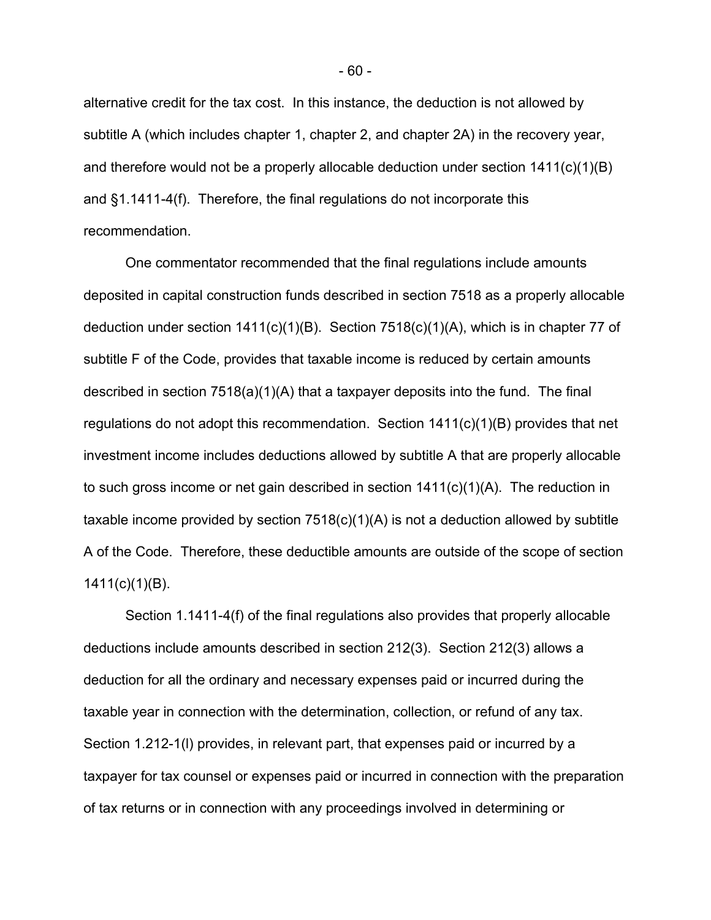alternative credit for the tax cost. In this instance, the deduction is not allowed by subtitle A (which includes chapter 1, chapter 2, and chapter 2A) in the recovery year, and therefore would not be a properly allocable deduction under section 1411(c)(1)(B) and §1.1411-4(f). Therefore, the final regulations do not incorporate this recommendation.

One commentator recommended that the final regulations include amounts deposited in capital construction funds described in section 7518 as a properly allocable deduction under section 1411(c)(1)(B). Section 7518(c)(1)(A), which is in chapter 77 of subtitle F of the Code, provides that taxable income is reduced by certain amounts described in section 7518(a)(1)(A) that a taxpayer deposits into the fund. The final regulations do not adopt this recommendation. Section 1411(c)(1)(B) provides that net investment income includes deductions allowed by subtitle A that are properly allocable to such gross income or net gain described in section  $1411(c)(1)(A)$ . The reduction in taxable income provided by section  $7518(c)(1)(A)$  is not a deduction allowed by subtitle A of the Code. Therefore, these deductible amounts are outside of the scope of section 1411(c)(1)(B).

Section 1.1411-4(f) of the final regulations also provides that properly allocable deductions include amounts described in section 212(3). Section 212(3) allows a deduction for all the ordinary and necessary expenses paid or incurred during the taxable year in connection with the determination, collection, or refund of any tax. Section 1.212-1(l) provides, in relevant part, that expenses paid or incurred by a taxpayer for tax counsel or expenses paid or incurred in connection with the preparation of tax returns or in connection with any proceedings involved in determining or

- 60 -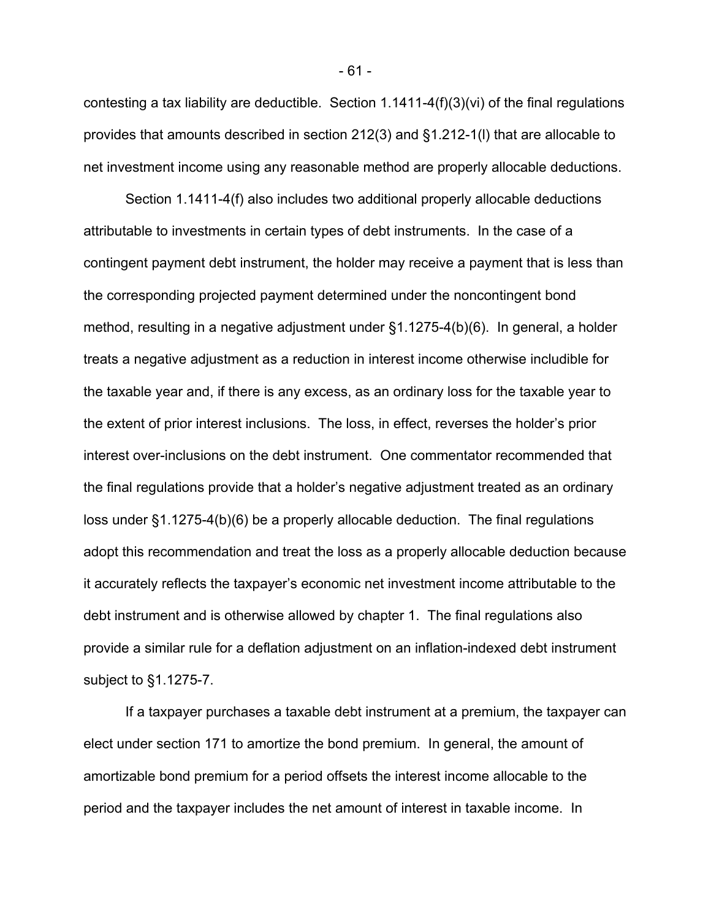contesting a tax liability are deductible. Section 1.1411-4(f)(3)(vi) of the final regulations provides that amounts described in section 212(3) and §1.212-1(l) that are allocable to net investment income using any reasonable method are properly allocable deductions.

Section 1.1411-4(f) also includes two additional properly allocable deductions attributable to investments in certain types of debt instruments. In the case of a contingent payment debt instrument, the holder may receive a payment that is less than the corresponding projected payment determined under the noncontingent bond method, resulting in a negative adjustment under §1.1275-4(b)(6). In general, a holder treats a negative adjustment as a reduction in interest income otherwise includible for the taxable year and, if there is any excess, as an ordinary loss for the taxable year to the extent of prior interest inclusions. The loss, in effect, reverses the holder's prior interest over-inclusions on the debt instrument. One commentator recommended that the final regulations provide that a holder's negative adjustment treated as an ordinary loss under §1.1275-4(b)(6) be a properly allocable deduction. The final regulations adopt this recommendation and treat the loss as a properly allocable deduction because it accurately reflects the taxpayer's economic net investment income attributable to the debt instrument and is otherwise allowed by chapter 1. The final regulations also provide a similar rule for a deflation adjustment on an inflation-indexed debt instrument subject to §1.1275-7.

 If a taxpayer purchases a taxable debt instrument at a premium, the taxpayer can elect under section 171 to amortize the bond premium. In general, the amount of amortizable bond premium for a period offsets the interest income allocable to the period and the taxpayer includes the net amount of interest in taxable income. In

- 61 -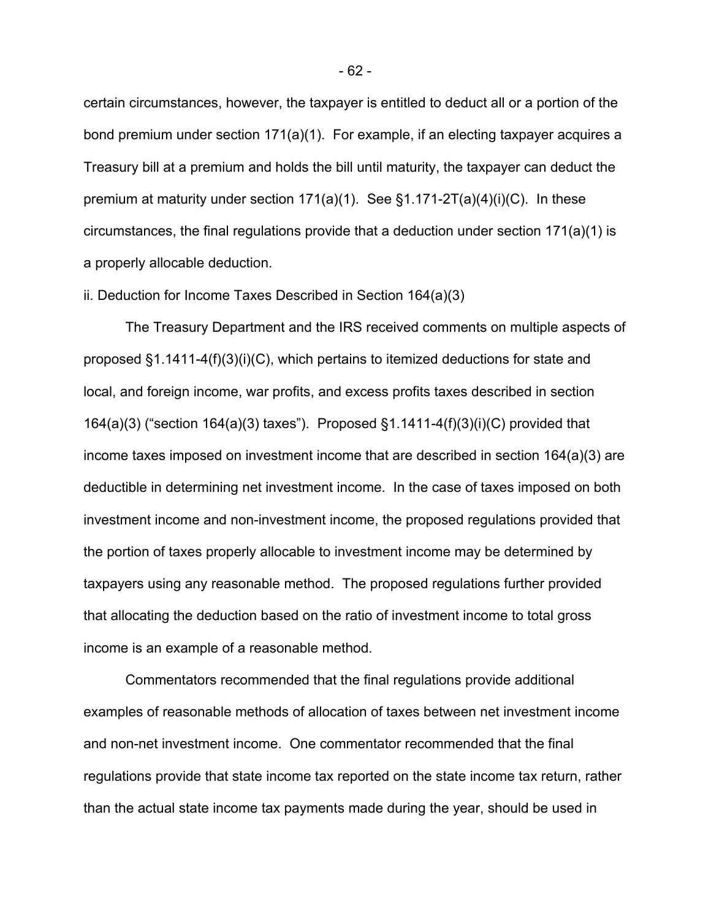certain circumstances, however, the taxpayer is entitled to deduct all or a portion of the bond premium under section 171(a)(1). For example, if an electing taxpayer acquires a Treasury bill at a premium and holds the bill until maturity, the taxpayer can deduct the premium at maturity under section  $171(a)(1)$ . See  $§1.171-2T(a)(4)(i)(C)$ . In these circumstances, the final regulations provide that a deduction under section 171(a)(1) is a properly allocable deduction.

# ii. Deduction for Income Taxes Described in Section 164(a)(3)

The Treasury Department and the IRS received comments on multiple aspects of proposed  $\S1.1411-4(f)(3)(i)(C)$ , which pertains to itemized deductions for state and local, and foreign income, war profits, and excess profits taxes described in section 164(a)(3) ("section 164(a)(3) taxes"). Proposed §1.1411-4(f)(3)(i)(C) provided that income taxes imposed on investment income that are described in section 164(a)(3) are deductible in determining net investment income. In the case of taxes imposed on both investment income and non-investment income, the proposed regulations provided that the portion of taxes properly allocable to investment income may be determined by taxpayers using any reasonable method. The proposed regulations further provided that allocating the deduction based on the ratio of investment income to total gross income is an example of a reasonable method.

Commentators recommended that the final regulations provide additional examples of reasonable methods of allocation of taxes between net investment income and non-net investment income. One commentator recommended that the final regulations provide that state income tax reported on the state income tax return, rather than the actual state income tax payments made during the year, should be used in

- 62 -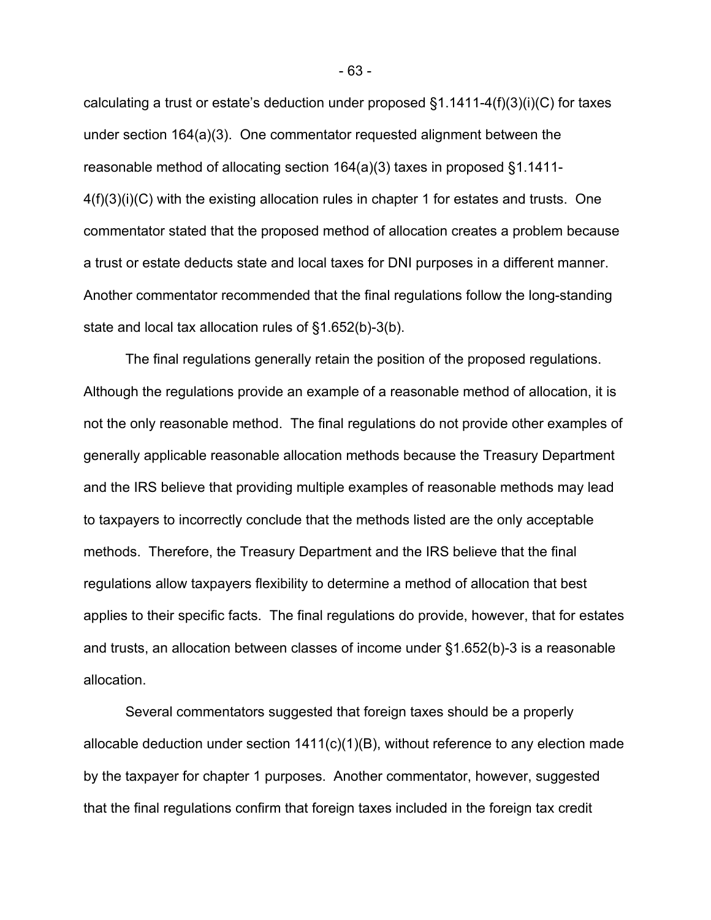calculating a trust or estate's deduction under proposed §1.1411-4(f)(3)(i)(C) for taxes under section 164(a)(3). One commentator requested alignment between the reasonable method of allocating section 164(a)(3) taxes in proposed §1.1411- 4(f)(3)(i)(C) with the existing allocation rules in chapter 1 for estates and trusts. One commentator stated that the proposed method of allocation creates a problem because a trust or estate deducts state and local taxes for DNI purposes in a different manner. Another commentator recommended that the final regulations follow the long-standing state and local tax allocation rules of §1.652(b)-3(b).

The final regulations generally retain the position of the proposed regulations. Although the regulations provide an example of a reasonable method of allocation, it is not the only reasonable method. The final regulations do not provide other examples of generally applicable reasonable allocation methods because the Treasury Department and the IRS believe that providing multiple examples of reasonable methods may lead to taxpayers to incorrectly conclude that the methods listed are the only acceptable methods. Therefore, the Treasury Department and the IRS believe that the final regulations allow taxpayers flexibility to determine a method of allocation that best applies to their specific facts. The final regulations do provide, however, that for estates and trusts, an allocation between classes of income under §1.652(b)-3 is a reasonable allocation.

Several commentators suggested that foreign taxes should be a properly allocable deduction under section 1411(c)(1)(B), without reference to any election made by the taxpayer for chapter 1 purposes. Another commentator, however, suggested that the final regulations confirm that foreign taxes included in the foreign tax credit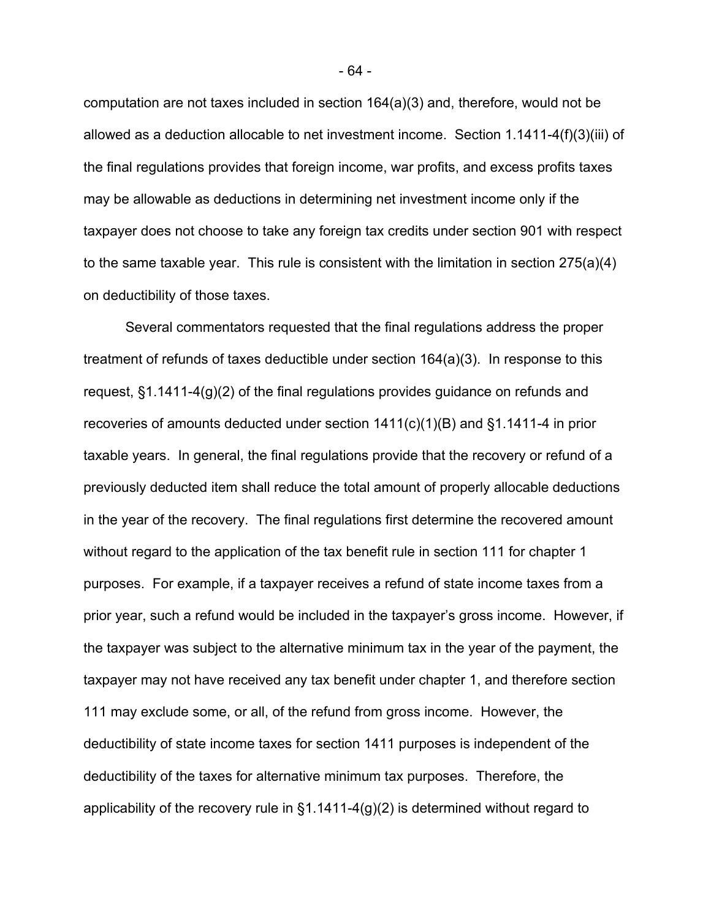computation are not taxes included in section 164(a)(3) and, therefore, would not be allowed as a deduction allocable to net investment income. Section 1.1411-4(f)(3)(iii) of the final regulations provides that foreign income, war profits, and excess profits taxes may be allowable as deductions in determining net investment income only if the taxpayer does not choose to take any foreign tax credits under section 901 with respect to the same taxable year. This rule is consistent with the limitation in section 275(a)(4) on deductibility of those taxes.

Several commentators requested that the final regulations address the proper treatment of refunds of taxes deductible under section 164(a)(3). In response to this request, §1.1411-4(g)(2) of the final regulations provides guidance on refunds and recoveries of amounts deducted under section 1411(c)(1)(B) and §1.1411-4 in prior taxable years. In general, the final regulations provide that the recovery or refund of a previously deducted item shall reduce the total amount of properly allocable deductions in the year of the recovery. The final regulations first determine the recovered amount without regard to the application of the tax benefit rule in section 111 for chapter 1 purposes. For example, if a taxpayer receives a refund of state income taxes from a prior year, such a refund would be included in the taxpayer's gross income. However, if the taxpayer was subject to the alternative minimum tax in the year of the payment, the taxpayer may not have received any tax benefit under chapter 1, and therefore section 111 may exclude some, or all, of the refund from gross income. However, the deductibility of state income taxes for section 1411 purposes is independent of the deductibility of the taxes for alternative minimum tax purposes. Therefore, the applicability of the recovery rule in §1.1411-4(g)(2) is determined without regard to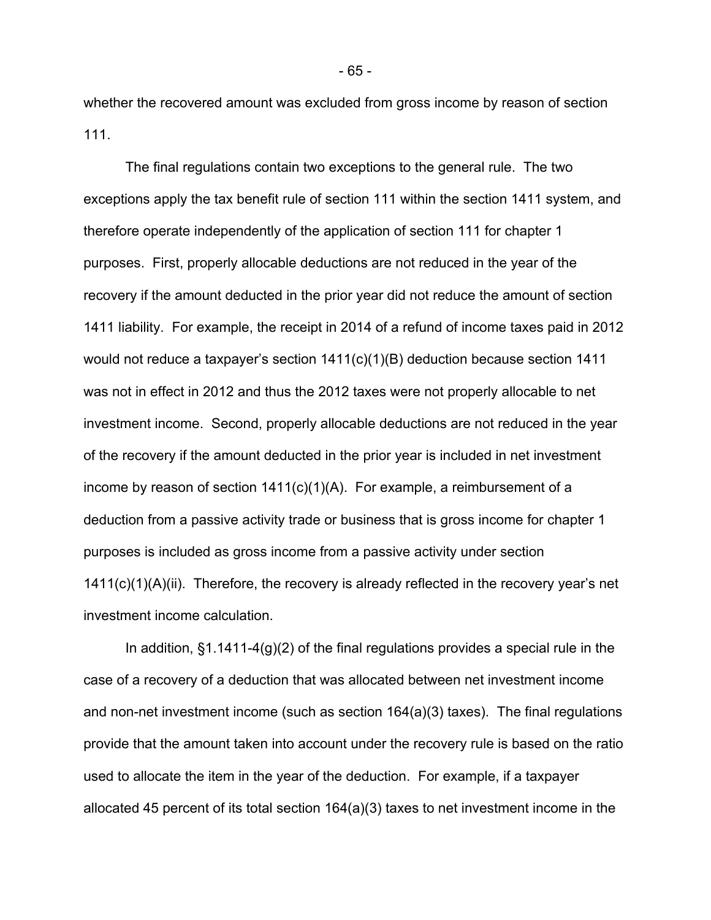whether the recovered amount was excluded from gross income by reason of section 111.

The final regulations contain two exceptions to the general rule. The two exceptions apply the tax benefit rule of section 111 within the section 1411 system, and therefore operate independently of the application of section 111 for chapter 1 purposes. First, properly allocable deductions are not reduced in the year of the recovery if the amount deducted in the prior year did not reduce the amount of section 1411 liability. For example, the receipt in 2014 of a refund of income taxes paid in 2012 would not reduce a taxpayer's section  $1411(c)(1)(B)$  deduction because section 1411 was not in effect in 2012 and thus the 2012 taxes were not properly allocable to net investment income. Second, properly allocable deductions are not reduced in the year of the recovery if the amount deducted in the prior year is included in net investment income by reason of section 1411(c)(1)(A). For example, a reimbursement of a deduction from a passive activity trade or business that is gross income for chapter 1 purposes is included as gross income from a passive activity under section 1411(c)(1)(A)(ii). Therefore, the recovery is already reflected in the recovery year's net investment income calculation.

In addition, §1.1411-4(g)(2) of the final regulations provides a special rule in the case of a recovery of a deduction that was allocated between net investment income and non-net investment income (such as section 164(a)(3) taxes). The final regulations provide that the amount taken into account under the recovery rule is based on the ratio used to allocate the item in the year of the deduction. For example, if a taxpayer allocated 45 percent of its total section 164(a)(3) taxes to net investment income in the

- 65 -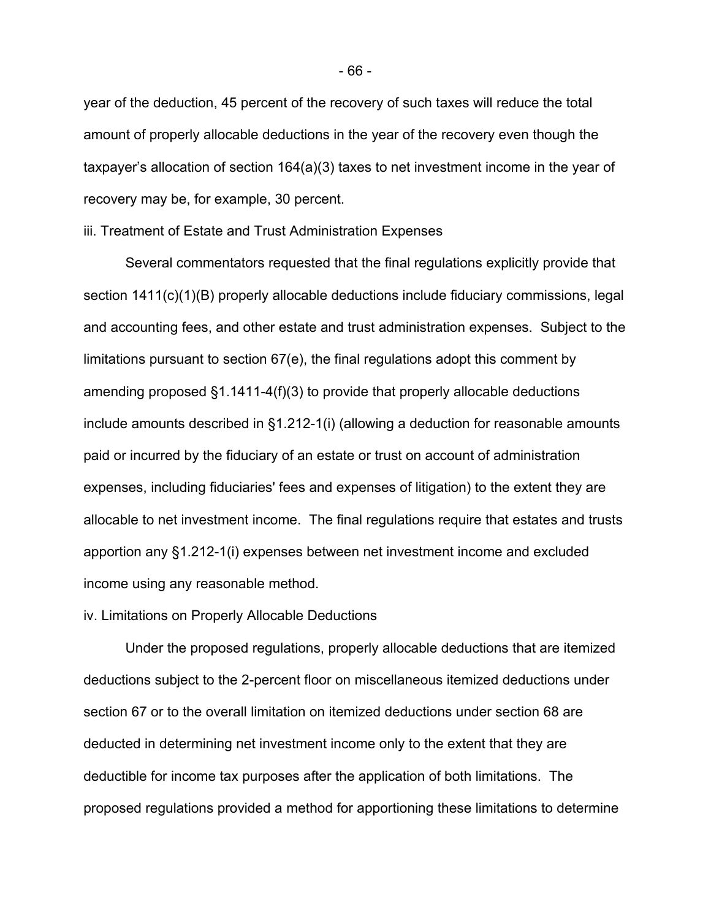year of the deduction, 45 percent of the recovery of such taxes will reduce the total amount of properly allocable deductions in the year of the recovery even though the taxpayer's allocation of section 164(a)(3) taxes to net investment income in the year of recovery may be, for example, 30 percent.

#### iii. Treatment of Estate and Trust Administration Expenses

Several commentators requested that the final regulations explicitly provide that section 1411(c)(1)(B) properly allocable deductions include fiduciary commissions, legal and accounting fees, and other estate and trust administration expenses. Subject to the limitations pursuant to section 67(e), the final regulations adopt this comment by amending proposed §1.1411-4(f)(3) to provide that properly allocable deductions include amounts described in §1.212-1(i) (allowing a deduction for reasonable amounts paid or incurred by the fiduciary of an estate or trust on account of administration expenses, including fiduciaries' fees and expenses of litigation) to the extent they are allocable to net investment income. The final regulations require that estates and trusts apportion any §1.212-1(i) expenses between net investment income and excluded income using any reasonable method.

#### iv. Limitations on Properly Allocable Deductions

Under the proposed regulations, properly allocable deductions that are itemized deductions subject to the 2-percent floor on miscellaneous itemized deductions under section 67 or to the overall limitation on itemized deductions under section 68 are deducted in determining net investment income only to the extent that they are deductible for income tax purposes after the application of both limitations. The proposed regulations provided a method for apportioning these limitations to determine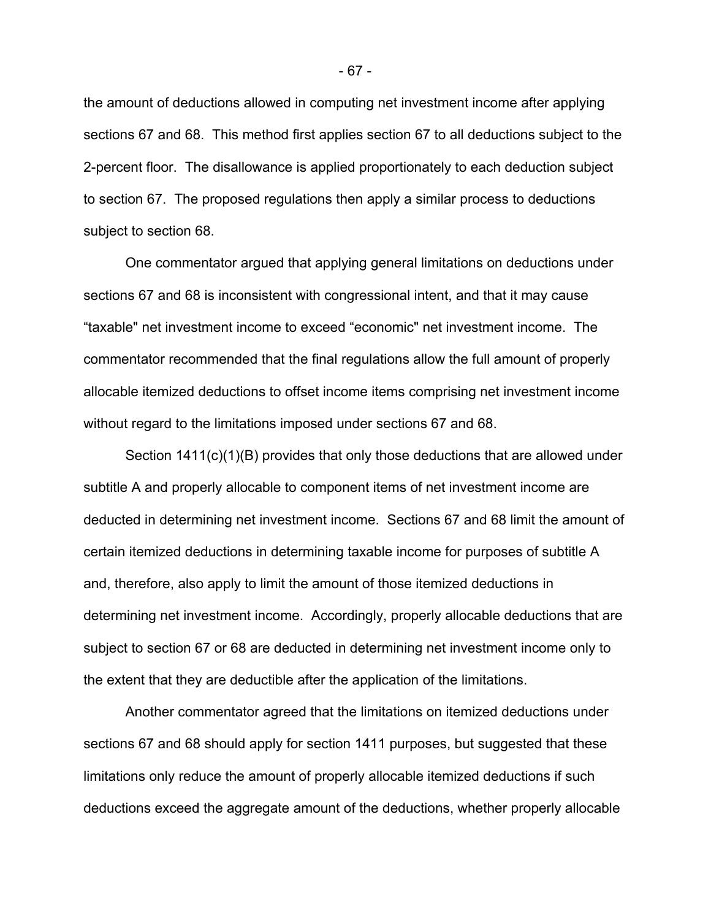the amount of deductions allowed in computing net investment income after applying sections 67 and 68. This method first applies section 67 to all deductions subject to the 2-percent floor. The disallowance is applied proportionately to each deduction subject to section 67. The proposed regulations then apply a similar process to deductions subject to section 68.

One commentator argued that applying general limitations on deductions under sections 67 and 68 is inconsistent with congressional intent, and that it may cause "taxable" net investment income to exceed "economic" net investment income. The commentator recommended that the final regulations allow the full amount of properly allocable itemized deductions to offset income items comprising net investment income without regard to the limitations imposed under sections 67 and 68.

Section 1411(c)(1)(B) provides that only those deductions that are allowed under subtitle A and properly allocable to component items of net investment income are deducted in determining net investment income. Sections 67 and 68 limit the amount of certain itemized deductions in determining taxable income for purposes of subtitle A and, therefore, also apply to limit the amount of those itemized deductions in determining net investment income. Accordingly, properly allocable deductions that are subject to section 67 or 68 are deducted in determining net investment income only to the extent that they are deductible after the application of the limitations.

Another commentator agreed that the limitations on itemized deductions under sections 67 and 68 should apply for section 1411 purposes, but suggested that these limitations only reduce the amount of properly allocable itemized deductions if such deductions exceed the aggregate amount of the deductions, whether properly allocable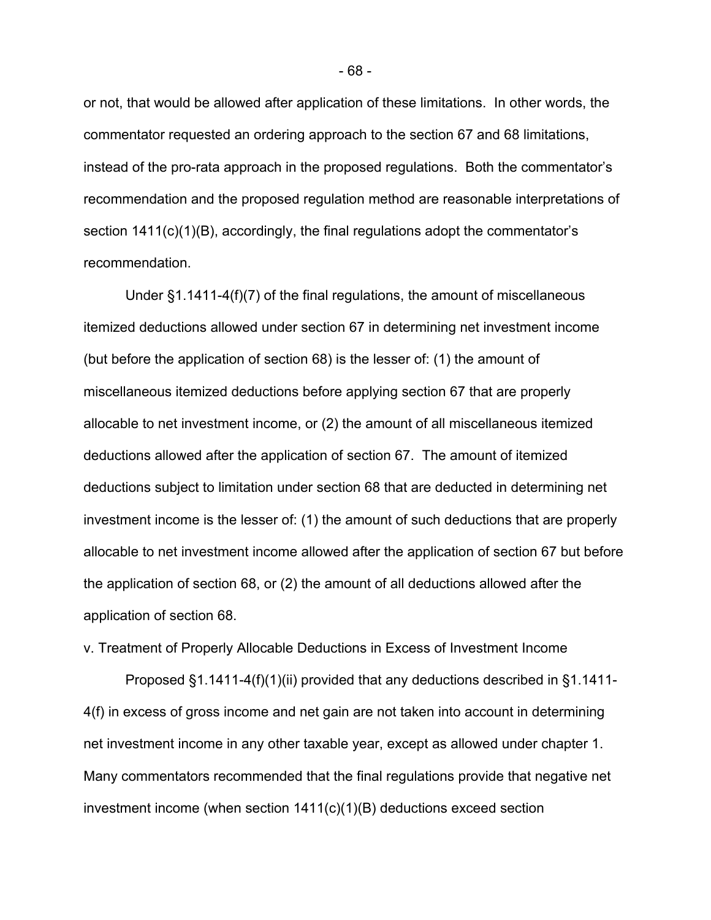or not, that would be allowed after application of these limitations. In other words, the commentator requested an ordering approach to the section 67 and 68 limitations, instead of the pro-rata approach in the proposed regulations. Both the commentator's recommendation and the proposed regulation method are reasonable interpretations of section 1411(c)(1)(B), accordingly, the final regulations adopt the commentator's recommendation.

Under §1.1411-4(f)(7) of the final regulations, the amount of miscellaneous itemized deductions allowed under section 67 in determining net investment income (but before the application of section 68) is the lesser of: (1) the amount of miscellaneous itemized deductions before applying section 67 that are properly allocable to net investment income, or (2) the amount of all miscellaneous itemized deductions allowed after the application of section 67. The amount of itemized deductions subject to limitation under section 68 that are deducted in determining net investment income is the lesser of: (1) the amount of such deductions that are properly allocable to net investment income allowed after the application of section 67 but before the application of section 68, or (2) the amount of all deductions allowed after the application of section 68.

v. Treatment of Properly Allocable Deductions in Excess of Investment Income

Proposed §1.1411-4(f)(1)(ii) provided that any deductions described in §1.1411- 4(f) in excess of gross income and net gain are not taken into account in determining net investment income in any other taxable year, except as allowed under chapter 1. Many commentators recommended that the final regulations provide that negative net investment income (when section 1411(c)(1)(B) deductions exceed section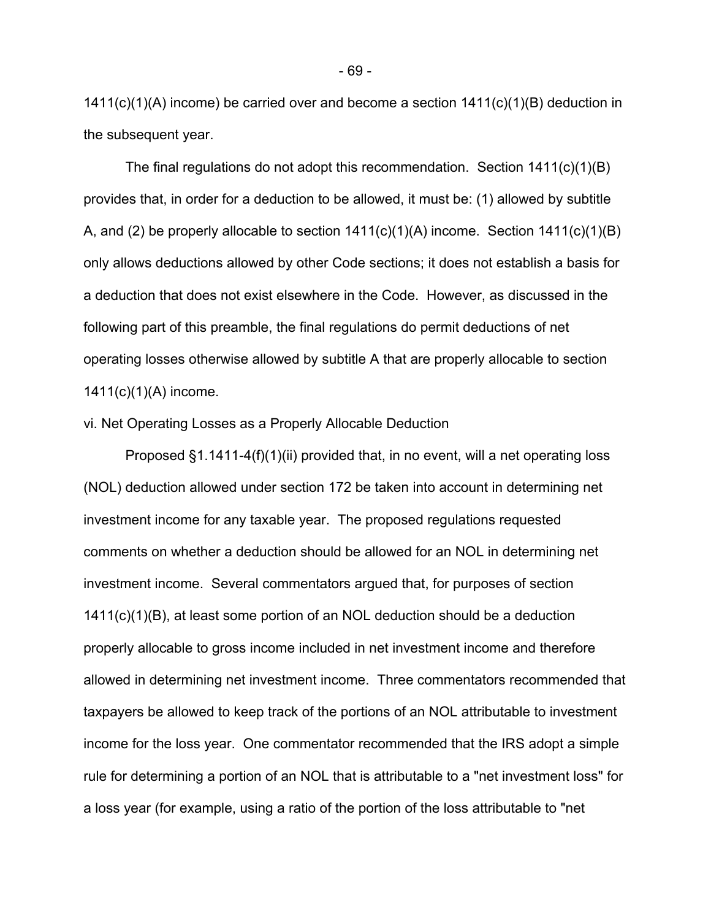1411(c)(1)(A) income) be carried over and become a section 1411(c)(1)(B) deduction in the subsequent year.

The final regulations do not adopt this recommendation. Section 1411(c)(1)(B) provides that, in order for a deduction to be allowed, it must be: (1) allowed by subtitle A, and (2) be properly allocable to section  $1411(c)(1)(A)$  income. Section  $1411(c)(1)(B)$ only allows deductions allowed by other Code sections; it does not establish a basis for a deduction that does not exist elsewhere in the Code. However, as discussed in the following part of this preamble, the final regulations do permit deductions of net operating losses otherwise allowed by subtitle A that are properly allocable to section 1411(c)(1)(A) income.

## vi. Net Operating Losses as a Properly Allocable Deduction

Proposed §1.1411-4(f)(1)(ii) provided that, in no event, will a net operating loss (NOL) deduction allowed under section 172 be taken into account in determining net investment income for any taxable year. The proposed regulations requested comments on whether a deduction should be allowed for an NOL in determining net investment income. Several commentators argued that, for purposes of section 1411(c)(1)(B), at least some portion of an NOL deduction should be a deduction properly allocable to gross income included in net investment income and therefore allowed in determining net investment income. Three commentators recommended that taxpayers be allowed to keep track of the portions of an NOL attributable to investment income for the loss year. One commentator recommended that the IRS adopt a simple rule for determining a portion of an NOL that is attributable to a "net investment loss" for a loss year (for example, using a ratio of the portion of the loss attributable to "net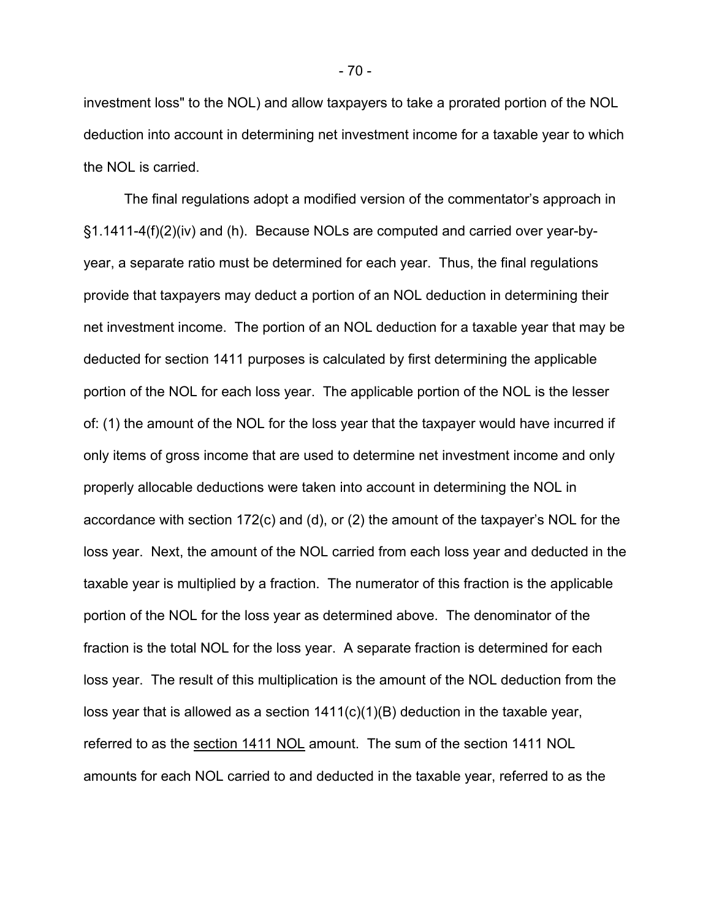investment loss" to the NOL) and allow taxpayers to take a prorated portion of the NOL deduction into account in determining net investment income for a taxable year to which the NOL is carried.

The final regulations adopt a modified version of the commentator's approach in §1.1411-4(f)(2)(iv) and (h). Because NOLs are computed and carried over year-byyear, a separate ratio must be determined for each year. Thus, the final regulations provide that taxpayers may deduct a portion of an NOL deduction in determining their net investment income. The portion of an NOL deduction for a taxable year that may be deducted for section 1411 purposes is calculated by first determining the applicable portion of the NOL for each loss year. The applicable portion of the NOL is the lesser of: (1) the amount of the NOL for the loss year that the taxpayer would have incurred if only items of gross income that are used to determine net investment income and only properly allocable deductions were taken into account in determining the NOL in accordance with section 172(c) and (d), or (2) the amount of the taxpayer's NOL for the loss year. Next, the amount of the NOL carried from each loss year and deducted in the taxable year is multiplied by a fraction. The numerator of this fraction is the applicable portion of the NOL for the loss year as determined above. The denominator of the fraction is the total NOL for the loss year. A separate fraction is determined for each loss year. The result of this multiplication is the amount of the NOL deduction from the loss year that is allowed as a section 1411(c)(1)(B) deduction in the taxable year, referred to as the section 1411 NOL amount. The sum of the section 1411 NOL amounts for each NOL carried to and deducted in the taxable year, referred to as the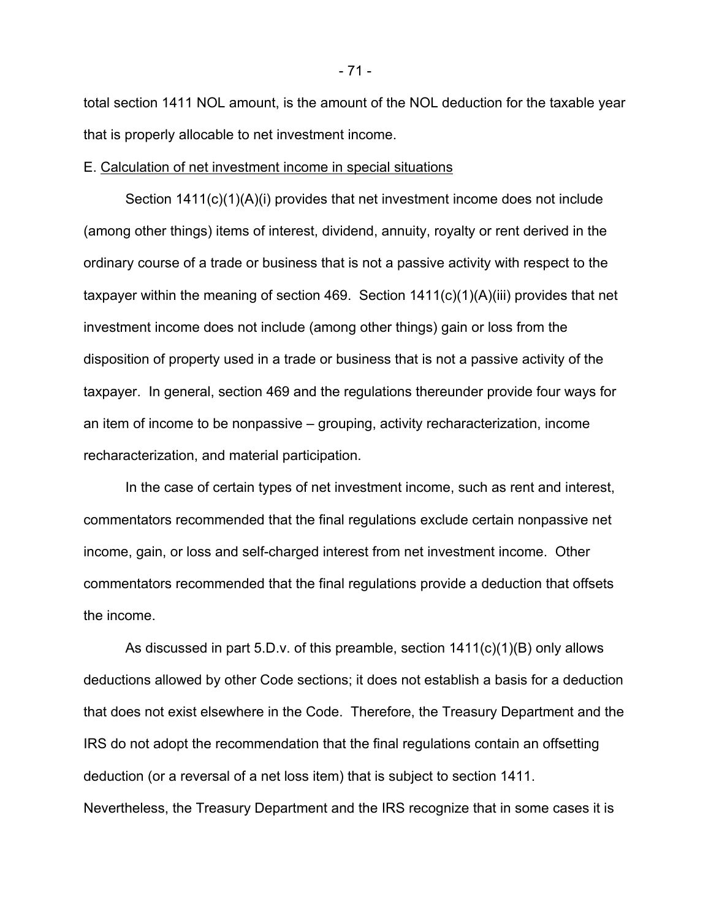total section 1411 NOL amount, is the amount of the NOL deduction for the taxable year that is properly allocable to net investment income.

#### E. Calculation of net investment income in special situations

Section 1411(c)(1)(A)(i) provides that net investment income does not include (among other things) items of interest, dividend, annuity, royalty or rent derived in the ordinary course of a trade or business that is not a passive activity with respect to the taxpayer within the meaning of section 469. Section 1411(c)(1)(A)(iii) provides that net investment income does not include (among other things) gain or loss from the disposition of property used in a trade or business that is not a passive activity of the taxpayer. In general, section 469 and the regulations thereunder provide four ways for an item of income to be nonpassive – grouping, activity recharacterization, income recharacterization, and material participation.

In the case of certain types of net investment income, such as rent and interest, commentators recommended that the final regulations exclude certain nonpassive net income, gain, or loss and self-charged interest from net investment income. Other commentators recommended that the final regulations provide a deduction that offsets the income.

As discussed in part 5.D.v. of this preamble, section 1411(c)(1)(B) only allows deductions allowed by other Code sections; it does not establish a basis for a deduction that does not exist elsewhere in the Code. Therefore, the Treasury Department and the IRS do not adopt the recommendation that the final regulations contain an offsetting deduction (or a reversal of a net loss item) that is subject to section 1411. Nevertheless, the Treasury Department and the IRS recognize that in some cases it is

- 71 -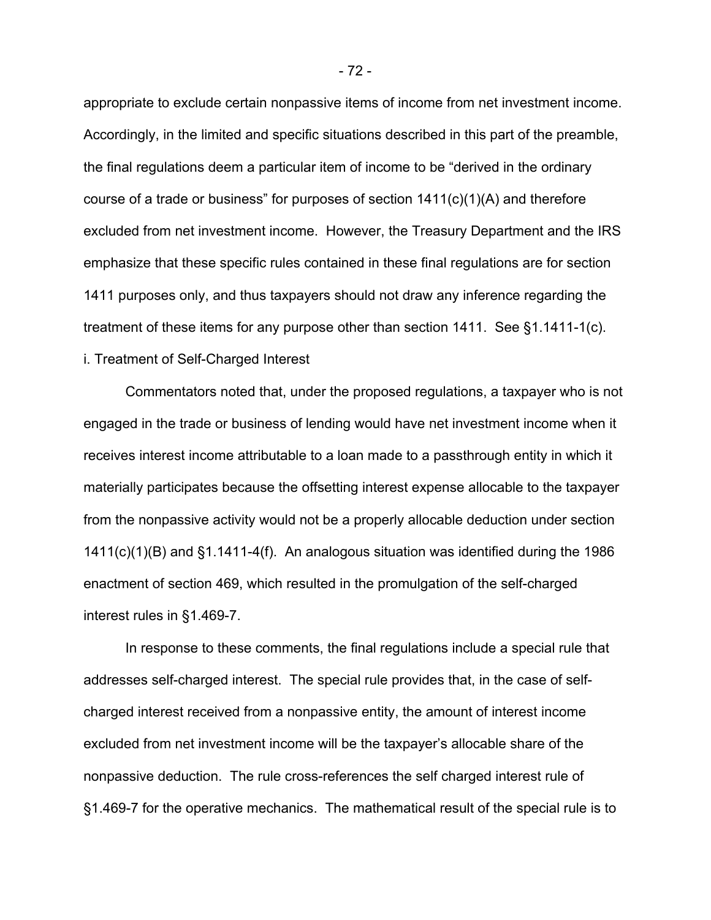appropriate to exclude certain nonpassive items of income from net investment income. Accordingly, in the limited and specific situations described in this part of the preamble, the final regulations deem a particular item of income to be "derived in the ordinary course of a trade or business" for purposes of section 1411(c)(1)(A) and therefore excluded from net investment income. However, the Treasury Department and the IRS emphasize that these specific rules contained in these final regulations are for section 1411 purposes only, and thus taxpayers should not draw any inference regarding the treatment of these items for any purpose other than section 1411. See §1.1411-1(c). i. Treatment of Self-Charged Interest

Commentators noted that, under the proposed regulations, a taxpayer who is not engaged in the trade or business of lending would have net investment income when it receives interest income attributable to a loan made to a passthrough entity in which it materially participates because the offsetting interest expense allocable to the taxpayer from the nonpassive activity would not be a properly allocable deduction under section 1411(c)(1)(B) and §1.1411-4(f). An analogous situation was identified during the 1986 enactment of section 469, which resulted in the promulgation of the self-charged interest rules in §1.469-7.

In response to these comments, the final regulations include a special rule that addresses self-charged interest. The special rule provides that, in the case of selfcharged interest received from a nonpassive entity, the amount of interest income excluded from net investment income will be the taxpayer's allocable share of the nonpassive deduction. The rule cross-references the self charged interest rule of §1.469-7 for the operative mechanics. The mathematical result of the special rule is to

- 72 -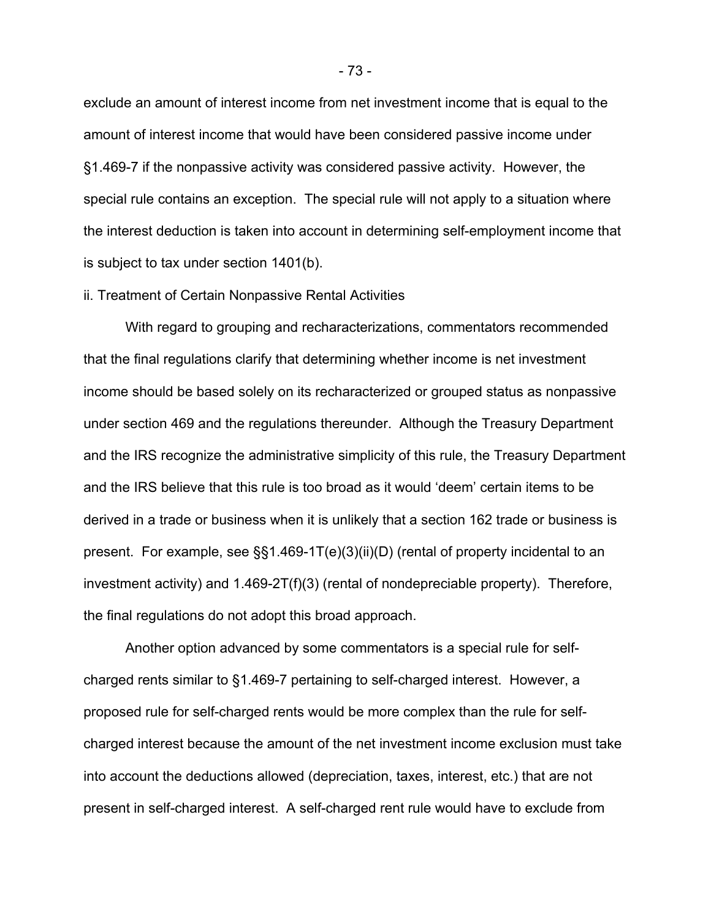exclude an amount of interest income from net investment income that is equal to the amount of interest income that would have been considered passive income under §1.469-7 if the nonpassive activity was considered passive activity. However, the special rule contains an exception. The special rule will not apply to a situation where the interest deduction is taken into account in determining self-employment income that is subject to tax under section 1401(b).

#### ii. Treatment of Certain Nonpassive Rental Activities

With regard to grouping and recharacterizations, commentators recommended that the final regulations clarify that determining whether income is net investment income should be based solely on its recharacterized or grouped status as nonpassive under section 469 and the regulations thereunder. Although the Treasury Department and the IRS recognize the administrative simplicity of this rule, the Treasury Department and the IRS believe that this rule is too broad as it would 'deem' certain items to be derived in a trade or business when it is unlikely that a section 162 trade or business is present. For example, see §§1.469-1T(e)(3)(ii)(D) (rental of property incidental to an investment activity) and 1.469-2T(f)(3) (rental of nondepreciable property). Therefore, the final regulations do not adopt this broad approach.

Another option advanced by some commentators is a special rule for selfcharged rents similar to §1.469-7 pertaining to self-charged interest. However, a proposed rule for self-charged rents would be more complex than the rule for selfcharged interest because the amount of the net investment income exclusion must take into account the deductions allowed (depreciation, taxes, interest, etc.) that are not present in self-charged interest. A self-charged rent rule would have to exclude from

- 73 -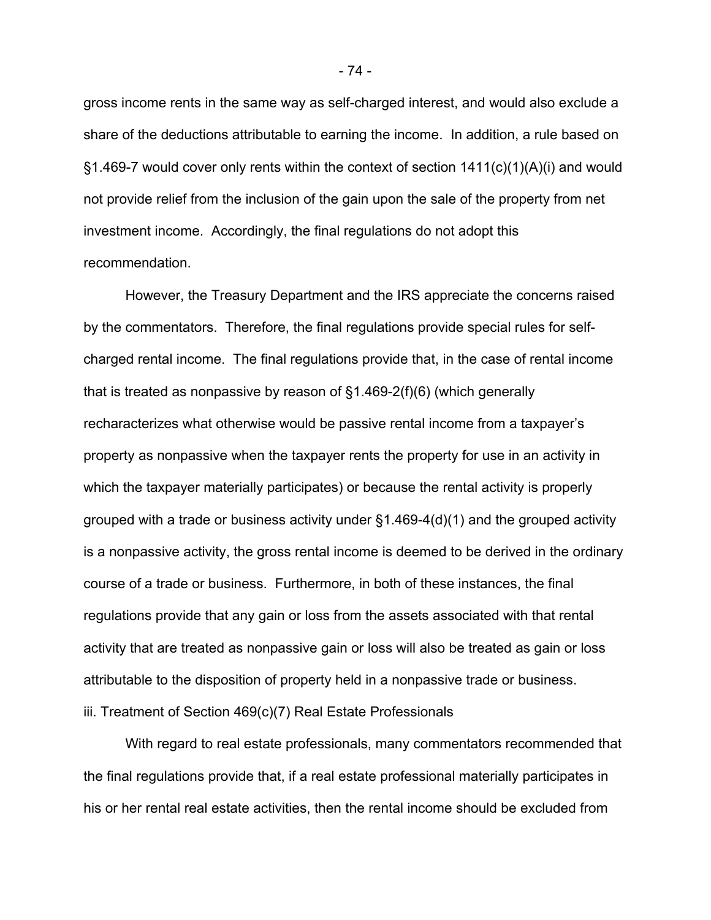gross income rents in the same way as self-charged interest, and would also exclude a share of the deductions attributable to earning the income. In addition, a rule based on  $\S1.469$ -7 would cover only rents within the context of section  $1411(c)(1)(A)(i)$  and would not provide relief from the inclusion of the gain upon the sale of the property from net investment income. Accordingly, the final regulations do not adopt this recommendation.

However, the Treasury Department and the IRS appreciate the concerns raised by the commentators. Therefore, the final regulations provide special rules for selfcharged rental income. The final regulations provide that, in the case of rental income that is treated as nonpassive by reason of §1.469-2(f)(6) (which generally recharacterizes what otherwise would be passive rental income from a taxpayer's property as nonpassive when the taxpayer rents the property for use in an activity in which the taxpayer materially participates) or because the rental activity is properly grouped with a trade or business activity under §1.469-4(d)(1) and the grouped activity is a nonpassive activity, the gross rental income is deemed to be derived in the ordinary course of a trade or business. Furthermore, in both of these instances, the final regulations provide that any gain or loss from the assets associated with that rental activity that are treated as nonpassive gain or loss will also be treated as gain or loss attributable to the disposition of property held in a nonpassive trade or business. iii. Treatment of Section 469(c)(7) Real Estate Professionals

With regard to real estate professionals, many commentators recommended that the final regulations provide that, if a real estate professional materially participates in his or her rental real estate activities, then the rental income should be excluded from

- 74 -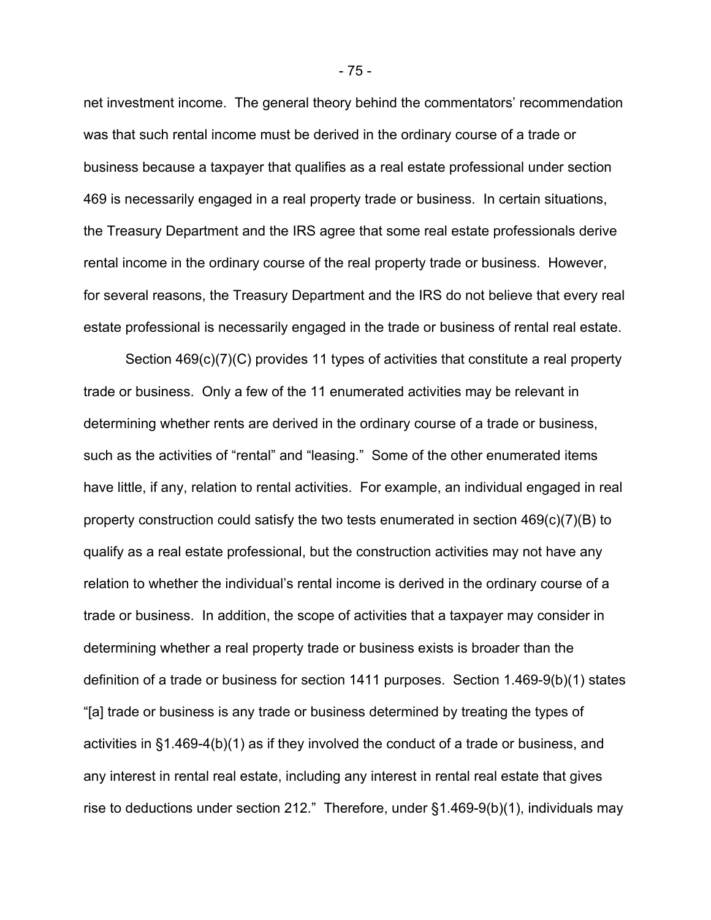net investment income. The general theory behind the commentators' recommendation was that such rental income must be derived in the ordinary course of a trade or business because a taxpayer that qualifies as a real estate professional under section 469 is necessarily engaged in a real property trade or business. In certain situations, the Treasury Department and the IRS agree that some real estate professionals derive rental income in the ordinary course of the real property trade or business. However, for several reasons, the Treasury Department and the IRS do not believe that every real estate professional is necessarily engaged in the trade or business of rental real estate.

Section 469(c)(7)(C) provides 11 types of activities that constitute a real property trade or business. Only a few of the 11 enumerated activities may be relevant in determining whether rents are derived in the ordinary course of a trade or business, such as the activities of "rental" and "leasing." Some of the other enumerated items have little, if any, relation to rental activities. For example, an individual engaged in real property construction could satisfy the two tests enumerated in section 469(c)(7)(B) to qualify as a real estate professional, but the construction activities may not have any relation to whether the individual's rental income is derived in the ordinary course of a trade or business. In addition, the scope of activities that a taxpayer may consider in determining whether a real property trade or business exists is broader than the definition of a trade or business for section 1411 purposes. Section 1.469-9(b)(1) states "[a] trade or business is any trade or business determined by treating the types of activities in §1.469-4(b)(1) as if they involved the conduct of a trade or business, and any interest in rental real estate, including any interest in rental real estate that gives rise to deductions under section 212." Therefore, under §1.469-9(b)(1), individuals may

- 75 -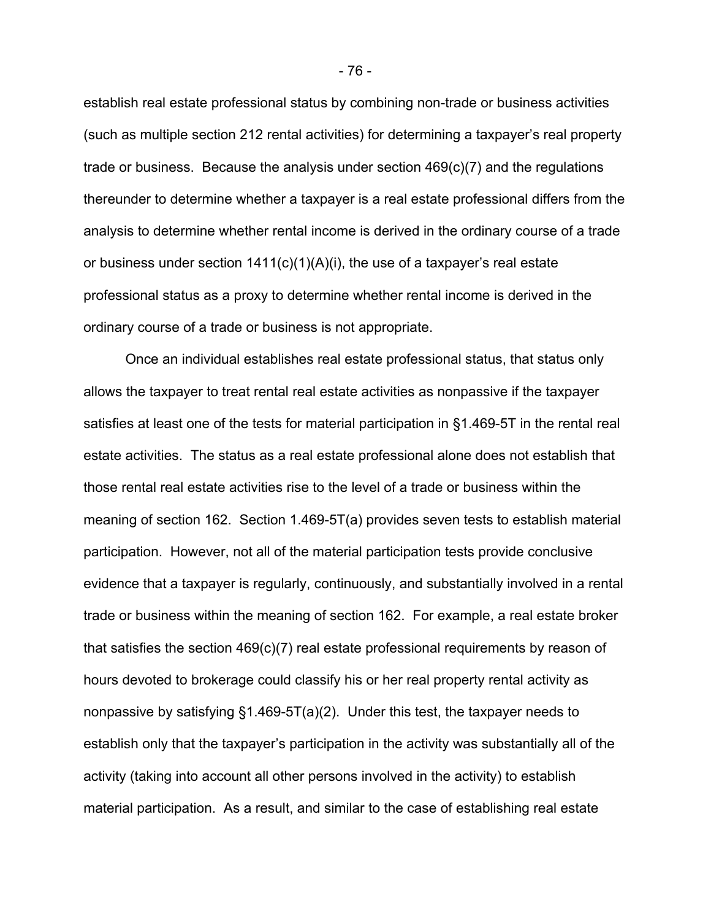establish real estate professional status by combining non-trade or business activities (such as multiple section 212 rental activities) for determining a taxpayer's real property trade or business. Because the analysis under section 469(c)(7) and the regulations thereunder to determine whether a taxpayer is a real estate professional differs from the analysis to determine whether rental income is derived in the ordinary course of a trade or business under section 1411(c)(1)(A)(i), the use of a taxpayer's real estate professional status as a proxy to determine whether rental income is derived in the ordinary course of a trade or business is not appropriate.

Once an individual establishes real estate professional status, that status only allows the taxpayer to treat rental real estate activities as nonpassive if the taxpayer satisfies at least one of the tests for material participation in §1.469-5T in the rental real estate activities. The status as a real estate professional alone does not establish that those rental real estate activities rise to the level of a trade or business within the meaning of section 162. Section 1.469-5T(a) provides seven tests to establish material participation. However, not all of the material participation tests provide conclusive evidence that a taxpayer is regularly, continuously, and substantially involved in a rental trade or business within the meaning of section 162. For example, a real estate broker that satisfies the section 469(c)(7) real estate professional requirements by reason of hours devoted to brokerage could classify his or her real property rental activity as nonpassive by satisfying §1.469-5T(a)(2). Under this test, the taxpayer needs to establish only that the taxpayer's participation in the activity was substantially all of the activity (taking into account all other persons involved in the activity) to establish material participation. As a result, and similar to the case of establishing real estate

- 76 -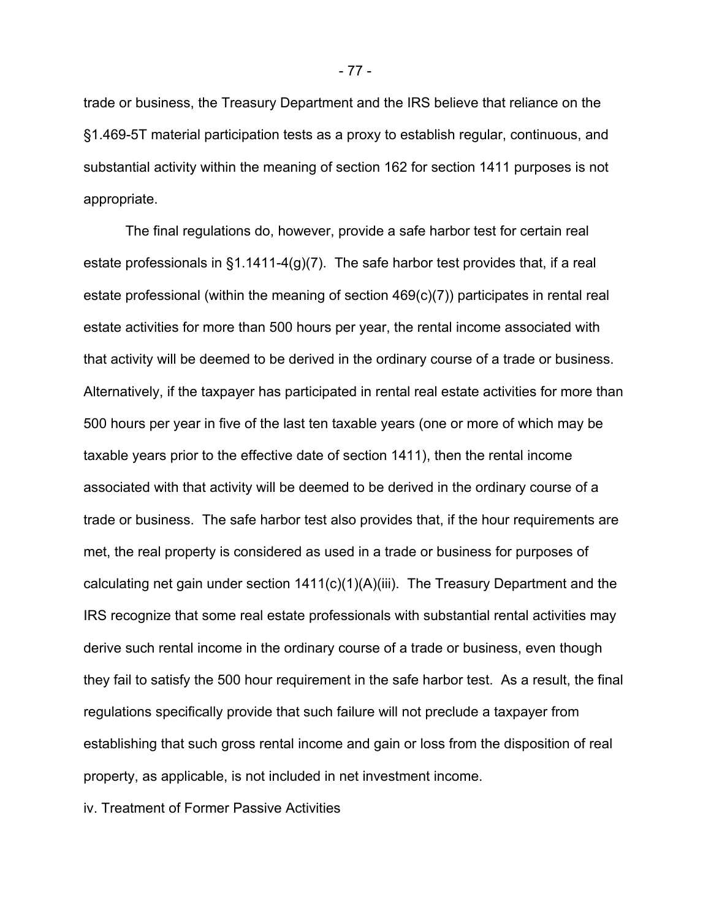trade or business, the Treasury Department and the IRS believe that reliance on the §1.469-5T material participation tests as a proxy to establish regular, continuous, and substantial activity within the meaning of section 162 for section 1411 purposes is not appropriate.

The final regulations do, however, provide a safe harbor test for certain real estate professionals in  $\S1.1411-4(g)(7)$ . The safe harbor test provides that, if a real estate professional (within the meaning of section 469(c)(7)) participates in rental real estate activities for more than 500 hours per year, the rental income associated with that activity will be deemed to be derived in the ordinary course of a trade or business. Alternatively, if the taxpayer has participated in rental real estate activities for more than 500 hours per year in five of the last ten taxable years (one or more of which may be taxable years prior to the effective date of section 1411), then the rental income associated with that activity will be deemed to be derived in the ordinary course of a trade or business. The safe harbor test also provides that, if the hour requirements are met, the real property is considered as used in a trade or business for purposes of calculating net gain under section 1411(c)(1)(A)(iii). The Treasury Department and the IRS recognize that some real estate professionals with substantial rental activities may derive such rental income in the ordinary course of a trade or business, even though they fail to satisfy the 500 hour requirement in the safe harbor test. As a result, the final regulations specifically provide that such failure will not preclude a taxpayer from establishing that such gross rental income and gain or loss from the disposition of real property, as applicable, is not included in net investment income.

iv. Treatment of Former Passive Activities

- 77 -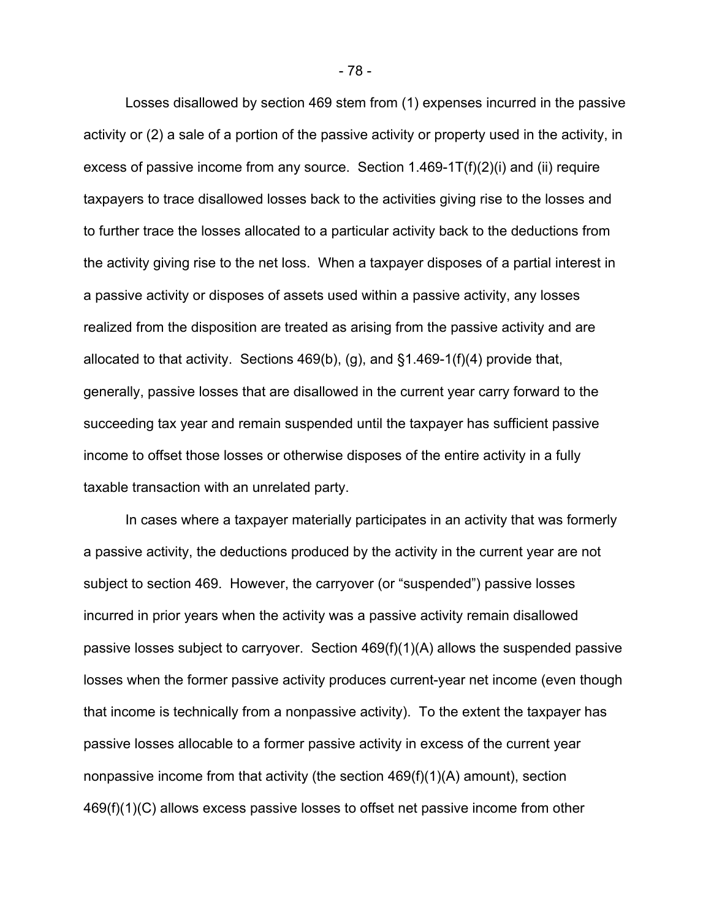Losses disallowed by section 469 stem from (1) expenses incurred in the passive activity or (2) a sale of a portion of the passive activity or property used in the activity, in excess of passive income from any source. Section 1.469-1T(f)(2)(i) and (ii) require taxpayers to trace disallowed losses back to the activities giving rise to the losses and to further trace the losses allocated to a particular activity back to the deductions from the activity giving rise to the net loss. When a taxpayer disposes of a partial interest in a passive activity or disposes of assets used within a passive activity, any losses realized from the disposition are treated as arising from the passive activity and are allocated to that activity. Sections 469(b), (g), and §1.469-1(f)(4) provide that, generally, passive losses that are disallowed in the current year carry forward to the succeeding tax year and remain suspended until the taxpayer has sufficient passive income to offset those losses or otherwise disposes of the entire activity in a fully taxable transaction with an unrelated party.

In cases where a taxpayer materially participates in an activity that was formerly a passive activity, the deductions produced by the activity in the current year are not subject to section 469. However, the carryover (or "suspended") passive losses incurred in prior years when the activity was a passive activity remain disallowed passive losses subject to carryover. Section 469(f)(1)(A) allows the suspended passive losses when the former passive activity produces current-year net income (even though that income is technically from a nonpassive activity). To the extent the taxpayer has passive losses allocable to a former passive activity in excess of the current year nonpassive income from that activity (the section 469(f)(1)(A) amount), section 469(f)(1)(C) allows excess passive losses to offset net passive income from other

- 78 -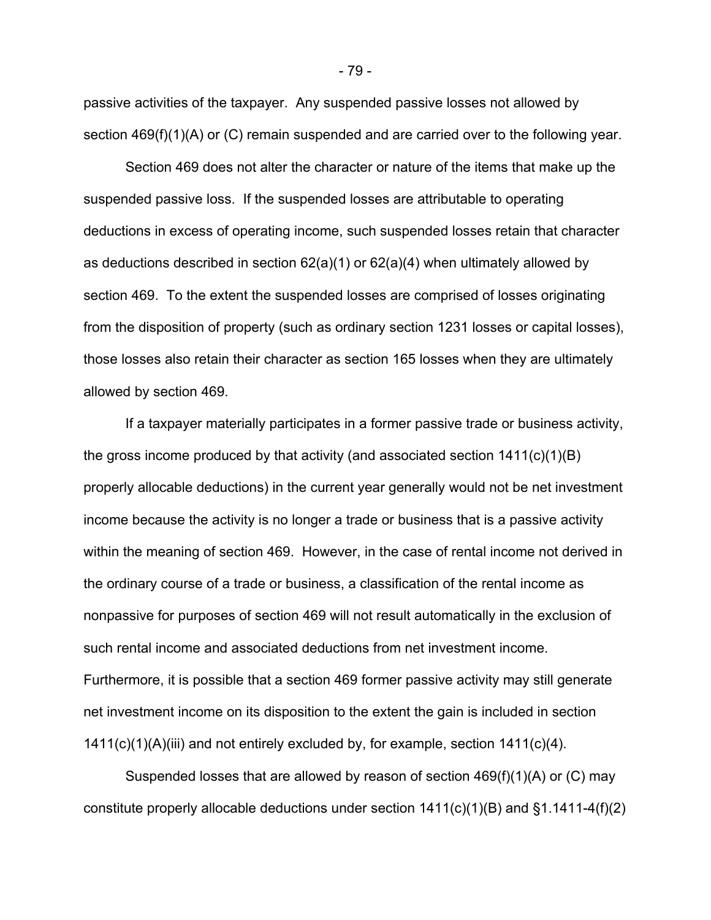passive activities of the taxpayer. Any suspended passive losses not allowed by section 469(f)(1)(A) or (C) remain suspended and are carried over to the following year.

Section 469 does not alter the character or nature of the items that make up the suspended passive loss. If the suspended losses are attributable to operating deductions in excess of operating income, such suspended losses retain that character as deductions described in section 62(a)(1) or 62(a)(4) when ultimately allowed by section 469. To the extent the suspended losses are comprised of losses originating from the disposition of property (such as ordinary section 1231 losses or capital losses), those losses also retain their character as section 165 losses when they are ultimately allowed by section 469.

If a taxpayer materially participates in a former passive trade or business activity, the gross income produced by that activity (and associated section 1411(c)(1)(B) properly allocable deductions) in the current year generally would not be net investment income because the activity is no longer a trade or business that is a passive activity within the meaning of section 469. However, in the case of rental income not derived in the ordinary course of a trade or business, a classification of the rental income as nonpassive for purposes of section 469 will not result automatically in the exclusion of such rental income and associated deductions from net investment income. Furthermore, it is possible that a section 469 former passive activity may still generate net investment income on its disposition to the extent the gain is included in section 1411(c)(1)(A)(iii) and not entirely excluded by, for example, section 1411(c)(4).

Suspended losses that are allowed by reason of section 469(f)(1)(A) or (C) may constitute properly allocable deductions under section  $1411(c)(1)(B)$  and  $\S1.1411-4(f)(2)$ 

- 79 -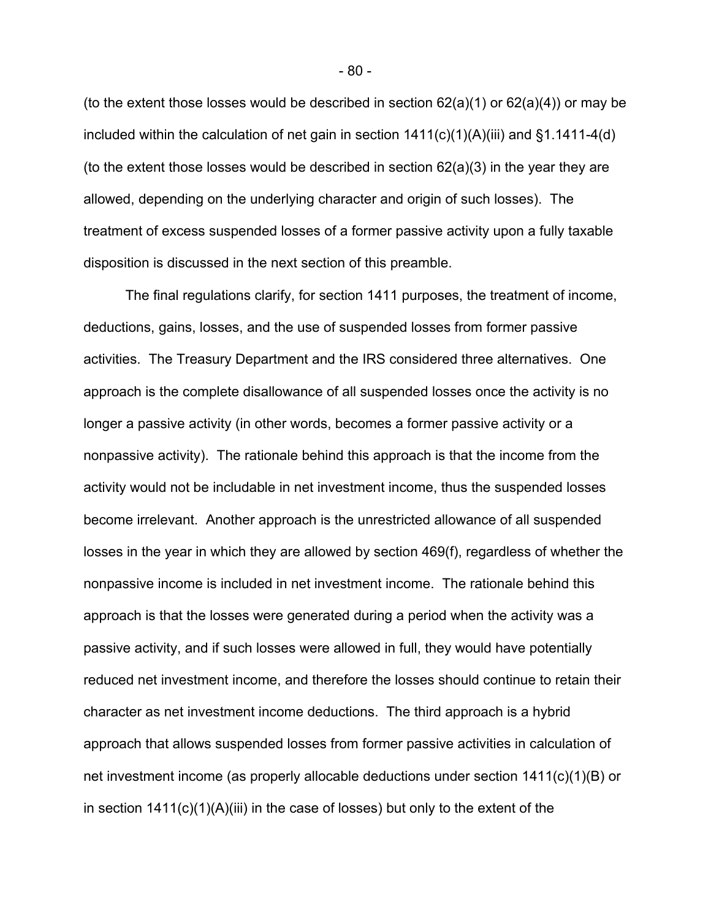(to the extent those losses would be described in section  $62(a)(1)$  or  $62(a)(4)$ ) or may be included within the calculation of net gain in section  $1411(c)(1)(A)(iii)$  and  $§1.1411-4(d)$ (to the extent those losses would be described in section 62(a)(3) in the year they are allowed, depending on the underlying character and origin of such losses). The treatment of excess suspended losses of a former passive activity upon a fully taxable disposition is discussed in the next section of this preamble.

 The final regulations clarify, for section 1411 purposes, the treatment of income, deductions, gains, losses, and the use of suspended losses from former passive activities. The Treasury Department and the IRS considered three alternatives. One approach is the complete disallowance of all suspended losses once the activity is no longer a passive activity (in other words, becomes a former passive activity or a nonpassive activity). The rationale behind this approach is that the income from the activity would not be includable in net investment income, thus the suspended losses become irrelevant. Another approach is the unrestricted allowance of all suspended losses in the year in which they are allowed by section 469(f), regardless of whether the nonpassive income is included in net investment income. The rationale behind this approach is that the losses were generated during a period when the activity was a passive activity, and if such losses were allowed in full, they would have potentially reduced net investment income, and therefore the losses should continue to retain their character as net investment income deductions. The third approach is a hybrid approach that allows suspended losses from former passive activities in calculation of net investment income (as properly allocable deductions under section 1411(c)(1)(B) or in section  $1411(c)(1)(A)(iii)$  in the case of losses) but only to the extent of the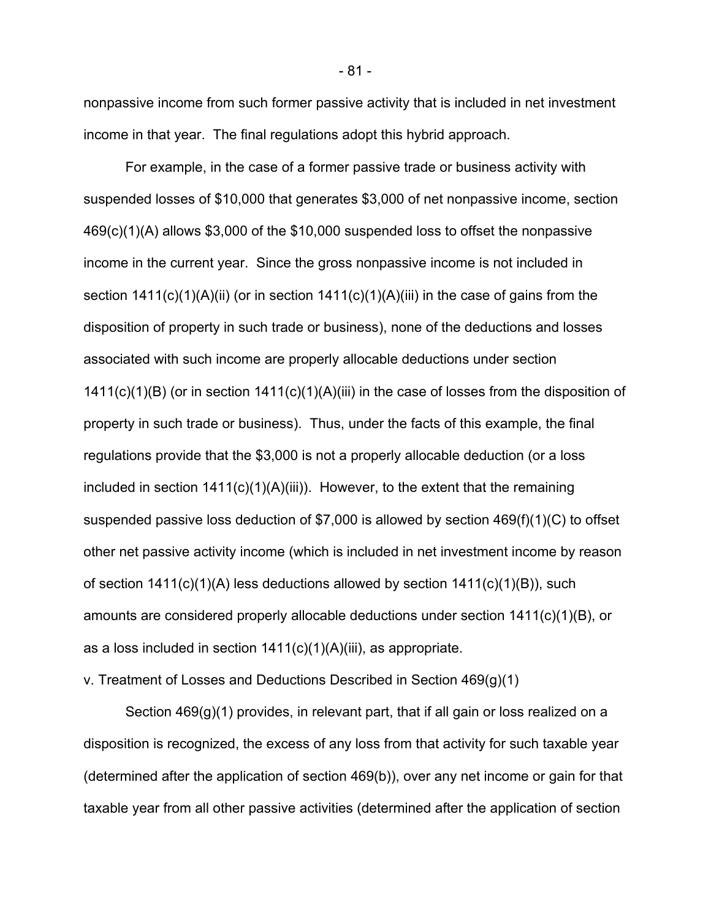nonpassive income from such former passive activity that is included in net investment income in that year. The final regulations adopt this hybrid approach.

For example, in the case of a former passive trade or business activity with suspended losses of \$10,000 that generates \$3,000 of net nonpassive income, section 469(c)(1)(A) allows \$3,000 of the \$10,000 suspended loss to offset the nonpassive income in the current year. Since the gross nonpassive income is not included in section  $1411(c)(1)(A)(ii)$  (or in section  $1411(c)(1)(A)(iii)$  in the case of gains from the disposition of property in such trade or business), none of the deductions and losses associated with such income are properly allocable deductions under section 1411(c)(1)(B) (or in section 1411(c)(1)(A)(iii) in the case of losses from the disposition of property in such trade or business). Thus, under the facts of this example, the final regulations provide that the \$3,000 is not a properly allocable deduction (or a loss included in section  $1411(c)(1)(A)(iii)$ . However, to the extent that the remaining suspended passive loss deduction of \$7,000 is allowed by section 469(f)(1)(C) to offset other net passive activity income (which is included in net investment income by reason of section 1411(c)(1)(A) less deductions allowed by section 1411(c)(1)(B)), such amounts are considered properly allocable deductions under section 1411(c)(1)(B), or as a loss included in section 1411(c)(1)(A)(iii), as appropriate.

v. Treatment of Losses and Deductions Described in Section 469(g)(1)

Section 469(g)(1) provides, in relevant part, that if all gain or loss realized on a disposition is recognized, the excess of any loss from that activity for such taxable year (determined after the application of section 469(b)), over any net income or gain for that taxable year from all other passive activities (determined after the application of section

- 81 -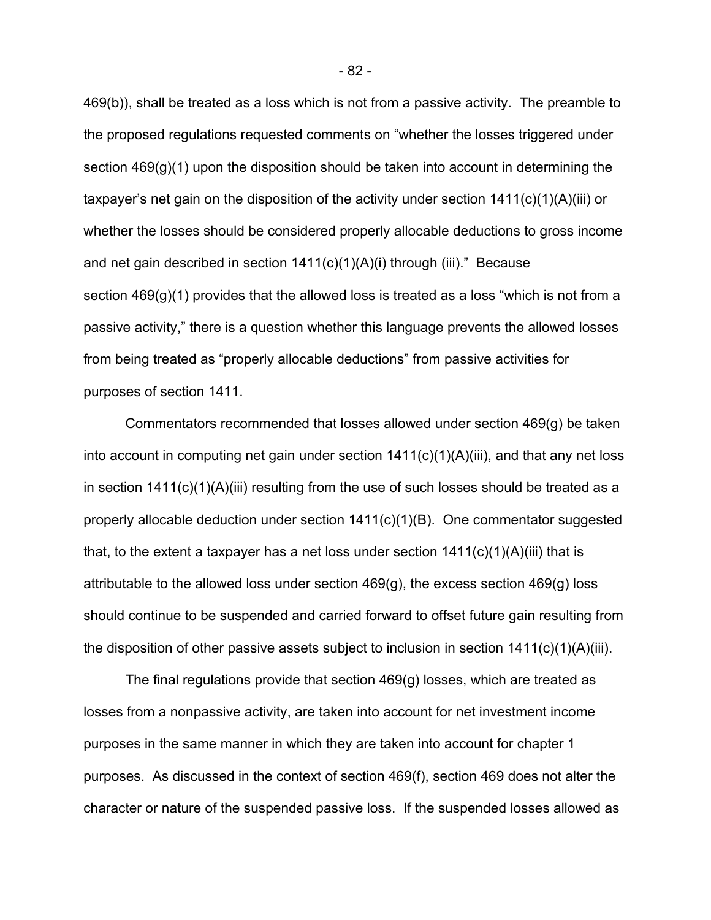469(b)), shall be treated as a loss which is not from a passive activity. The preamble to the proposed regulations requested comments on "whether the losses triggered under section 469(g)(1) upon the disposition should be taken into account in determining the taxpayer's net gain on the disposition of the activity under section 1411(c)(1)(A)(iii) or whether the losses should be considered properly allocable deductions to gross income and net gain described in section 1411(c)(1)(A)(i) through (iii)." Because section 469(g)(1) provides that the allowed loss is treated as a loss "which is not from a passive activity," there is a question whether this language prevents the allowed losses from being treated as "properly allocable deductions" from passive activities for purposes of section 1411.

Commentators recommended that losses allowed under section 469(g) be taken into account in computing net gain under section 1411(c)(1)(A)(iii), and that any net loss in section 1411(c)(1)(A)(iii) resulting from the use of such losses should be treated as a properly allocable deduction under section  $1411(c)(1)(B)$ . One commentator suggested that, to the extent a taxpayer has a net loss under section  $1411(c)(1)(A)(iii)$  that is attributable to the allowed loss under section 469(g), the excess section 469(g) loss should continue to be suspended and carried forward to offset future gain resulting from the disposition of other passive assets subject to inclusion in section 1411(c)(1)(A)(iii).

The final regulations provide that section 469(g) losses, which are treated as losses from a nonpassive activity, are taken into account for net investment income purposes in the same manner in which they are taken into account for chapter 1 purposes. As discussed in the context of section 469(f), section 469 does not alter the character or nature of the suspended passive loss. If the suspended losses allowed as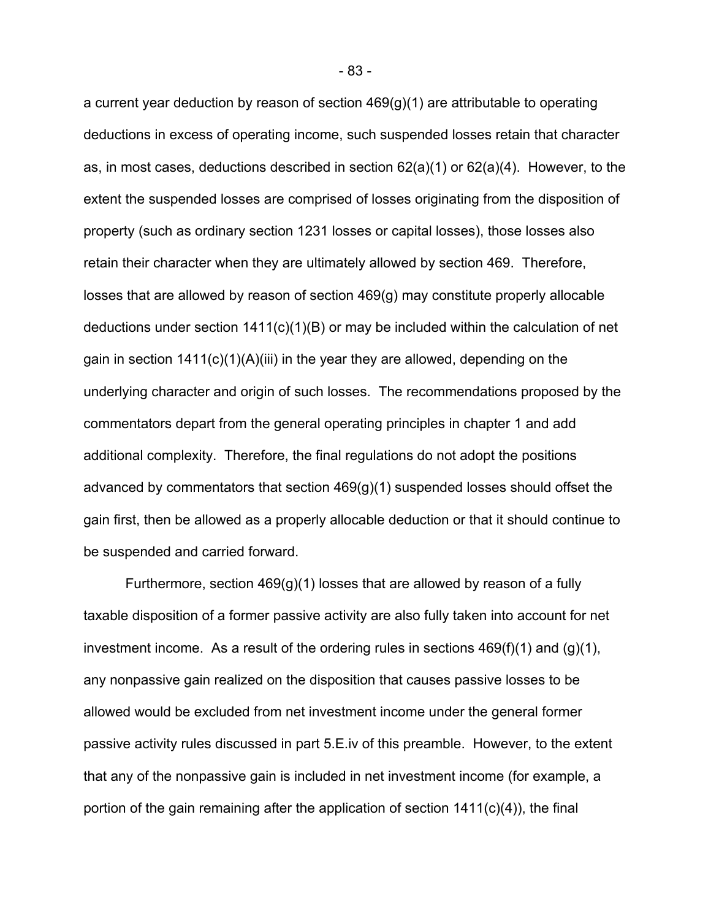a current year deduction by reason of section 469(g)(1) are attributable to operating deductions in excess of operating income, such suspended losses retain that character as, in most cases, deductions described in section 62(a)(1) or 62(a)(4). However, to the extent the suspended losses are comprised of losses originating from the disposition of property (such as ordinary section 1231 losses or capital losses), those losses also retain their character when they are ultimately allowed by section 469. Therefore, losses that are allowed by reason of section 469(g) may constitute properly allocable deductions under section  $1411(c)(1)(B)$  or may be included within the calculation of net gain in section  $1411(c)(1)(A)(iii)$  in the year they are allowed, depending on the underlying character and origin of such losses. The recommendations proposed by the commentators depart from the general operating principles in chapter 1 and add additional complexity. Therefore, the final regulations do not adopt the positions advanced by commentators that section 469(g)(1) suspended losses should offset the gain first, then be allowed as a properly allocable deduction or that it should continue to be suspended and carried forward.

Furthermore, section 469(g)(1) losses that are allowed by reason of a fully taxable disposition of a former passive activity are also fully taken into account for net investment income. As a result of the ordering rules in sections  $469(f)(1)$  and  $(g)(1)$ , any nonpassive gain realized on the disposition that causes passive losses to be allowed would be excluded from net investment income under the general former passive activity rules discussed in part 5.E.iv of this preamble. However, to the extent that any of the nonpassive gain is included in net investment income (for example, a portion of the gain remaining after the application of section 1411(c)(4)), the final

- 83 -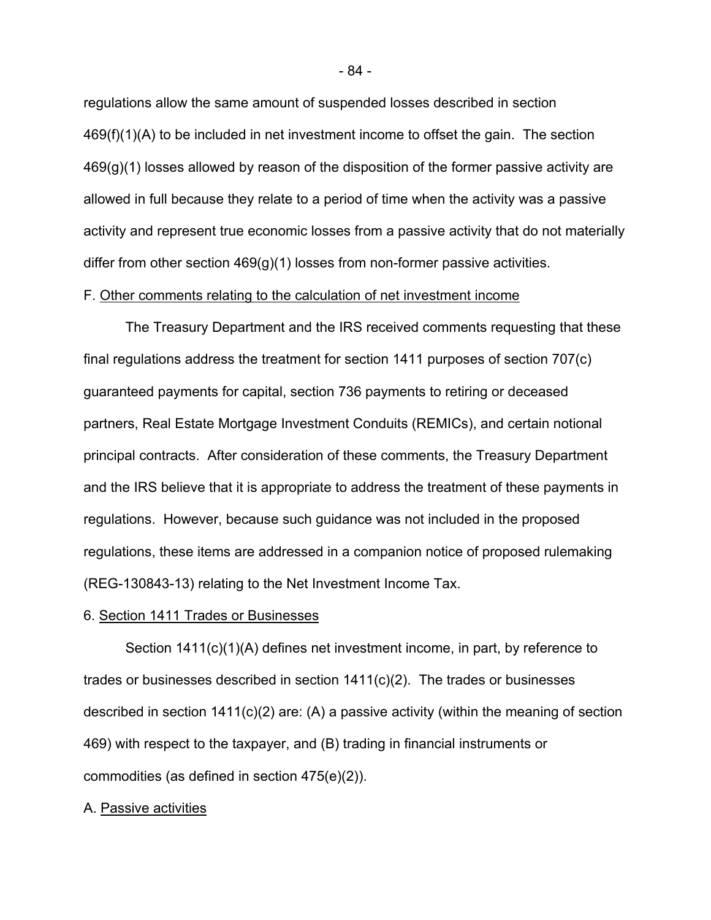regulations allow the same amount of suspended losses described in section 469(f)(1)(A) to be included in net investment income to offset the gain. The section 469(g)(1) losses allowed by reason of the disposition of the former passive activity are allowed in full because they relate to a period of time when the activity was a passive activity and represent true economic losses from a passive activity that do not materially differ from other section 469(g)(1) losses from non-former passive activities.

## F. Other comments relating to the calculation of net investment income

The Treasury Department and the IRS received comments requesting that these final regulations address the treatment for section 1411 purposes of section 707(c) guaranteed payments for capital, section 736 payments to retiring or deceased partners, Real Estate Mortgage Investment Conduits (REMICs), and certain notional principal contracts. After consideration of these comments, the Treasury Department and the IRS believe that it is appropriate to address the treatment of these payments in regulations. However, because such guidance was not included in the proposed regulations, these items are addressed in a companion notice of proposed rulemaking (REG-130843-13) relating to the Net Investment Income Tax.

#### 6. Section 1411 Trades or Businesses

Section 1411(c)(1)(A) defines net investment income, in part, by reference to trades or businesses described in section 1411(c)(2). The trades or businesses described in section  $1411(c)(2)$  are: (A) a passive activity (within the meaning of section 469) with respect to the taxpayer, and (B) trading in financial instruments or commodities (as defined in section 475(e)(2)).

# A. Passive activities

- 84 -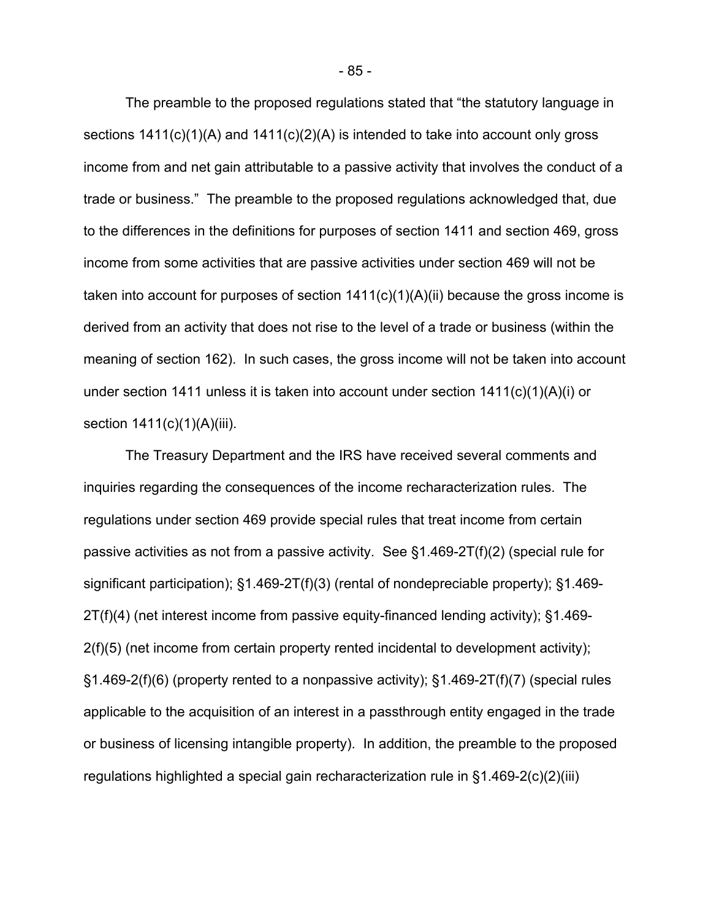The preamble to the proposed regulations stated that "the statutory language in sections 1411(c)(1)(A) and 1411(c)(2)(A) is intended to take into account only gross income from and net gain attributable to a passive activity that involves the conduct of a trade or business." The preamble to the proposed regulations acknowledged that, due to the differences in the definitions for purposes of section 1411 and section 469, gross income from some activities that are passive activities under section 469 will not be taken into account for purposes of section  $1411(c)(1)(A)(ii)$  because the gross income is derived from an activity that does not rise to the level of a trade or business (within the meaning of section 162). In such cases, the gross income will not be taken into account under section 1411 unless it is taken into account under section 1411(c)(1)(A)(i) or section 1411(c)(1)(A)(iii).

The Treasury Department and the IRS have received several comments and inquiries regarding the consequences of the income recharacterization rules. The regulations under section 469 provide special rules that treat income from certain passive activities as not from a passive activity. See §1.469-2T(f)(2) (special rule for significant participation); §1.469-2T(f)(3) (rental of nondepreciable property); §1.469- 2T(f)(4) (net interest income from passive equity-financed lending activity); §1.469- 2(f)(5) (net income from certain property rented incidental to development activity); §1.469-2(f)(6) (property rented to a nonpassive activity); §1.469-2T(f)(7) (special rules applicable to the acquisition of an interest in a passthrough entity engaged in the trade or business of licensing intangible property). In addition, the preamble to the proposed regulations highlighted a special gain recharacterization rule in §1.469-2(c)(2)(iii)

- 85 -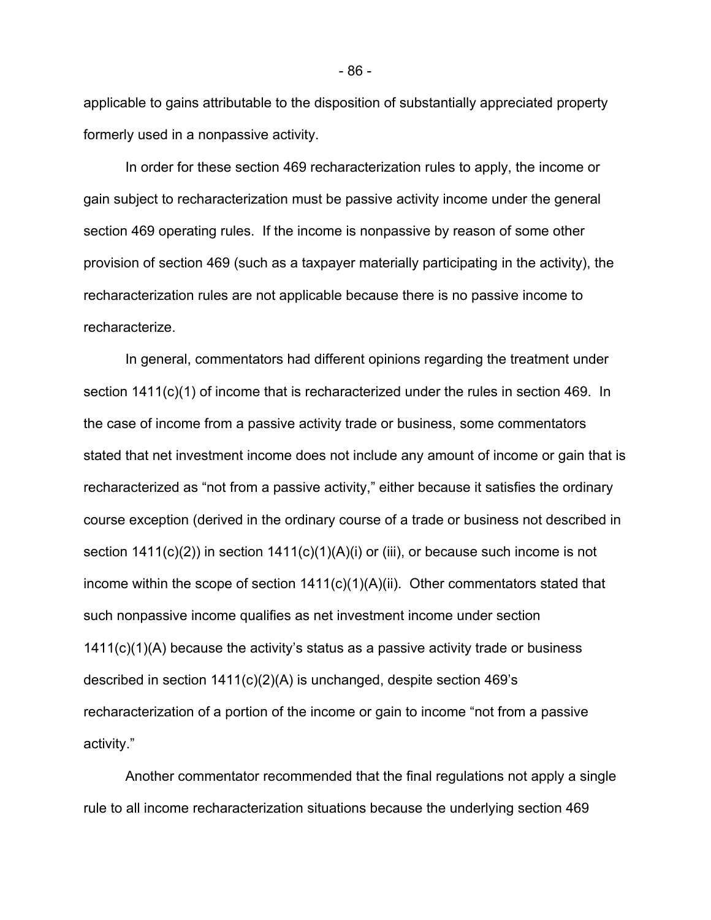applicable to gains attributable to the disposition of substantially appreciated property formerly used in a nonpassive activity.

 In order for these section 469 recharacterization rules to apply, the income or gain subject to recharacterization must be passive activity income under the general section 469 operating rules. If the income is nonpassive by reason of some other provision of section 469 (such as a taxpayer materially participating in the activity), the recharacterization rules are not applicable because there is no passive income to recharacterize.

In general, commentators had different opinions regarding the treatment under section 1411(c)(1) of income that is recharacterized under the rules in section 469. In the case of income from a passive activity trade or business, some commentators stated that net investment income does not include any amount of income or gain that is recharacterized as "not from a passive activity," either because it satisfies the ordinary course exception (derived in the ordinary course of a trade or business not described in section  $1411(c)(2)$ ) in section  $1411(c)(1)(A)(i)$  or (iii), or because such income is not income within the scope of section  $1411(c)(1)(A)(ii)$ . Other commentators stated that such nonpassive income qualifies as net investment income under section 1411(c)(1)(A) because the activity's status as a passive activity trade or business described in section  $1411(c)(2)(A)$  is unchanged, despite section 469's recharacterization of a portion of the income or gain to income "not from a passive activity."

Another commentator recommended that the final regulations not apply a single rule to all income recharacterization situations because the underlying section 469

- 86 -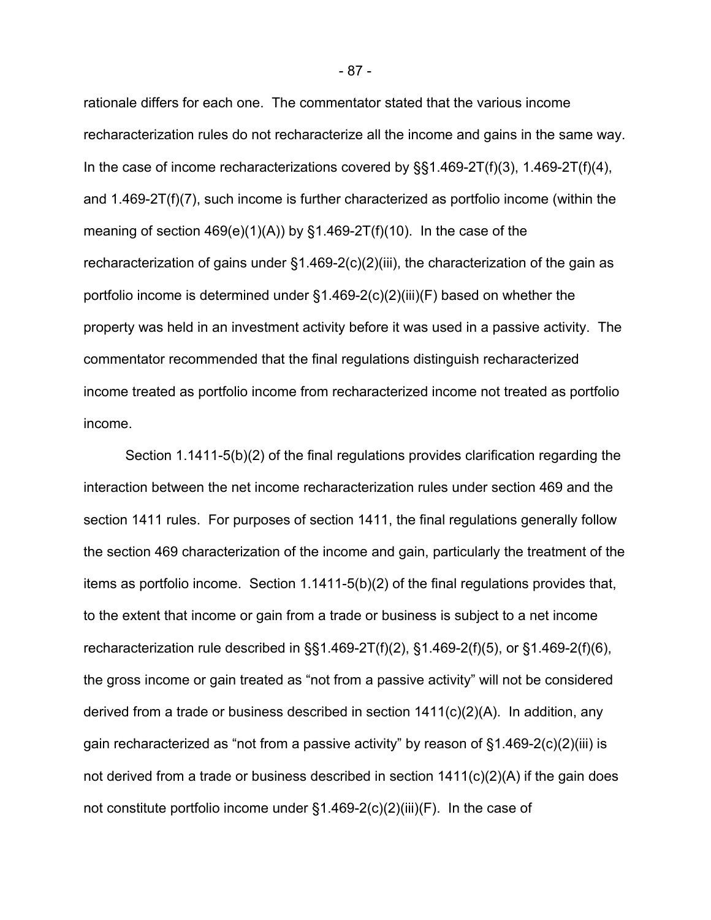rationale differs for each one. The commentator stated that the various income recharacterization rules do not recharacterize all the income and gains in the same way. In the case of income recharacterizations covered by  $\S$ §1.469-2T(f)(3), 1.469-2T(f)(4), and 1.469-2T(f)(7), such income is further characterized as portfolio income (within the meaning of section  $469(e)(1)(A)$  by  $§1.469-2T(f)(10)$ . In the case of the recharacterization of gains under §1.469-2(c)(2)(iii), the characterization of the gain as portfolio income is determined under §1.469-2(c)(2)(iii)(F) based on whether the property was held in an investment activity before it was used in a passive activity. The commentator recommended that the final regulations distinguish recharacterized income treated as portfolio income from recharacterized income not treated as portfolio income.

 Section 1.1411-5(b)(2) of the final regulations provides clarification regarding the interaction between the net income recharacterization rules under section 469 and the section 1411 rules. For purposes of section 1411, the final regulations generally follow the section 469 characterization of the income and gain, particularly the treatment of the items as portfolio income. Section 1.1411-5(b)(2) of the final regulations provides that, to the extent that income or gain from a trade or business is subject to a net income recharacterization rule described in §§1.469-2T(f)(2), §1.469-2(f)(5), or §1.469-2(f)(6), the gross income or gain treated as "not from a passive activity" will not be considered derived from a trade or business described in section 1411(c)(2)(A). In addition, any gain recharacterized as "not from a passive activity" by reason of §1.469-2(c)(2)(iii) is not derived from a trade or business described in section 1411(c)(2)(A) if the gain does not constitute portfolio income under  $\S1.469-2(c)(2)(iii)(F)$ . In the case of

- 87 -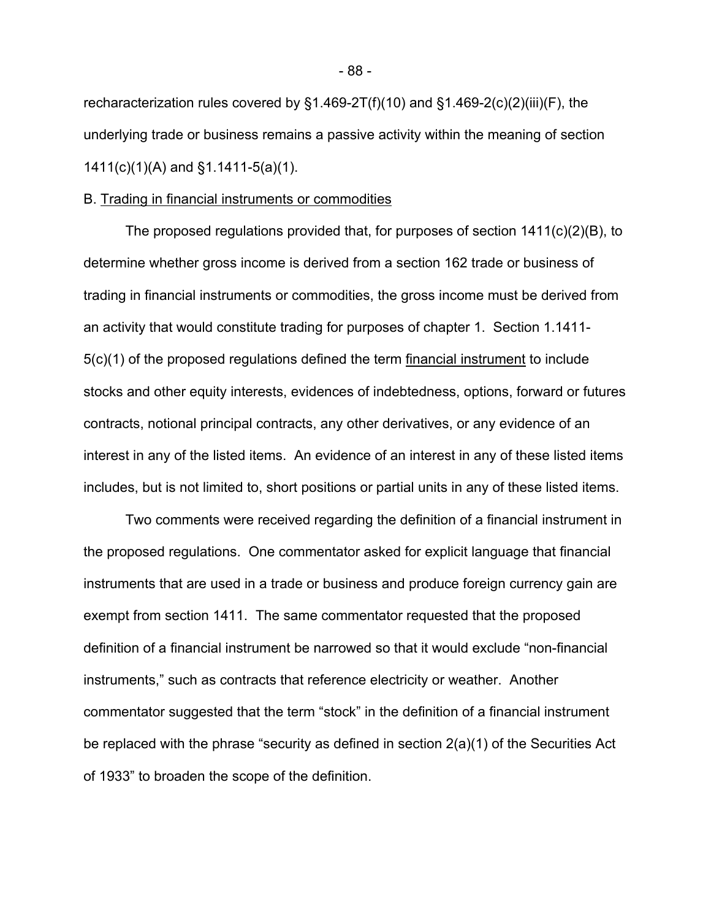recharacterization rules covered by §1.469-2T(f)(10) and §1.469-2(c)(2)(iii)(F), the underlying trade or business remains a passive activity within the meaning of section 1411(c)(1)(A) and §1.1411-5(a)(1).

#### B. Trading in financial instruments or commodities

The proposed regulations provided that, for purposes of section 1411(c)(2)(B), to determine whether gross income is derived from a section 162 trade or business of trading in financial instruments or commodities, the gross income must be derived from an activity that would constitute trading for purposes of chapter 1. Section 1.1411- 5(c)(1) of the proposed regulations defined the term financial instrument to include stocks and other equity interests, evidences of indebtedness, options, forward or futures contracts, notional principal contracts, any other derivatives, or any evidence of an interest in any of the listed items. An evidence of an interest in any of these listed items includes, but is not limited to, short positions or partial units in any of these listed items.

Two comments were received regarding the definition of a financial instrument in the proposed regulations. One commentator asked for explicit language that financial instruments that are used in a trade or business and produce foreign currency gain are exempt from section 1411. The same commentator requested that the proposed definition of a financial instrument be narrowed so that it would exclude "non-financial instruments," such as contracts that reference electricity or weather. Another commentator suggested that the term "stock" in the definition of a financial instrument be replaced with the phrase "security as defined in section 2(a)(1) of the Securities Act of 1933" to broaden the scope of the definition.

- 88 -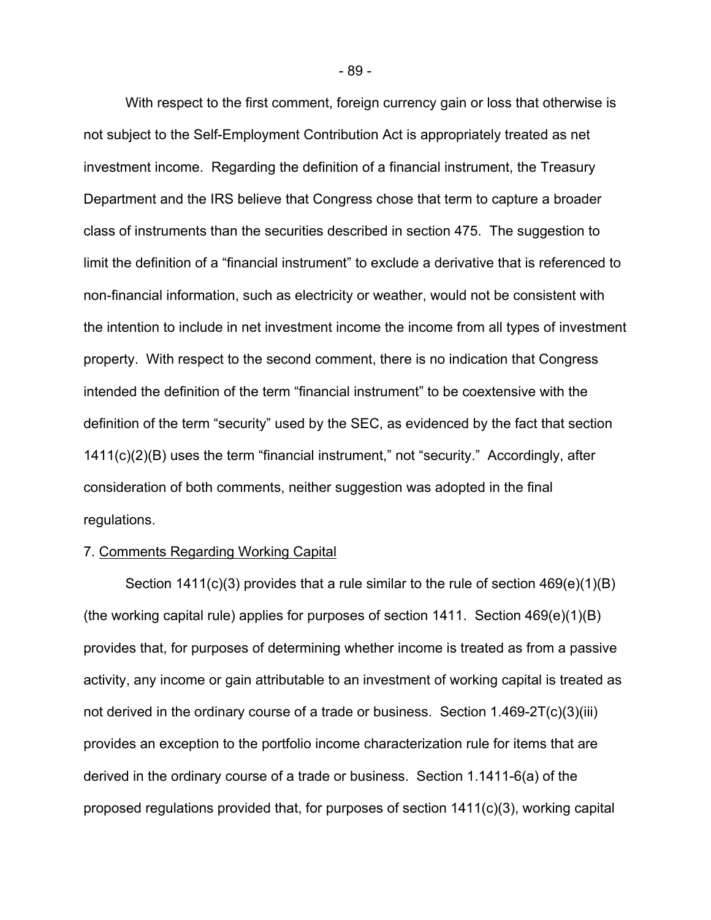With respect to the first comment, foreign currency gain or loss that otherwise is not subject to the Self-Employment Contribution Act is appropriately treated as net investment income. Regarding the definition of a financial instrument, the Treasury Department and the IRS believe that Congress chose that term to capture a broader class of instruments than the securities described in section 475. The suggestion to limit the definition of a "financial instrument" to exclude a derivative that is referenced to non-financial information, such as electricity or weather, would not be consistent with the intention to include in net investment income the income from all types of investment property. With respect to the second comment, there is no indication that Congress intended the definition of the term "financial instrument" to be coextensive with the definition of the term "security" used by the SEC, as evidenced by the fact that section 1411(c)(2)(B) uses the term "financial instrument," not "security." Accordingly, after consideration of both comments, neither suggestion was adopted in the final regulations.

#### 7. Comments Regarding Working Capital

Section 1411(c)(3) provides that a rule similar to the rule of section 469(e)(1)(B) (the working capital rule) applies for purposes of section 1411. Section 469(e)(1)(B) provides that, for purposes of determining whether income is treated as from a passive activity, any income or gain attributable to an investment of working capital is treated as not derived in the ordinary course of a trade or business. Section 1.469-2T(c)(3)(iii) provides an exception to the portfolio income characterization rule for items that are derived in the ordinary course of a trade or business. Section 1.1411-6(a) of the proposed regulations provided that, for purposes of section 1411(c)(3), working capital

- 89 -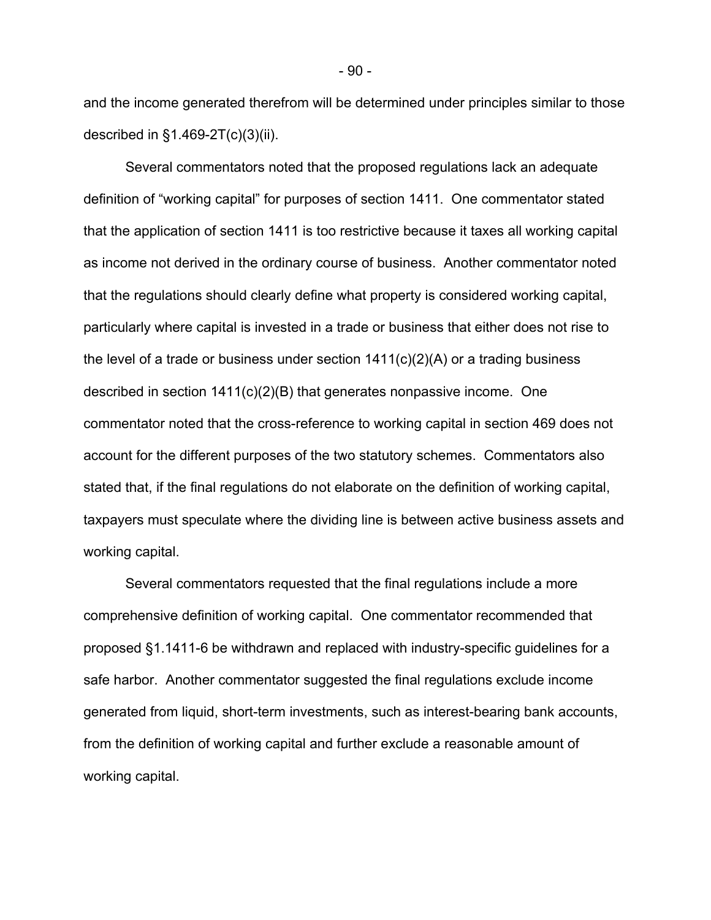and the income generated therefrom will be determined under principles similar to those described in §1.469-2T(c)(3)(ii).

Several commentators noted that the proposed regulations lack an adequate definition of "working capital" for purposes of section 1411. One commentator stated that the application of section 1411 is too restrictive because it taxes all working capital as income not derived in the ordinary course of business. Another commentator noted that the regulations should clearly define what property is considered working capital, particularly where capital is invested in a trade or business that either does not rise to the level of a trade or business under section  $1411(c)(2)(A)$  or a trading business described in section  $1411(c)(2)(B)$  that generates nonpassive income. One commentator noted that the cross-reference to working capital in section 469 does not account for the different purposes of the two statutory schemes. Commentators also stated that, if the final regulations do not elaborate on the definition of working capital, taxpayers must speculate where the dividing line is between active business assets and working capital.

Several commentators requested that the final regulations include a more comprehensive definition of working capital. One commentator recommended that proposed §1.1411-6 be withdrawn and replaced with industry-specific guidelines for a safe harbor. Another commentator suggested the final regulations exclude income generated from liquid, short-term investments, such as interest-bearing bank accounts, from the definition of working capital and further exclude a reasonable amount of working capital.

- 90 -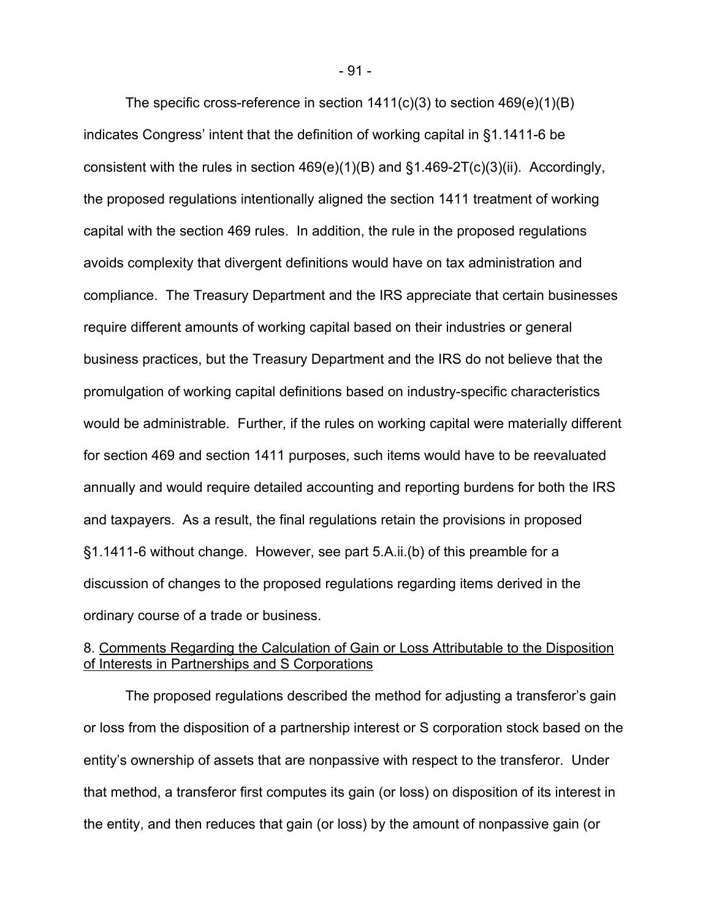The specific cross-reference in section  $1411(c)(3)$  to section  $469(e)(1)(B)$ indicates Congress' intent that the definition of working capital in §1.1411-6 be consistent with the rules in section  $469(e)(1)(B)$  and  $\S1.469-2T(c)(3)(ii)$ . Accordingly, the proposed regulations intentionally aligned the section 1411 treatment of working capital with the section 469 rules. In addition, the rule in the proposed regulations avoids complexity that divergent definitions would have on tax administration and compliance. The Treasury Department and the IRS appreciate that certain businesses require different amounts of working capital based on their industries or general business practices, but the Treasury Department and the IRS do not believe that the promulgation of working capital definitions based on industry-specific characteristics would be administrable. Further, if the rules on working capital were materially different for section 469 and section 1411 purposes, such items would have to be reevaluated annually and would require detailed accounting and reporting burdens for both the IRS and taxpayers. As a result, the final regulations retain the provisions in proposed §1.1411-6 without change. However, see part 5.A.ii.(b) of this preamble for a discussion of changes to the proposed regulations regarding items derived in the ordinary course of a trade or business.

# 8. Comments Regarding the Calculation of Gain or Loss Attributable to the Disposition of Interests in Partnerships and S Corporations

The proposed regulations described the method for adjusting a transferor's gain or loss from the disposition of a partnership interest or S corporation stock based on the entity's ownership of assets that are nonpassive with respect to the transferor. Under that method, a transferor first computes its gain (or loss) on disposition of its interest in the entity, and then reduces that gain (or loss) by the amount of nonpassive gain (or

- 91 -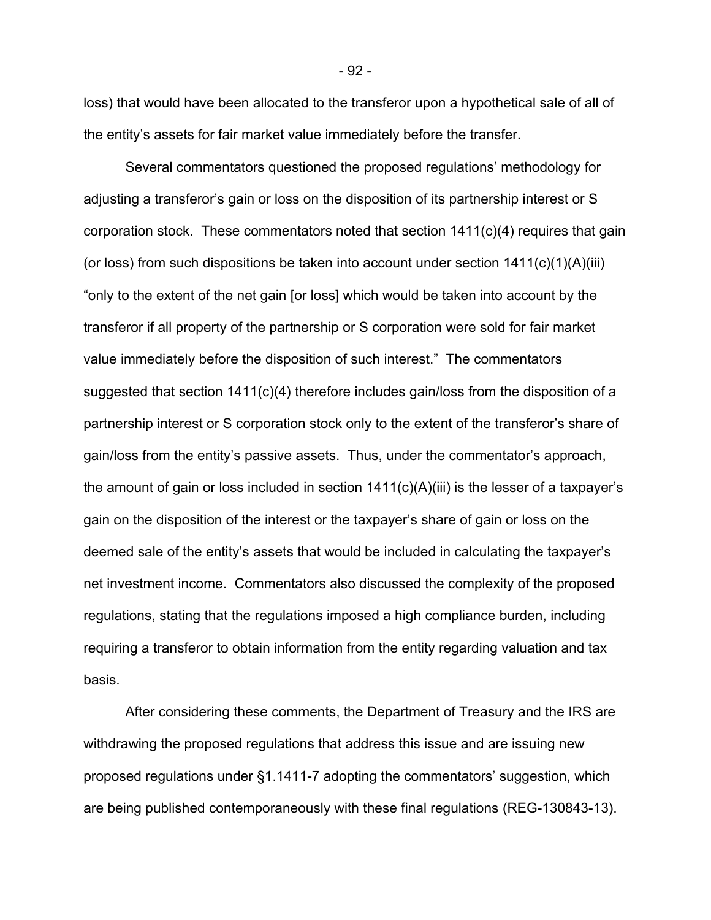loss) that would have been allocated to the transferor upon a hypothetical sale of all of the entity's assets for fair market value immediately before the transfer.

Several commentators questioned the proposed regulations' methodology for adjusting a transferor's gain or loss on the disposition of its partnership interest or S corporation stock. These commentators noted that section 1411(c)(4) requires that gain (or loss) from such dispositions be taken into account under section  $1411(c)(1)(A)(iii)$ "only to the extent of the net gain [or loss] which would be taken into account by the transferor if all property of the partnership or S corporation were sold for fair market value immediately before the disposition of such interest." The commentators suggested that section 1411(c)(4) therefore includes gain/loss from the disposition of a partnership interest or S corporation stock only to the extent of the transferor's share of gain/loss from the entity's passive assets. Thus, under the commentator's approach, the amount of gain or loss included in section  $1411(c)(A)(iii)$  is the lesser of a taxpayer's gain on the disposition of the interest or the taxpayer's share of gain or loss on the deemed sale of the entity's assets that would be included in calculating the taxpayer's net investment income. Commentators also discussed the complexity of the proposed regulations, stating that the regulations imposed a high compliance burden, including requiring a transferor to obtain information from the entity regarding valuation and tax basis.

After considering these comments, the Department of Treasury and the IRS are withdrawing the proposed regulations that address this issue and are issuing new proposed regulations under §1.1411-7 adopting the commentators' suggestion, which are being published contemporaneously with these final regulations (REG-130843-13).

- 92 -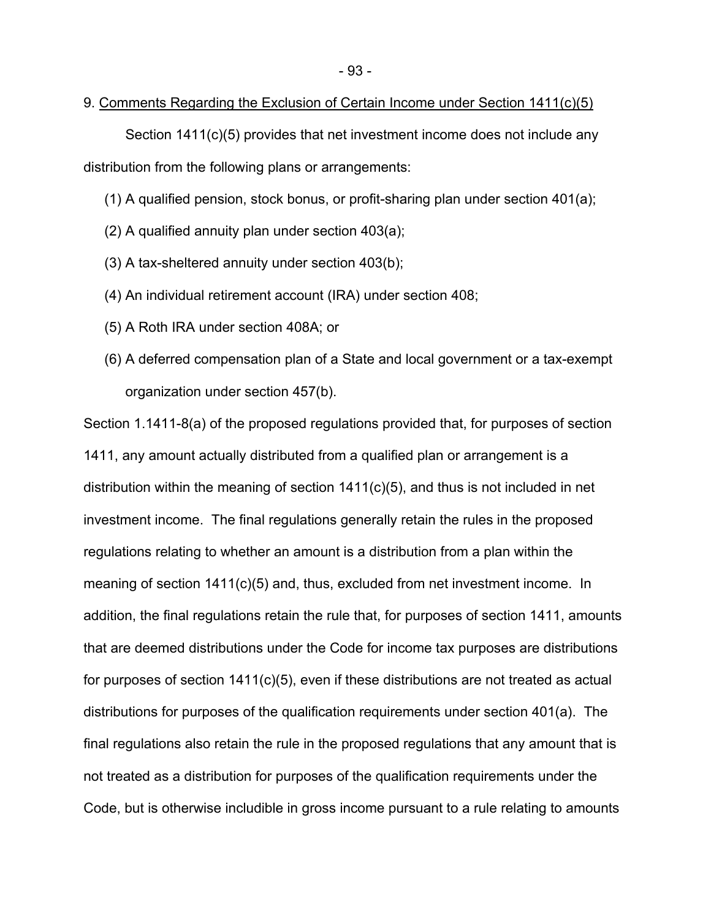### 9. Comments Regarding the Exclusion of Certain Income under Section 1411(c)(5)

Section 1411(c)(5) provides that net investment income does not include any distribution from the following plans or arrangements:

- (1) A qualified pension, stock bonus, or profit-sharing plan under section 401(a);
- (2) A qualified annuity plan under section 403(a);
- (3) A tax-sheltered annuity under section 403(b);
- (4) An individual retirement account (IRA) under section 408;
- (5) A Roth IRA under section 408A; or
- (6) A deferred compensation plan of a State and local government or a tax-exempt organization under section 457(b).

Section 1.1411-8(a) of the proposed regulations provided that, for purposes of section 1411, any amount actually distributed from a qualified plan or arrangement is a distribution within the meaning of section 1411(c)(5), and thus is not included in net investment income. The final regulations generally retain the rules in the proposed regulations relating to whether an amount is a distribution from a plan within the meaning of section 1411(c)(5) and, thus, excluded from net investment income. In addition, the final regulations retain the rule that, for purposes of section 1411, amounts that are deemed distributions under the Code for income tax purposes are distributions for purposes of section  $1411(c)(5)$ , even if these distributions are not treated as actual distributions for purposes of the qualification requirements under section 401(a). The final regulations also retain the rule in the proposed regulations that any amount that is not treated as a distribution for purposes of the qualification requirements under the Code, but is otherwise includible in gross income pursuant to a rule relating to amounts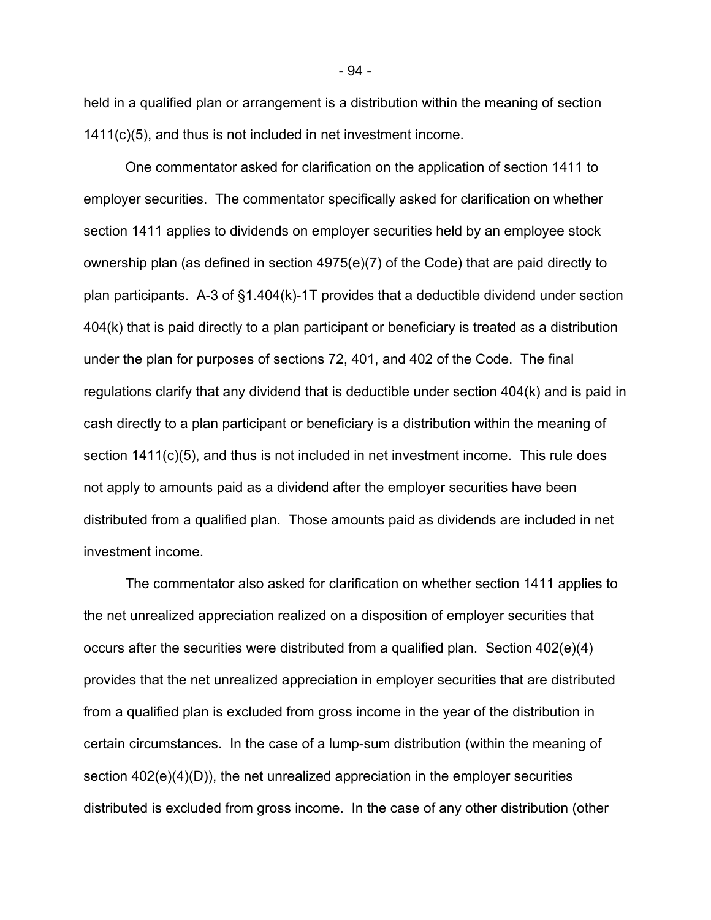held in a qualified plan or arrangement is a distribution within the meaning of section 1411(c)(5), and thus is not included in net investment income.

 One commentator asked for clarification on the application of section 1411 to employer securities. The commentator specifically asked for clarification on whether section 1411 applies to dividends on employer securities held by an employee stock ownership plan (as defined in section 4975(e)(7) of the Code) that are paid directly to plan participants. A-3 of §1.404(k)-1T provides that a deductible dividend under section 404(k) that is paid directly to a plan participant or beneficiary is treated as a distribution under the plan for purposes of sections 72, 401, and 402 of the Code. The final regulations clarify that any dividend that is deductible under section 404(k) and is paid in cash directly to a plan participant or beneficiary is a distribution within the meaning of section 1411(c)(5), and thus is not included in net investment income. This rule does not apply to amounts paid as a dividend after the employer securities have been distributed from a qualified plan. Those amounts paid as dividends are included in net investment income.

 The commentator also asked for clarification on whether section 1411 applies to the net unrealized appreciation realized on a disposition of employer securities that occurs after the securities were distributed from a qualified plan. Section 402(e)(4) provides that the net unrealized appreciation in employer securities that are distributed from a qualified plan is excluded from gross income in the year of the distribution in certain circumstances. In the case of a lump-sum distribution (within the meaning of section 402(e)(4)(D)), the net unrealized appreciation in the employer securities distributed is excluded from gross income. In the case of any other distribution (other

- 94 -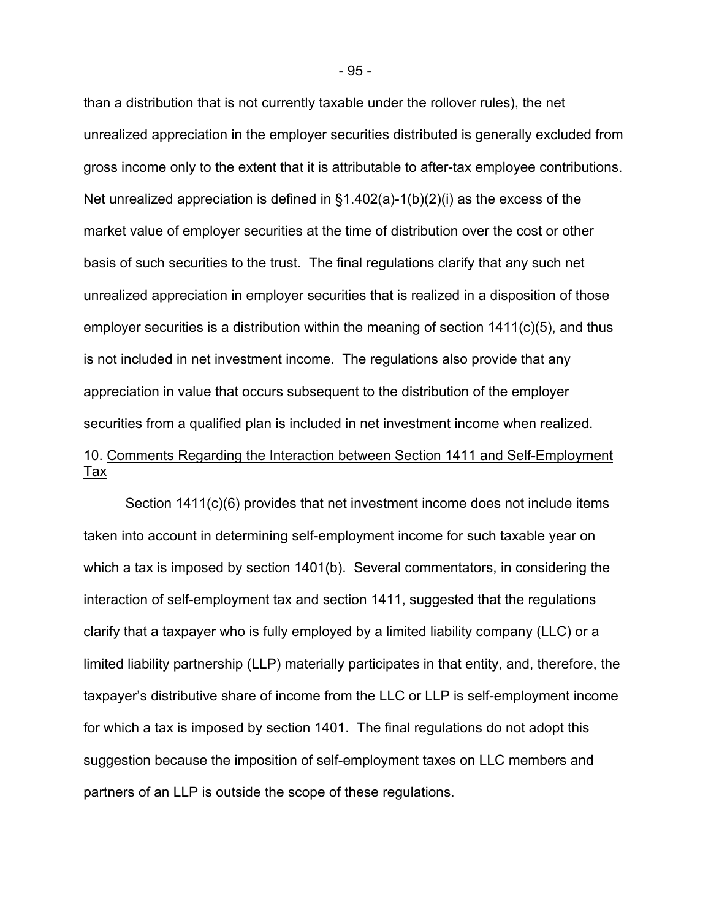than a distribution that is not currently taxable under the rollover rules), the net unrealized appreciation in the employer securities distributed is generally excluded from gross income only to the extent that it is attributable to after-tax employee contributions. Net unrealized appreciation is defined in  $\S1.402(a)-1(b)(2)(i)$  as the excess of the market value of employer securities at the time of distribution over the cost or other basis of such securities to the trust. The final regulations clarify that any such net unrealized appreciation in employer securities that is realized in a disposition of those employer securities is a distribution within the meaning of section 1411(c)(5), and thus is not included in net investment income. The regulations also provide that any appreciation in value that occurs subsequent to the distribution of the employer securities from a qualified plan is included in net investment income when realized. 10. Comments Regarding the Interaction between Section 1411 and Self-Employment Tax

Section 1411(c)(6) provides that net investment income does not include items taken into account in determining self-employment income for such taxable year on which a tax is imposed by section 1401(b). Several commentators, in considering the interaction of self-employment tax and section 1411, suggested that the regulations clarify that a taxpayer who is fully employed by a limited liability company (LLC) or a limited liability partnership (LLP) materially participates in that entity, and, therefore, the taxpayer's distributive share of income from the LLC or LLP is self-employment income for which a tax is imposed by section 1401. The final regulations do not adopt this suggestion because the imposition of self-employment taxes on LLC members and partners of an LLP is outside the scope of these regulations.

- 95 -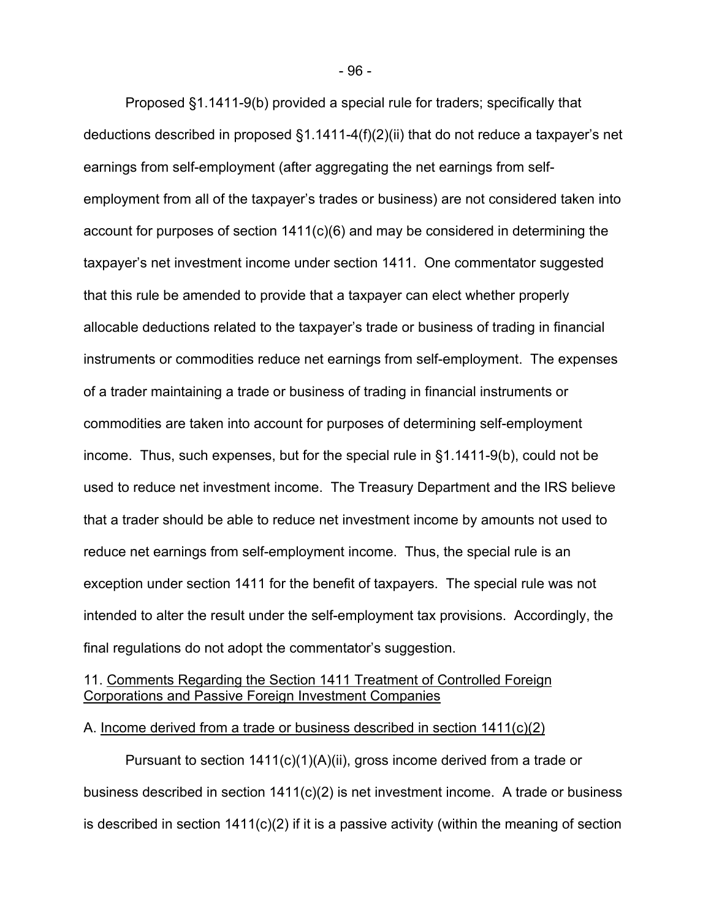Proposed §1.1411-9(b) provided a special rule for traders; specifically that deductions described in proposed §1.1411-4(f)(2)(ii) that do not reduce a taxpayer's net earnings from self-employment (after aggregating the net earnings from selfemployment from all of the taxpayer's trades or business) are not considered taken into account for purposes of section 1411(c)(6) and may be considered in determining the taxpayer's net investment income under section 1411. One commentator suggested that this rule be amended to provide that a taxpayer can elect whether properly allocable deductions related to the taxpayer's trade or business of trading in financial instruments or commodities reduce net earnings from self-employment. The expenses of a trader maintaining a trade or business of trading in financial instruments or commodities are taken into account for purposes of determining self-employment income. Thus, such expenses, but for the special rule in §1.1411-9(b), could not be used to reduce net investment income. The Treasury Department and the IRS believe that a trader should be able to reduce net investment income by amounts not used to reduce net earnings from self-employment income. Thus, the special rule is an exception under section 1411 for the benefit of taxpayers. The special rule was not intended to alter the result under the self-employment tax provisions. Accordingly, the final regulations do not adopt the commentator's suggestion.

# 11. Comments Regarding the Section 1411 Treatment of Controlled Foreign Corporations and Passive Foreign Investment Companies

# A. Income derived from a trade or business described in section 1411(c)(2)

Pursuant to section 1411(c)(1)(A)(ii), gross income derived from a trade or business described in section 1411(c)(2) is net investment income. A trade or business is described in section  $1411(c)(2)$  if it is a passive activity (within the meaning of section

- 96 -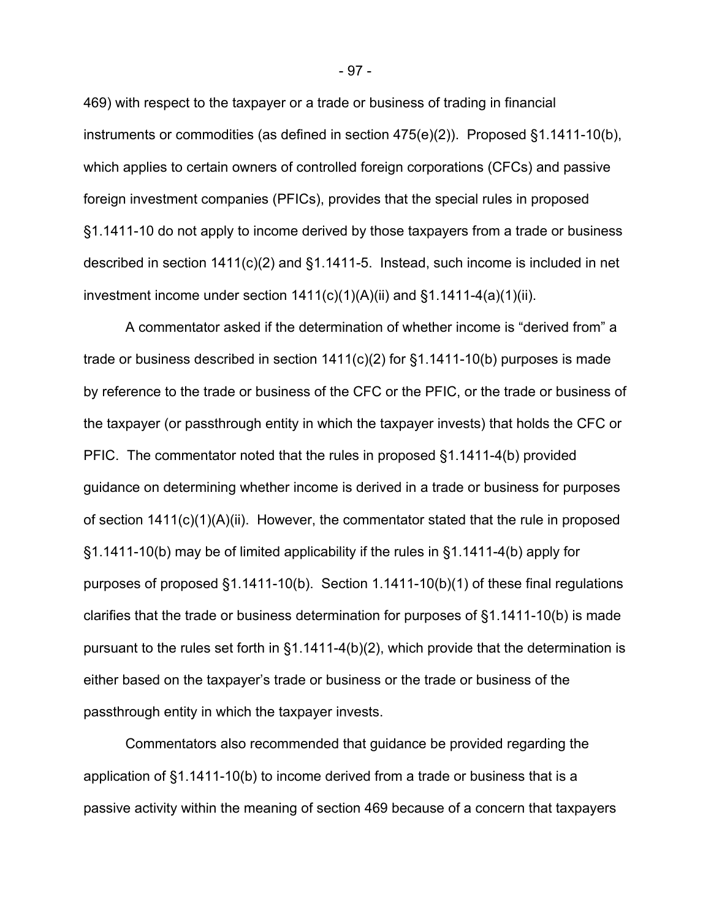469) with respect to the taxpayer or a trade or business of trading in financial instruments or commodities (as defined in section 475(e)(2)). Proposed §1.1411-10(b), which applies to certain owners of controlled foreign corporations (CFCs) and passive foreign investment companies (PFICs), provides that the special rules in proposed §1.1411-10 do not apply to income derived by those taxpayers from a trade or business described in section 1411(c)(2) and §1.1411-5. Instead, such income is included in net investment income under section  $1411(c)(1)(A)(ii)$  and  $§1.1411-4(a)(1)(ii)$ .

A commentator asked if the determination of whether income is "derived from" a trade or business described in section  $1411(c)(2)$  for §1.1411-10(b) purposes is made by reference to the trade or business of the CFC or the PFIC, or the trade or business of the taxpayer (or passthrough entity in which the taxpayer invests) that holds the CFC or PFIC. The commentator noted that the rules in proposed §1.1411-4(b) provided guidance on determining whether income is derived in a trade or business for purposes of section 1411(c)(1)(A)(ii). However, the commentator stated that the rule in proposed §1.1411-10(b) may be of limited applicability if the rules in §1.1411-4(b) apply for purposes of proposed §1.1411-10(b). Section 1.1411-10(b)(1) of these final regulations clarifies that the trade or business determination for purposes of §1.1411-10(b) is made pursuant to the rules set forth in §1.1411-4(b)(2), which provide that the determination is either based on the taxpayer's trade or business or the trade or business of the passthrough entity in which the taxpayer invests.

Commentators also recommended that guidance be provided regarding the application of §1.1411-10(b) to income derived from a trade or business that is a passive activity within the meaning of section 469 because of a concern that taxpayers

- 97 -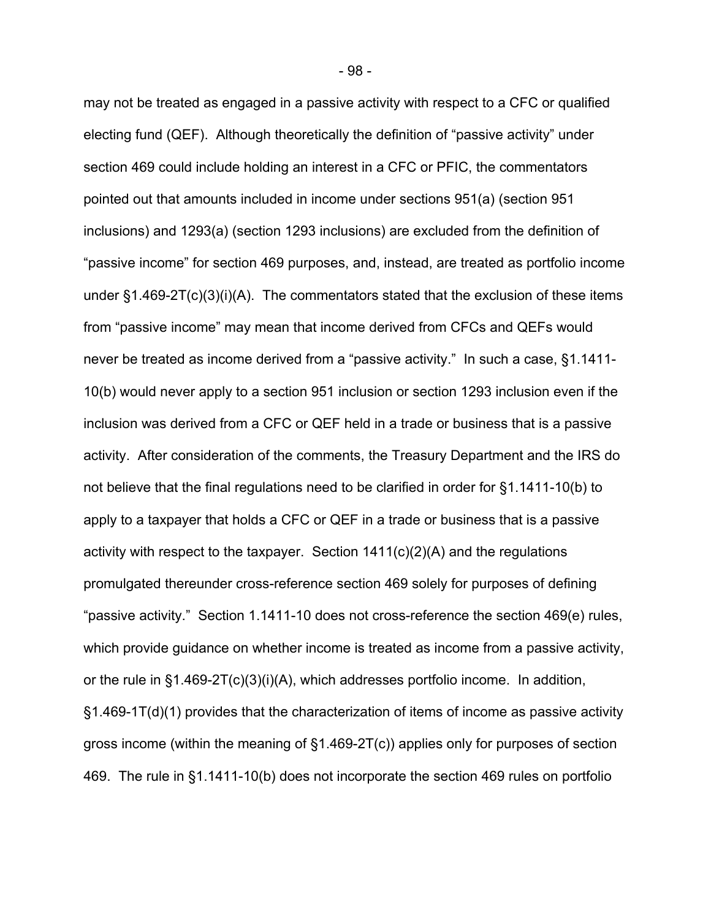may not be treated as engaged in a passive activity with respect to a CFC or qualified electing fund (QEF). Although theoretically the definition of "passive activity" under section 469 could include holding an interest in a CFC or PFIC, the commentators pointed out that amounts included in income under sections 951(a) (section 951 inclusions) and 1293(a) (section 1293 inclusions) are excluded from the definition of "passive income" for section 469 purposes, and, instead, are treated as portfolio income under §1.469-2T(c)(3)(i)(A). The commentators stated that the exclusion of these items from "passive income" may mean that income derived from CFCs and QEFs would never be treated as income derived from a "passive activity." In such a case, §1.1411- 10(b) would never apply to a section 951 inclusion or section 1293 inclusion even if the inclusion was derived from a CFC or QEF held in a trade or business that is a passive activity. After consideration of the comments, the Treasury Department and the IRS do not believe that the final regulations need to be clarified in order for §1.1411-10(b) to apply to a taxpayer that holds a CFC or QEF in a trade or business that is a passive activity with respect to the taxpayer. Section 1411(c)(2)(A) and the regulations promulgated thereunder cross-reference section 469 solely for purposes of defining "passive activity." Section 1.1411-10 does not cross-reference the section 469(e) rules, which provide guidance on whether income is treated as income from a passive activity, or the rule in §1.469-2T(c)(3)(i)(A), which addresses portfolio income. In addition, §1.469-1T(d)(1) provides that the characterization of items of income as passive activity gross income (within the meaning of §1.469-2T(c)) applies only for purposes of section 469. The rule in §1.1411-10(b) does not incorporate the section 469 rules on portfolio

- 98 -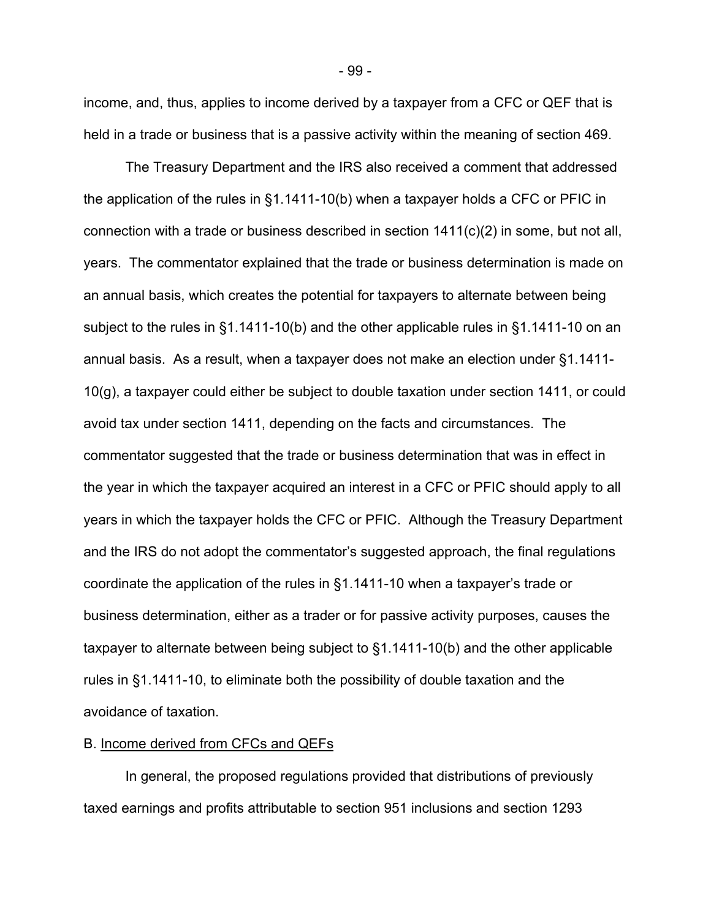income, and, thus, applies to income derived by a taxpayer from a CFC or QEF that is held in a trade or business that is a passive activity within the meaning of section 469.

The Treasury Department and the IRS also received a comment that addressed the application of the rules in §1.1411-10(b) when a taxpayer holds a CFC or PFIC in connection with a trade or business described in section 1411(c)(2) in some, but not all, years. The commentator explained that the trade or business determination is made on an annual basis, which creates the potential for taxpayers to alternate between being subject to the rules in §1.1411-10(b) and the other applicable rules in §1.1411-10 on an annual basis. As a result, when a taxpayer does not make an election under §1.1411- 10(g), a taxpayer could either be subject to double taxation under section 1411, or could avoid tax under section 1411, depending on the facts and circumstances. The commentator suggested that the trade or business determination that was in effect in the year in which the taxpayer acquired an interest in a CFC or PFIC should apply to all years in which the taxpayer holds the CFC or PFIC. Although the Treasury Department and the IRS do not adopt the commentator's suggested approach, the final regulations coordinate the application of the rules in §1.1411-10 when a taxpayer's trade or business determination, either as a trader or for passive activity purposes, causes the taxpayer to alternate between being subject to §1.1411-10(b) and the other applicable rules in §1.1411-10, to eliminate both the possibility of double taxation and the avoidance of taxation.

## B. Income derived from CFCs and QEFs

In general, the proposed regulations provided that distributions of previously taxed earnings and profits attributable to section 951 inclusions and section 1293

- 99 -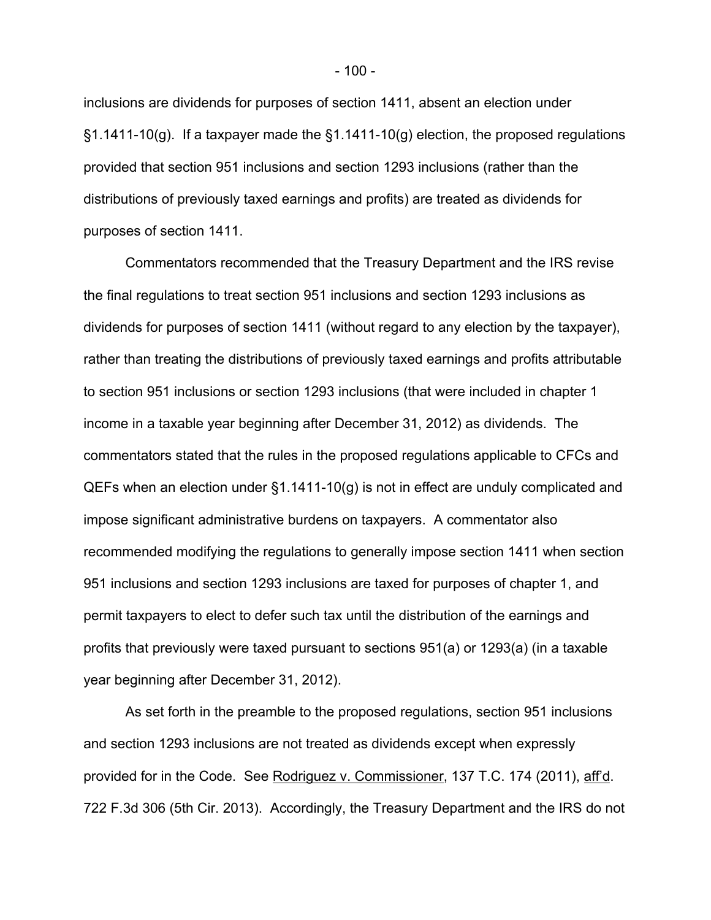inclusions are dividends for purposes of section 1411, absent an election under  $\S1.1411-10(g)$ . If a taxpayer made the  $\S1.1411-10(g)$  election, the proposed regulations provided that section 951 inclusions and section 1293 inclusions (rather than the distributions of previously taxed earnings and profits) are treated as dividends for purposes of section 1411.

Commentators recommended that the Treasury Department and the IRS revise the final regulations to treat section 951 inclusions and section 1293 inclusions as dividends for purposes of section 1411 (without regard to any election by the taxpayer), rather than treating the distributions of previously taxed earnings and profits attributable to section 951 inclusions or section 1293 inclusions (that were included in chapter 1 income in a taxable year beginning after December 31, 2012) as dividends. The commentators stated that the rules in the proposed regulations applicable to CFCs and QEFs when an election under §1.1411-10(g) is not in effect are unduly complicated and impose significant administrative burdens on taxpayers. A commentator also recommended modifying the regulations to generally impose section 1411 when section 951 inclusions and section 1293 inclusions are taxed for purposes of chapter 1, and permit taxpayers to elect to defer such tax until the distribution of the earnings and profits that previously were taxed pursuant to sections 951(a) or 1293(a) (in a taxable year beginning after December 31, 2012).

As set forth in the preamble to the proposed regulations, section 951 inclusions and section 1293 inclusions are not treated as dividends except when expressly provided for in the Code. See Rodriguez v. Commissioner, 137 T.C. 174 (2011), aff'd. 722 F.3d 306 (5th Cir. 2013). Accordingly, the Treasury Department and the IRS do not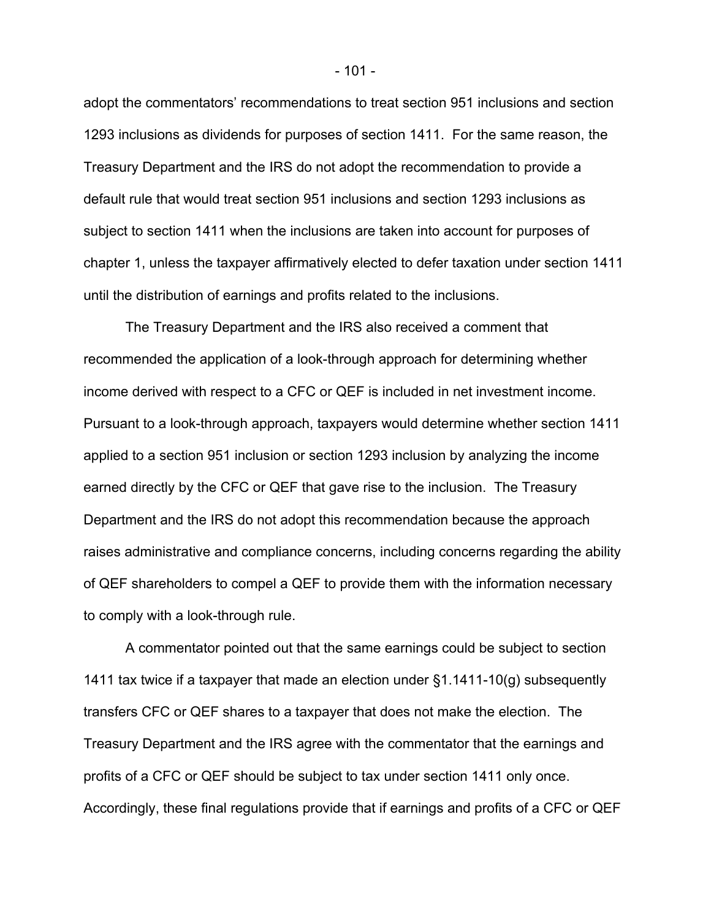adopt the commentators' recommendations to treat section 951 inclusions and section 1293 inclusions as dividends for purposes of section 1411. For the same reason, the Treasury Department and the IRS do not adopt the recommendation to provide a default rule that would treat section 951 inclusions and section 1293 inclusions as subject to section 1411 when the inclusions are taken into account for purposes of chapter 1, unless the taxpayer affirmatively elected to defer taxation under section 1411 until the distribution of earnings and profits related to the inclusions.

The Treasury Department and the IRS also received a comment that recommended the application of a look-through approach for determining whether income derived with respect to a CFC or QEF is included in net investment income. Pursuant to a look-through approach, taxpayers would determine whether section 1411 applied to a section 951 inclusion or section 1293 inclusion by analyzing the income earned directly by the CFC or QEF that gave rise to the inclusion. The Treasury Department and the IRS do not adopt this recommendation because the approach raises administrative and compliance concerns, including concerns regarding the ability of QEF shareholders to compel a QEF to provide them with the information necessary to comply with a look-through rule.

A commentator pointed out that the same earnings could be subject to section 1411 tax twice if a taxpayer that made an election under §1.1411-10(g) subsequently transfers CFC or QEF shares to a taxpayer that does not make the election. The Treasury Department and the IRS agree with the commentator that the earnings and profits of a CFC or QEF should be subject to tax under section 1411 only once. Accordingly, these final regulations provide that if earnings and profits of a CFC or QEF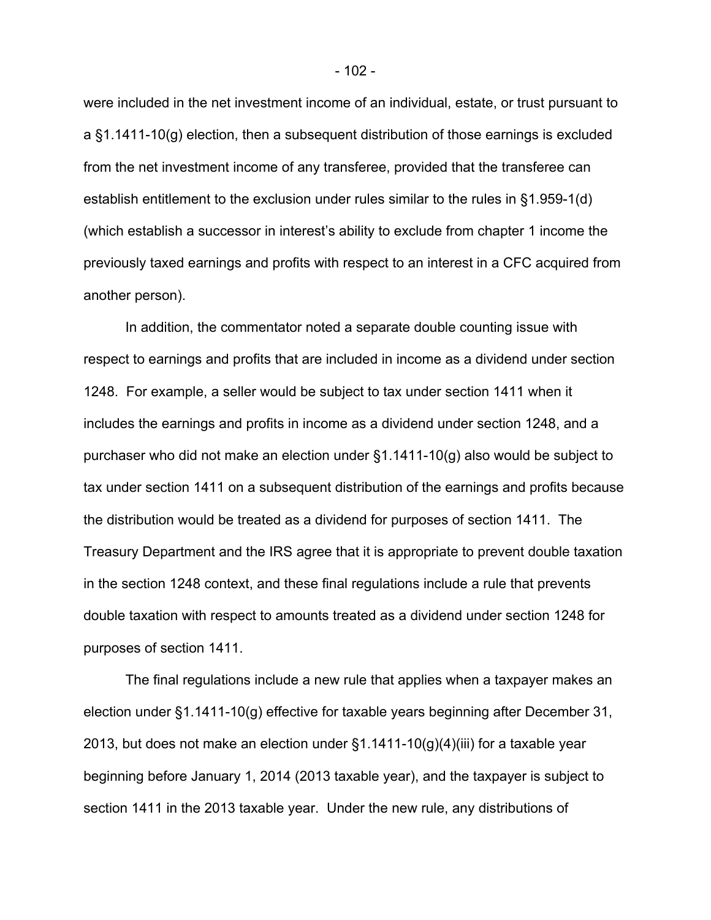were included in the net investment income of an individual, estate, or trust pursuant to a §1.1411-10(g) election, then a subsequent distribution of those earnings is excluded from the net investment income of any transferee, provided that the transferee can establish entitlement to the exclusion under rules similar to the rules in §1.959-1(d) (which establish a successor in interest's ability to exclude from chapter 1 income the previously taxed earnings and profits with respect to an interest in a CFC acquired from another person).

 In addition, the commentator noted a separate double counting issue with respect to earnings and profits that are included in income as a dividend under section 1248. For example, a seller would be subject to tax under section 1411 when it includes the earnings and profits in income as a dividend under section 1248, and a purchaser who did not make an election under §1.1411-10(g) also would be subject to tax under section 1411 on a subsequent distribution of the earnings and profits because the distribution would be treated as a dividend for purposes of section 1411. The Treasury Department and the IRS agree that it is appropriate to prevent double taxation in the section 1248 context, and these final regulations include a rule that prevents double taxation with respect to amounts treated as a dividend under section 1248 for purposes of section 1411.

The final regulations include a new rule that applies when a taxpayer makes an election under §1.1411-10(g) effective for taxable years beginning after December 31, 2013, but does not make an election under  $\S1.1411-10(g)(4)(iii)$  for a taxable year beginning before January 1, 2014 (2013 taxable year), and the taxpayer is subject to section 1411 in the 2013 taxable year. Under the new rule, any distributions of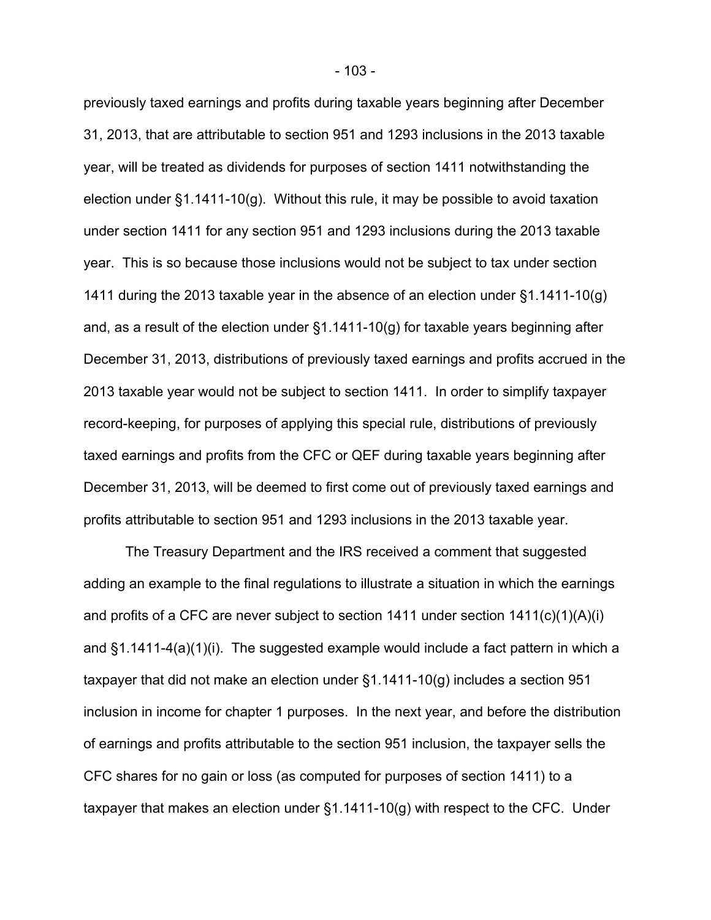previously taxed earnings and profits during taxable years beginning after December 31, 2013, that are attributable to section 951 and 1293 inclusions in the 2013 taxable year, will be treated as dividends for purposes of section 1411 notwithstanding the election under §1.1411-10(g). Without this rule, it may be possible to avoid taxation under section 1411 for any section 951 and 1293 inclusions during the 2013 taxable year. This is so because those inclusions would not be subject to tax under section 1411 during the 2013 taxable year in the absence of an election under §1.1411-10(g) and, as a result of the election under §1.1411-10(g) for taxable years beginning after December 31, 2013, distributions of previously taxed earnings and profits accrued in the 2013 taxable year would not be subject to section 1411. In order to simplify taxpayer record-keeping, for purposes of applying this special rule, distributions of previously taxed earnings and profits from the CFC or QEF during taxable years beginning after December 31, 2013, will be deemed to first come out of previously taxed earnings and profits attributable to section 951 and 1293 inclusions in the 2013 taxable year.

The Treasury Department and the IRS received a comment that suggested adding an example to the final regulations to illustrate a situation in which the earnings and profits of a CFC are never subject to section 1411 under section 1411(c)(1)(A)(i) and §1.1411-4(a)(1)(i). The suggested example would include a fact pattern in which a taxpayer that did not make an election under §1.1411-10(g) includes a section 951 inclusion in income for chapter 1 purposes. In the next year, and before the distribution of earnings and profits attributable to the section 951 inclusion, the taxpayer sells the CFC shares for no gain or loss (as computed for purposes of section 1411) to a taxpayer that makes an election under §1.1411-10(g) with respect to the CFC. Under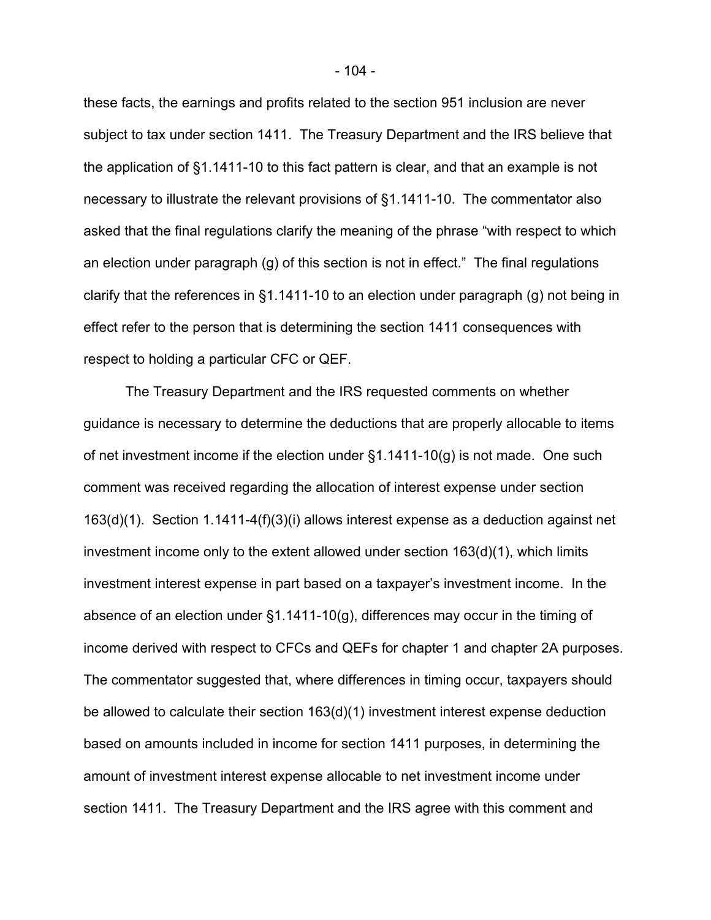these facts, the earnings and profits related to the section 951 inclusion are never subject to tax under section 1411. The Treasury Department and the IRS believe that the application of §1.1411-10 to this fact pattern is clear, and that an example is not necessary to illustrate the relevant provisions of §1.1411-10. The commentator also asked that the final regulations clarify the meaning of the phrase "with respect to which an election under paragraph (g) of this section is not in effect." The final regulations clarify that the references in §1.1411-10 to an election under paragraph (g) not being in effect refer to the person that is determining the section 1411 consequences with respect to holding a particular CFC or QEF.

The Treasury Department and the IRS requested comments on whether guidance is necessary to determine the deductions that are properly allocable to items of net investment income if the election under §1.1411-10(g) is not made. One such comment was received regarding the allocation of interest expense under section 163(d)(1). Section 1.1411-4(f)(3)(i) allows interest expense as a deduction against net investment income only to the extent allowed under section 163(d)(1), which limits investment interest expense in part based on a taxpayer's investment income. In the absence of an election under §1.1411-10(g), differences may occur in the timing of income derived with respect to CFCs and QEFs for chapter 1 and chapter 2A purposes. The commentator suggested that, where differences in timing occur, taxpayers should be allowed to calculate their section 163(d)(1) investment interest expense deduction based on amounts included in income for section 1411 purposes, in determining the amount of investment interest expense allocable to net investment income under section 1411. The Treasury Department and the IRS agree with this comment and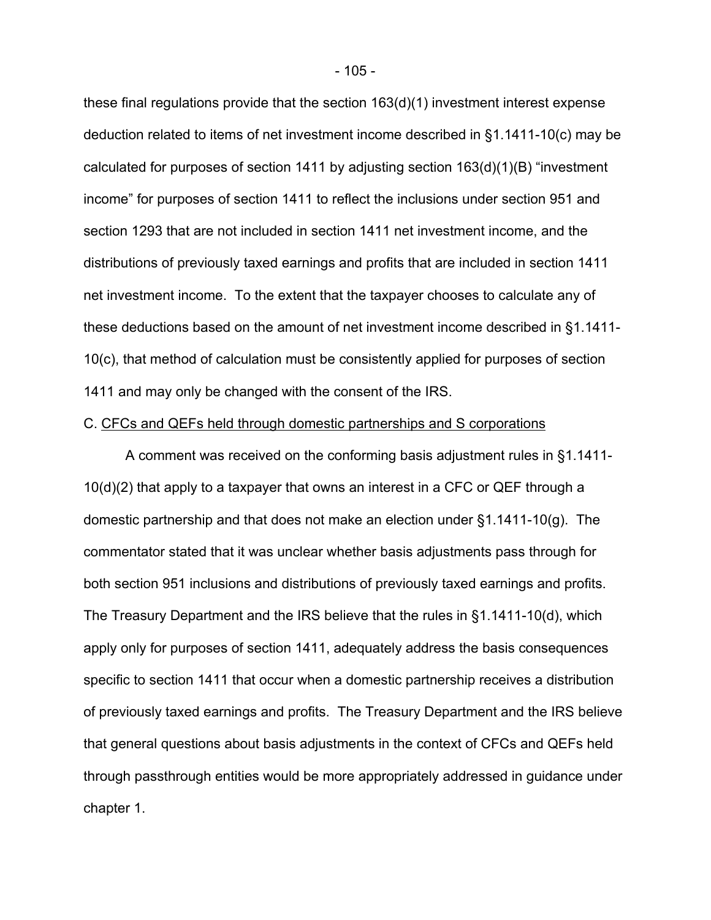these final regulations provide that the section 163(d)(1) investment interest expense deduction related to items of net investment income described in §1.1411-10(c) may be calculated for purposes of section 1411 by adjusting section 163(d)(1)(B) "investment income" for purposes of section 1411 to reflect the inclusions under section 951 and section 1293 that are not included in section 1411 net investment income, and the distributions of previously taxed earnings and profits that are included in section 1411 net investment income. To the extent that the taxpayer chooses to calculate any of these deductions based on the amount of net investment income described in §1.1411- 10(c), that method of calculation must be consistently applied for purposes of section 1411 and may only be changed with the consent of the IRS.

## C. CFCs and QEFs held through domestic partnerships and S corporations

A comment was received on the conforming basis adjustment rules in §1.1411- 10(d)(2) that apply to a taxpayer that owns an interest in a CFC or QEF through a domestic partnership and that does not make an election under §1.1411-10(g). The commentator stated that it was unclear whether basis adjustments pass through for both section 951 inclusions and distributions of previously taxed earnings and profits. The Treasury Department and the IRS believe that the rules in §1.1411-10(d), which apply only for purposes of section 1411, adequately address the basis consequences specific to section 1411 that occur when a domestic partnership receives a distribution of previously taxed earnings and profits. The Treasury Department and the IRS believe that general questions about basis adjustments in the context of CFCs and QEFs held through passthrough entities would be more appropriately addressed in guidance under chapter 1.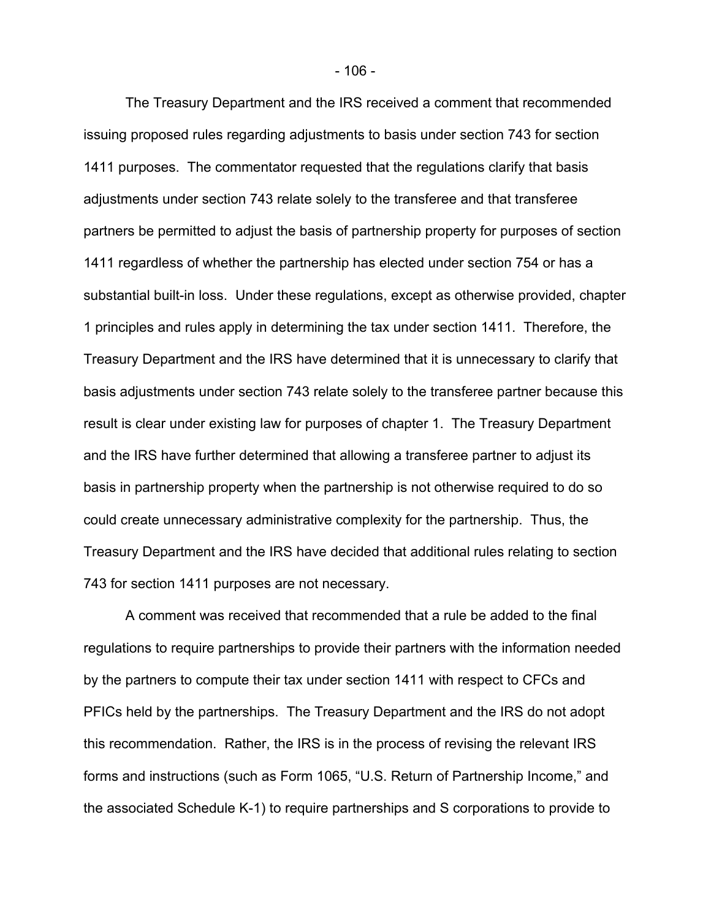The Treasury Department and the IRS received a comment that recommended issuing proposed rules regarding adjustments to basis under section 743 for section 1411 purposes. The commentator requested that the regulations clarify that basis adjustments under section 743 relate solely to the transferee and that transferee partners be permitted to adjust the basis of partnership property for purposes of section 1411 regardless of whether the partnership has elected under section 754 or has a substantial built-in loss. Under these regulations, except as otherwise provided, chapter 1 principles and rules apply in determining the tax under section 1411. Therefore, the Treasury Department and the IRS have determined that it is unnecessary to clarify that basis adjustments under section 743 relate solely to the transferee partner because this result is clear under existing law for purposes of chapter 1. The Treasury Department and the IRS have further determined that allowing a transferee partner to adjust its basis in partnership property when the partnership is not otherwise required to do so could create unnecessary administrative complexity for the partnership. Thus, the Treasury Department and the IRS have decided that additional rules relating to section 743 for section 1411 purposes are not necessary.

A comment was received that recommended that a rule be added to the final regulations to require partnerships to provide their partners with the information needed by the partners to compute their tax under section 1411 with respect to CFCs and PFICs held by the partnerships. The Treasury Department and the IRS do not adopt this recommendation. Rather, the IRS is in the process of revising the relevant IRS forms and instructions (such as Form 1065, "U.S. Return of Partnership Income," and the associated Schedule K-1) to require partnerships and S corporations to provide to

- 106 -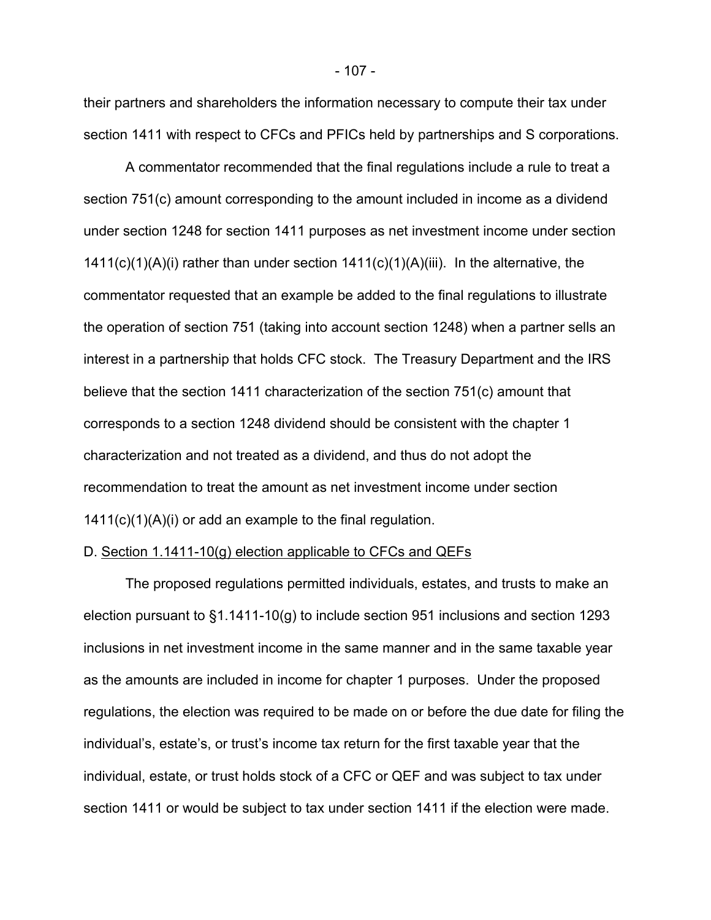their partners and shareholders the information necessary to compute their tax under section 1411 with respect to CFCs and PFICs held by partnerships and S corporations.

A commentator recommended that the final regulations include a rule to treat a section 751(c) amount corresponding to the amount included in income as a dividend under section 1248 for section 1411 purposes as net investment income under section 1411(c)(1)(A)(i) rather than under section 1411(c)(1)(A)(iii). In the alternative, the commentator requested that an example be added to the final regulations to illustrate the operation of section 751 (taking into account section 1248) when a partner sells an interest in a partnership that holds CFC stock. The Treasury Department and the IRS believe that the section 1411 characterization of the section 751(c) amount that corresponds to a section 1248 dividend should be consistent with the chapter 1 characterization and not treated as a dividend, and thus do not adopt the recommendation to treat the amount as net investment income under section 1411(c)(1)(A)(i) or add an example to the final regulation.

#### D. Section 1.1411-10(g) election applicable to CFCs and QEFs

The proposed regulations permitted individuals, estates, and trusts to make an election pursuant to §1.1411-10(g) to include section 951 inclusions and section 1293 inclusions in net investment income in the same manner and in the same taxable year as the amounts are included in income for chapter 1 purposes. Under the proposed regulations, the election was required to be made on or before the due date for filing the individual's, estate's, or trust's income tax return for the first taxable year that the individual, estate, or trust holds stock of a CFC or QEF and was subject to tax under section 1411 or would be subject to tax under section 1411 if the election were made.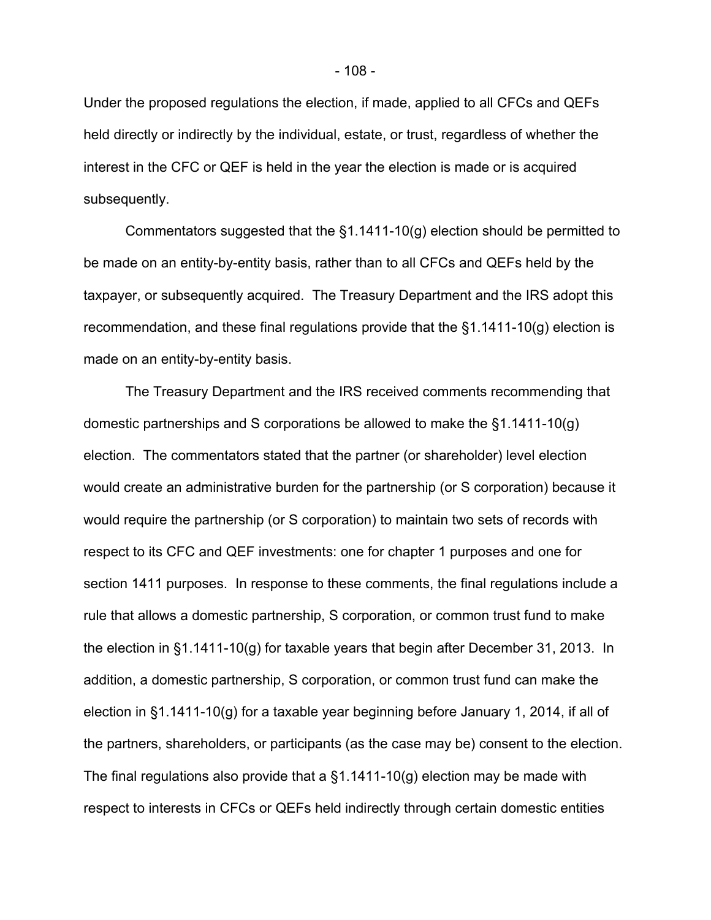Under the proposed regulations the election, if made, applied to all CFCs and QEFs held directly or indirectly by the individual, estate, or trust, regardless of whether the interest in the CFC or QEF is held in the year the election is made or is acquired subsequently.

Commentators suggested that the §1.1411-10(g) election should be permitted to be made on an entity-by-entity basis, rather than to all CFCs and QEFs held by the taxpayer, or subsequently acquired. The Treasury Department and the IRS adopt this recommendation, and these final regulations provide that the §1.1411-10(g) election is made on an entity-by-entity basis.

The Treasury Department and the IRS received comments recommending that domestic partnerships and S corporations be allowed to make the §1.1411-10(g) election. The commentators stated that the partner (or shareholder) level election would create an administrative burden for the partnership (or S corporation) because it would require the partnership (or S corporation) to maintain two sets of records with respect to its CFC and QEF investments: one for chapter 1 purposes and one for section 1411 purposes. In response to these comments, the final regulations include a rule that allows a domestic partnership, S corporation, or common trust fund to make the election in §1.1411-10(g) for taxable years that begin after December 31, 2013. In addition, a domestic partnership, S corporation, or common trust fund can make the election in §1.1411-10(g) for a taxable year beginning before January 1, 2014, if all of the partners, shareholders, or participants (as the case may be) consent to the election. The final regulations also provide that a  $\S1.1411-10(g)$  election may be made with respect to interests in CFCs or QEFs held indirectly through certain domestic entities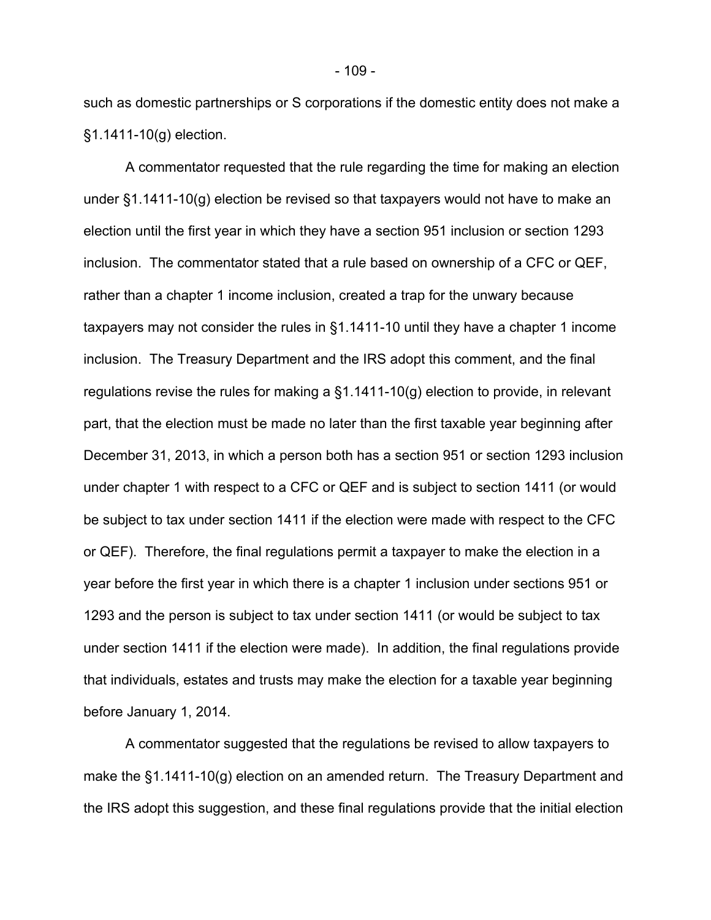such as domestic partnerships or S corporations if the domestic entity does not make a §1.1411-10(g) election.

A commentator requested that the rule regarding the time for making an election under §1.1411-10(g) election be revised so that taxpayers would not have to make an election until the first year in which they have a section 951 inclusion or section 1293 inclusion. The commentator stated that a rule based on ownership of a CFC or QEF, rather than a chapter 1 income inclusion, created a trap for the unwary because taxpayers may not consider the rules in §1.1411-10 until they have a chapter 1 income inclusion. The Treasury Department and the IRS adopt this comment, and the final regulations revise the rules for making a §1.1411-10(g) election to provide, in relevant part, that the election must be made no later than the first taxable year beginning after December 31, 2013, in which a person both has a section 951 or section 1293 inclusion under chapter 1 with respect to a CFC or QEF and is subject to section 1411 (or would be subject to tax under section 1411 if the election were made with respect to the CFC or QEF). Therefore, the final regulations permit a taxpayer to make the election in a year before the first year in which there is a chapter 1 inclusion under sections 951 or 1293 and the person is subject to tax under section 1411 (or would be subject to tax under section 1411 if the election were made). In addition, the final regulations provide that individuals, estates and trusts may make the election for a taxable year beginning before January 1, 2014.

A commentator suggested that the regulations be revised to allow taxpayers to make the §1.1411-10(g) election on an amended return. The Treasury Department and the IRS adopt this suggestion, and these final regulations provide that the initial election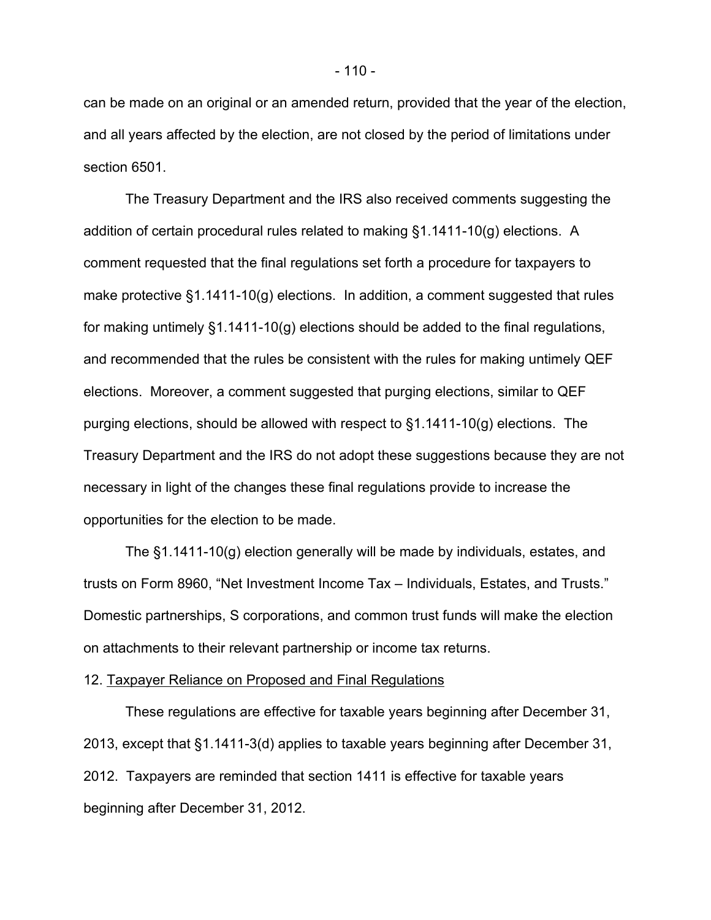can be made on an original or an amended return, provided that the year of the election, and all years affected by the election, are not closed by the period of limitations under section 6501.

The Treasury Department and the IRS also received comments suggesting the addition of certain procedural rules related to making §1.1411-10(g) elections. A comment requested that the final regulations set forth a procedure for taxpayers to make protective §1.1411-10(g) elections. In addition, a comment suggested that rules for making untimely §1.1411-10(g) elections should be added to the final regulations, and recommended that the rules be consistent with the rules for making untimely QEF elections. Moreover, a comment suggested that purging elections, similar to QEF purging elections, should be allowed with respect to §1.1411-10(g) elections. The Treasury Department and the IRS do not adopt these suggestions because they are not necessary in light of the changes these final regulations provide to increase the opportunities for the election to be made.

The §1.1411-10(g) election generally will be made by individuals, estates, and trusts on Form 8960, "Net Investment Income Tax – Individuals, Estates, and Trusts." Domestic partnerships, S corporations, and common trust funds will make the election on attachments to their relevant partnership or income tax returns.

#### 12. Taxpayer Reliance on Proposed and Final Regulations

These regulations are effective for taxable years beginning after December 31, 2013, except that §1.1411-3(d) applies to taxable years beginning after December 31, 2012. Taxpayers are reminded that section 1411 is effective for taxable years beginning after December 31, 2012.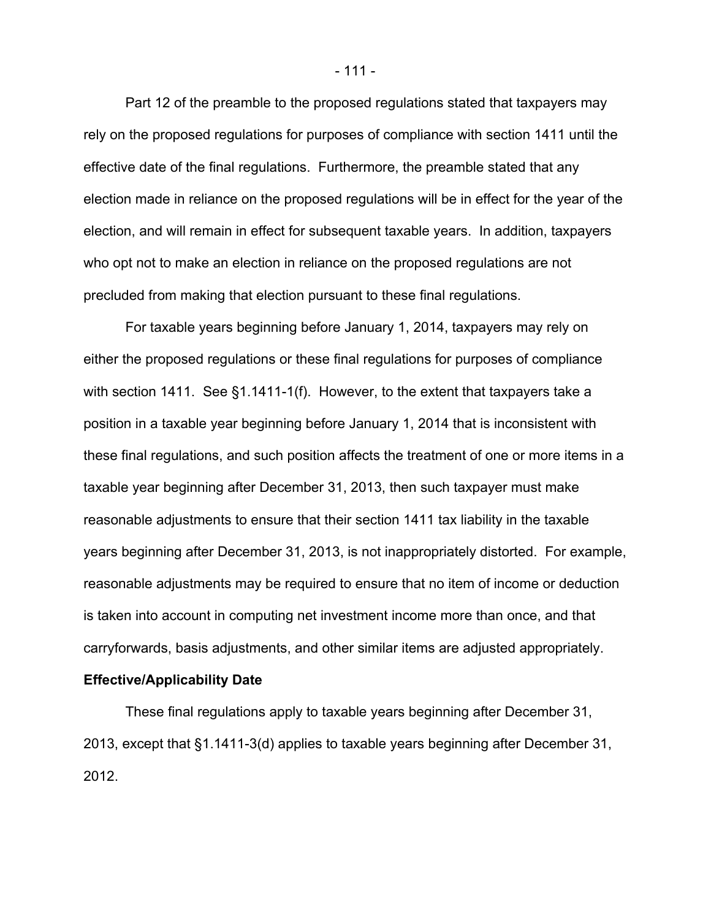Part 12 of the preamble to the proposed regulations stated that taxpayers may rely on the proposed regulations for purposes of compliance with section 1411 until the effective date of the final regulations. Furthermore, the preamble stated that any election made in reliance on the proposed regulations will be in effect for the year of the election, and will remain in effect for subsequent taxable years. In addition, taxpayers who opt not to make an election in reliance on the proposed regulations are not precluded from making that election pursuant to these final regulations.

For taxable years beginning before January 1, 2014, taxpayers may rely on either the proposed regulations or these final regulations for purposes of compliance with section 1411. See §1.1411-1(f). However, to the extent that taxpayers take a position in a taxable year beginning before January 1, 2014 that is inconsistent with these final regulations, and such position affects the treatment of one or more items in a taxable year beginning after December 31, 2013, then such taxpayer must make reasonable adjustments to ensure that their section 1411 tax liability in the taxable years beginning after December 31, 2013, is not inappropriately distorted. For example, reasonable adjustments may be required to ensure that no item of income or deduction is taken into account in computing net investment income more than once, and that carryforwards, basis adjustments, and other similar items are adjusted appropriately.

#### **Effective/Applicability Date**

These final regulations apply to taxable years beginning after December 31, 2013, except that §1.1411-3(d) applies to taxable years beginning after December 31, 2012.

- 111 -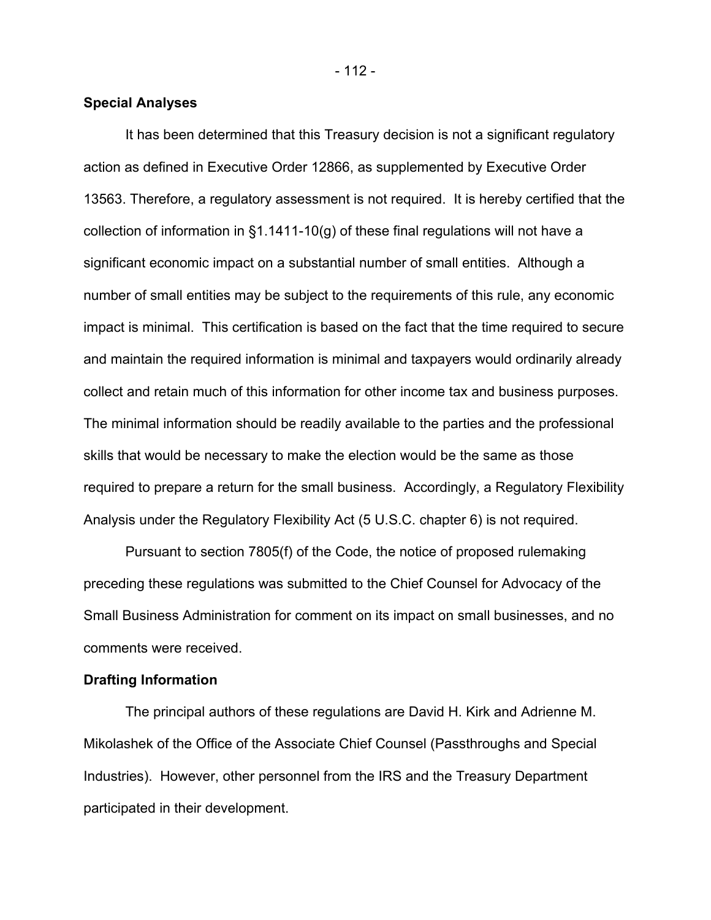- 112 -

### **Special Analyses**

It has been determined that this Treasury decision is not a significant regulatory action as defined in Executive Order 12866, as supplemented by Executive Order 13563. Therefore, a regulatory assessment is not required. It is hereby certified that the collection of information in  $\S1.1411-10(q)$  of these final regulations will not have a significant economic impact on a substantial number of small entities. Although a number of small entities may be subject to the requirements of this rule, any economic impact is minimal. This certification is based on the fact that the time required to secure and maintain the required information is minimal and taxpayers would ordinarily already collect and retain much of this information for other income tax and business purposes. The minimal information should be readily available to the parties and the professional skills that would be necessary to make the election would be the same as those required to prepare a return for the small business. Accordingly, a Regulatory Flexibility Analysis under the Regulatory Flexibility Act (5 U.S.C. chapter 6) is not required.

Pursuant to section 7805(f) of the Code, the notice of proposed rulemaking preceding these regulations was submitted to the Chief Counsel for Advocacy of the Small Business Administration for comment on its impact on small businesses, and no comments were received.

### **Drafting Information**

The principal authors of these regulations are David H. Kirk and Adrienne M. Mikolashek of the Office of the Associate Chief Counsel (Passthroughs and Special Industries). However, other personnel from the IRS and the Treasury Department participated in their development.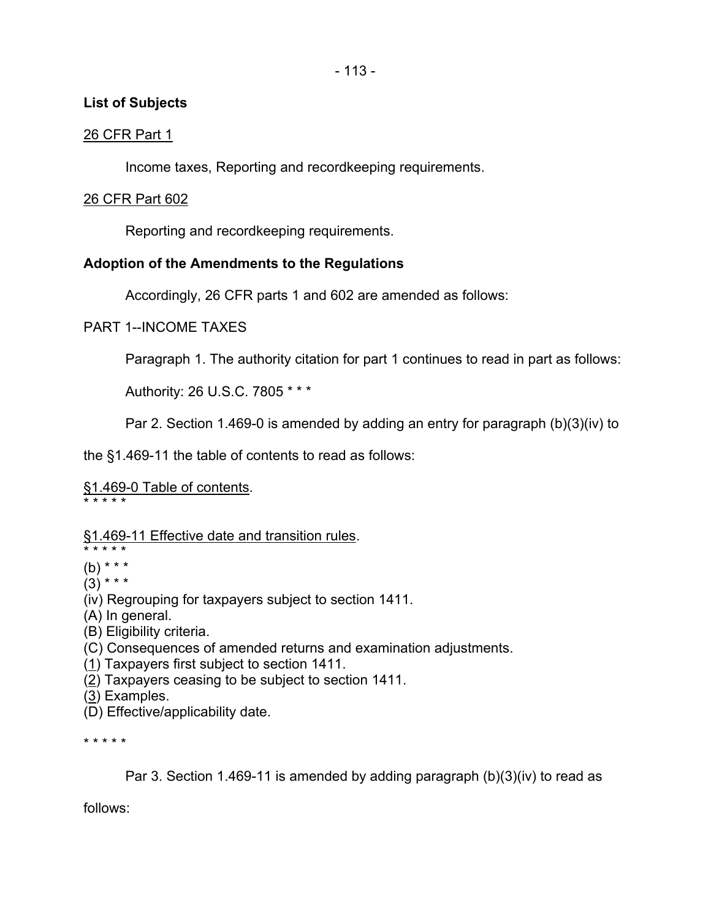## **List of Subjects**

## 26 CFR Part 1

Income taxes, Reporting and recordkeeping requirements.

## 26 CFR Part 602

Reporting and recordkeeping requirements.

# **Adoption of the Amendments to the Regulations**

Accordingly, 26 CFR parts 1 and 602 are amended as follows:

## PART 1--INCOME TAXES

Paragraph 1. The authority citation for part 1 continues to read in part as follows:

Authority: 26 U.S.C. 7805 \* \* \*

Par 2. Section 1.469-0 is amended by adding an entry for paragraph (b)(3)(iv) to

the §1.469-11 the table of contents to read as follows:

# §1.469-0 Table of contents.

\* \* \* \* \*

# §1.469-11 Effective date and transition rules.

\* \* \* \* \* (b) \* \* \*

 $(3)$  \* \* \*

- (iv) Regrouping for taxpayers subject to section 1411.
- (A) In general.
- (B) Eligibility criteria.
- (C) Consequences of amended returns and examination adjustments.
- (1) Taxpayers first subject to section 1411.
- (2) Taxpayers ceasing to be subject to section 1411.
- (3) Examples.
- (D) Effective/applicability date.

\* \* \* \* \*

Par 3. Section 1.469-11 is amended by adding paragraph (b)(3)(iv) to read as

follows: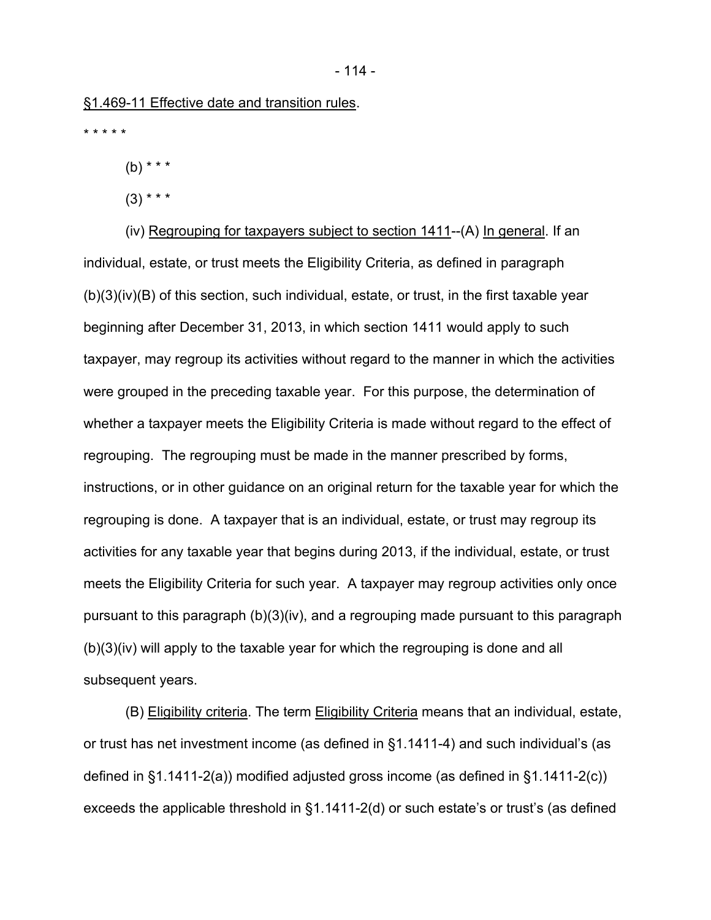\* \* \* \* \*

(b) \* \* \*

 $(3)$  \* \* \*

(iv) Regrouping for taxpayers subject to section 1411--(A) In general. If an individual, estate, or trust meets the Eligibility Criteria, as defined in paragraph  $(b)(3)(iv)(B)$  of this section, such individual, estate, or trust, in the first taxable year beginning after December 31, 2013, in which section 1411 would apply to such taxpayer, may regroup its activities without regard to the manner in which the activities were grouped in the preceding taxable year. For this purpose, the determination of whether a taxpayer meets the Eligibility Criteria is made without regard to the effect of regrouping. The regrouping must be made in the manner prescribed by forms, instructions, or in other guidance on an original return for the taxable year for which the regrouping is done. A taxpayer that is an individual, estate, or trust may regroup its activities for any taxable year that begins during 2013, if the individual, estate, or trust meets the Eligibility Criteria for such year. A taxpayer may regroup activities only once pursuant to this paragraph (b)(3)(iv), and a regrouping made pursuant to this paragraph (b)(3)(iv) will apply to the taxable year for which the regrouping is done and all subsequent years.

(B) Eligibility criteria. The term Eligibility Criteria means that an individual, estate, or trust has net investment income (as defined in §1.1411-4) and such individual's (as defined in §1.1411-2(a)) modified adjusted gross income (as defined in §1.1411-2(c)) exceeds the applicable threshold in §1.1411-2(d) or such estate's or trust's (as defined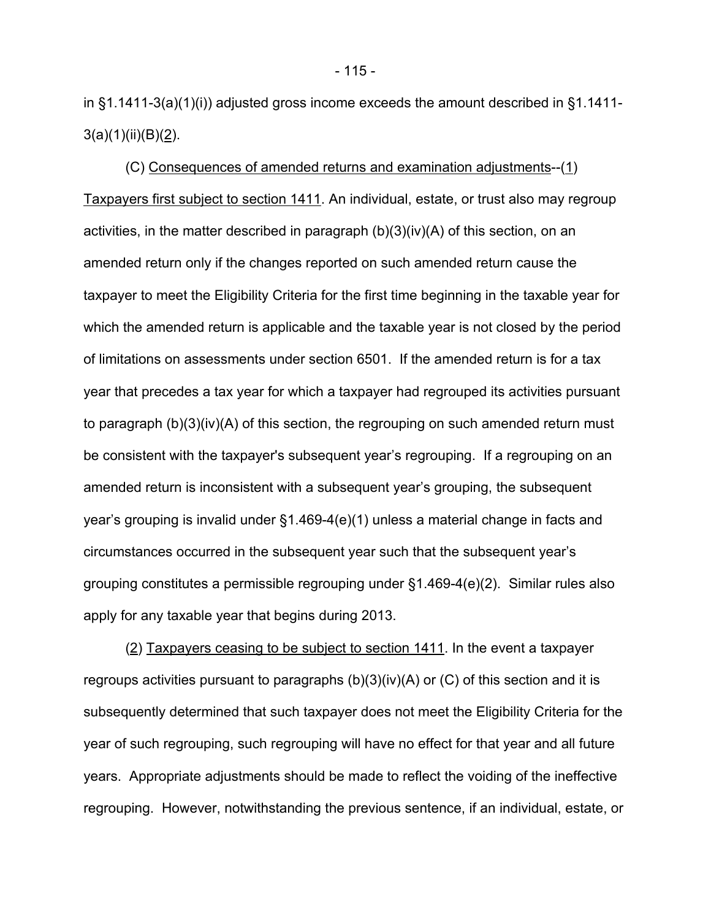in §1.1411-3(a)(1)(i)) adjusted gross income exceeds the amount described in §1.1411-  $3(a)(1)(ii)(B)(2)$ .

(C) Consequences of amended returns and examination adjustments--(1) Taxpayers first subject to section 1411. An individual, estate, or trust also may regroup activities, in the matter described in paragraph (b)(3)(iv)(A) of this section, on an amended return only if the changes reported on such amended return cause the taxpayer to meet the Eligibility Criteria for the first time beginning in the taxable year for which the amended return is applicable and the taxable year is not closed by the period of limitations on assessments under section 6501. If the amended return is for a tax year that precedes a tax year for which a taxpayer had regrouped its activities pursuant to paragraph (b)(3)(iv)(A) of this section, the regrouping on such amended return must be consistent with the taxpayer's subsequent year's regrouping. If a regrouping on an amended return is inconsistent with a subsequent year's grouping, the subsequent year's grouping is invalid under §1.469-4(e)(1) unless a material change in facts and circumstances occurred in the subsequent year such that the subsequent year's grouping constitutes a permissible regrouping under §1.469-4(e)(2). Similar rules also apply for any taxable year that begins during 2013.

(2) Taxpayers ceasing to be subject to section 1411. In the event a taxpayer regroups activities pursuant to paragraphs (b)(3)(iv)(A) or (C) of this section and it is subsequently determined that such taxpayer does not meet the Eligibility Criteria for the year of such regrouping, such regrouping will have no effect for that year and all future years. Appropriate adjustments should be made to reflect the voiding of the ineffective regrouping. However, notwithstanding the previous sentence, if an individual, estate, or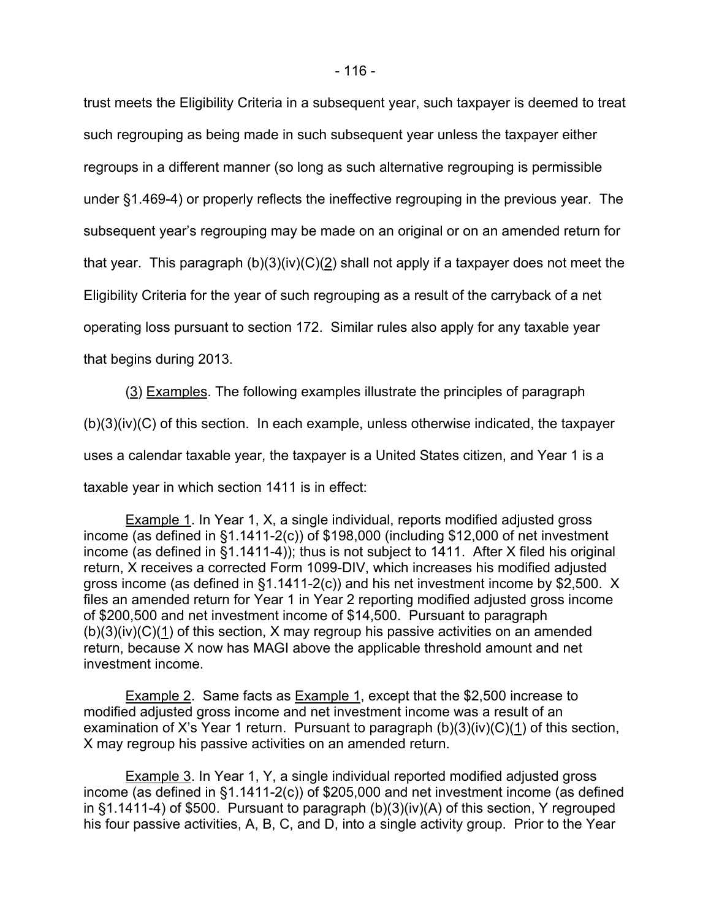trust meets the Eligibility Criteria in a subsequent year, such taxpayer is deemed to treat such regrouping as being made in such subsequent year unless the taxpayer either regroups in a different manner (so long as such alternative regrouping is permissible under §1.469-4) or properly reflects the ineffective regrouping in the previous year. The subsequent year's regrouping may be made on an original or on an amended return for that year. This paragraph  $(b)(3)(iv)(C)(2)$  shall not apply if a taxpayer does not meet the Eligibility Criteria for the year of such regrouping as a result of the carryback of a net operating loss pursuant to section 172. Similar rules also apply for any taxable year that begins during 2013.

(3) Examples. The following examples illustrate the principles of paragraph (b)(3)(iv)(C) of this section. In each example, unless otherwise indicated, the taxpayer uses a calendar taxable year, the taxpayer is a United States citizen, and Year 1 is a taxable year in which section 1411 is in effect:

Example 1. In Year 1, X, a single individual, reports modified adjusted gross income (as defined in §1.1411-2(c)) of \$198,000 (including \$12,000 of net investment income (as defined in  $\S1.1411-4$ )); thus is not subject to 1411. After X filed his original return, X receives a corrected Form 1099-DIV, which increases his modified adjusted gross income (as defined in §1.1411-2(c)) and his net investment income by \$2,500. X files an amended return for Year 1 in Year 2 reporting modified adjusted gross income of \$200,500 and net investment income of \$14,500. Pursuant to paragraph  $(b)(3)(iv)(C)(1)$  of this section, X may regroup his passive activities on an amended return, because X now has MAGI above the applicable threshold amount and net investment income.

Example 2. Same facts as Example 1, except that the \$2,500 increase to modified adjusted gross income and net investment income was a result of an examination of X's Year 1 return. Pursuant to paragraph  $(b)(3)(iv)(C)(1)$  of this section, X may regroup his passive activities on an amended return.

Example 3. In Year 1, Y, a single individual reported modified adjusted gross income (as defined in §1.1411-2(c)) of \$205,000 and net investment income (as defined in §1.1411-4) of \$500. Pursuant to paragraph (b)(3)(iv)(A) of this section, Y regrouped his four passive activities, A, B, C, and D, into a single activity group. Prior to the Year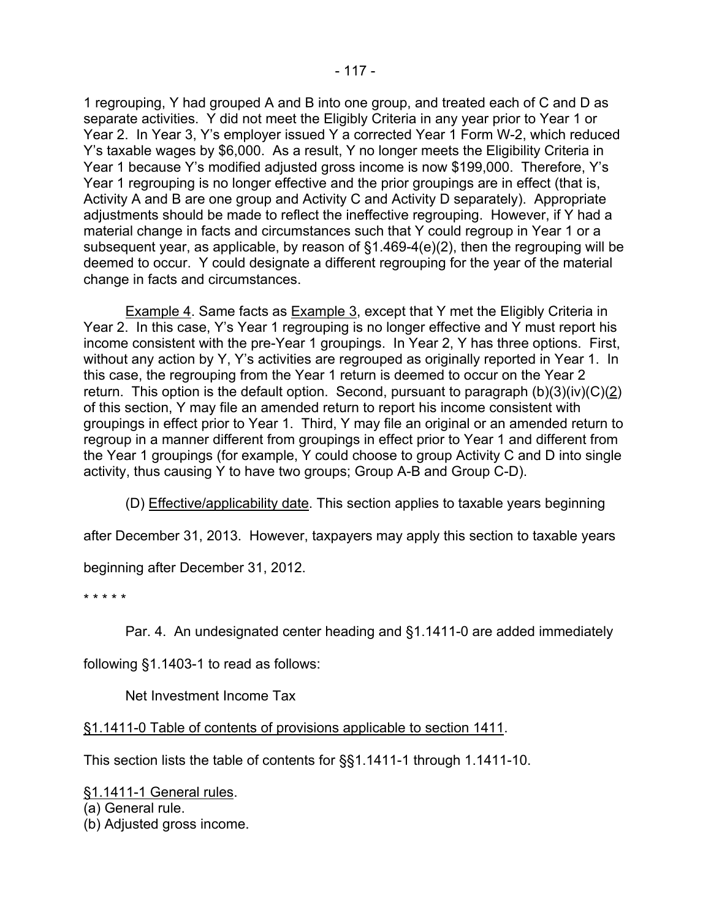1 regrouping, Y had grouped A and B into one group, and treated each of C and D as separate activities. Y did not meet the Eligibly Criteria in any year prior to Year 1 or Year 2. In Year 3, Y's employer issued Y a corrected Year 1 Form W-2, which reduced Y's taxable wages by \$6,000. As a result, Y no longer meets the Eligibility Criteria in Year 1 because Y's modified adjusted gross income is now \$199,000. Therefore, Y's Year 1 regrouping is no longer effective and the prior groupings are in effect (that is, Activity A and B are one group and Activity C and Activity D separately). Appropriate adjustments should be made to reflect the ineffective regrouping. However, if Y had a material change in facts and circumstances such that Y could regroup in Year 1 or a subsequent year, as applicable, by reason of §1.469-4(e)(2), then the regrouping will be deemed to occur. Y could designate a different regrouping for the year of the material change in facts and circumstances.

**Example 4. Same facts as Example 3, except that Y met the Eligibly Criteria in** Year 2. In this case, Y's Year 1 regrouping is no longer effective and Y must report his income consistent with the pre-Year 1 groupings. In Year 2, Y has three options. First, without any action by Y, Y's activities are regrouped as originally reported in Year 1. In this case, the regrouping from the Year 1 return is deemed to occur on the Year 2 return. This option is the default option. Second, pursuant to paragraph  $(b)(3)(iv)(C)(2)$ of this section, Y may file an amended return to report his income consistent with groupings in effect prior to Year 1. Third, Y may file an original or an amended return to regroup in a manner different from groupings in effect prior to Year 1 and different from the Year 1 groupings (for example, Y could choose to group Activity C and D into single activity, thus causing Y to have two groups; Group A-B and Group C-D).

(D) Effective/applicability date. This section applies to taxable years beginning

after December 31, 2013. However, taxpayers may apply this section to taxable years

beginning after December 31, 2012.

\* \* \* \* \*

Par. 4. An undesignated center heading and §1.1411-0 are added immediately

following §1.1403-1 to read as follows:

Net Investment Income Tax

§1.1411-0 Table of contents of provisions applicable to section 1411.

This section lists the table of contents for §§1.1411-1 through 1.1411-10.

§1.1411-1 General rules.

(a) General rule.

(b) Adjusted gross income.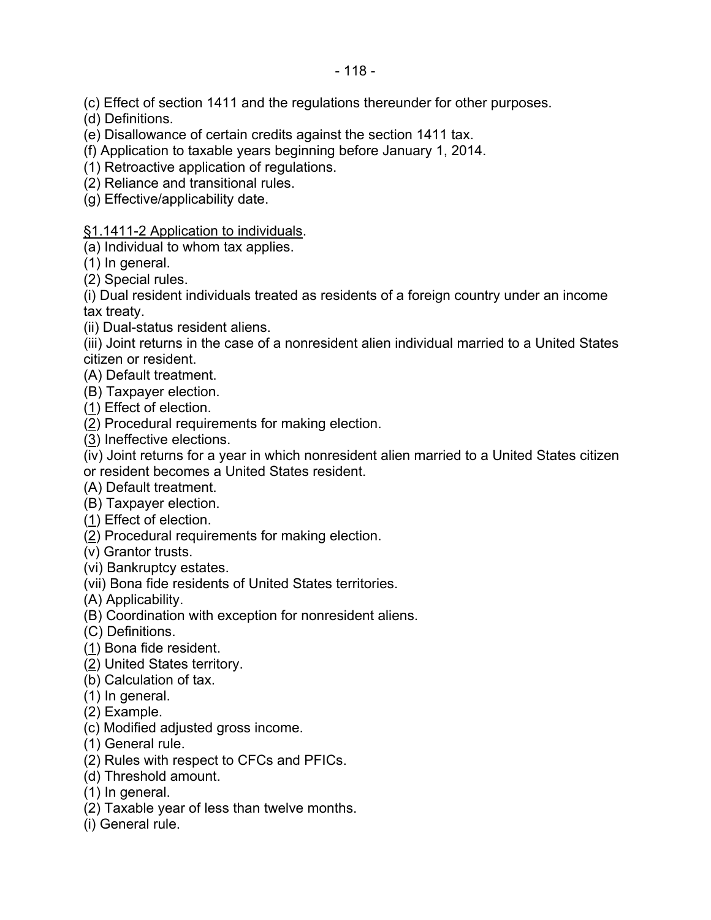(c) Effect of section 1411 and the regulations thereunder for other purposes.

(d) Definitions.

(e) Disallowance of certain credits against the section 1411 tax.

(f) Application to taxable years beginning before January 1, 2014.

(1) Retroactive application of regulations.

(2) Reliance and transitional rules.

(g) Effective/applicability date.

§1.1411-2 Application to individuals.

(a) Individual to whom tax applies.

(1) In general.

(2) Special rules.

(i) Dual resident individuals treated as residents of a foreign country under an income tax treaty.

(ii) Dual-status resident aliens.

(iii) Joint returns in the case of a nonresident alien individual married to a United States citizen or resident.

(A) Default treatment.

(B) Taxpayer election.

(1) Effect of election.

(2) Procedural requirements for making election.

(3) Ineffective elections.

(iv) Joint returns for a year in which nonresident alien married to a United States citizen or resident becomes a United States resident.

(A) Default treatment.

(B) Taxpayer election.

(1) Effect of election.

(2) Procedural requirements for making election.

(v) Grantor trusts.

(vi) Bankruptcy estates.

(vii) Bona fide residents of United States territories.

(A) Applicability.

(B) Coordination with exception for nonresident aliens.

(C) Definitions.

(1) Bona fide resident.

(2) United States territory.

(b) Calculation of tax.

(1) In general.

(2) Example.

(c) Modified adjusted gross income.

(1) General rule.

(2) Rules with respect to CFCs and PFICs.

(d) Threshold amount.

(1) In general.

(2) Taxable year of less than twelve months.

(i) General rule.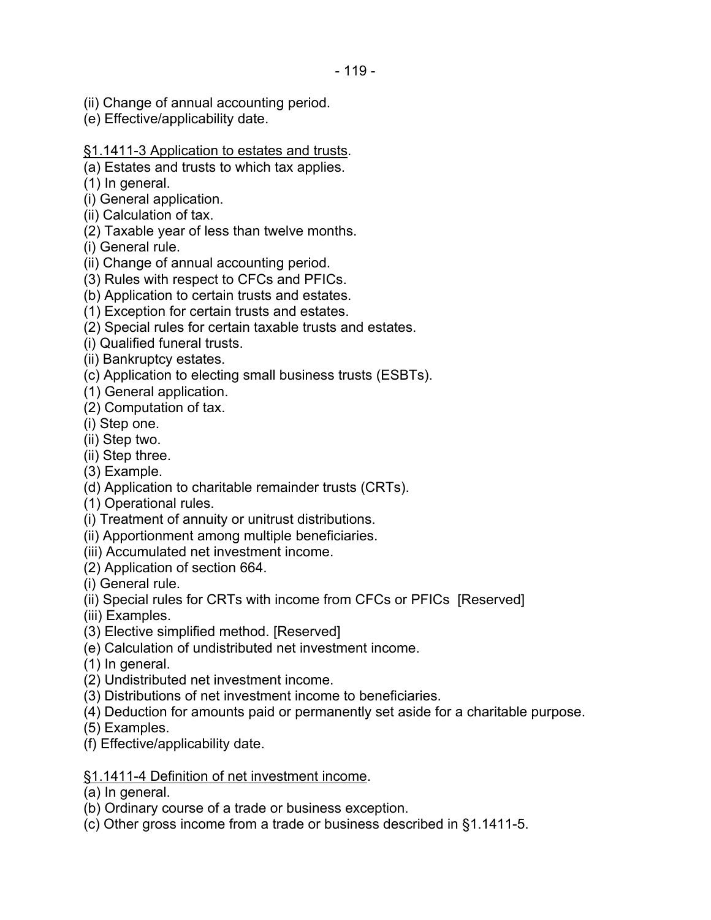- (ii) Change of annual accounting period.
- (e) Effective/applicability date.
- §1.1411-3 Application to estates and trusts.
- (a) Estates and trusts to which tax applies.
- (1) In general.
- (i) General application.
- (ii) Calculation of tax.
- (2) Taxable year of less than twelve months.
- (i) General rule.
- (ii) Change of annual accounting period.
- (3) Rules with respect to CFCs and PFICs.
- (b) Application to certain trusts and estates.
- (1) Exception for certain trusts and estates.
- (2) Special rules for certain taxable trusts and estates.
- (i) Qualified funeral trusts.
- (ii) Bankruptcy estates.
- (c) Application to electing small business trusts (ESBTs).
- (1) General application.
- (2) Computation of tax.
- (i) Step one.
- (ii) Step two.
- (ii) Step three.
- (3) Example.
- (d) Application to charitable remainder trusts (CRTs).
- (1) Operational rules.
- (i) Treatment of annuity or unitrust distributions.
- (ii) Apportionment among multiple beneficiaries.
- (iii) Accumulated net investment income.
- (2) Application of section 664.
- (i) General rule.
- (ii) Special rules for CRTs with income from CFCs or PFICs [Reserved]
- (iii) Examples.
- (3) Elective simplified method. [Reserved]
- (e) Calculation of undistributed net investment income.
- (1) In general.
- (2) Undistributed net investment income.
- (3) Distributions of net investment income to beneficiaries.
- (4) Deduction for amounts paid or permanently set aside for a charitable purpose.
- (5) Examples.
- (f) Effective/applicability date.

### §1.1411-4 Definition of net investment income.

- (a) In general.
- (b) Ordinary course of a trade or business exception.
- (c) Other gross income from a trade or business described in §1.1411-5.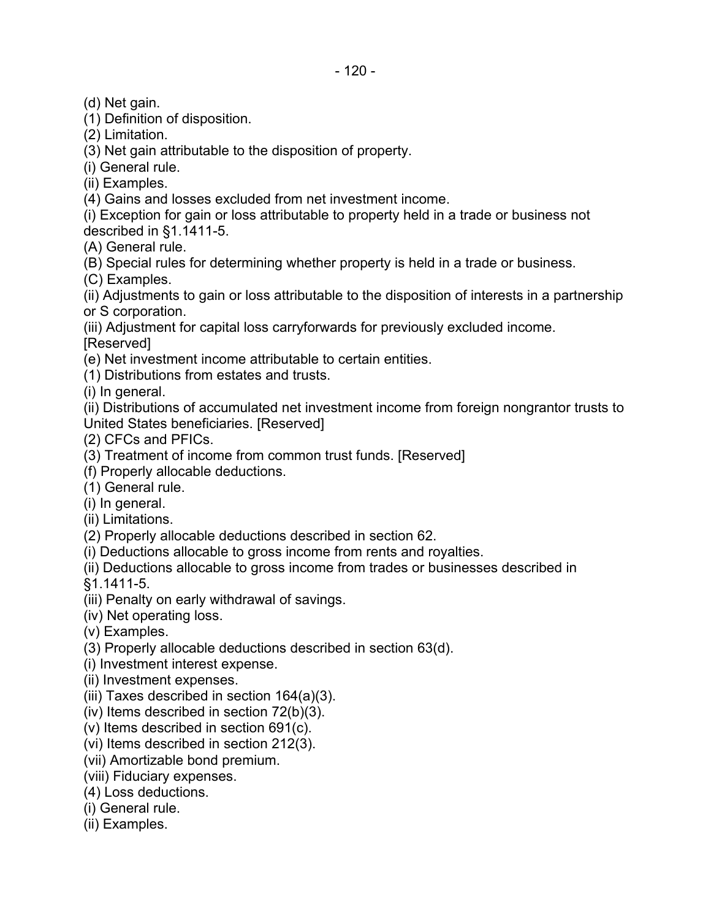(d) Net gain.

(1) Definition of disposition.

(2) Limitation.

(3) Net gain attributable to the disposition of property.

(i) General rule.

(ii) Examples.

(4) Gains and losses excluded from net investment income.

(i) Exception for gain or loss attributable to property held in a trade or business not described in §1.1411-5.

(A) General rule.

(B) Special rules for determining whether property is held in a trade or business.

(C) Examples.

(ii) Adjustments to gain or loss attributable to the disposition of interests in a partnership or S corporation.

(iii) Adjustment for capital loss carryforwards for previously excluded income.

[Reserved]

(e) Net investment income attributable to certain entities.

(1) Distributions from estates and trusts.

(i) In general.

(ii) Distributions of accumulated net investment income from foreign nongrantor trusts to United States beneficiaries. [Reserved]

(2) CFCs and PFICs.

(3) Treatment of income from common trust funds. [Reserved]

(f) Properly allocable deductions.

(1) General rule.

(i) In general.

(ii) Limitations.

(2) Properly allocable deductions described in section 62.

(i) Deductions allocable to gross income from rents and royalties.

(ii) Deductions allocable to gross income from trades or businesses described in

§1.1411-5.

(iii) Penalty on early withdrawal of savings.

(iv) Net operating loss.

(v) Examples.

(3) Properly allocable deductions described in section 63(d).

(i) Investment interest expense.

- (ii) Investment expenses.
- (iii) Taxes described in section 164(a)(3).
- $(iv)$  Items described in section  $72(b)(3)$ .
- (v) Items described in section 691(c).

(vi) Items described in section 212(3).

(vii) Amortizable bond premium.

(viii) Fiduciary expenses.

(4) Loss deductions.

(i) General rule.

(ii) Examples.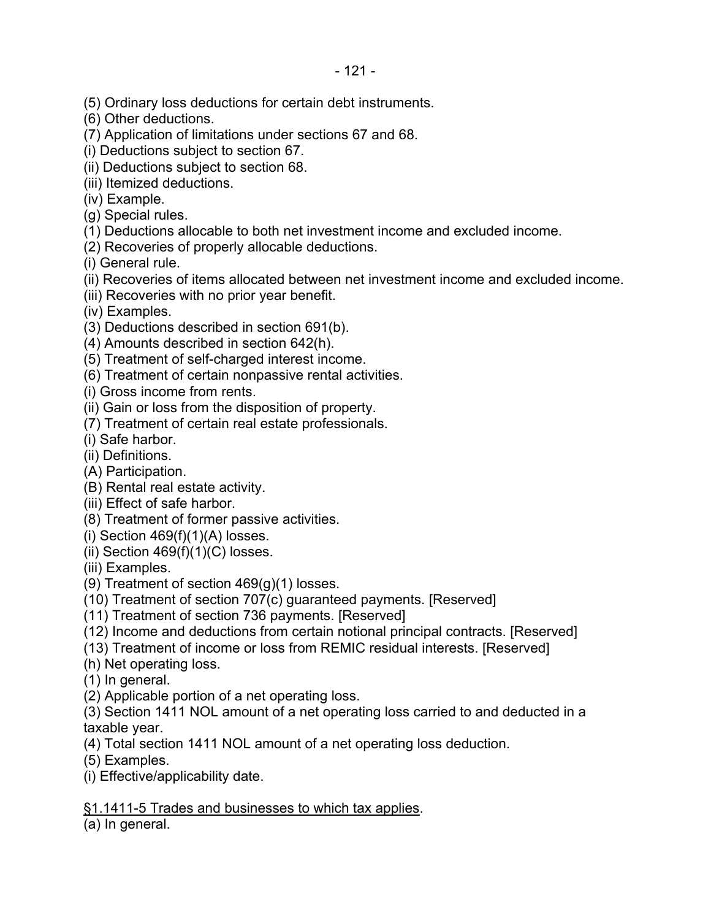- (5) Ordinary loss deductions for certain debt instruments.
- (6) Other deductions.
- (7) Application of limitations under sections 67 and 68.
- (i) Deductions subject to section 67.
- (ii) Deductions subject to section 68.
- (iii) Itemized deductions.
- (iv) Example.
- (g) Special rules.
- (1) Deductions allocable to both net investment income and excluded income.
- (2) Recoveries of properly allocable deductions.
- (i) General rule.
- (ii) Recoveries of items allocated between net investment income and excluded income.
- (iii) Recoveries with no prior year benefit.
- (iv) Examples.
- (3) Deductions described in section 691(b).
- (4) Amounts described in section 642(h).
- (5) Treatment of self-charged interest income.
- (6) Treatment of certain nonpassive rental activities.
- (i) Gross income from rents.
- (ii) Gain or loss from the disposition of property.
- (7) Treatment of certain real estate professionals.
- (i) Safe harbor.
- (ii) Definitions.
- (A) Participation.
- (B) Rental real estate activity.
- (iii) Effect of safe harbor.
- (8) Treatment of former passive activities.
- (i) Section  $469(f)(1)(A)$  losses.
- (ii) Section  $469(f)(1)(C)$  losses.
- (iii) Examples.
- (9) Treatment of section  $469(q)(1)$  losses.
- (10) Treatment of section 707(c) guaranteed payments. [Reserved]
- (11) Treatment of section 736 payments. [Reserved]
- (12) Income and deductions from certain notional principal contracts. [Reserved]
- (13) Treatment of income or loss from REMIC residual interests. [Reserved]
- (h) Net operating loss.
- (1) In general.
- (2) Applicable portion of a net operating loss.
- (3) Section 1411 NOL amount of a net operating loss carried to and deducted in a taxable year.
- (4) Total section 1411 NOL amount of a net operating loss deduction.
- (5) Examples.
- (i) Effective/applicability date.

§1.1411-5 Trades and businesses to which tax applies.

(a) In general.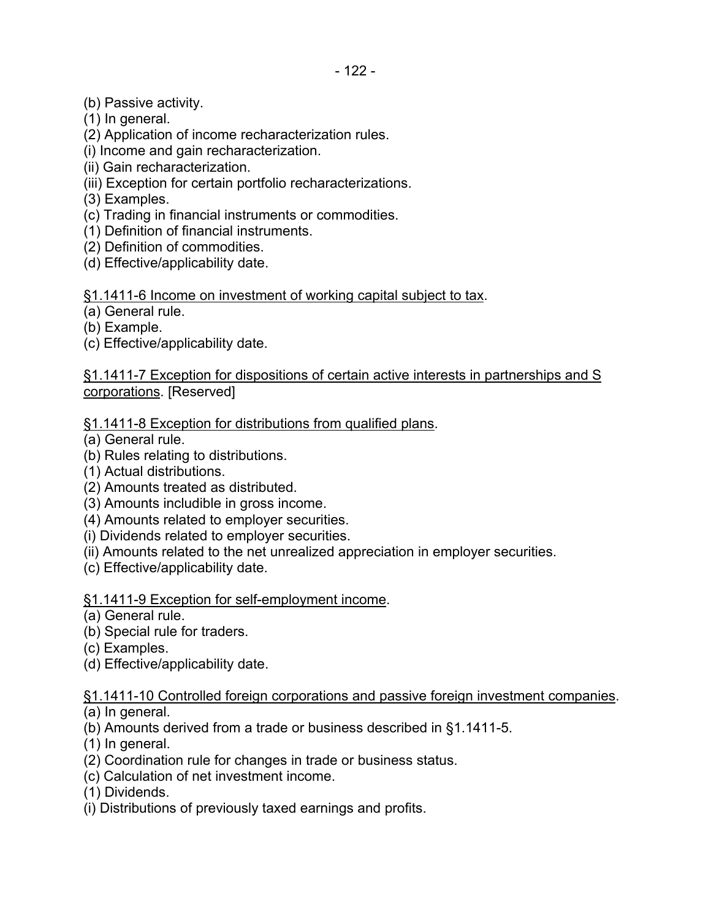- (b) Passive activity.
- (1) In general.
- (2) Application of income recharacterization rules.
- (i) Income and gain recharacterization.
- (ii) Gain recharacterization.
- (iii) Exception for certain portfolio recharacterizations.
- (3) Examples.
- (c) Trading in financial instruments or commodities.
- (1) Definition of financial instruments.
- (2) Definition of commodities.
- (d) Effective/applicability date.

## §1.1411-6 Income on investment of working capital subject to tax.

(a) General rule.

- (b) Example.
- (c) Effective/applicability date.

§1.1411-7 Exception for dispositions of certain active interests in partnerships and S corporations. [Reserved]

§1.1411-8 Exception for distributions from qualified plans.

- (a) General rule.
- (b) Rules relating to distributions.
- (1) Actual distributions.
- (2) Amounts treated as distributed.
- (3) Amounts includible in gross income.
- (4) Amounts related to employer securities.
- (i) Dividends related to employer securities.
- (ii) Amounts related to the net unrealized appreciation in employer securities.
- (c) Effective/applicability date.

## §1.1411-9 Exception for self-employment income.

- (a) General rule.
- (b) Special rule for traders.
- (c) Examples.
- (d) Effective/applicability date.

§1.1411-10 Controlled foreign corporations and passive foreign investment companies.

(a) In general.

- (b) Amounts derived from a trade or business described in §1.1411-5.
- (1) In general.
- (2) Coordination rule for changes in trade or business status.
- (c) Calculation of net investment income.

(1) Dividends.

(i) Distributions of previously taxed earnings and profits.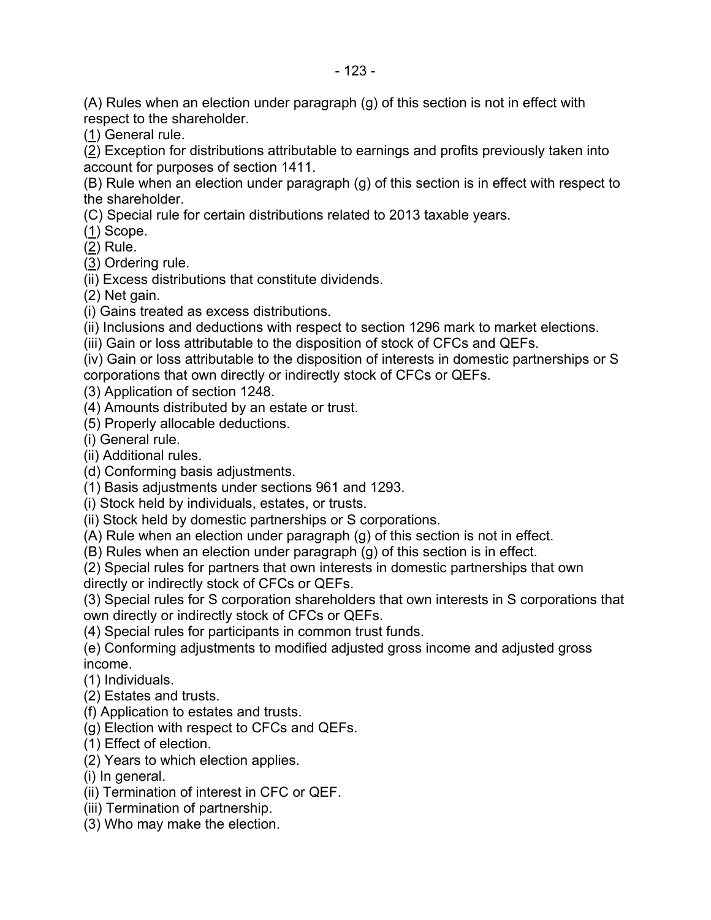(A) Rules when an election under paragraph (g) of this section is not in effect with respect to the shareholder.

(1) General rule.

(2) Exception for distributions attributable to earnings and profits previously taken into account for purposes of section 1411.

(B) Rule when an election under paragraph (g) of this section is in effect with respect to the shareholder.

(C) Special rule for certain distributions related to 2013 taxable years.

(1) Scope.

(2) Rule.

(3) Ordering rule.

(ii) Excess distributions that constitute dividends.

(2) Net gain.

(i) Gains treated as excess distributions.

(ii) Inclusions and deductions with respect to section 1296 mark to market elections.

(iii) Gain or loss attributable to the disposition of stock of CFCs and QEFs.

(iv) Gain or loss attributable to the disposition of interests in domestic partnerships or S corporations that own directly or indirectly stock of CFCs or QEFs.

(3) Application of section 1248.

(4) Amounts distributed by an estate or trust.

(5) Properly allocable deductions.

(i) General rule.

(ii) Additional rules.

(d) Conforming basis adjustments.

(1) Basis adjustments under sections 961 and 1293.

(i) Stock held by individuals, estates, or trusts.

(ii) Stock held by domestic partnerships or S corporations.

(A) Rule when an election under paragraph (g) of this section is not in effect.

(B) Rules when an election under paragraph (g) of this section is in effect.

(2) Special rules for partners that own interests in domestic partnerships that own directly or indirectly stock of CFCs or QEFs.

(3) Special rules for S corporation shareholders that own interests in S corporations that own directly or indirectly stock of CFCs or QEFs.

(4) Special rules for participants in common trust funds.

(e) Conforming adjustments to modified adjusted gross income and adjusted gross income.

(1) Individuals.

(2) Estates and trusts.

(f) Application to estates and trusts.

(g) Election with respect to CFCs and QEFs.

(1) Effect of election.

(2) Years to which election applies.

(i) In general.

(ii) Termination of interest in CFC or QEF.

(iii) Termination of partnership.

(3) Who may make the election.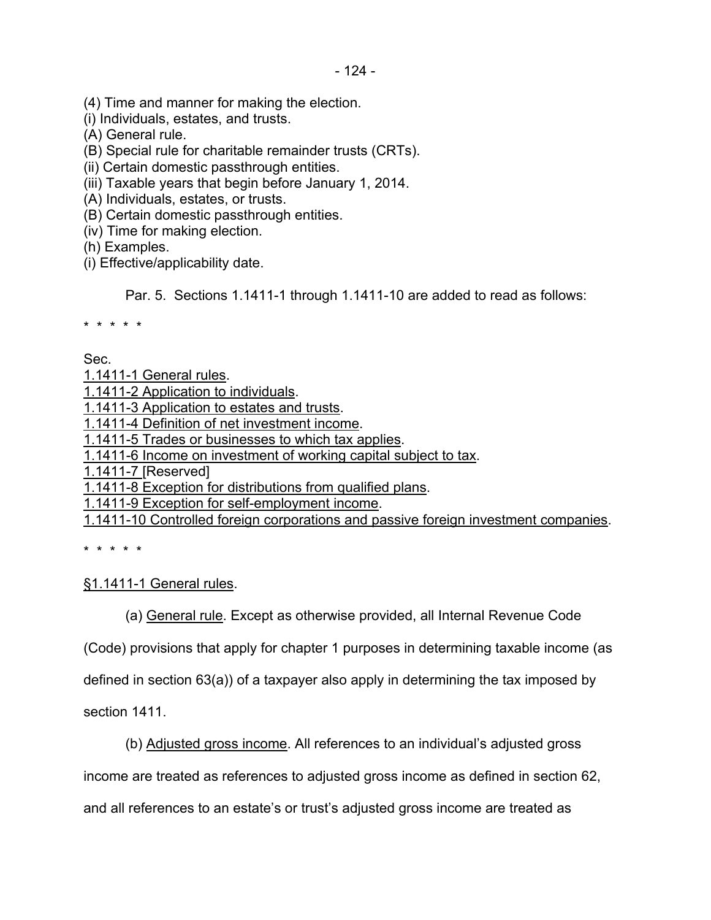(4) Time and manner for making the election.

(i) Individuals, estates, and trusts.

(A) General rule.

(B) Special rule for charitable remainder trusts (CRTs).

(ii) Certain domestic passthrough entities.

(iii) Taxable years that begin before January 1, 2014.

(A) Individuals, estates, or trusts.

(B) Certain domestic passthrough entities.

(iv) Time for making election.

(h) Examples.

(i) Effective/applicability date.

Par. 5. Sections 1.1411-1 through 1.1411-10 are added to read as follows:

\* \* \* \* \*

Sec.

1.1411-1 General rules.

1.1411-2 Application to individuals.

1.1411-3 Application to estates and trusts.

1.1411-4 Definition of net investment income.

1.1411-5 Trades or businesses to which tax applies.

1.1411-6 Income on investment of working capital subject to tax.

1.1411-7 [Reserved]

1.1411-8 Exception for distributions from qualified plans.

1.1411-9 Exception for self-employment income.

1.1411-10 Controlled foreign corporations and passive foreign investment companies.

\* \* \* \* \*

## §1.1411-1 General rules.

(a) General rule. Except as otherwise provided, all Internal Revenue Code

(Code) provisions that apply for chapter 1 purposes in determining taxable income (as

defined in section 63(a)) of a taxpayer also apply in determining the tax imposed by

section 1411.

(b) Adjusted gross income. All references to an individual's adjusted gross

income are treated as references to adjusted gross income as defined in section 62,

and all references to an estate's or trust's adjusted gross income are treated as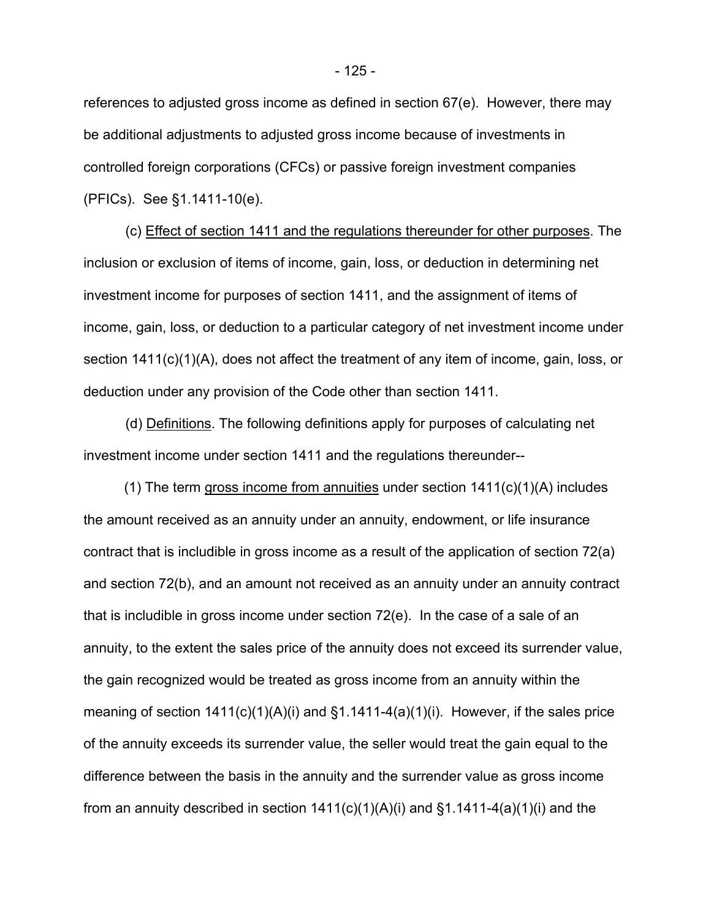references to adjusted gross income as defined in section 67(e). However, there may be additional adjustments to adjusted gross income because of investments in controlled foreign corporations (CFCs) or passive foreign investment companies (PFICs). See §1.1411-10(e).

(c) Effect of section 1411 and the regulations thereunder for other purposes. The inclusion or exclusion of items of income, gain, loss, or deduction in determining net investment income for purposes of section 1411, and the assignment of items of income, gain, loss, or deduction to a particular category of net investment income under section 1411(c)(1)(A), does not affect the treatment of any item of income, gain, loss, or deduction under any provision of the Code other than section 1411.

(d) Definitions. The following definitions apply for purposes of calculating net investment income under section 1411 and the regulations thereunder--

(1) The term gross income from annuities under section  $1411(c)(1)(A)$  includes the amount received as an annuity under an annuity, endowment, or life insurance contract that is includible in gross income as a result of the application of section 72(a) and section 72(b), and an amount not received as an annuity under an annuity contract that is includible in gross income under section 72(e). In the case of a sale of an annuity, to the extent the sales price of the annuity does not exceed its surrender value, the gain recognized would be treated as gross income from an annuity within the meaning of section  $1411(c)(1)(A)(i)$  and  $§1.1411-4(a)(1)(i)$ . However, if the sales price of the annuity exceeds its surrender value, the seller would treat the gain equal to the difference between the basis in the annuity and the surrender value as gross income from an annuity described in section  $1411(c)(1)(A)(i)$  and  $§1.1411-4(a)(1)(i)$  and the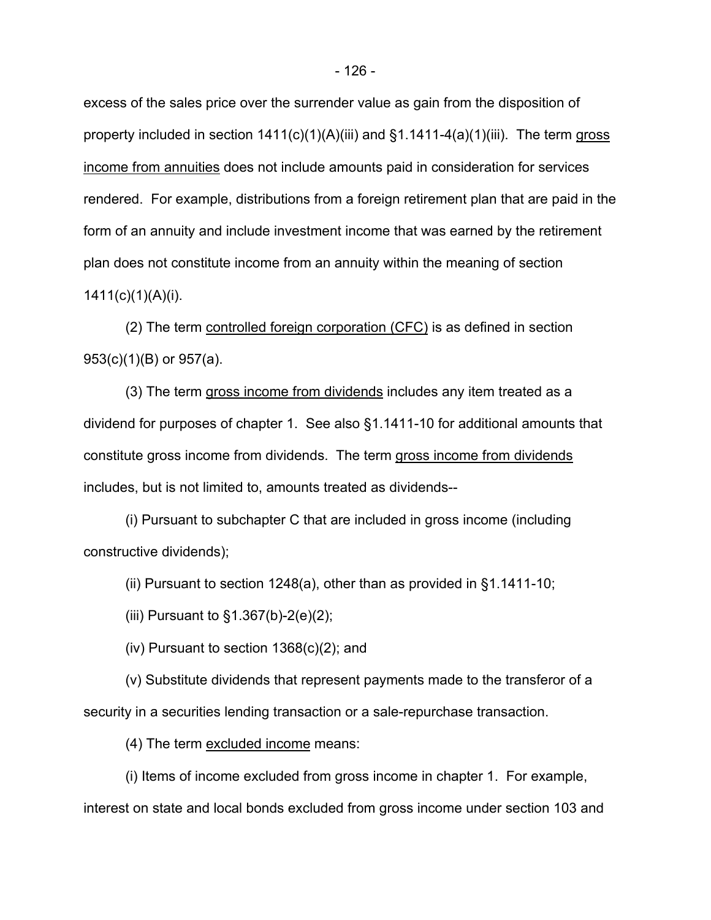excess of the sales price over the surrender value as gain from the disposition of property included in section  $1411(c)(1)(A)(iii)$  and  $§1.1411-4(a)(1)(iii)$ . The term gross income from annuities does not include amounts paid in consideration for services rendered. For example, distributions from a foreign retirement plan that are paid in the form of an annuity and include investment income that was earned by the retirement plan does not constitute income from an annuity within the meaning of section  $1411(c)(1)(A)(i)$ .

(2) The term controlled foreign corporation (CFC) is as defined in section 953(c)(1)(B) or 957(a).

(3) The term gross income from dividends includes any item treated as a dividend for purposes of chapter 1. See also §1.1411-10 for additional amounts that constitute gross income from dividends. The term gross income from dividends includes, but is not limited to, amounts treated as dividends--

(i) Pursuant to subchapter C that are included in gross income (including constructive dividends);

(ii) Pursuant to section 1248(a), other than as provided in §1.1411-10;

(iii) Pursuant to  $§1.367(b)-2(e)(2);$ 

(iv) Pursuant to section  $1368(c)(2)$ ; and

(v) Substitute dividends that represent payments made to the transferor of a security in a securities lending transaction or a sale-repurchase transaction.

(4) The term excluded income means:

(i) Items of income excluded from gross income in chapter 1. For example, interest on state and local bonds excluded from gross income under section 103 and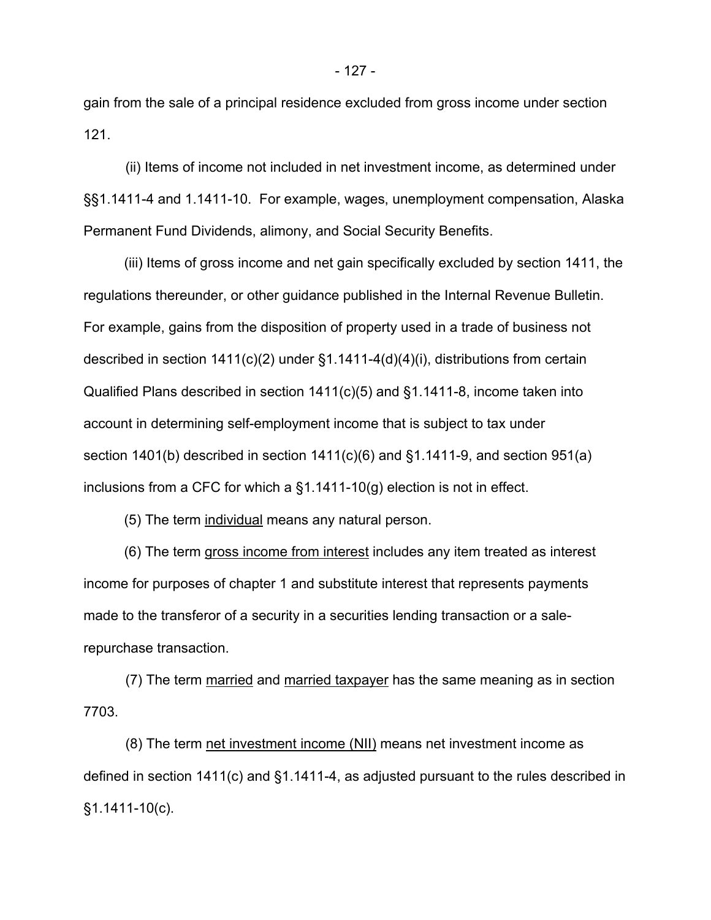gain from the sale of a principal residence excluded from gross income under section 121.

(ii) Items of income not included in net investment income, as determined under §§1.1411-4 and 1.1411-10. For example, wages, unemployment compensation, Alaska Permanent Fund Dividends, alimony, and Social Security Benefits.

(iii) Items of gross income and net gain specifically excluded by section 1411, the regulations thereunder, or other guidance published in the Internal Revenue Bulletin. For example, gains from the disposition of property used in a trade of business not described in section  $1411(c)(2)$  under §1.1411-4(d)(4)(i), distributions from certain Qualified Plans described in section 1411(c)(5) and §1.1411-8, income taken into account in determining self-employment income that is subject to tax under section 1401(b) described in section 1411(c)(6) and §1.1411-9, and section 951(a) inclusions from a CFC for which a §1.1411-10(g) election is not in effect.

(5) The term individual means any natural person.

(6) The term gross income from interest includes any item treated as interest income for purposes of chapter 1 and substitute interest that represents payments made to the transferor of a security in a securities lending transaction or a salerepurchase transaction.

(7) The term married and married taxpayer has the same meaning as in section 7703.

(8) The term net investment income (NII) means net investment income as defined in section 1411(c) and §1.1411-4, as adjusted pursuant to the rules described in §1.1411-10(c).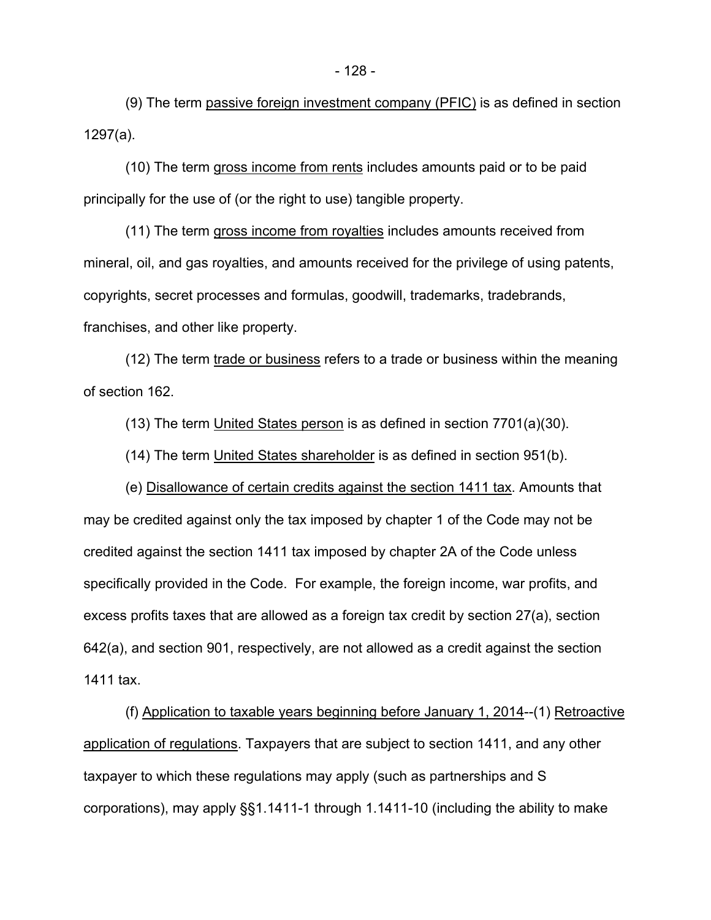(9) The term passive foreign investment company (PFIC) is as defined in section 1297(a).

(10) The term gross income from rents includes amounts paid or to be paid principally for the use of (or the right to use) tangible property.

(11) The term gross income from royalties includes amounts received from mineral, oil, and gas royalties, and amounts received for the privilege of using patents, copyrights, secret processes and formulas, goodwill, trademarks, tradebrands, franchises, and other like property.

(12) The term trade or business refers to a trade or business within the meaning of section 162.

(13) The term United States person is as defined in section 7701(a)(30).

(14) The term United States shareholder is as defined in section 951(b).

(e) Disallowance of certain credits against the section 1411 tax. Amounts that may be credited against only the tax imposed by chapter 1 of the Code may not be credited against the section 1411 tax imposed by chapter 2A of the Code unless specifically provided in the Code. For example, the foreign income, war profits, and excess profits taxes that are allowed as a foreign tax credit by section 27(a), section 642(a), and section 901, respectively, are not allowed as a credit against the section 1411 tax.

(f) Application to taxable years beginning before January 1, 2014--(1) Retroactive application of regulations. Taxpayers that are subject to section 1411, and any other taxpayer to which these regulations may apply (such as partnerships and S corporations), may apply §§1.1411-1 through 1.1411-10 (including the ability to make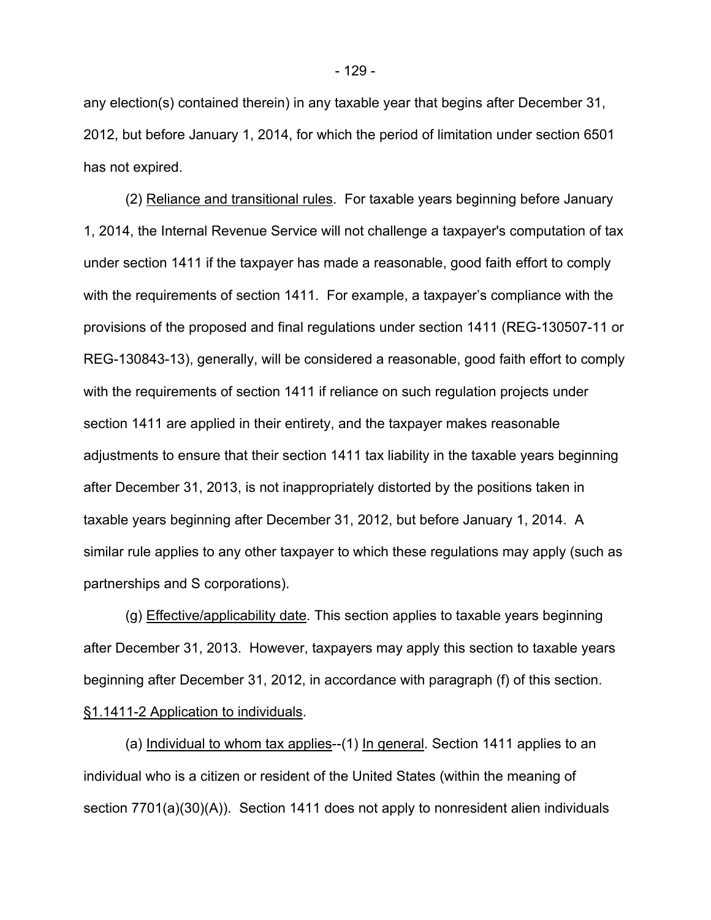any election(s) contained therein) in any taxable year that begins after December 31, 2012, but before January 1, 2014, for which the period of limitation under section 6501 has not expired.

(2) Reliance and transitional rules. For taxable years beginning before January 1, 2014, the Internal Revenue Service will not challenge a taxpayer's computation of tax under section 1411 if the taxpayer has made a reasonable, good faith effort to comply with the requirements of section 1411. For example, a taxpayer's compliance with the provisions of the proposed and final regulations under section 1411 (REG-130507-11 or REG-130843-13), generally, will be considered a reasonable, good faith effort to comply with the requirements of section 1411 if reliance on such regulation projects under section 1411 are applied in their entirety, and the taxpayer makes reasonable adjustments to ensure that their section 1411 tax liability in the taxable years beginning after December 31, 2013, is not inappropriately distorted by the positions taken in taxable years beginning after December 31, 2012, but before January 1, 2014. A similar rule applies to any other taxpayer to which these regulations may apply (such as partnerships and S corporations).

(g) Effective/applicability date. This section applies to taxable years beginning after December 31, 2013. However, taxpayers may apply this section to taxable years beginning after December 31, 2012, in accordance with paragraph (f) of this section. §1.1411-2 Application to individuals.

(a) Individual to whom tax applies--(1) In general. Section 1411 applies to an individual who is a citizen or resident of the United States (within the meaning of section 7701(a)(30)(A)). Section 1411 does not apply to nonresident alien individuals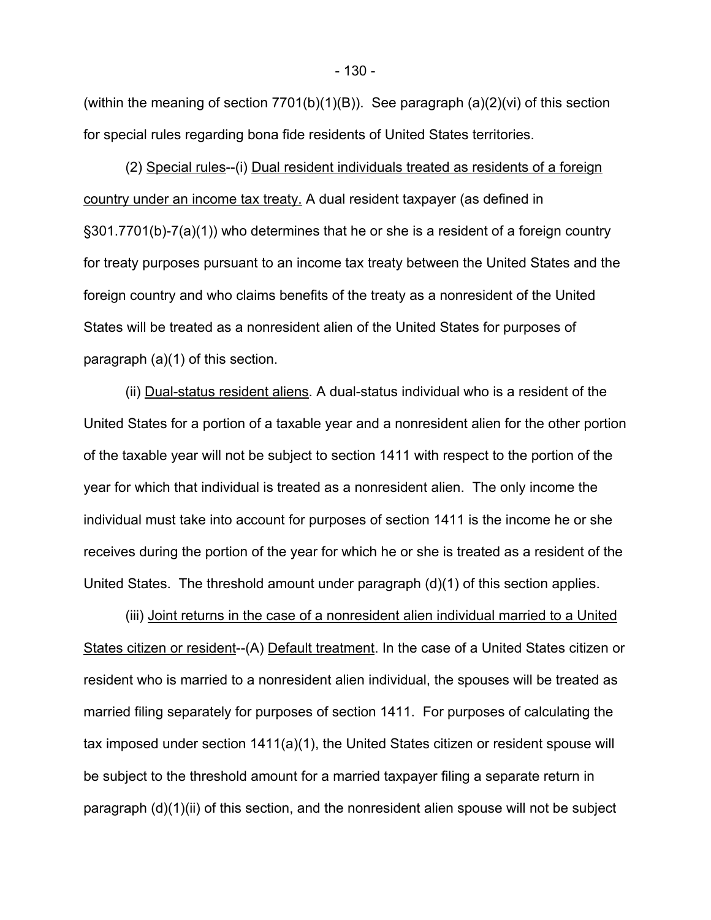(within the meaning of section  $7701(b)(1)(B)$ ). See paragraph  $(a)(2)(vi)$  of this section for special rules regarding bona fide residents of United States territories.

(2) Special rules--(i) Dual resident individuals treated as residents of a foreign country under an income tax treaty. A dual resident taxpayer (as defined in §301.7701(b)-7(a)(1)) who determines that he or she is a resident of a foreign country for treaty purposes pursuant to an income tax treaty between the United States and the foreign country and who claims benefits of the treaty as a nonresident of the United States will be treated as a nonresident alien of the United States for purposes of paragraph (a)(1) of this section.

(ii) Dual-status resident aliens. A dual-status individual who is a resident of the United States for a portion of a taxable year and a nonresident alien for the other portion of the taxable year will not be subject to section 1411 with respect to the portion of the year for which that individual is treated as a nonresident alien. The only income the individual must take into account for purposes of section 1411 is the income he or she receives during the portion of the year for which he or she is treated as a resident of the United States. The threshold amount under paragraph (d)(1) of this section applies.

(iii) Joint returns in the case of a nonresident alien individual married to a United States citizen or resident--(A) Default treatment. In the case of a United States citizen or resident who is married to a nonresident alien individual, the spouses will be treated as married filing separately for purposes of section 1411. For purposes of calculating the tax imposed under section 1411(a)(1), the United States citizen or resident spouse will be subject to the threshold amount for a married taxpayer filing a separate return in paragraph (d)(1)(ii) of this section, and the nonresident alien spouse will not be subject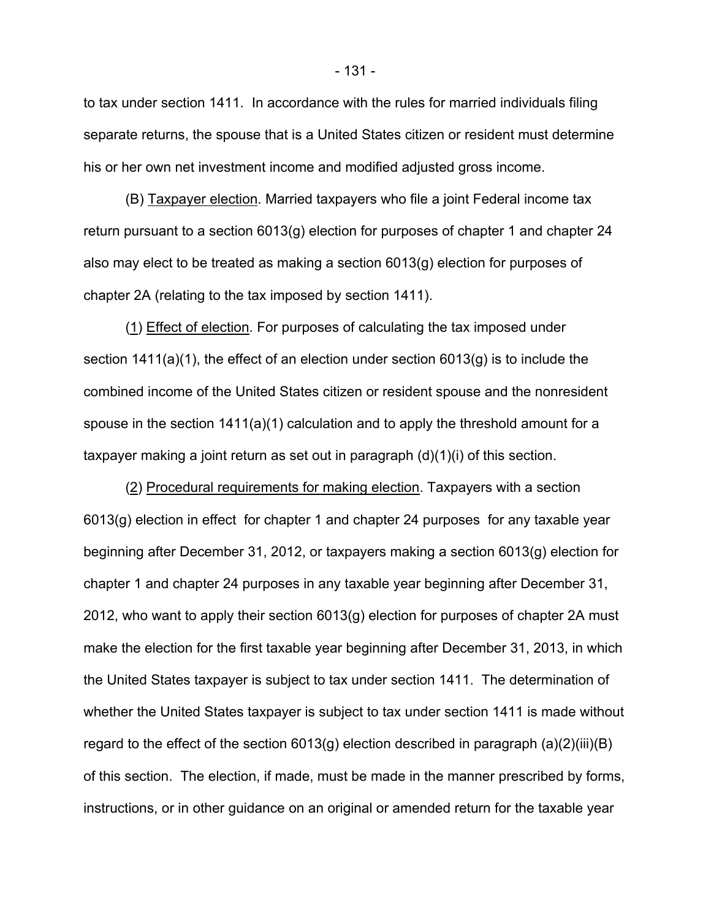to tax under section 1411. In accordance with the rules for married individuals filing separate returns, the spouse that is a United States citizen or resident must determine his or her own net investment income and modified adjusted gross income.

(B) Taxpayer election. Married taxpayers who file a joint Federal income tax return pursuant to a section 6013(g) election for purposes of chapter 1 and chapter 24 also may elect to be treated as making a section 6013(g) election for purposes of chapter 2A (relating to the tax imposed by section 1411).

(1) Effect of election. For purposes of calculating the tax imposed under section  $1411(a)(1)$ , the effect of an election under section  $6013(q)$  is to include the combined income of the United States citizen or resident spouse and the nonresident spouse in the section 1411(a)(1) calculation and to apply the threshold amount for a taxpayer making a joint return as set out in paragraph (d)(1)(i) of this section.

(2) Procedural requirements for making election. Taxpayers with a section 6013(g) election in effect for chapter 1 and chapter 24 purposes for any taxable year beginning after December 31, 2012, or taxpayers making a section 6013(g) election for chapter 1 and chapter 24 purposes in any taxable year beginning after December 31, 2012, who want to apply their section 6013(g) election for purposes of chapter 2A must make the election for the first taxable year beginning after December 31, 2013, in which the United States taxpayer is subject to tax under section 1411. The determination of whether the United States taxpayer is subject to tax under section 1411 is made without regard to the effect of the section  $6013(g)$  election described in paragraph  $(a)(2)(iii)(B)$ of this section. The election, if made, must be made in the manner prescribed by forms, instructions, or in other guidance on an original or amended return for the taxable year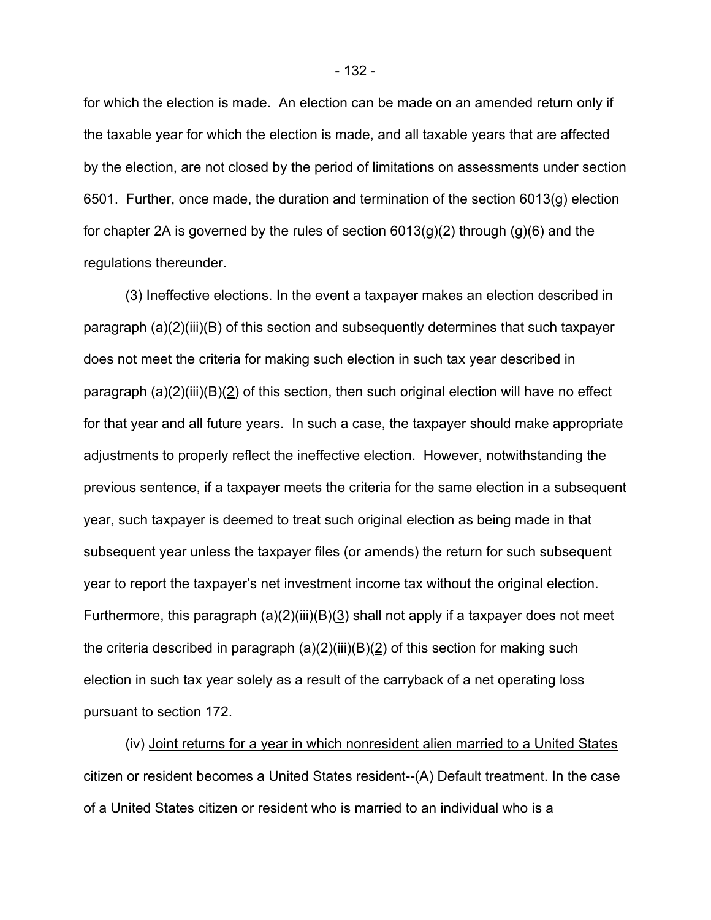for which the election is made. An election can be made on an amended return only if the taxable year for which the election is made, and all taxable years that are affected by the election, are not closed by the period of limitations on assessments under section 6501. Further, once made, the duration and termination of the section 6013(g) election for chapter 2A is governed by the rules of section  $6013(q)(2)$  through  $(q)(6)$  and the regulations thereunder.

(3) Ineffective elections. In the event a taxpayer makes an election described in paragraph (a)(2)(iii)(B) of this section and subsequently determines that such taxpayer does not meet the criteria for making such election in such tax year described in paragraph (a)(2)(iii)(B)(2) of this section, then such original election will have no effect for that year and all future years. In such a case, the taxpayer should make appropriate adjustments to properly reflect the ineffective election. However, notwithstanding the previous sentence, if a taxpayer meets the criteria for the same election in a subsequent year, such taxpayer is deemed to treat such original election as being made in that subsequent year unless the taxpayer files (or amends) the return for such subsequent year to report the taxpayer's net investment income tax without the original election. Furthermore, this paragraph (a)(2)(iii)(B)(3) shall not apply if a taxpayer does not meet the criteria described in paragraph  $(a)(2)(iii)(B)(2)$  of this section for making such election in such tax year solely as a result of the carryback of a net operating loss pursuant to section 172.

(iv) Joint returns for a year in which nonresident alien married to a United States citizen or resident becomes a United States resident--(A) Default treatment. In the case of a United States citizen or resident who is married to an individual who is a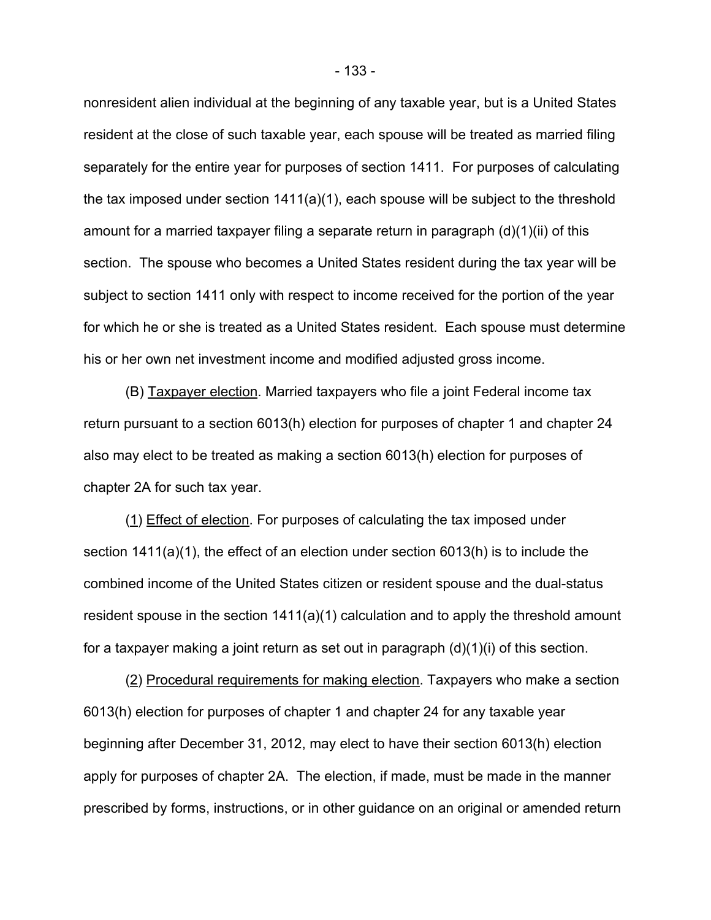nonresident alien individual at the beginning of any taxable year, but is a United States resident at the close of such taxable year, each spouse will be treated as married filing separately for the entire year for purposes of section 1411. For purposes of calculating the tax imposed under section 1411(a)(1), each spouse will be subject to the threshold amount for a married taxpayer filing a separate return in paragraph (d)(1)(ii) of this section. The spouse who becomes a United States resident during the tax year will be subject to section 1411 only with respect to income received for the portion of the year for which he or she is treated as a United States resident. Each spouse must determine his or her own net investment income and modified adjusted gross income.

(B) Taxpayer election. Married taxpayers who file a joint Federal income tax return pursuant to a section 6013(h) election for purposes of chapter 1 and chapter 24 also may elect to be treated as making a section 6013(h) election for purposes of chapter 2A for such tax year.

(1) Effect of election. For purposes of calculating the tax imposed under section 1411(a)(1), the effect of an election under section 6013(h) is to include the combined income of the United States citizen or resident spouse and the dual-status resident spouse in the section 1411(a)(1) calculation and to apply the threshold amount for a taxpayer making a joint return as set out in paragraph (d)(1)(i) of this section.

(2) Procedural requirements for making election. Taxpayers who make a section 6013(h) election for purposes of chapter 1 and chapter 24 for any taxable year beginning after December 31, 2012, may elect to have their section 6013(h) election apply for purposes of chapter 2A. The election, if made, must be made in the manner prescribed by forms, instructions, or in other guidance on an original or amended return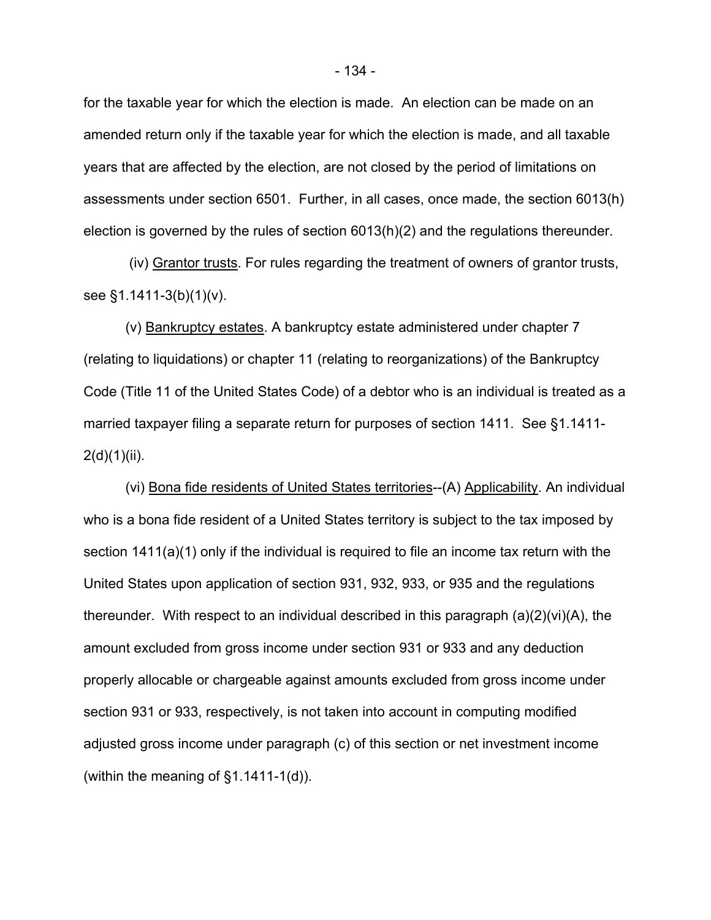for the taxable year for which the election is made. An election can be made on an amended return only if the taxable year for which the election is made, and all taxable years that are affected by the election, are not closed by the period of limitations on assessments under section 6501. Further, in all cases, once made, the section 6013(h) election is governed by the rules of section 6013(h)(2) and the regulations thereunder.

 (iv) Grantor trusts. For rules regarding the treatment of owners of grantor trusts, see §1.1411-3(b)(1)(v).

(v) Bankruptcy estates. A bankruptcy estate administered under chapter 7 (relating to liquidations) or chapter 11 (relating to reorganizations) of the Bankruptcy Code (Title 11 of the United States Code) of a debtor who is an individual is treated as a married taxpayer filing a separate return for purposes of section 1411. See §1.1411-  $2(d)(1)(ii)$ .

(vi) Bona fide residents of United States territories--(A) Applicability. An individual who is a bona fide resident of a United States territory is subject to the tax imposed by section 1411(a)(1) only if the individual is required to file an income tax return with the United States upon application of section 931, 932, 933, or 935 and the regulations thereunder. With respect to an individual described in this paragraph (a)(2)(vi)(A), the amount excluded from gross income under section 931 or 933 and any deduction properly allocable or chargeable against amounts excluded from gross income under section 931 or 933, respectively, is not taken into account in computing modified adjusted gross income under paragraph (c) of this section or net investment income (within the meaning of §1.1411-1(d)).

- 134 -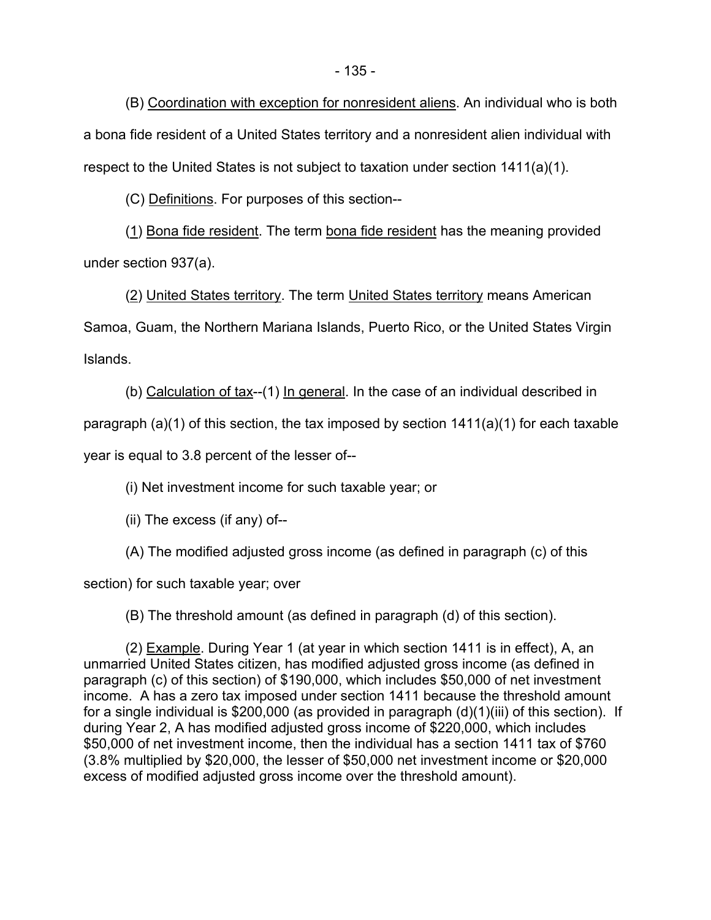(B) Coordination with exception for nonresident aliens. An individual who is both a bona fide resident of a United States territory and a nonresident alien individual with respect to the United States is not subject to taxation under section 1411(a)(1).

(C) Definitions. For purposes of this section--

(1) Bona fide resident. The term bona fide resident has the meaning provided under section 937(a).

(2) United States territory. The term United States territory means American Samoa, Guam, the Northern Mariana Islands, Puerto Rico, or the United States Virgin Islands.

(b) Calculation of tax--(1) In general. In the case of an individual described in

paragraph (a)(1) of this section, the tax imposed by section  $1411(a)(1)$  for each taxable

year is equal to 3.8 percent of the lesser of--

(i) Net investment income for such taxable year; or

(ii) The excess (if any) of--

(A) The modified adjusted gross income (as defined in paragraph (c) of this

section) for such taxable year; over

(B) The threshold amount (as defined in paragraph (d) of this section).

(2) Example. During Year 1 (at year in which section 1411 is in effect), A, an unmarried United States citizen, has modified adjusted gross income (as defined in paragraph (c) of this section) of \$190,000, which includes \$50,000 of net investment income. A has a zero tax imposed under section 1411 because the threshold amount for a single individual is \$200,000 (as provided in paragraph (d)(1)(iii) of this section). If during Year 2, A has modified adjusted gross income of \$220,000, which includes \$50,000 of net investment income, then the individual has a section 1411 tax of \$760 (3.8% multiplied by \$20,000, the lesser of \$50,000 net investment income or \$20,000 excess of modified adjusted gross income over the threshold amount).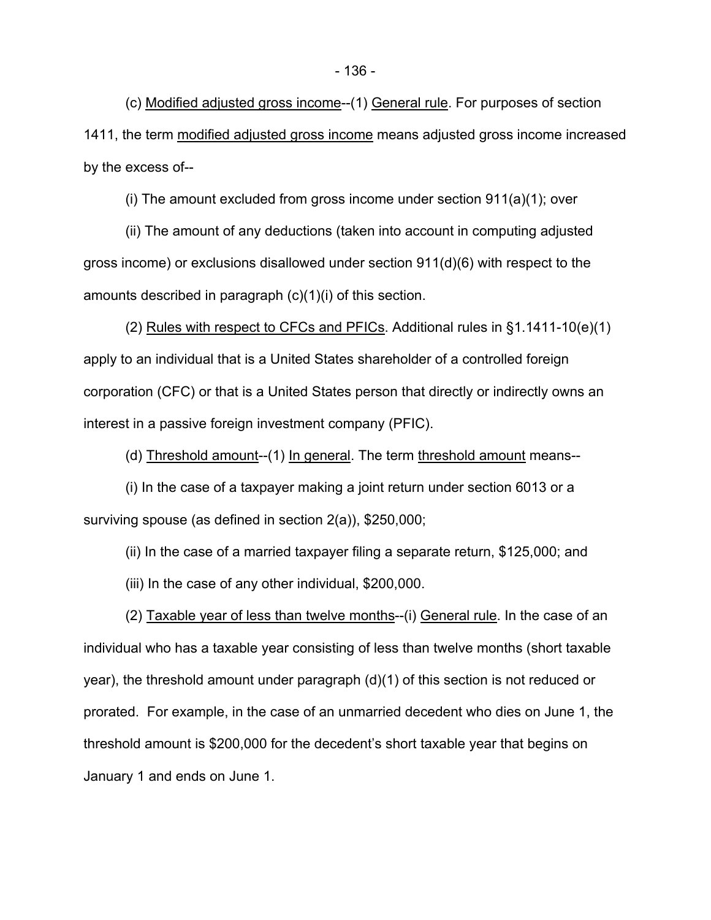(c) Modified adjusted gross income--(1) General rule. For purposes of section 1411, the term modified adjusted gross income means adjusted gross income increased by the excess of--

(i) The amount excluded from gross income under section 911(a)(1); over

(ii) The amount of any deductions (taken into account in computing adjusted gross income) or exclusions disallowed under section 911(d)(6) with respect to the amounts described in paragraph (c)(1)(i) of this section.

(2) Rules with respect to CFCs and PFICs. Additional rules in §1.1411-10(e)(1) apply to an individual that is a United States shareholder of a controlled foreign corporation (CFC) or that is a United States person that directly or indirectly owns an interest in a passive foreign investment company (PFIC).

(d) Threshold amount--(1) In general. The term threshold amount means--

(i) In the case of a taxpayer making a joint return under section 6013 or a surviving spouse (as defined in section 2(a)), \$250,000;

(ii) In the case of a married taxpayer filing a separate return, \$125,000; and

(iii) In the case of any other individual, \$200,000.

(2) Taxable year of less than twelve months--(i) General rule. In the case of an individual who has a taxable year consisting of less than twelve months (short taxable year), the threshold amount under paragraph (d)(1) of this section is not reduced or prorated. For example, in the case of an unmarried decedent who dies on June 1, the threshold amount is \$200,000 for the decedent's short taxable year that begins on January 1 and ends on June 1.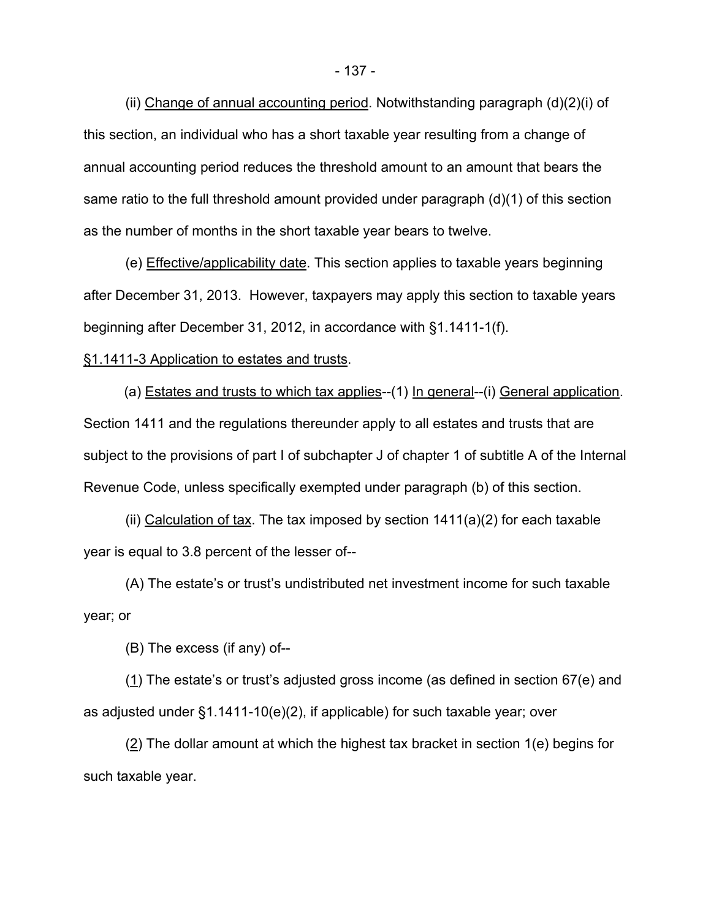(ii) Change of annual accounting period. Notwithstanding paragraph (d)(2)(i) of this section, an individual who has a short taxable year resulting from a change of annual accounting period reduces the threshold amount to an amount that bears the same ratio to the full threshold amount provided under paragraph (d)(1) of this section as the number of months in the short taxable year bears to twelve.

(e) Effective/applicability date. This section applies to taxable years beginning after December 31, 2013. However, taxpayers may apply this section to taxable years beginning after December 31, 2012, in accordance with §1.1411-1(f).

#### §1.1411-3 Application to estates and trusts.

(a) Estates and trusts to which tax applies--(1) In general--(i) General application. Section 1411 and the regulations thereunder apply to all estates and trusts that are subject to the provisions of part I of subchapter J of chapter 1 of subtitle A of the Internal Revenue Code, unless specifically exempted under paragraph (b) of this section.

(ii) Calculation of tax. The tax imposed by section  $1411(a)(2)$  for each taxable year is equal to 3.8 percent of the lesser of--

(A) The estate's or trust's undistributed net investment income for such taxable year; or

(B) The excess (if any) of--

(1) The estate's or trust's adjusted gross income (as defined in section 67(e) and as adjusted under §1.1411-10(e)(2), if applicable) for such taxable year; over

(2) The dollar amount at which the highest tax bracket in section 1(e) begins for such taxable year.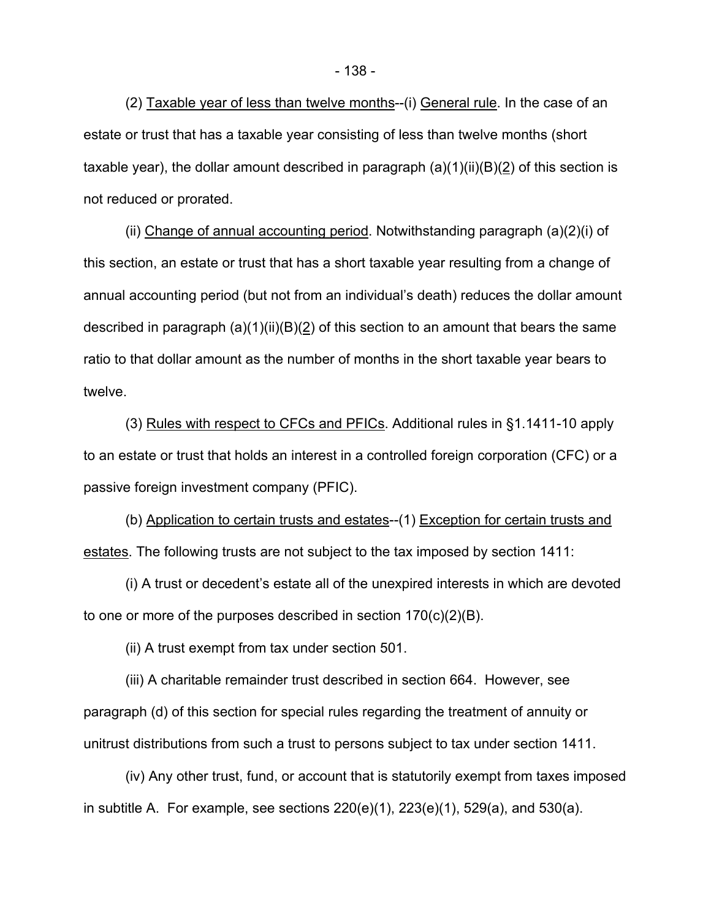(2) Taxable year of less than twelve months--(i) General rule. In the case of an estate or trust that has a taxable year consisting of less than twelve months (short taxable year), the dollar amount described in paragraph  $(a)(1)(ii)(B)(2)$  of this section is not reduced or prorated.

(ii) Change of annual accounting period. Notwithstanding paragraph (a)(2)(i) of this section, an estate or trust that has a short taxable year resulting from a change of annual accounting period (but not from an individual's death) reduces the dollar amount described in paragraph  $(a)(1)(ii)(B)(2)$  of this section to an amount that bears the same ratio to that dollar amount as the number of months in the short taxable year bears to twelve.

(3) Rules with respect to CFCs and PFICs. Additional rules in §1.1411-10 apply to an estate or trust that holds an interest in a controlled foreign corporation (CFC) or a passive foreign investment company (PFIC).

(b) Application to certain trusts and estates--(1) Exception for certain trusts and estates. The following trusts are not subject to the tax imposed by section 1411:

(i) A trust or decedent's estate all of the unexpired interests in which are devoted to one or more of the purposes described in section 170(c)(2)(B).

(ii) A trust exempt from tax under section 501.

(iii) A charitable remainder trust described in section 664. However, see paragraph (d) of this section for special rules regarding the treatment of annuity or unitrust distributions from such a trust to persons subject to tax under section 1411.

(iv) Any other trust, fund, or account that is statutorily exempt from taxes imposed in subtitle A. For example, see sections 220(e)(1), 223(e)(1), 529(a), and 530(a).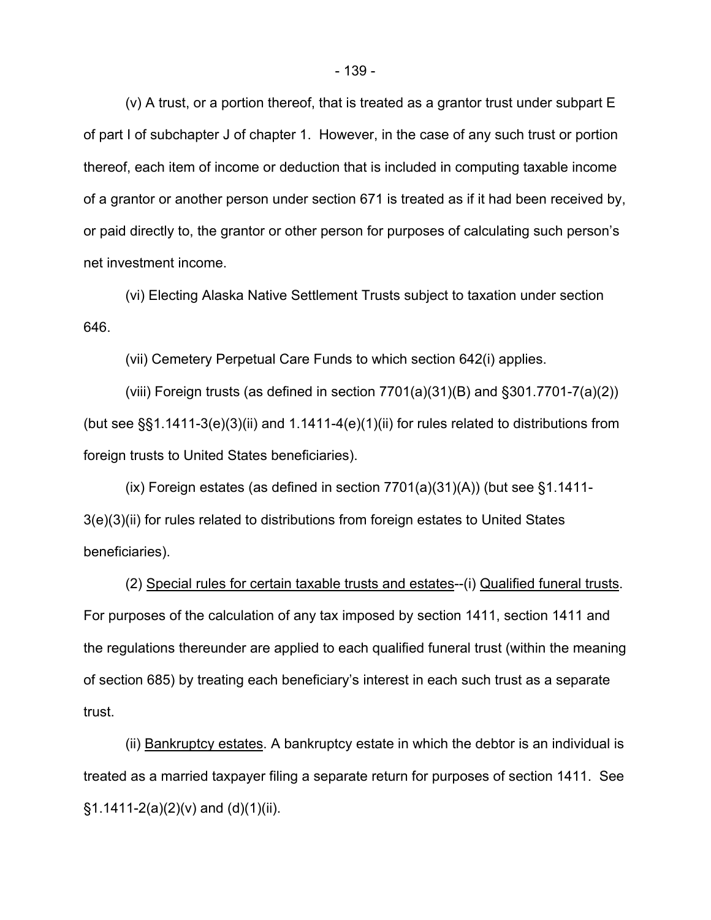(v) A trust, or a portion thereof, that is treated as a grantor trust under subpart E of part I of subchapter J of chapter 1. However, in the case of any such trust or portion thereof, each item of income or deduction that is included in computing taxable income of a grantor or another person under section 671 is treated as if it had been received by, or paid directly to, the grantor or other person for purposes of calculating such person's net investment income.

(vi) Electing Alaska Native Settlement Trusts subject to taxation under section 646.

(vii) Cemetery Perpetual Care Funds to which section 642(i) applies.

(viii) Foreign trusts (as defined in section  $7701(a)(31)(B)$  and  $\S301.7701-7(a)(2)$ ) (but see  $\S$ §1.1411-3(e)(3)(ii) and 1.1411-4(e)(1)(ii) for rules related to distributions from foreign trusts to United States beneficiaries).

 $(ix)$  Foreign estates (as defined in section 7701(a)(31)(A)) (but see §1.1411-3(e)(3)(ii) for rules related to distributions from foreign estates to United States beneficiaries).

(2) Special rules for certain taxable trusts and estates--(i) Qualified funeral trusts. For purposes of the calculation of any tax imposed by section 1411, section 1411 and the regulations thereunder are applied to each qualified funeral trust (within the meaning of section 685) by treating each beneficiary's interest in each such trust as a separate trust.

(ii) Bankruptcy estates. A bankruptcy estate in which the debtor is an individual is treated as a married taxpayer filing a separate return for purposes of section 1411. See  $\S1.1411 - 2(a)(2)(v)$  and  $(d)(1)(ii)$ .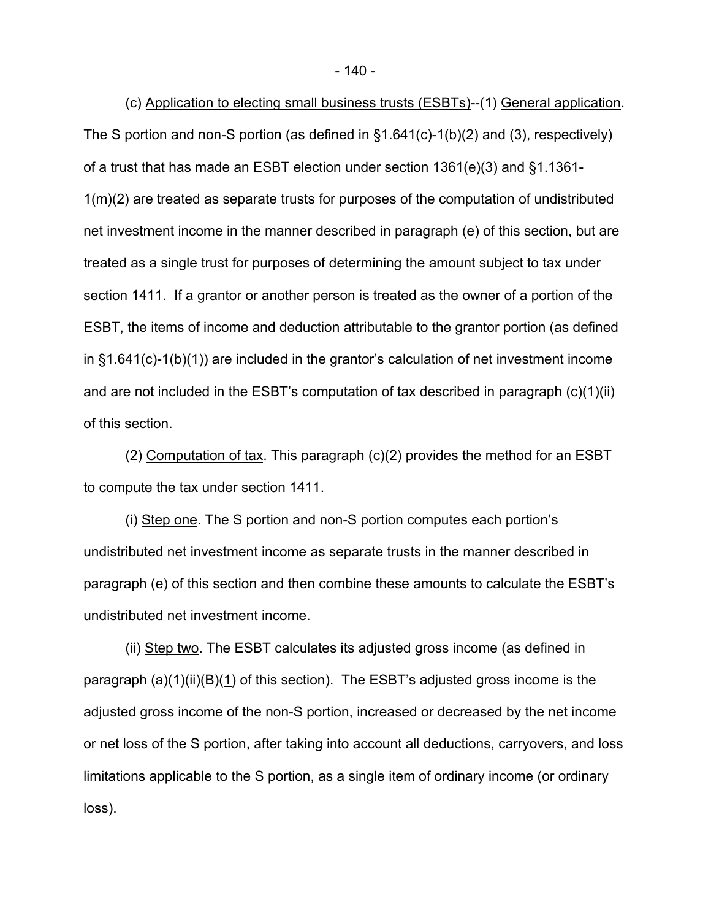(c) Application to electing small business trusts (ESBTs)--(1) General application. The S portion and non-S portion (as defined in §1.641(c)-1(b)(2) and (3), respectively) of a trust that has made an ESBT election under section 1361(e)(3) and §1.1361- 1(m)(2) are treated as separate trusts for purposes of the computation of undistributed net investment income in the manner described in paragraph (e) of this section, but are treated as a single trust for purposes of determining the amount subject to tax under section 1411. If a grantor or another person is treated as the owner of a portion of the ESBT, the items of income and deduction attributable to the grantor portion (as defined in §1.641(c)-1(b)(1)) are included in the grantor's calculation of net investment income and are not included in the ESBT's computation of tax described in paragraph (c)(1)(ii) of this section.

(2) Computation of tax. This paragraph (c)(2) provides the method for an ESBT to compute the tax under section 1411.

(i) Step one. The S portion and non-S portion computes each portion's undistributed net investment income as separate trusts in the manner described in paragraph (e) of this section and then combine these amounts to calculate the ESBT's undistributed net investment income.

(ii) Step two. The ESBT calculates its adjusted gross income (as defined in paragraph (a)(1)(ii)(B)(1) of this section). The ESBT's adjusted gross income is the adjusted gross income of the non-S portion, increased or decreased by the net income or net loss of the S portion, after taking into account all deductions, carryovers, and loss limitations applicable to the S portion, as a single item of ordinary income (or ordinary loss).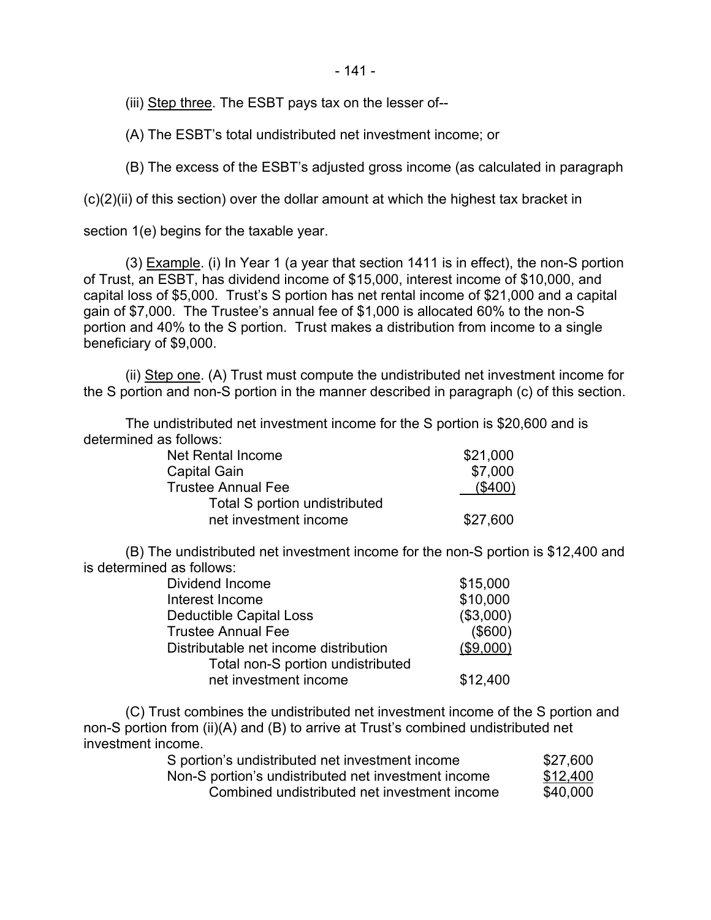- 141 -

(iii) Step three. The ESBT pays tax on the lesser of--

(A) The ESBT's total undistributed net investment income; or

(B) The excess of the ESBT's adjusted gross income (as calculated in paragraph

 $(c)(2)(ii)$  of this section) over the dollar amount at which the highest tax bracket in

section 1(e) begins for the taxable year.

(3) Example. (i) In Year 1 (a year that section 1411 is in effect), the non-S portion of Trust, an ESBT, has dividend income of \$15,000, interest income of \$10,000, and capital loss of \$5,000. Trust's S portion has net rental income of \$21,000 and a capital gain of \$7,000. The Trustee's annual fee of \$1,000 is allocated 60% to the non-S portion and 40% to the S portion. Trust makes a distribution from income to a single beneficiary of \$9,000.

(ii) Step one. (A) Trust must compute the undistributed net investment income for the S portion and non-S portion in the manner described in paragraph (c) of this section.

The undistributed net investment income for the S portion is \$20,600 and is determined as follows:

| Net Rental Income             | \$21,000   |
|-------------------------------|------------|
| <b>Capital Gain</b>           | \$7,000    |
| <b>Trustee Annual Fee</b>     | $($ \$400) |
| Total S portion undistributed |            |
| net investment income         | \$27,600   |

(B) The undistributed net investment income for the non-S portion is \$12,400 and is determined as follows:

| Dividend Income                       | \$15,000  |
|---------------------------------------|-----------|
| Interest Income                       | \$10,000  |
| <b>Deductible Capital Loss</b>        | (\$3,000) |
| <b>Trustee Annual Fee</b>             | (\$600)   |
| Distributable net income distribution | (\$9,000) |
| Total non-S portion undistributed     |           |
| net investment income                 | \$12,400  |

(C) Trust combines the undistributed net investment income of the S portion and non-S portion from (ii)(A) and (B) to arrive at Trust's combined undistributed net investment income.

| S portion's undistributed net investment income     | \$27,600 |
|-----------------------------------------------------|----------|
| Non-S portion's undistributed net investment income | \$12,400 |
| Combined undistributed net investment income        | \$40,000 |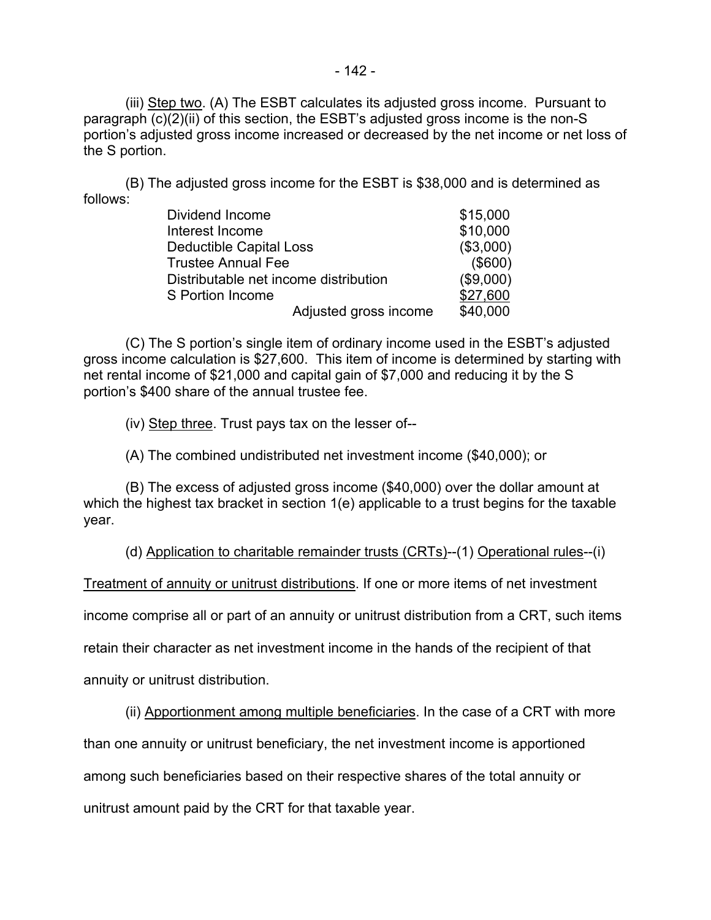(iii) Step two. (A) The ESBT calculates its adjusted gross income. Pursuant to paragraph (c)(2)(ii) of this section, the ESBT's adjusted gross income is the non-S portion's adjusted gross income increased or decreased by the net income or net loss of the S portion.

(B) The adjusted gross income for the ESBT is \$38,000 and is determined as follows:

| Dividend Income                       | \$15,000  |
|---------------------------------------|-----------|
| Interest Income                       | \$10,000  |
| Deductible Capital Loss               | (\$3,000) |
| <b>Trustee Annual Fee</b>             | (\$600)   |
| Distributable net income distribution | (\$9,000) |
| S Portion Income                      | \$27,600  |
| Adjusted gross income                 | \$40,000  |

(C) The S portion's single item of ordinary income used in the ESBT's adjusted gross income calculation is \$27,600. This item of income is determined by starting with net rental income of \$21,000 and capital gain of \$7,000 and reducing it by the S portion's \$400 share of the annual trustee fee.

(iv) Step three. Trust pays tax on the lesser of--

(A) The combined undistributed net investment income (\$40,000); or

(B) The excess of adjusted gross income (\$40,000) over the dollar amount at which the highest tax bracket in section 1(e) applicable to a trust begins for the taxable year.

(d) Application to charitable remainder trusts (CRTs)--(1) Operational rules--(i)

Treatment of annuity or unitrust distributions. If one or more items of net investment

income comprise all or part of an annuity or unitrust distribution from a CRT, such items

retain their character as net investment income in the hands of the recipient of that

annuity or unitrust distribution.

(ii) Apportionment among multiple beneficiaries. In the case of a CRT with more

than one annuity or unitrust beneficiary, the net investment income is apportioned

among such beneficiaries based on their respective shares of the total annuity or

unitrust amount paid by the CRT for that taxable year.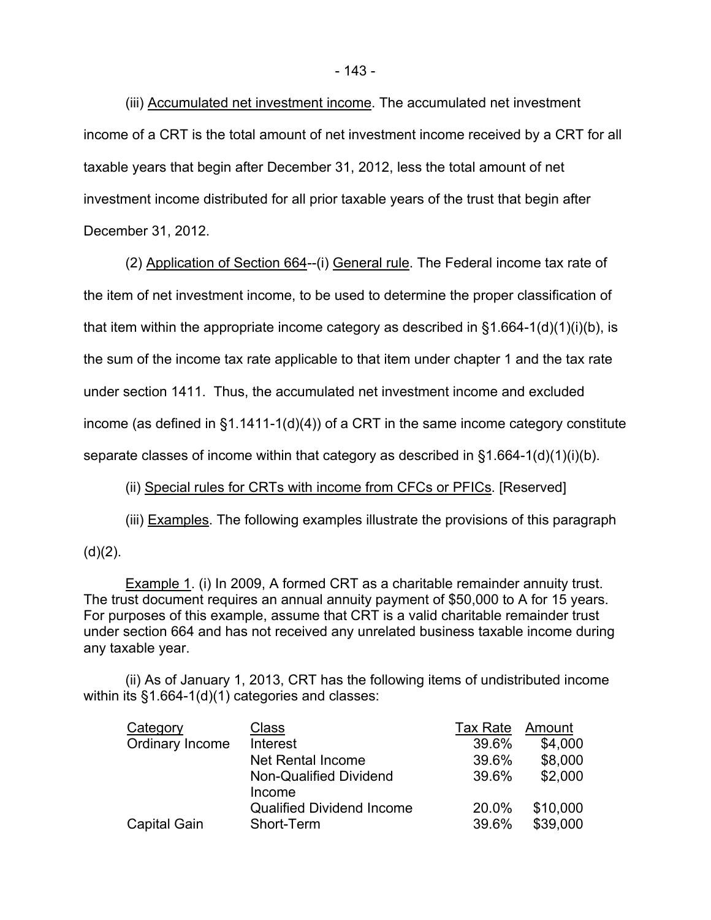(iii) Accumulated net investment income. The accumulated net investment income of a CRT is the total amount of net investment income received by a CRT for all taxable years that begin after December 31, 2012, less the total amount of net investment income distributed for all prior taxable years of the trust that begin after December 31, 2012.

(2) Application of Section 664--(i) General rule. The Federal income tax rate of the item of net investment income, to be used to determine the proper classification of that item within the appropriate income category as described in  $\S$ 1.664-1(d)(1)(i)(b), is the sum of the income tax rate applicable to that item under chapter 1 and the tax rate under section 1411. Thus, the accumulated net investment income and excluded income (as defined in  $\S1.1411-1(d)(4)$ ) of a CRT in the same income category constitute separate classes of income within that category as described in §1.664-1(d)(1)(i)(b).

### (ii) Special rules for CRTs with income from CFCs or PFICs. [Reserved]

(iii) Examples. The following examples illustrate the provisions of this paragraph

 $(d)(2)$ .

 Example 1. (i) In 2009, A formed CRT as a charitable remainder annuity trust. The trust document requires an annual annuity payment of \$50,000 to A for 15 years. For purposes of this example, assume that CRT is a valid charitable remainder trust under section 664 and has not received any unrelated business taxable income during any taxable year.

(ii) As of January 1, 2013, CRT has the following items of undistributed income within its §1.664-1(d)(1) categories and classes:

| Category            | Class                            | <b>Tax Rate</b> | Amount   |
|---------------------|----------------------------------|-----------------|----------|
| Ordinary Income     | Interest                         | 39.6%           | \$4,000  |
|                     | <b>Net Rental Income</b>         | 39.6%           | \$8,000  |
|                     | Non-Qualified Dividend<br>Income | 39.6%           | \$2,000  |
|                     | <b>Qualified Dividend Income</b> | 20.0%           | \$10,000 |
| <b>Capital Gain</b> | Short-Term                       | 39.6%           | \$39,000 |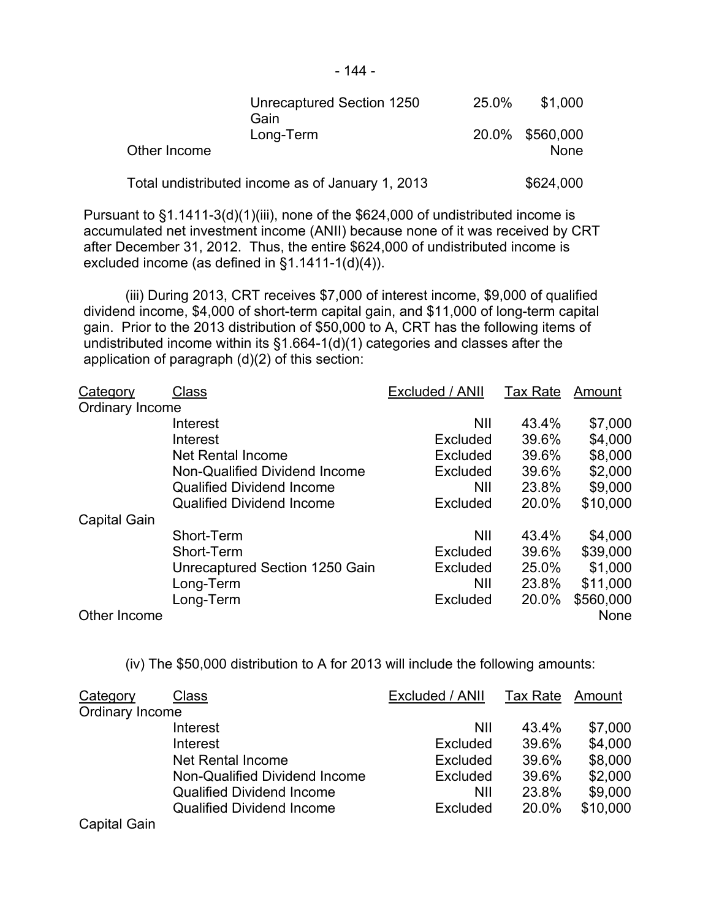|              | Unrecaptured Section 1250<br>Gain                | 25.0% | \$1,000                 |
|--------------|--------------------------------------------------|-------|-------------------------|
| Other Income | Long-Term                                        |       | 20.0% \$560,000<br>None |
|              | Total undistributed income as of January 1, 2013 |       | \$624,000               |

Pursuant to §1.1411-3(d)(1)(iii), none of the \$624,000 of undistributed income is accumulated net investment income (ANII) because none of it was received by CRT after December 31, 2012. Thus, the entire \$624,000 of undistributed income is excluded income (as defined in §1.1411-1(d)(4)).

(iii) During 2013, CRT receives \$7,000 of interest income, \$9,000 of qualified dividend income, \$4,000 of short-term capital gain, and \$11,000 of long-term capital gain. Prior to the 2013 distribution of \$50,000 to A, CRT has the following items of undistributed income within its §1.664-1(d)(1) categories and classes after the application of paragraph (d)(2) of this section:

| Category            | Class                            | Excluded / ANII | <b>Tax Rate</b> | Amount      |
|---------------------|----------------------------------|-----------------|-----------------|-------------|
| Ordinary Income     |                                  |                 |                 |             |
|                     | Interest                         | <b>NII</b>      | 43.4%           | \$7,000     |
|                     | Interest                         | Excluded        | 39.6%           | \$4,000     |
|                     | <b>Net Rental Income</b>         | <b>Excluded</b> | 39.6%           | \$8,000     |
|                     | Non-Qualified Dividend Income    | <b>Excluded</b> | 39.6%           | \$2,000     |
|                     | <b>Qualified Dividend Income</b> | <b>NII</b>      | 23.8%           | \$9,000     |
|                     | <b>Qualified Dividend Income</b> | Excluded        | 20.0%           | \$10,000    |
| <b>Capital Gain</b> |                                  |                 |                 |             |
|                     | Short-Term                       | <b>NII</b>      | 43.4%           | \$4,000     |
|                     | Short-Term                       | Excluded        | 39.6%           | \$39,000    |
|                     | Unrecaptured Section 1250 Gain   | Excluded        | 25.0%           | \$1,000     |
|                     | Long-Term                        | <b>NII</b>      | 23.8%           | \$11,000    |
|                     | Long-Term                        | Excluded        | 20.0%           | \$560,000   |
| Other Income        |                                  |                 |                 | <b>None</b> |

(iv) The \$50,000 distribution to A for 2013 will include the following amounts:

| Category            | <b>Class</b>                     | Excluded / ANII | Tax Rate | Amount   |
|---------------------|----------------------------------|-----------------|----------|----------|
| Ordinary Income     |                                  |                 |          |          |
|                     | Interest                         | NII             | 43.4%    | \$7,000  |
|                     | Interest                         | Excluded        | 39.6%    | \$4,000  |
|                     | Net Rental Income                | Excluded        | 39.6%    | \$8,000  |
|                     | Non-Qualified Dividend Income    | Excluded        | 39.6%    | \$2,000  |
|                     | <b>Qualified Dividend Income</b> | <b>NII</b>      | 23.8%    | \$9,000  |
|                     | <b>Qualified Dividend Income</b> | Excluded        | 20.0%    | \$10,000 |
| <b>Capital Gain</b> |                                  |                 |          |          |

- 144 -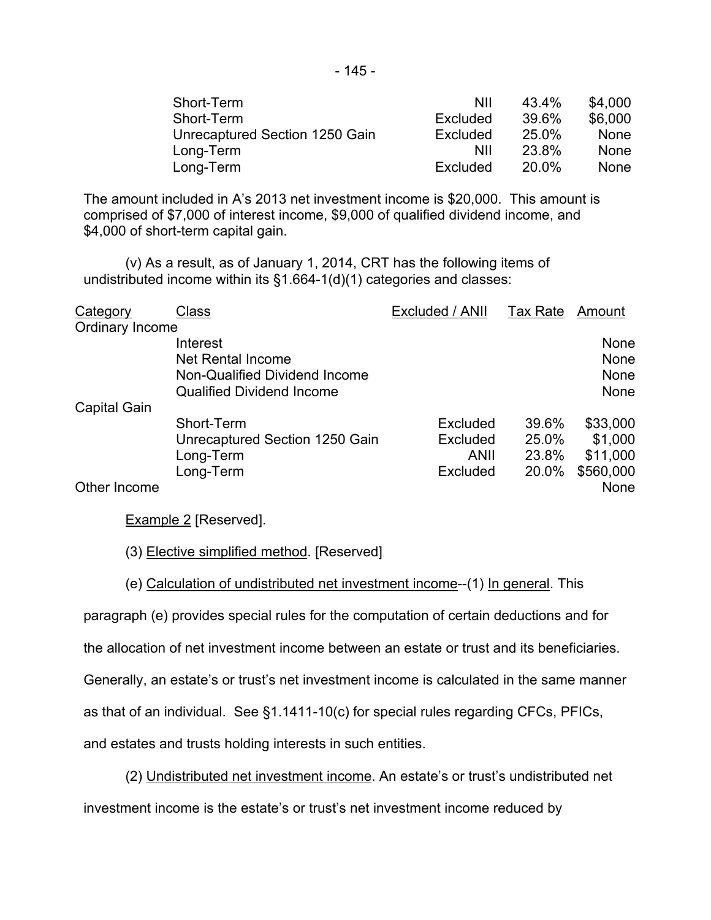| Short-Term                     | NII      | 43.4% | \$4,000     |
|--------------------------------|----------|-------|-------------|
| Short-Term                     | Excluded | 39.6% | \$6,000     |
| Unrecaptured Section 1250 Gain | Excluded | 25.0% | None        |
| Long-Term                      | ΝIΙ      | 23.8% | <b>None</b> |
| Long-Term                      | Excluded | 20.0% | <b>None</b> |

The amount included in A's 2013 net investment income is \$20,000. This amount is comprised of \$7,000 of interest income, \$9,000 of qualified dividend income, and \$4,000 of short-term capital gain.

(v) As a result, as of January 1, 2014, CRT has the following items of undistributed income within its §1.664-1(d)(1) categories and classes:

| Category        | Class                                                                                              | Excluded / ANII | Tax Rate | Amount                              |
|-----------------|----------------------------------------------------------------------------------------------------|-----------------|----------|-------------------------------------|
| Ordinary Income |                                                                                                    |                 |          |                                     |
|                 | Interest<br>Net Rental Income<br>Non-Qualified Dividend Income<br><b>Qualified Dividend Income</b> |                 |          | None<br>None<br><b>None</b><br>None |
| Capital Gain    |                                                                                                    |                 |          |                                     |
|                 | Short-Term                                                                                         | Excluded        | 39.6%    | \$33,000                            |
|                 | Unrecaptured Section 1250 Gain                                                                     | Excluded        | 25.0%    | \$1,000                             |
|                 | Long-Term                                                                                          | ANII            | 23.8%    | \$11,000                            |
|                 | Long-Term                                                                                          | <b>Excluded</b> | 20.0%    | \$560,000                           |
| Other Income    |                                                                                                    |                 |          | <b>None</b>                         |

Example 2 [Reserved].

(3) Elective simplified method. [Reserved]

(e) Calculation of undistributed net investment income--(1) In general. This

paragraph (e) provides special rules for the computation of certain deductions and for

the allocation of net investment income between an estate or trust and its beneficiaries.

Generally, an estate's or trust's net investment income is calculated in the same manner

as that of an individual. See §1.1411-10(c) for special rules regarding CFCs, PFICs,

and estates and trusts holding interests in such entities.

(2) Undistributed net investment income. An estate's or trust's undistributed net investment income is the estate's or trust's net investment income reduced by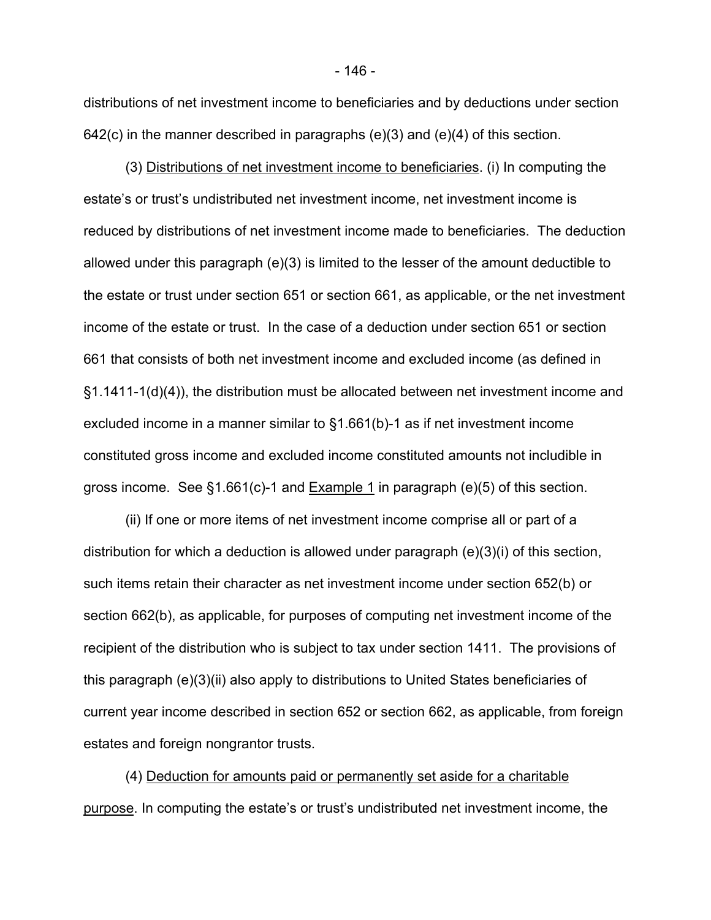distributions of net investment income to beneficiaries and by deductions under section  $642(c)$  in the manner described in paragraphs  $(e)(3)$  and  $(e)(4)$  of this section.

(3) Distributions of net investment income to beneficiaries. (i) In computing the estate's or trust's undistributed net investment income, net investment income is reduced by distributions of net investment income made to beneficiaries. The deduction allowed under this paragraph (e)(3) is limited to the lesser of the amount deductible to the estate or trust under section 651 or section 661, as applicable, or the net investment income of the estate or trust. In the case of a deduction under section 651 or section 661 that consists of both net investment income and excluded income (as defined in §1.1411-1(d)(4)), the distribution must be allocated between net investment income and excluded income in a manner similar to §1.661(b)-1 as if net investment income constituted gross income and excluded income constituted amounts not includible in gross income. See  $§1.661(c)$ -1 and **Example 1** in paragraph (e)(5) of this section.

(ii) If one or more items of net investment income comprise all or part of a distribution for which a deduction is allowed under paragraph (e)(3)(i) of this section, such items retain their character as net investment income under section 652(b) or section 662(b), as applicable, for purposes of computing net investment income of the recipient of the distribution who is subject to tax under section 1411. The provisions of this paragraph (e)(3)(ii) also apply to distributions to United States beneficiaries of current year income described in section 652 or section 662, as applicable, from foreign estates and foreign nongrantor trusts.

(4) Deduction for amounts paid or permanently set aside for a charitable purpose. In computing the estate's or trust's undistributed net investment income, the

- 146 -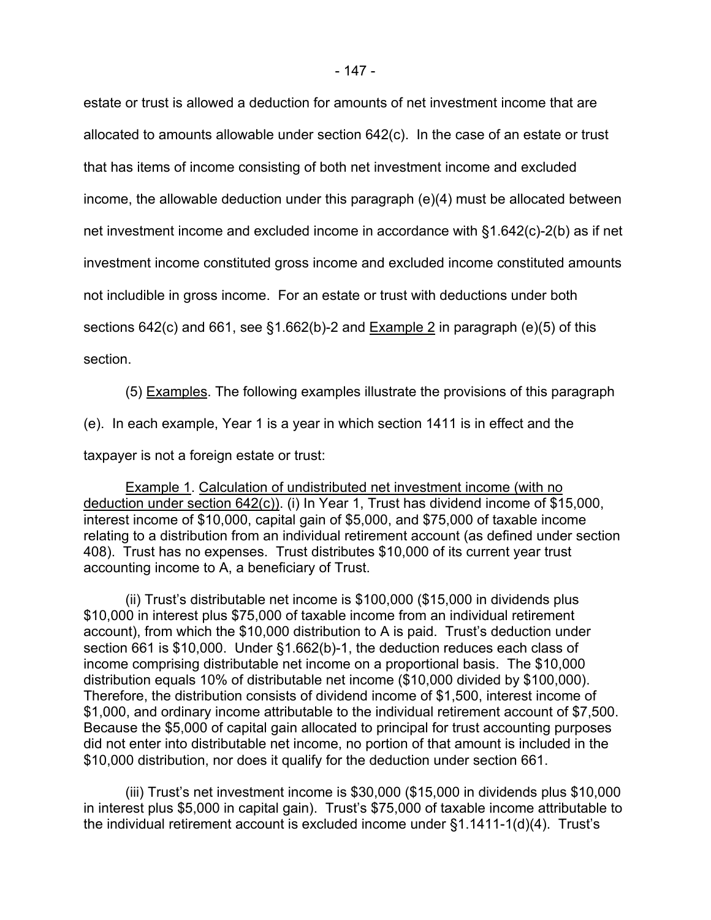estate or trust is allowed a deduction for amounts of net investment income that are allocated to amounts allowable under section 642(c). In the case of an estate or trust that has items of income consisting of both net investment income and excluded income, the allowable deduction under this paragraph (e)(4) must be allocated between net investment income and excluded income in accordance with §1.642(c)-2(b) as if net investment income constituted gross income and excluded income constituted amounts not includible in gross income. For an estate or trust with deductions under both sections 642(c) and 661, see §1.662(b)-2 and Example 2 in paragraph (e)(5) of this section.

(5) Examples. The following examples illustrate the provisions of this paragraph

(e). In each example, Year 1 is a year in which section 1411 is in effect and the

taxpayer is not a foreign estate or trust:

Example 1. Calculation of undistributed net investment income (with no deduction under section 642(c)). (i) In Year 1, Trust has dividend income of \$15,000, interest income of \$10,000, capital gain of \$5,000, and \$75,000 of taxable income relating to a distribution from an individual retirement account (as defined under section 408). Trust has no expenses. Trust distributes \$10,000 of its current year trust accounting income to A, a beneficiary of Trust.

(ii) Trust's distributable net income is \$100,000 (\$15,000 in dividends plus \$10,000 in interest plus \$75,000 of taxable income from an individual retirement account), from which the \$10,000 distribution to A is paid. Trust's deduction under section 661 is \$10,000. Under §1.662(b)-1, the deduction reduces each class of income comprising distributable net income on a proportional basis. The \$10,000 distribution equals 10% of distributable net income (\$10,000 divided by \$100,000). Therefore, the distribution consists of dividend income of \$1,500, interest income of \$1,000, and ordinary income attributable to the individual retirement account of \$7,500. Because the \$5,000 of capital gain allocated to principal for trust accounting purposes did not enter into distributable net income, no portion of that amount is included in the \$10,000 distribution, nor does it qualify for the deduction under section 661.

(iii) Trust's net investment income is \$30,000 (\$15,000 in dividends plus \$10,000 in interest plus \$5,000 in capital gain). Trust's \$75,000 of taxable income attributable to the individual retirement account is excluded income under §1.1411-1(d)(4). Trust's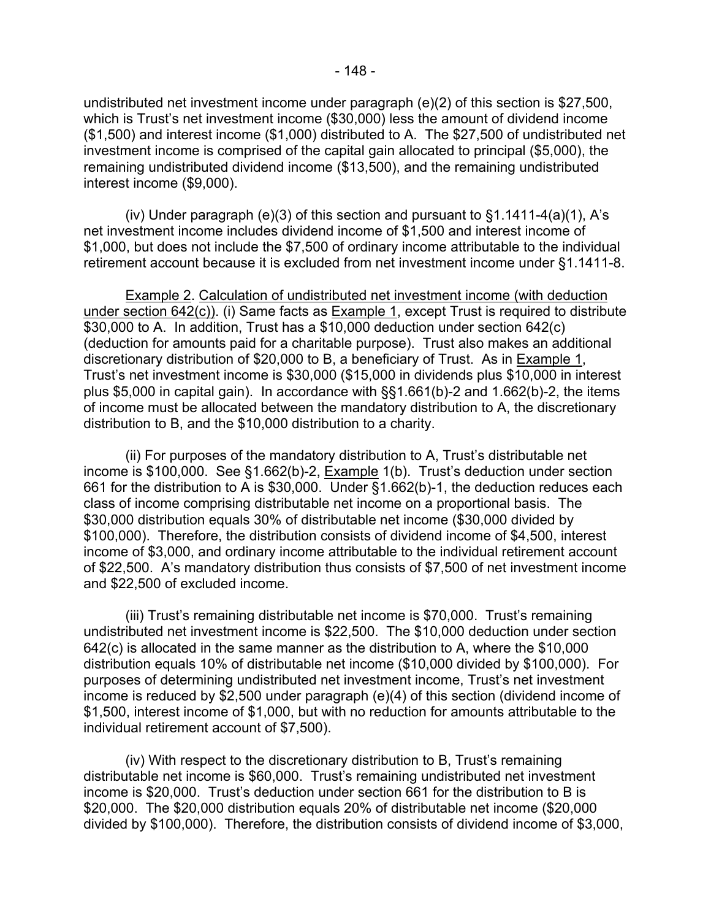undistributed net investment income under paragraph (e)(2) of this section is \$27,500, which is Trust's net investment income (\$30,000) less the amount of dividend income (\$1,500) and interest income (\$1,000) distributed to A. The \$27,500 of undistributed net investment income is comprised of the capital gain allocated to principal (\$5,000), the remaining undistributed dividend income (\$13,500), and the remaining undistributed interest income (\$9,000).

(iv) Under paragraph (e)(3) of this section and pursuant to  $\S1.1411-4(a)(1)$ , A's net investment income includes dividend income of \$1,500 and interest income of \$1,000, but does not include the \$7,500 of ordinary income attributable to the individual retirement account because it is excluded from net investment income under §1.1411-8.

Example 2. Calculation of undistributed net investment income (with deduction under section 642(c)). (i) Same facts as Example 1, except Trust is required to distribute \$30,000 to A. In addition, Trust has a \$10,000 deduction under section 642(c) (deduction for amounts paid for a charitable purpose). Trust also makes an additional discretionary distribution of \$20,000 to B, a beneficiary of Trust. As in Example 1, Trust's net investment income is \$30,000 (\$15,000 in dividends plus \$10,000 in interest plus \$5,000 in capital gain). In accordance with §§1.661(b)-2 and 1.662(b)-2, the items of income must be allocated between the mandatory distribution to A, the discretionary distribution to B, and the \$10,000 distribution to a charity.

(ii) For purposes of the mandatory distribution to A, Trust's distributable net income is \$100,000. See §1.662(b)-2, Example 1(b). Trust's deduction under section 661 for the distribution to A is \$30,000. Under §1.662(b)-1, the deduction reduces each class of income comprising distributable net income on a proportional basis. The \$30,000 distribution equals 30% of distributable net income (\$30,000 divided by \$100,000). Therefore, the distribution consists of dividend income of \$4,500, interest income of \$3,000, and ordinary income attributable to the individual retirement account of \$22,500. A's mandatory distribution thus consists of \$7,500 of net investment income and \$22,500 of excluded income.

(iii) Trust's remaining distributable net income is \$70,000. Trust's remaining undistributed net investment income is \$22,500. The \$10,000 deduction under section 642(c) is allocated in the same manner as the distribution to A, where the \$10,000 distribution equals 10% of distributable net income (\$10,000 divided by \$100,000). For purposes of determining undistributed net investment income, Trust's net investment income is reduced by \$2,500 under paragraph (e)(4) of this section (dividend income of \$1,500, interest income of \$1,000, but with no reduction for amounts attributable to the individual retirement account of \$7,500).

(iv) With respect to the discretionary distribution to B, Trust's remaining distributable net income is \$60,000. Trust's remaining undistributed net investment income is \$20,000. Trust's deduction under section 661 for the distribution to B is \$20,000. The \$20,000 distribution equals 20% of distributable net income (\$20,000 divided by \$100,000). Therefore, the distribution consists of dividend income of \$3,000,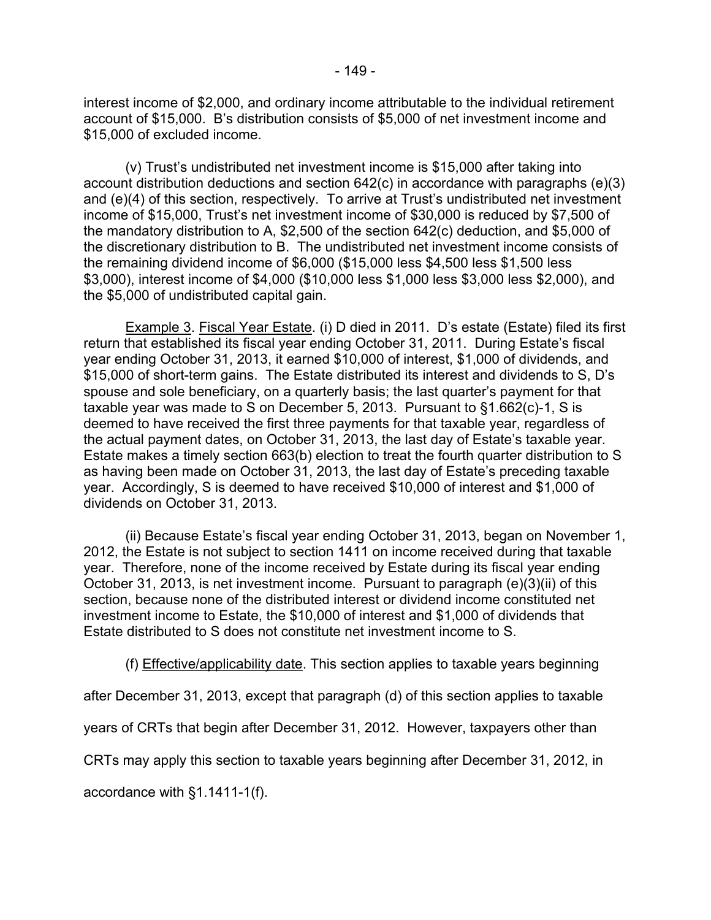interest income of \$2,000, and ordinary income attributable to the individual retirement account of \$15,000. B's distribution consists of \$5,000 of net investment income and \$15,000 of excluded income.

(v) Trust's undistributed net investment income is \$15,000 after taking into account distribution deductions and section 642(c) in accordance with paragraphs (e)(3) and (e)(4) of this section, respectively. To arrive at Trust's undistributed net investment income of \$15,000, Trust's net investment income of \$30,000 is reduced by \$7,500 of the mandatory distribution to A, \$2,500 of the section 642(c) deduction, and \$5,000 of the discretionary distribution to B. The undistributed net investment income consists of the remaining dividend income of \$6,000 (\$15,000 less \$4,500 less \$1,500 less \$3,000), interest income of \$4,000 (\$10,000 less \$1,000 less \$3,000 less \$2,000), and the \$5,000 of undistributed capital gain.

Example 3. Fiscal Year Estate. (i) D died in 2011. D's estate (Estate) filed its first return that established its fiscal year ending October 31, 2011. During Estate's fiscal year ending October 31, 2013, it earned \$10,000 of interest, \$1,000 of dividends, and \$15,000 of short-term gains. The Estate distributed its interest and dividends to S, D's spouse and sole beneficiary, on a quarterly basis; the last quarter's payment for that taxable year was made to S on December 5, 2013. Pursuant to §1.662(c)-1, S is deemed to have received the first three payments for that taxable year, regardless of the actual payment dates, on October 31, 2013, the last day of Estate's taxable year. Estate makes a timely section 663(b) election to treat the fourth quarter distribution to S as having been made on October 31, 2013, the last day of Estate's preceding taxable year. Accordingly, S is deemed to have received \$10,000 of interest and \$1,000 of dividends on October 31, 2013.

(ii) Because Estate's fiscal year ending October 31, 2013, began on November 1, 2012, the Estate is not subject to section 1411 on income received during that taxable year. Therefore, none of the income received by Estate during its fiscal year ending October 31, 2013, is net investment income. Pursuant to paragraph (e)(3)(ii) of this section, because none of the distributed interest or dividend income constituted net investment income to Estate, the \$10,000 of interest and \$1,000 of dividends that Estate distributed to S does not constitute net investment income to S.

(f) Effective/applicability date. This section applies to taxable years beginning

after December 31, 2013, except that paragraph (d) of this section applies to taxable

years of CRTs that begin after December 31, 2012. However, taxpayers other than

CRTs may apply this section to taxable years beginning after December 31, 2012, in

accordance with §1.1411-1(f).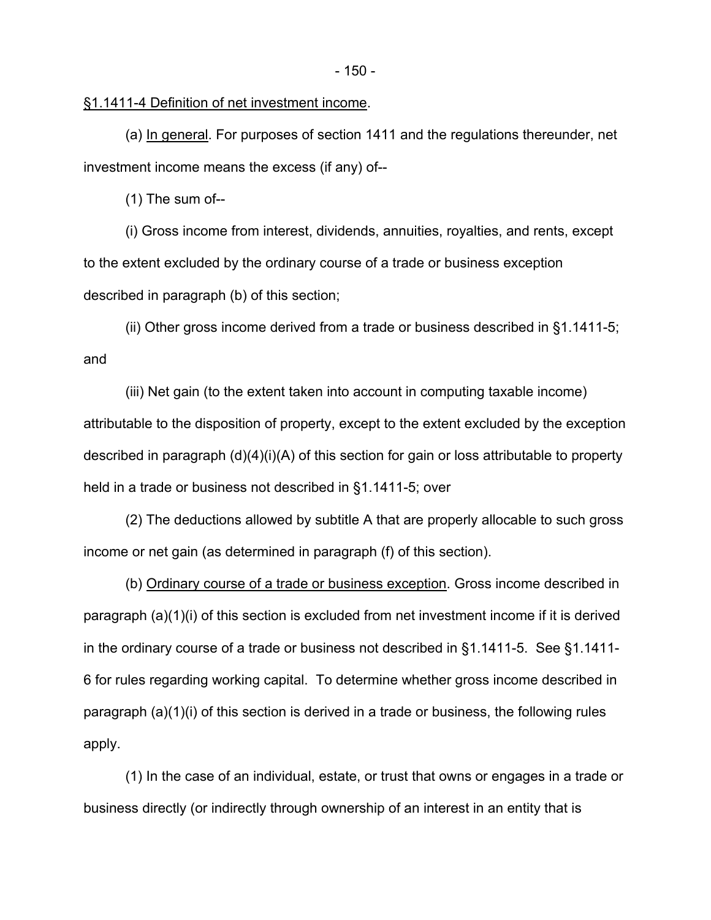## §1.1411-4 Definition of net investment income.

(a) In general. For purposes of section 1411 and the regulations thereunder, net investment income means the excess (if any) of--

(1) The sum of--

(i) Gross income from interest, dividends, annuities, royalties, and rents, except to the extent excluded by the ordinary course of a trade or business exception described in paragraph (b) of this section;

(ii) Other gross income derived from a trade or business described in §1.1411-5; and

(iii) Net gain (to the extent taken into account in computing taxable income) attributable to the disposition of property, except to the extent excluded by the exception described in paragraph (d)(4)(i)(A) of this section for gain or loss attributable to property held in a trade or business not described in §1.1411-5; over

(2) The deductions allowed by subtitle A that are properly allocable to such gross income or net gain (as determined in paragraph (f) of this section).

(b) Ordinary course of a trade or business exception. Gross income described in paragraph (a)(1)(i) of this section is excluded from net investment income if it is derived in the ordinary course of a trade or business not described in §1.1411-5. See §1.1411- 6 for rules regarding working capital. To determine whether gross income described in paragraph (a)(1)(i) of this section is derived in a trade or business, the following rules apply.

(1) In the case of an individual, estate, or trust that owns or engages in a trade or business directly (or indirectly through ownership of an interest in an entity that is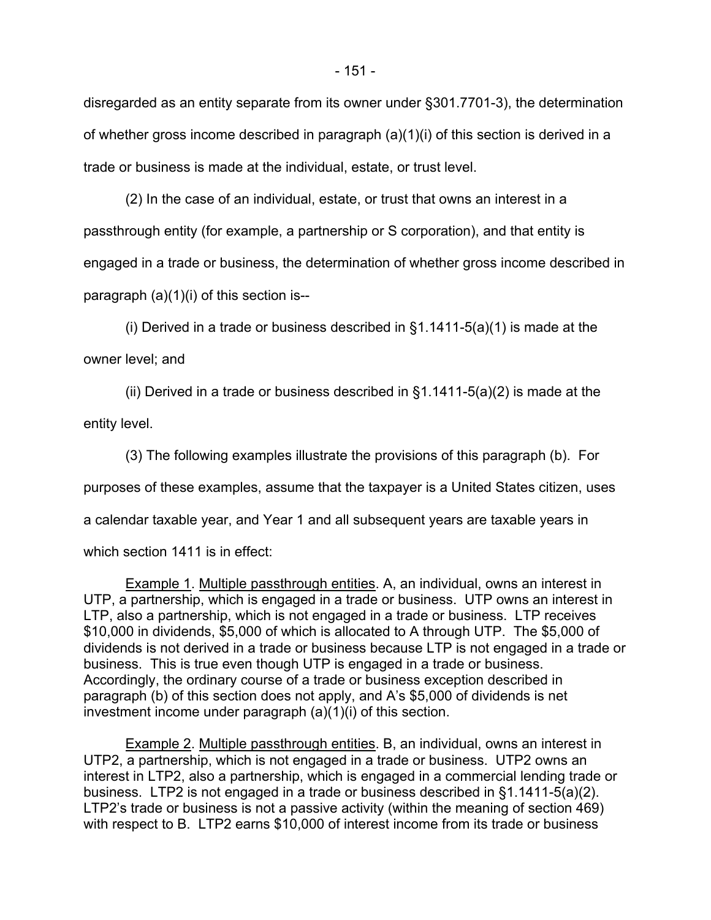disregarded as an entity separate from its owner under §301.7701-3), the determination of whether gross income described in paragraph (a)(1)(i) of this section is derived in a trade or business is made at the individual, estate, or trust level.

(2) In the case of an individual, estate, or trust that owns an interest in a passthrough entity (for example, a partnership or S corporation), and that entity is engaged in a trade or business, the determination of whether gross income described in paragraph (a)(1)(i) of this section is--

(i) Derived in a trade or business described in  $\S1.1411-5(a)(1)$  is made at the owner level; and

(ii) Derived in a trade or business described in  $\S1.1411-5(a)(2)$  is made at the entity level.

(3) The following examples illustrate the provisions of this paragraph (b). For purposes of these examples, assume that the taxpayer is a United States citizen, uses a calendar taxable year, and Year 1 and all subsequent years are taxable years in which section 1411 is in effect:

Example 1. Multiple passthrough entities. A, an individual, owns an interest in UTP, a partnership, which is engaged in a trade or business. UTP owns an interest in LTP, also a partnership, which is not engaged in a trade or business. LTP receives \$10,000 in dividends, \$5,000 of which is allocated to A through UTP. The \$5,000 of dividends is not derived in a trade or business because LTP is not engaged in a trade or business. This is true even though UTP is engaged in a trade or business. Accordingly, the ordinary course of a trade or business exception described in paragraph (b) of this section does not apply, and A's \$5,000 of dividends is net investment income under paragraph (a)(1)(i) of this section.

Example 2. Multiple passthrough entities. B, an individual, owns an interest in UTP2, a partnership, which is not engaged in a trade or business. UTP2 owns an interest in LTP2, also a partnership, which is engaged in a commercial lending trade or business. LTP2 is not engaged in a trade or business described in §1.1411-5(a)(2). LTP2's trade or business is not a passive activity (within the meaning of section 469) with respect to B. LTP2 earns \$10,000 of interest income from its trade or business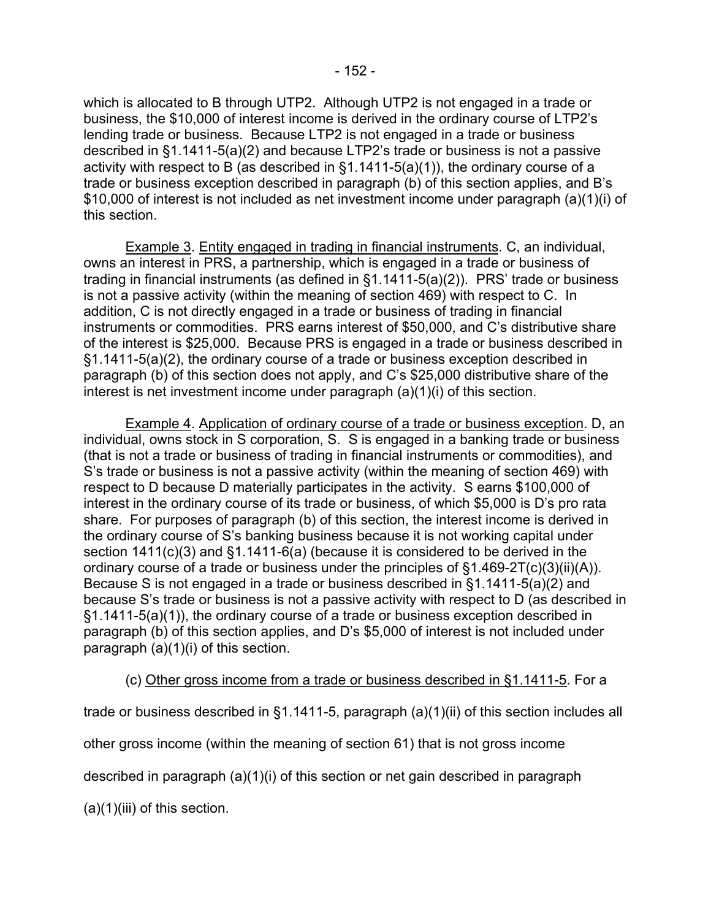which is allocated to B through UTP2. Although UTP2 is not engaged in a trade or business, the \$10,000 of interest income is derived in the ordinary course of LTP2's lending trade or business. Because LTP2 is not engaged in a trade or business described in §1.1411-5(a)(2) and because LTP2's trade or business is not a passive activity with respect to B (as described in §1.1411-5(a)(1)), the ordinary course of a trade or business exception described in paragraph (b) of this section applies, and B's \$10,000 of interest is not included as net investment income under paragraph (a)(1)(i) of this section.

Example 3. Entity engaged in trading in financial instruments. C, an individual, owns an interest in PRS, a partnership, which is engaged in a trade or business of trading in financial instruments (as defined in §1.1411-5(a)(2)). PRS' trade or business is not a passive activity (within the meaning of section 469) with respect to C. In addition, C is not directly engaged in a trade or business of trading in financial instruments or commodities. PRS earns interest of \$50,000, and C's distributive share of the interest is \$25,000. Because PRS is engaged in a trade or business described in §1.1411-5(a)(2), the ordinary course of a trade or business exception described in paragraph (b) of this section does not apply, and C's \$25,000 distributive share of the interest is net investment income under paragraph (a)(1)(i) of this section.

Example 4. Application of ordinary course of a trade or business exception. D, an individual, owns stock in S corporation, S. S is engaged in a banking trade or business (that is not a trade or business of trading in financial instruments or commodities), and S's trade or business is not a passive activity (within the meaning of section 469) with respect to D because D materially participates in the activity. S earns \$100,000 of interest in the ordinary course of its trade or business, of which \$5,000 is D's pro rata share. For purposes of paragraph (b) of this section, the interest income is derived in the ordinary course of S's banking business because it is not working capital under section 1411(c)(3) and §1.1411-6(a) (because it is considered to be derived in the ordinary course of a trade or business under the principles of §1.469-2T(c)(3)(ii)(A)). Because S is not engaged in a trade or business described in §1.1411-5(a)(2) and because S's trade or business is not a passive activity with respect to D (as described in §1.1411-5(a)(1)), the ordinary course of a trade or business exception described in paragraph (b) of this section applies, and D's \$5,000 of interest is not included under paragraph  $(a)(1)(i)$  of this section.

## (c) Other gross income from a trade or business described in §1.1411-5. For a

trade or business described in §1.1411-5, paragraph (a)(1)(ii) of this section includes all

other gross income (within the meaning of section 61) that is not gross income

described in paragraph  $(a)(1)(i)$  of this section or net gain described in paragraph

 $(a)(1)(iii)$  of this section.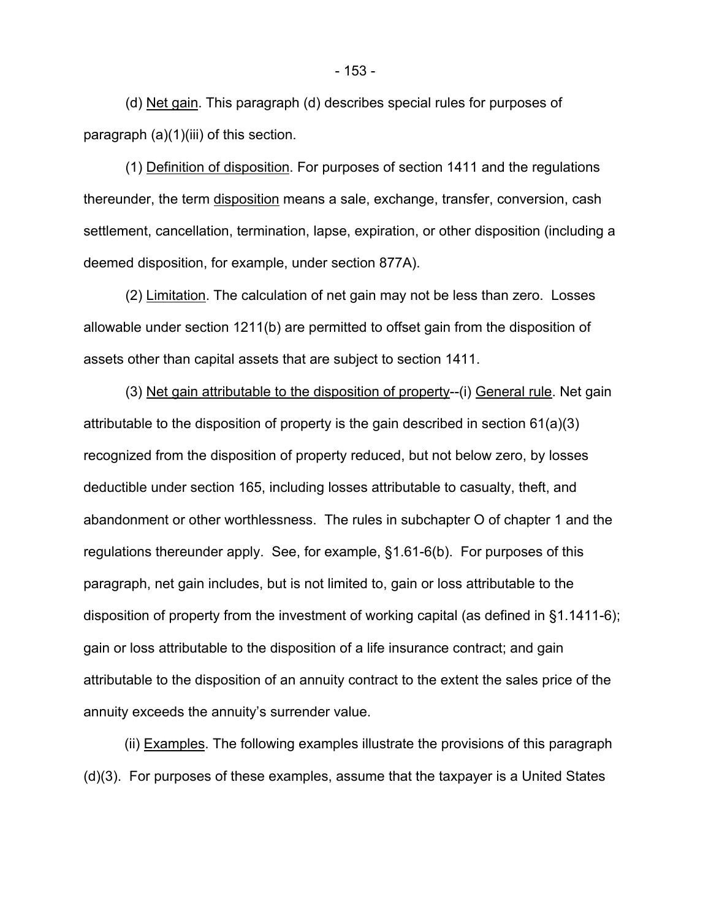(d) Net gain. This paragraph (d) describes special rules for purposes of paragraph (a)(1)(iii) of this section.

(1) Definition of disposition. For purposes of section 1411 and the regulations thereunder, the term disposition means a sale, exchange, transfer, conversion, cash settlement, cancellation, termination, lapse, expiration, or other disposition (including a deemed disposition, for example, under section 877A).

(2) Limitation. The calculation of net gain may not be less than zero. Losses allowable under section 1211(b) are permitted to offset gain from the disposition of assets other than capital assets that are subject to section 1411.

(3) Net gain attributable to the disposition of property--(i) General rule. Net gain attributable to the disposition of property is the gain described in section 61(a)(3) recognized from the disposition of property reduced, but not below zero, by losses deductible under section 165, including losses attributable to casualty, theft, and abandonment or other worthlessness. The rules in subchapter O of chapter 1 and the regulations thereunder apply. See, for example, §1.61-6(b). For purposes of this paragraph, net gain includes, but is not limited to, gain or loss attributable to the disposition of property from the investment of working capital (as defined in §1.1411-6); gain or loss attributable to the disposition of a life insurance contract; and gain attributable to the disposition of an annuity contract to the extent the sales price of the annuity exceeds the annuity's surrender value.

(ii) Examples. The following examples illustrate the provisions of this paragraph (d)(3). For purposes of these examples, assume that the taxpayer is a United States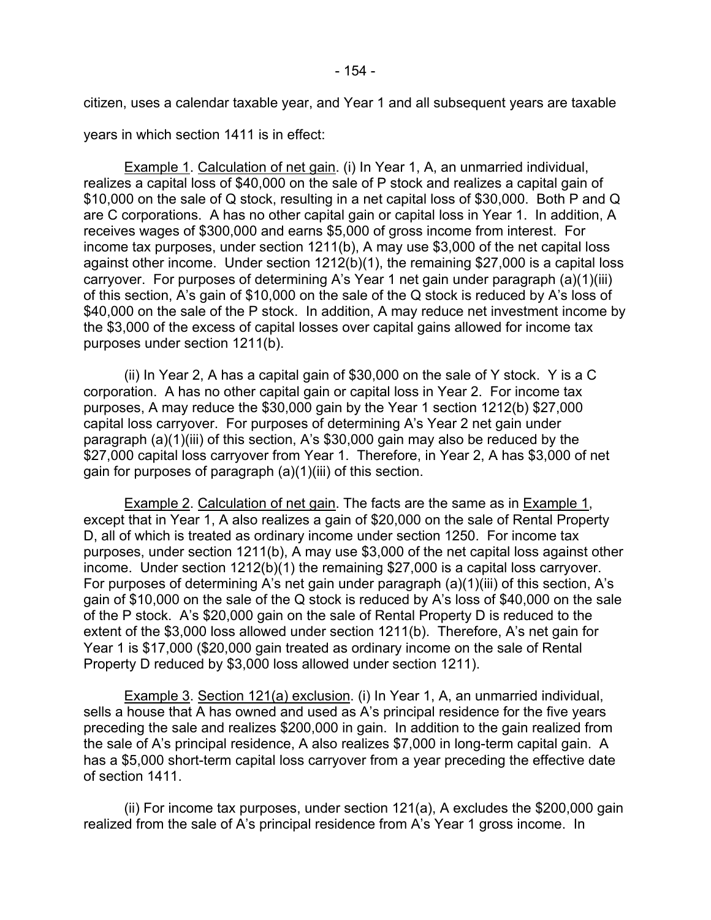citizen, uses a calendar taxable year, and Year 1 and all subsequent years are taxable

years in which section 1411 is in effect:

Example 1. Calculation of net gain. (i) In Year 1, A, an unmarried individual, realizes a capital loss of \$40,000 on the sale of P stock and realizes a capital gain of \$10,000 on the sale of Q stock, resulting in a net capital loss of \$30,000. Both P and Q are C corporations. A has no other capital gain or capital loss in Year 1. In addition, A receives wages of \$300,000 and earns \$5,000 of gross income from interest. For income tax purposes, under section 1211(b), A may use \$3,000 of the net capital loss against other income. Under section 1212(b)(1), the remaining \$27,000 is a capital loss carryover. For purposes of determining A's Year 1 net gain under paragraph (a)(1)(iii) of this section, A's gain of \$10,000 on the sale of the Q stock is reduced by A's loss of \$40,000 on the sale of the P stock. In addition, A may reduce net investment income by the \$3,000 of the excess of capital losses over capital gains allowed for income tax purposes under section 1211(b).

(ii) In Year 2, A has a capital gain of \$30,000 on the sale of Y stock. Y is a C corporation. A has no other capital gain or capital loss in Year 2. For income tax purposes, A may reduce the \$30,000 gain by the Year 1 section 1212(b) \$27,000 capital loss carryover. For purposes of determining A's Year 2 net gain under paragraph (a)(1)(iii) of this section, A's \$30,000 gain may also be reduced by the \$27,000 capital loss carryover from Year 1. Therefore, in Year 2, A has \$3,000 of net gain for purposes of paragraph (a)(1)(iii) of this section.

Example 2. Calculation of net gain. The facts are the same as in Example 1, except that in Year 1, A also realizes a gain of \$20,000 on the sale of Rental Property D, all of which is treated as ordinary income under section 1250. For income tax purposes, under section 1211(b), A may use \$3,000 of the net capital loss against other income. Under section 1212(b)(1) the remaining \$27,000 is a capital loss carryover. For purposes of determining A's net gain under paragraph (a)(1)(iii) of this section, A's gain of \$10,000 on the sale of the Q stock is reduced by A's loss of \$40,000 on the sale of the P stock. A's \$20,000 gain on the sale of Rental Property D is reduced to the extent of the \$3,000 loss allowed under section 1211(b). Therefore, A's net gain for Year 1 is \$17,000 (\$20,000 gain treated as ordinary income on the sale of Rental Property D reduced by \$3,000 loss allowed under section 1211).

Example 3. Section 121(a) exclusion. (i) In Year 1, A, an unmarried individual, sells a house that A has owned and used as A's principal residence for the five years preceding the sale and realizes \$200,000 in gain. In addition to the gain realized from the sale of A's principal residence, A also realizes \$7,000 in long-term capital gain. A has a \$5,000 short-term capital loss carryover from a year preceding the effective date of section 1411.

(ii) For income tax purposes, under section 121(a), A excludes the \$200,000 gain realized from the sale of A's principal residence from A's Year 1 gross income. In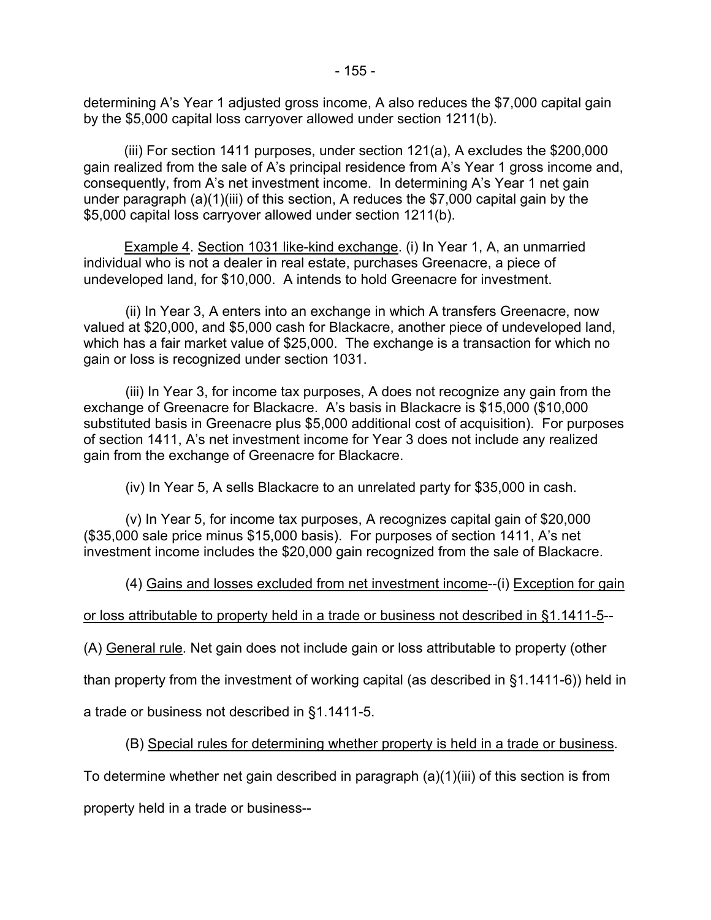determining A's Year 1 adjusted gross income, A also reduces the \$7,000 capital gain by the \$5,000 capital loss carryover allowed under section 1211(b).

(iii) For section 1411 purposes, under section 121(a), A excludes the \$200,000 gain realized from the sale of A's principal residence from A's Year 1 gross income and, consequently, from A's net investment income. In determining A's Year 1 net gain under paragraph (a)(1)(iii) of this section, A reduces the \$7,000 capital gain by the \$5,000 capital loss carryover allowed under section 1211(b).

Example 4. Section 1031 like-kind exchange. (i) In Year 1, A, an unmarried individual who is not a dealer in real estate, purchases Greenacre, a piece of undeveloped land, for \$10,000. A intends to hold Greenacre for investment.

(ii) In Year 3, A enters into an exchange in which A transfers Greenacre, now valued at \$20,000, and \$5,000 cash for Blackacre, another piece of undeveloped land, which has a fair market value of \$25,000. The exchange is a transaction for which no gain or loss is recognized under section 1031.

(iii) In Year 3, for income tax purposes, A does not recognize any gain from the exchange of Greenacre for Blackacre. A's basis in Blackacre is \$15,000 (\$10,000 substituted basis in Greenacre plus \$5,000 additional cost of acquisition). For purposes of section 1411, A's net investment income for Year 3 does not include any realized gain from the exchange of Greenacre for Blackacre.

(iv) In Year 5, A sells Blackacre to an unrelated party for \$35,000 in cash.

(v) In Year 5, for income tax purposes, A recognizes capital gain of \$20,000 (\$35,000 sale price minus \$15,000 basis). For purposes of section 1411, A's net investment income includes the \$20,000 gain recognized from the sale of Blackacre.

(4) Gains and losses excluded from net investment income--(i) Exception for gain

## or loss attributable to property held in a trade or business not described in §1.1411-5--

(A) General rule. Net gain does not include gain or loss attributable to property (other

than property from the investment of working capital (as described in §1.1411-6)) held in

a trade or business not described in §1.1411-5.

(B) Special rules for determining whether property is held in a trade or business.

To determine whether net gain described in paragraph (a)(1)(iii) of this section is from

property held in a trade or business--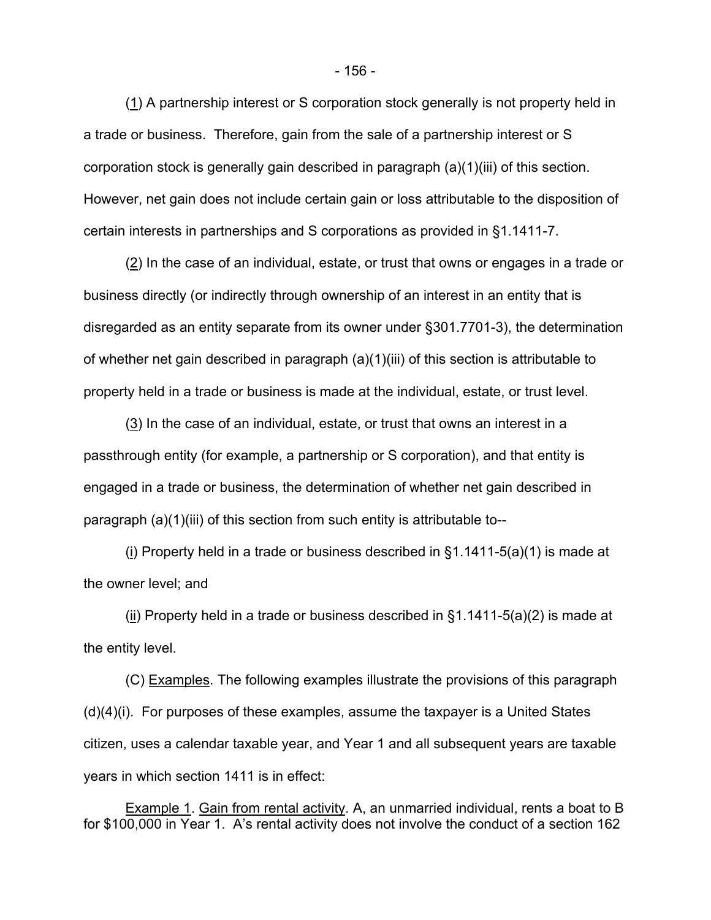(1) A partnership interest or S corporation stock generally is not property held in a trade or business. Therefore, gain from the sale of a partnership interest or S corporation stock is generally gain described in paragraph (a)(1)(iii) of this section. However, net gain does not include certain gain or loss attributable to the disposition of certain interests in partnerships and S corporations as provided in §1.1411-7.

(2) In the case of an individual, estate, or trust that owns or engages in a trade or business directly (or indirectly through ownership of an interest in an entity that is disregarded as an entity separate from its owner under §301.7701-3), the determination of whether net gain described in paragraph (a)(1)(iii) of this section is attributable to property held in a trade or business is made at the individual, estate, or trust level.

(3) In the case of an individual, estate, or trust that owns an interest in a passthrough entity (for example, a partnership or S corporation), and that entity is engaged in a trade or business, the determination of whether net gain described in paragraph (a)(1)(iii) of this section from such entity is attributable to--

(i) Property held in a trade or business described in §1.1411-5(a)(1) is made at the owner level; and

(ii) Property held in a trade or business described in §1.1411-5(a)(2) is made at the entity level.

(C) Examples. The following examples illustrate the provisions of this paragraph  $(d)(4)(i)$ . For purposes of these examples, assume the taxpayer is a United States citizen, uses a calendar taxable year, and Year 1 and all subsequent years are taxable years in which section 1411 is in effect:

Example 1. Gain from rental activity. A, an unmarried individual, rents a boat to B for \$100,000 in Year 1. A's rental activity does not involve the conduct of a section 162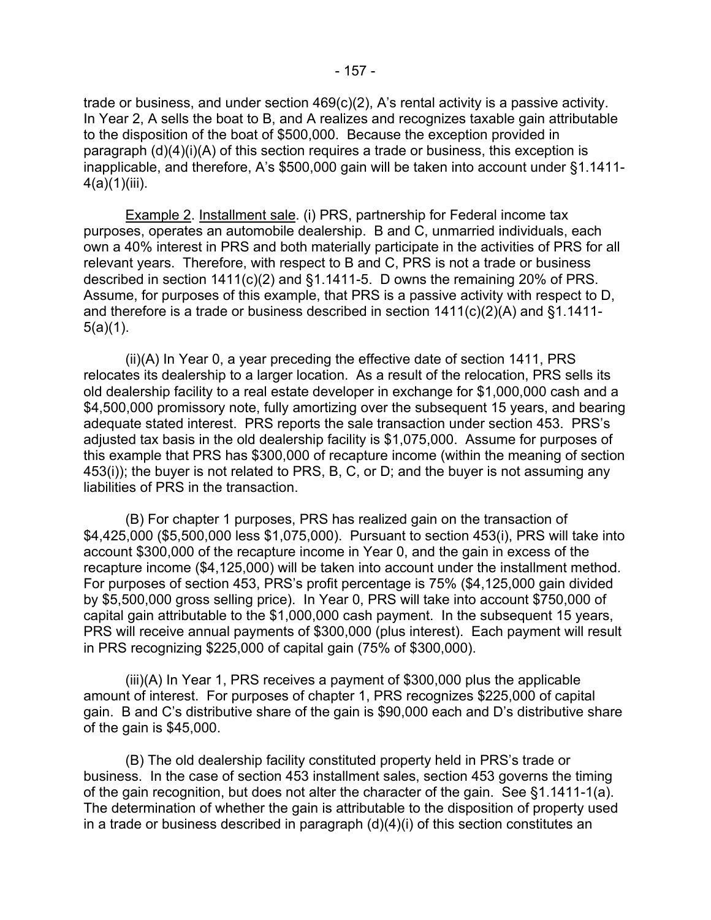trade or business, and under section 469(c)(2), A's rental activity is a passive activity. In Year 2, A sells the boat to B, and A realizes and recognizes taxable gain attributable to the disposition of the boat of \$500,000. Because the exception provided in paragraph (d)(4)(i)(A) of this section requires a trade or business, this exception is inapplicable, and therefore, A's \$500,000 gain will be taken into account under §1.1411-  $4(a)(1)(iii)$ .

Example 2. Installment sale. (i) PRS, partnership for Federal income tax purposes, operates an automobile dealership. B and C, unmarried individuals, each own a 40% interest in PRS and both materially participate in the activities of PRS for all relevant years. Therefore, with respect to B and C, PRS is not a trade or business described in section 1411(c)(2) and §1.1411-5. D owns the remaining 20% of PRS. Assume, for purposes of this example, that PRS is a passive activity with respect to D, and therefore is a trade or business described in section 1411(c)(2)(A) and §1.1411-  $5(a)(1)$ .

(ii)(A) In Year 0, a year preceding the effective date of section 1411, PRS relocates its dealership to a larger location. As a result of the relocation, PRS sells its old dealership facility to a real estate developer in exchange for \$1,000,000 cash and a \$4,500,000 promissory note, fully amortizing over the subsequent 15 years, and bearing adequate stated interest. PRS reports the sale transaction under section 453. PRS's adjusted tax basis in the old dealership facility is \$1,075,000. Assume for purposes of this example that PRS has \$300,000 of recapture income (within the meaning of section 453(i)); the buyer is not related to PRS, B, C, or D; and the buyer is not assuming any liabilities of PRS in the transaction.

(B) For chapter 1 purposes, PRS has realized gain on the transaction of \$4,425,000 (\$5,500,000 less \$1,075,000). Pursuant to section 453(i), PRS will take into account \$300,000 of the recapture income in Year 0, and the gain in excess of the recapture income (\$4,125,000) will be taken into account under the installment method. For purposes of section 453, PRS's profit percentage is 75% (\$4,125,000 gain divided by \$5,500,000 gross selling price). In Year 0, PRS will take into account \$750,000 of capital gain attributable to the \$1,000,000 cash payment. In the subsequent 15 years, PRS will receive annual payments of \$300,000 (plus interest). Each payment will result in PRS recognizing \$225,000 of capital gain (75% of \$300,000).

(iii)(A) In Year 1, PRS receives a payment of \$300,000 plus the applicable amount of interest. For purposes of chapter 1, PRS recognizes \$225,000 of capital gain. B and C's distributive share of the gain is \$90,000 each and D's distributive share of the gain is \$45,000.

(B) The old dealership facility constituted property held in PRS's trade or business. In the case of section 453 installment sales, section 453 governs the timing of the gain recognition, but does not alter the character of the gain. See §1.1411-1(a). The determination of whether the gain is attributable to the disposition of property used in a trade or business described in paragraph (d)(4)(i) of this section constitutes an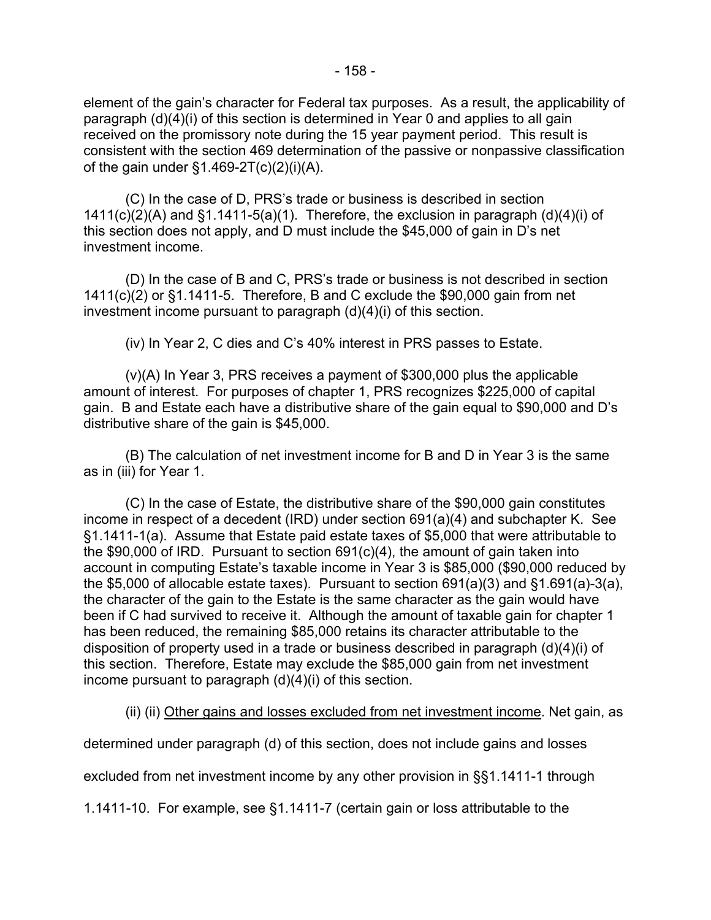element of the gain's character for Federal tax purposes. As a result, the applicability of paragraph (d)(4)(i) of this section is determined in Year 0 and applies to all gain received on the promissory note during the 15 year payment period. This result is consistent with the section 469 determination of the passive or nonpassive classification of the gain under  $\S1.469-2T(c)(2)(i)(A)$ .

(C) In the case of D, PRS's trade or business is described in section  $1411(c)(2)(A)$  and  $§1.1411-5(a)(1)$ . Therefore, the exclusion in paragraph  $(d)(4)(i)$  of this section does not apply, and D must include the \$45,000 of gain in D's net investment income.

(D) In the case of B and C, PRS's trade or business is not described in section 1411(c)(2) or §1.1411-5. Therefore, B and C exclude the \$90,000 gain from net investment income pursuant to paragraph (d)(4)(i) of this section.

(iv) In Year 2, C dies and C's 40% interest in PRS passes to Estate.

(v)(A) In Year 3, PRS receives a payment of \$300,000 plus the applicable amount of interest. For purposes of chapter 1, PRS recognizes \$225,000 of capital gain. B and Estate each have a distributive share of the gain equal to \$90,000 and D's distributive share of the gain is \$45,000.

(B) The calculation of net investment income for B and D in Year 3 is the same as in (iii) for Year 1.

(C) In the case of Estate, the distributive share of the \$90,000 gain constitutes income in respect of a decedent (IRD) under section 691(a)(4) and subchapter K. See §1.1411-1(a). Assume that Estate paid estate taxes of \$5,000 that were attributable to the \$90,000 of IRD. Pursuant to section 691(c)(4), the amount of gain taken into account in computing Estate's taxable income in Year 3 is \$85,000 (\$90,000 reduced by the \$5,000 of allocable estate taxes). Pursuant to section  $691(a)(3)$  and  $§1.691(a)-3(a)$ , the character of the gain to the Estate is the same character as the gain would have been if C had survived to receive it. Although the amount of taxable gain for chapter 1 has been reduced, the remaining \$85,000 retains its character attributable to the disposition of property used in a trade or business described in paragraph (d)(4)(i) of this section. Therefore, Estate may exclude the \$85,000 gain from net investment income pursuant to paragraph (d)(4)(i) of this section.

(ii) (ii) Other gains and losses excluded from net investment income. Net gain, as

determined under paragraph (d) of this section, does not include gains and losses

excluded from net investment income by any other provision in §§1.1411-1 through

1.1411-10. For example, see §1.1411-7 (certain gain or loss attributable to the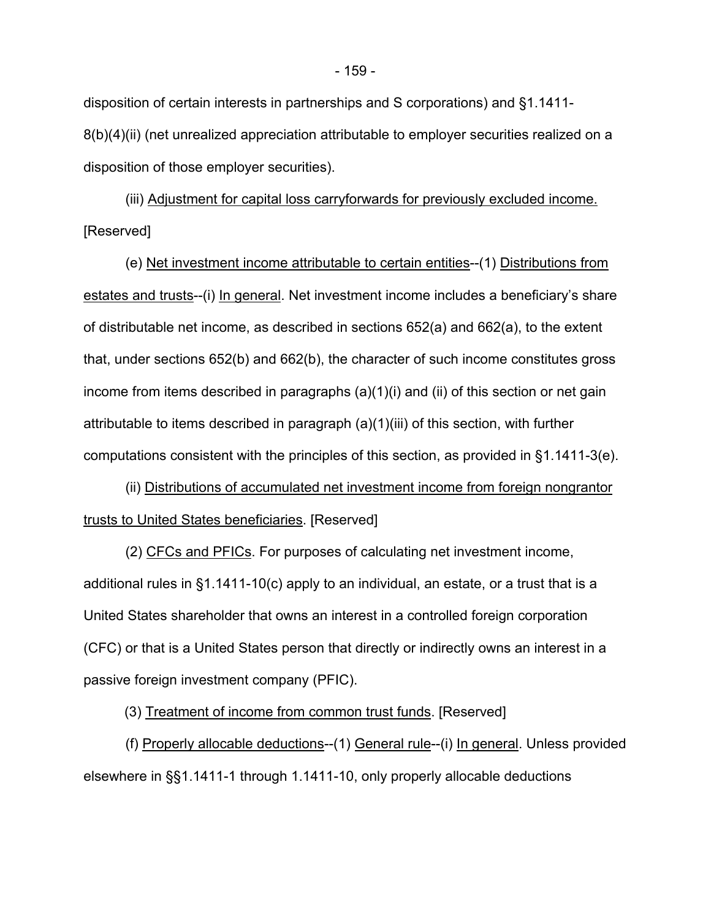disposition of certain interests in partnerships and S corporations) and §1.1411- 8(b)(4)(ii) (net unrealized appreciation attributable to employer securities realized on a disposition of those employer securities).

(iii) Adjustment for capital loss carryforwards for previously excluded income. [Reserved]

(e) Net investment income attributable to certain entities--(1) Distributions from estates and trusts--(i) In general. Net investment income includes a beneficiary's share of distributable net income, as described in sections 652(a) and 662(a), to the extent that, under sections 652(b) and 662(b), the character of such income constitutes gross income from items described in paragraphs (a)(1)(i) and (ii) of this section or net gain attributable to items described in paragraph (a)(1)(iii) of this section, with further computations consistent with the principles of this section, as provided in §1.1411-3(e).

(ii) Distributions of accumulated net investment income from foreign nongrantor trusts to United States beneficiaries. [Reserved]

(2) CFCs and PFICs. For purposes of calculating net investment income, additional rules in §1.1411-10(c) apply to an individual, an estate, or a trust that is a United States shareholder that owns an interest in a controlled foreign corporation (CFC) or that is a United States person that directly or indirectly owns an interest in a passive foreign investment company (PFIC).

(3) Treatment of income from common trust funds. [Reserved]

(f) Properly allocable deductions--(1) General rule--(i) In general. Unless provided elsewhere in §§1.1411-1 through 1.1411-10, only properly allocable deductions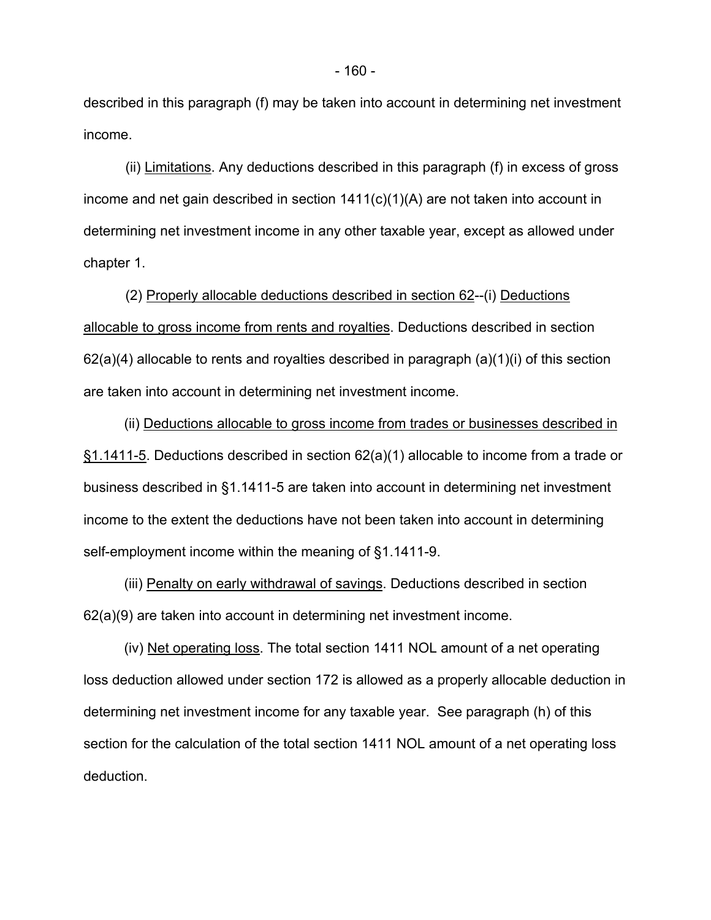described in this paragraph (f) may be taken into account in determining net investment income.

(ii) Limitations. Any deductions described in this paragraph (f) in excess of gross income and net gain described in section  $1411(c)(1)(A)$  are not taken into account in determining net investment income in any other taxable year, except as allowed under chapter 1.

(2) Properly allocable deductions described in section 62--(i) Deductions allocable to gross income from rents and royalties. Deductions described in section  $62(a)(4)$  allocable to rents and royalties described in paragraph  $(a)(1)(i)$  of this section are taken into account in determining net investment income.

(ii) Deductions allocable to gross income from trades or businesses described in §1.1411-5. Deductions described in section 62(a)(1) allocable to income from a trade or business described in §1.1411-5 are taken into account in determining net investment income to the extent the deductions have not been taken into account in determining self-employment income within the meaning of §1.1411-9.

(iii) Penalty on early withdrawal of savings. Deductions described in section 62(a)(9) are taken into account in determining net investment income.

(iv) Net operating loss. The total section 1411 NOL amount of a net operating loss deduction allowed under section 172 is allowed as a properly allocable deduction in determining net investment income for any taxable year. See paragraph (h) of this section for the calculation of the total section 1411 NOL amount of a net operating loss deduction.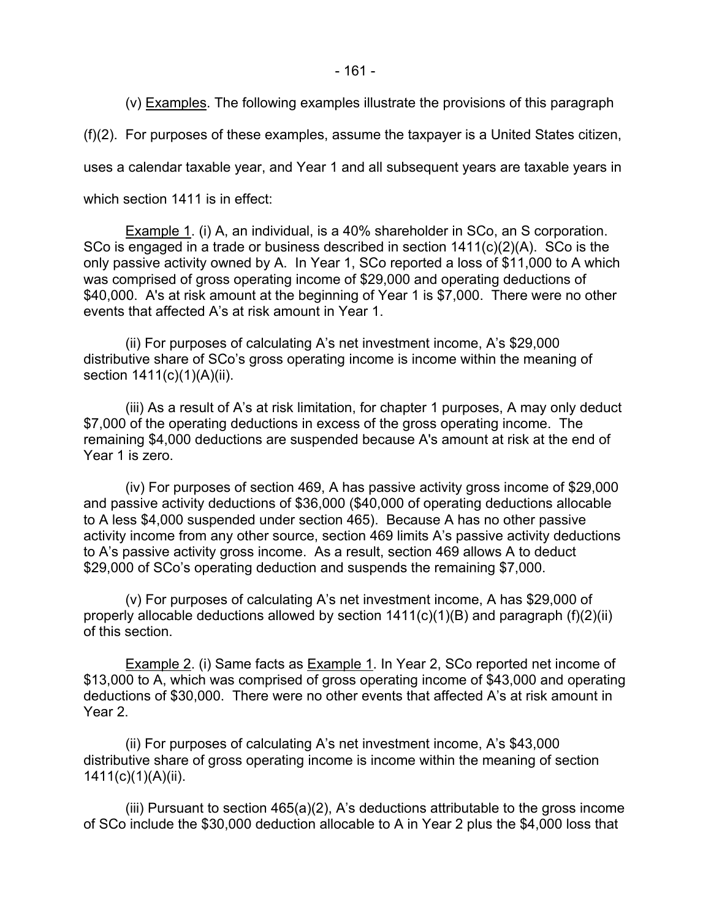(v) Examples. The following examples illustrate the provisions of this paragraph

(f)(2). For purposes of these examples, assume the taxpayer is a United States citizen,

uses a calendar taxable year, and Year 1 and all subsequent years are taxable years in

which section 1411 is in effect:

Example 1. (i) A, an individual, is a 40% shareholder in SCo, an S corporation. SCo is engaged in a trade or business described in section 1411(c)(2)(A). SCo is the only passive activity owned by A. In Year 1, SCo reported a loss of \$11,000 to A which was comprised of gross operating income of \$29,000 and operating deductions of \$40,000. A's at risk amount at the beginning of Year 1 is \$7,000. There were no other events that affected A's at risk amount in Year 1.

(ii) For purposes of calculating A's net investment income, A's \$29,000 distributive share of SCo's gross operating income is income within the meaning of section  $1411(c)(1)(A)(ii)$ .

(iii) As a result of A's at risk limitation, for chapter 1 purposes, A may only deduct \$7,000 of the operating deductions in excess of the gross operating income. The remaining \$4,000 deductions are suspended because A's amount at risk at the end of Year 1 is zero.

(iv) For purposes of section 469, A has passive activity gross income of \$29,000 and passive activity deductions of \$36,000 (\$40,000 of operating deductions allocable to A less \$4,000 suspended under section 465). Because A has no other passive activity income from any other source, section 469 limits A's passive activity deductions to A's passive activity gross income. As a result, section 469 allows A to deduct \$29,000 of SCo's operating deduction and suspends the remaining \$7,000.

(v) For purposes of calculating A's net investment income, A has \$29,000 of properly allocable deductions allowed by section 1411(c)(1)(B) and paragraph (f)(2)(ii) of this section.

Example 2. (i) Same facts as Example 1. In Year 2, SCo reported net income of \$13,000 to A, which was comprised of gross operating income of \$43,000 and operating deductions of \$30,000. There were no other events that affected A's at risk amount in Year 2.

(ii) For purposes of calculating A's net investment income, A's \$43,000 distributive share of gross operating income is income within the meaning of section 1411(c)(1)(A)(ii).

(iii) Pursuant to section 465(a)(2), A's deductions attributable to the gross income of SCo include the \$30,000 deduction allocable to A in Year 2 plus the \$4,000 loss that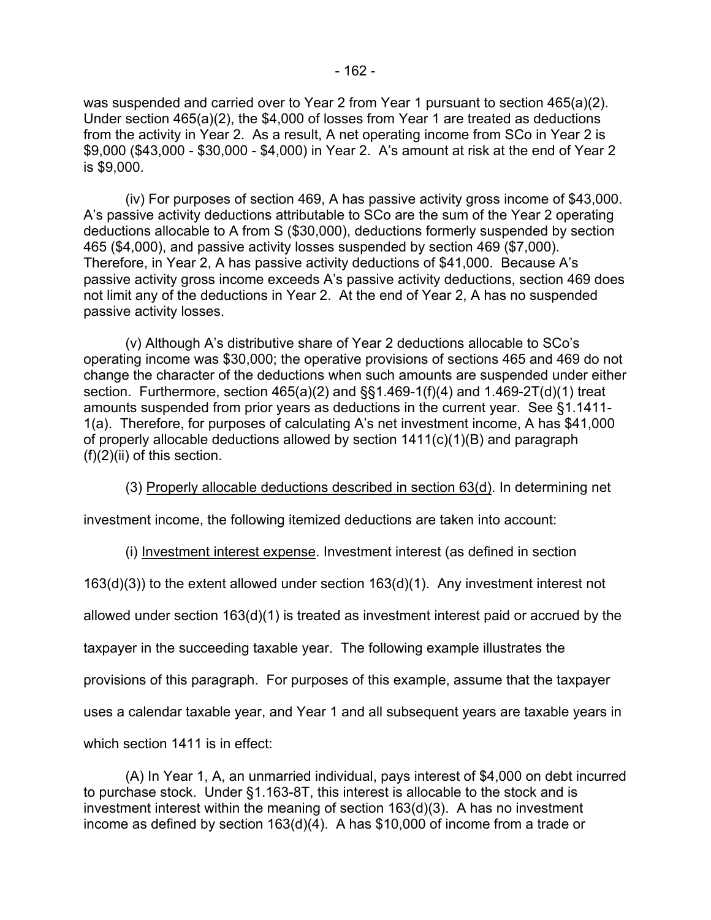was suspended and carried over to Year 2 from Year 1 pursuant to section 465(a)(2). Under section 465(a)(2), the \$4,000 of losses from Year 1 are treated as deductions from the activity in Year 2. As a result, A net operating income from SCo in Year 2 is \$9,000 (\$43,000 - \$30,000 - \$4,000) in Year 2. A's amount at risk at the end of Year 2 is \$9,000.

(iv) For purposes of section 469, A has passive activity gross income of \$43,000. A's passive activity deductions attributable to SCo are the sum of the Year 2 operating deductions allocable to A from S (\$30,000), deductions formerly suspended by section 465 (\$4,000), and passive activity losses suspended by section 469 (\$7,000). Therefore, in Year 2, A has passive activity deductions of \$41,000. Because A's passive activity gross income exceeds A's passive activity deductions, section 469 does not limit any of the deductions in Year 2. At the end of Year 2, A has no suspended passive activity losses.

(v) Although A's distributive share of Year 2 deductions allocable to SCo's operating income was \$30,000; the operative provisions of sections 465 and 469 do not change the character of the deductions when such amounts are suspended under either section. Furthermore, section 465(a)(2) and §§1.469-1(f)(4) and 1.469-2T(d)(1) treat amounts suspended from prior years as deductions in the current year. See §1.1411- 1(a). Therefore, for purposes of calculating A's net investment income, A has \$41,000 of properly allocable deductions allowed by section 1411(c)(1)(B) and paragraph (f)(2)(ii) of this section.

(3) Properly allocable deductions described in section 63(d). In determining net

investment income, the following itemized deductions are taken into account:

(i) Investment interest expense. Investment interest (as defined in section

163(d)(3)) to the extent allowed under section 163(d)(1). Any investment interest not

allowed under section 163(d)(1) is treated as investment interest paid or accrued by the

taxpayer in the succeeding taxable year. The following example illustrates the

provisions of this paragraph. For purposes of this example, assume that the taxpayer

uses a calendar taxable year, and Year 1 and all subsequent years are taxable years in

which section 1411 is in effect:

(A) In Year 1, A, an unmarried individual, pays interest of \$4,000 on debt incurred to purchase stock. Under §1.163-8T, this interest is allocable to the stock and is investment interest within the meaning of section 163(d)(3). A has no investment income as defined by section 163(d)(4). A has \$10,000 of income from a trade or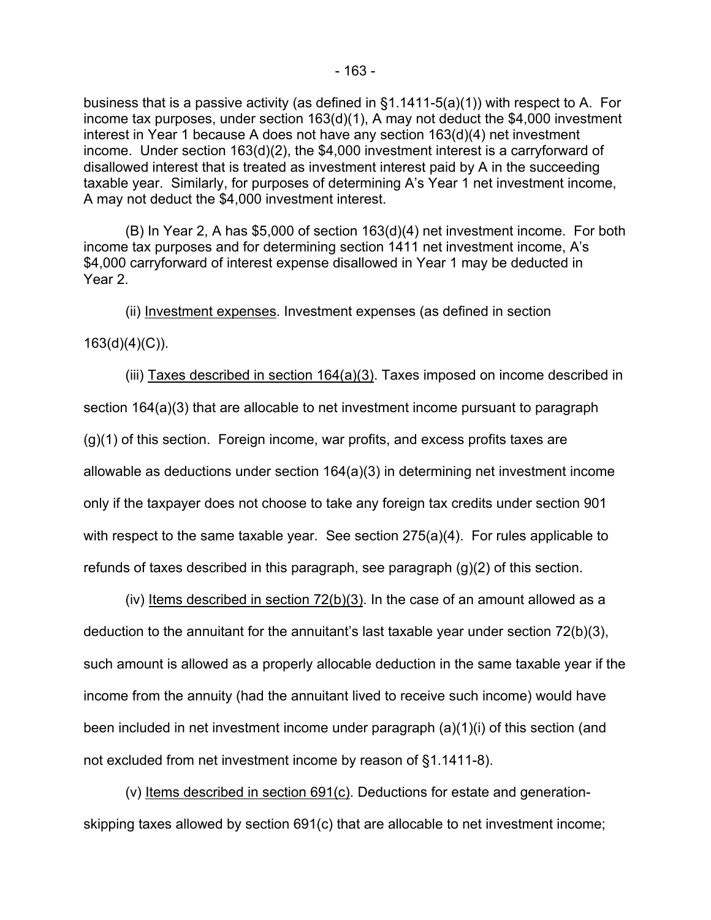business that is a passive activity (as defined in §1.1411-5(a)(1)) with respect to A. For income tax purposes, under section 163(d)(1), A may not deduct the \$4,000 investment interest in Year 1 because A does not have any section 163(d)(4) net investment income. Under section 163(d)(2), the \$4,000 investment interest is a carryforward of disallowed interest that is treated as investment interest paid by A in the succeeding taxable year. Similarly, for purposes of determining A's Year 1 net investment income, A may not deduct the \$4,000 investment interest.

(B) In Year 2, A has \$5,000 of section 163(d)(4) net investment income. For both income tax purposes and for determining section 1411 net investment income, A's \$4,000 carryforward of interest expense disallowed in Year 1 may be deducted in Year 2.

(ii) Investment expenses. Investment expenses (as defined in section

163(d)(4)(C)).

(iii) Taxes described in section 164(a)(3). Taxes imposed on income described in section 164(a)(3) that are allocable to net investment income pursuant to paragraph (g)(1) of this section. Foreign income, war profits, and excess profits taxes are allowable as deductions under section 164(a)(3) in determining net investment income only if the taxpayer does not choose to take any foreign tax credits under section 901 with respect to the same taxable year. See section 275(a)(4). For rules applicable to refunds of taxes described in this paragraph, see paragraph (g)(2) of this section.

(iv) Items described in section  $72(b)(3)$ . In the case of an amount allowed as a deduction to the annuitant for the annuitant's last taxable year under section 72(b)(3), such amount is allowed as a properly allocable deduction in the same taxable year if the income from the annuity (had the annuitant lived to receive such income) would have been included in net investment income under paragraph (a)(1)(i) of this section (and not excluded from net investment income by reason of §1.1411-8).

(v) Items described in section 691(c). Deductions for estate and generationskipping taxes allowed by section 691(c) that are allocable to net investment income;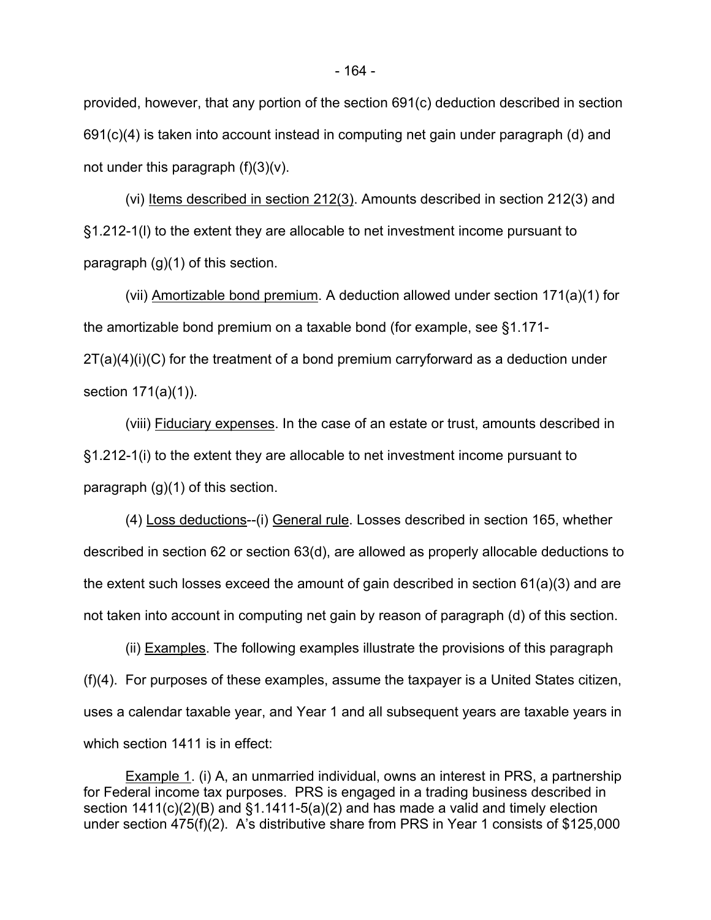provided, however, that any portion of the section 691(c) deduction described in section 691(c)(4) is taken into account instead in computing net gain under paragraph (d) and not under this paragraph  $(f)(3)(v)$ .

(vi) Items described in section 212(3). Amounts described in section 212(3) and §1.212-1(l) to the extent they are allocable to net investment income pursuant to paragraph (g)(1) of this section.

(vii) Amortizable bond premium. A deduction allowed under section 171(a)(1) for the amortizable bond premium on a taxable bond (for example, see §1.171-  $2T(a)(4)(i)(C)$  for the treatment of a bond premium carryforward as a deduction under section 171(a)(1)).

(viii) Fiduciary expenses. In the case of an estate or trust, amounts described in §1.212-1(i) to the extent they are allocable to net investment income pursuant to paragraph (g)(1) of this section.

(4) Loss deductions--(i) General rule. Losses described in section 165, whether described in section 62 or section 63(d), are allowed as properly allocable deductions to the extent such losses exceed the amount of gain described in section 61(a)(3) and are not taken into account in computing net gain by reason of paragraph (d) of this section.

(ii) Examples. The following examples illustrate the provisions of this paragraph (f)(4). For purposes of these examples, assume the taxpayer is a United States citizen, uses a calendar taxable year, and Year 1 and all subsequent years are taxable years in which section 1411 is in effect:

Example 1. (i) A, an unmarried individual, owns an interest in PRS, a partnership for Federal income tax purposes. PRS is engaged in a trading business described in section 1411(c)(2)(B) and §1.1411-5(a)(2) and has made a valid and timely election under section 475(f)(2). A's distributive share from PRS in Year 1 consists of \$125,000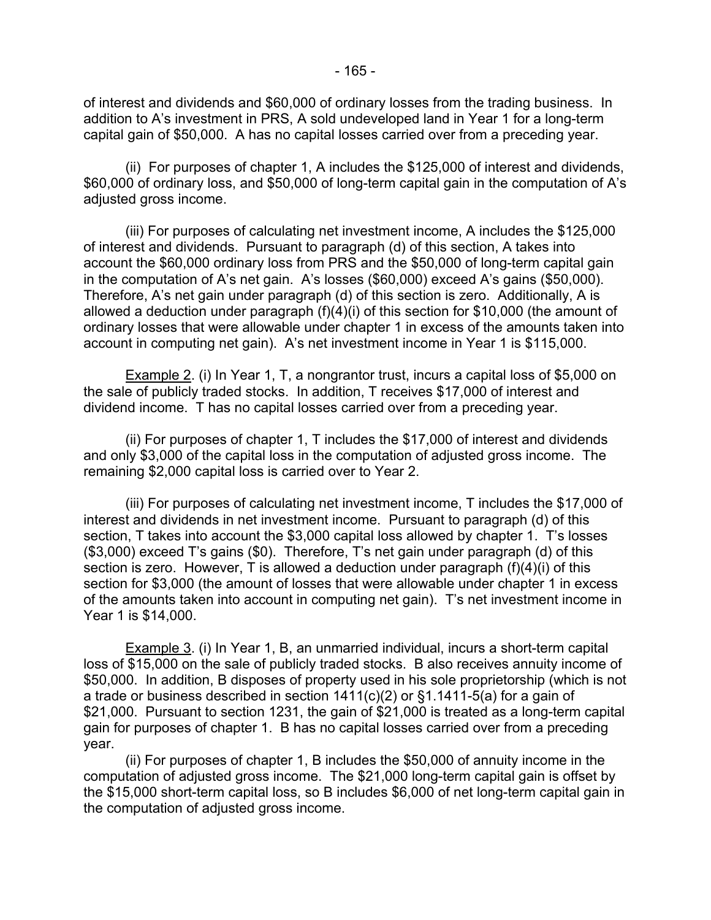of interest and dividends and \$60,000 of ordinary losses from the trading business. In addition to A's investment in PRS, A sold undeveloped land in Year 1 for a long-term capital gain of \$50,000. A has no capital losses carried over from a preceding year.

(ii) For purposes of chapter 1, A includes the \$125,000 of interest and dividends, \$60,000 of ordinary loss, and \$50,000 of long-term capital gain in the computation of A's adjusted gross income.

(iii) For purposes of calculating net investment income, A includes the \$125,000 of interest and dividends. Pursuant to paragraph (d) of this section, A takes into account the \$60,000 ordinary loss from PRS and the \$50,000 of long-term capital gain in the computation of A's net gain. A's losses (\$60,000) exceed A's gains (\$50,000). Therefore, A's net gain under paragraph (d) of this section is zero. Additionally, A is allowed a deduction under paragraph (f)(4)(i) of this section for \$10,000 (the amount of ordinary losses that were allowable under chapter 1 in excess of the amounts taken into account in computing net gain). A's net investment income in Year 1 is \$115,000.

Example 2. (i) In Year 1, T, a nongrantor trust, incurs a capital loss of \$5,000 on the sale of publicly traded stocks. In addition, T receives \$17,000 of interest and dividend income. T has no capital losses carried over from a preceding year.

(ii) For purposes of chapter 1, T includes the \$17,000 of interest and dividends and only \$3,000 of the capital loss in the computation of adjusted gross income. The remaining \$2,000 capital loss is carried over to Year 2.

(iii) For purposes of calculating net investment income, T includes the \$17,000 of interest and dividends in net investment income. Pursuant to paragraph (d) of this section, T takes into account the \$3,000 capital loss allowed by chapter 1. T's losses (\$3,000) exceed T's gains (\$0). Therefore, T's net gain under paragraph (d) of this section is zero. However, T is allowed a deduction under paragraph (f)(4)(i) of this section for \$3,000 (the amount of losses that were allowable under chapter 1 in excess of the amounts taken into account in computing net gain). T's net investment income in Year 1 is \$14,000.

Example 3. (i) In Year 1, B, an unmarried individual, incurs a short-term capital loss of \$15,000 on the sale of publicly traded stocks. B also receives annuity income of \$50,000. In addition, B disposes of property used in his sole proprietorship (which is not a trade or business described in section 1411(c)(2) or §1.1411-5(a) for a gain of \$21,000. Pursuant to section 1231, the gain of \$21,000 is treated as a long-term capital gain for purposes of chapter 1. B has no capital losses carried over from a preceding year.

(ii) For purposes of chapter 1, B includes the \$50,000 of annuity income in the computation of adjusted gross income. The \$21,000 long-term capital gain is offset by the \$15,000 short-term capital loss, so B includes \$6,000 of net long-term capital gain in the computation of adjusted gross income.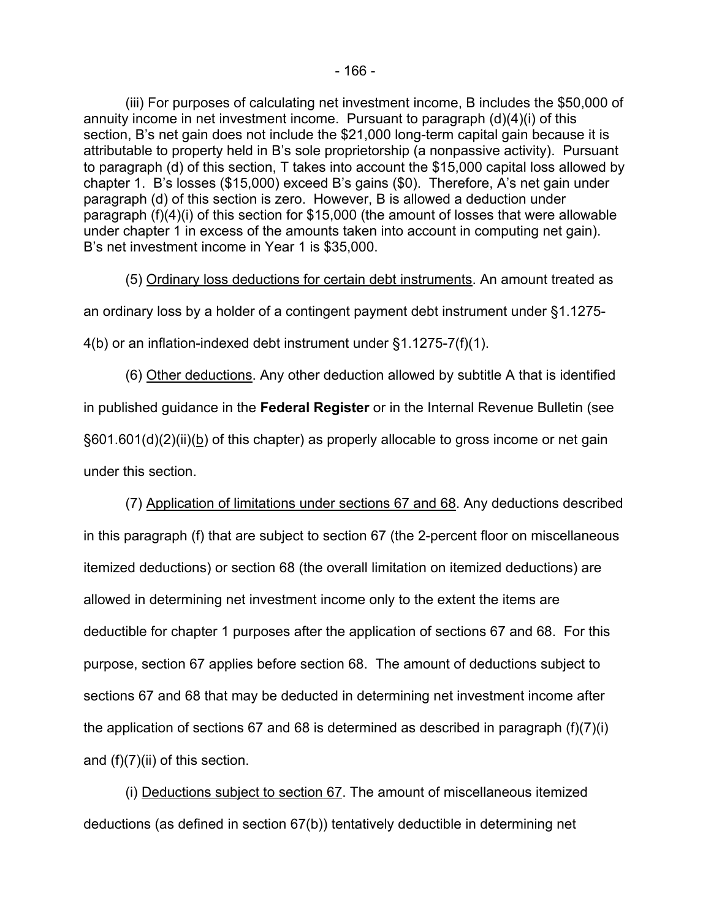(iii) For purposes of calculating net investment income, B includes the \$50,000 of annuity income in net investment income. Pursuant to paragraph (d)(4)(i) of this section, B's net gain does not include the \$21,000 long-term capital gain because it is attributable to property held in B's sole proprietorship (a nonpassive activity). Pursuant to paragraph (d) of this section, T takes into account the \$15,000 capital loss allowed by chapter 1. B's losses (\$15,000) exceed B's gains (\$0). Therefore, A's net gain under paragraph (d) of this section is zero. However, B is allowed a deduction under paragraph (f)(4)(i) of this section for \$15,000 (the amount of losses that were allowable under chapter 1 in excess of the amounts taken into account in computing net gain). B's net investment income in Year 1 is \$35,000.

(5) Ordinary loss deductions for certain debt instruments. An amount treated as

an ordinary loss by a holder of a contingent payment debt instrument under §1.1275-

4(b) or an inflation-indexed debt instrument under §1.1275-7(f)(1).

(6) Other deductions. Any other deduction allowed by subtitle A that is identified in published guidance in the **Federal Register** or in the Internal Revenue Bulletin (see  $§601.601(d)(2)(ii)(b)$  of this chapter) as properly allocable to gross income or net gain under this section.

(7) Application of limitations under sections 67 and 68. Any deductions described in this paragraph (f) that are subject to section 67 (the 2-percent floor on miscellaneous itemized deductions) or section 68 (the overall limitation on itemized deductions) are allowed in determining net investment income only to the extent the items are deductible for chapter 1 purposes after the application of sections 67 and 68. For this purpose, section 67 applies before section 68. The amount of deductions subject to sections 67 and 68 that may be deducted in determining net investment income after the application of sections 67 and 68 is determined as described in paragraph (f)(7)(i) and (f)(7)(ii) of this section.

(i) Deductions subject to section 67. The amount of miscellaneous itemized deductions (as defined in section 67(b)) tentatively deductible in determining net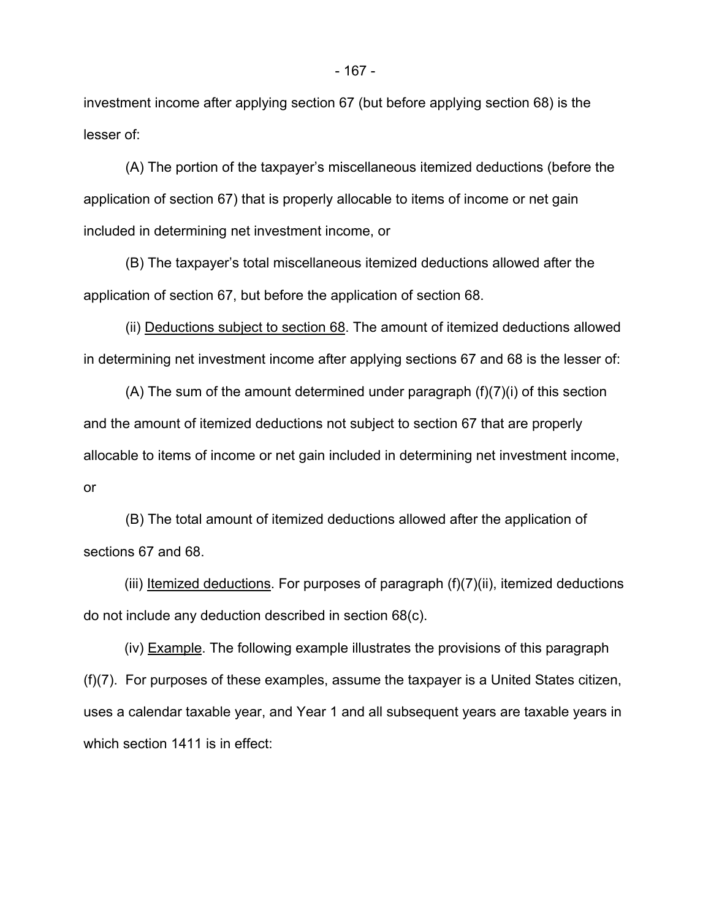investment income after applying section 67 (but before applying section 68) is the lesser of:

(A) The portion of the taxpayer's miscellaneous itemized deductions (before the application of section 67) that is properly allocable to items of income or net gain included in determining net investment income, or

(B) The taxpayer's total miscellaneous itemized deductions allowed after the application of section 67, but before the application of section 68.

(ii) Deductions subject to section 68. The amount of itemized deductions allowed in determining net investment income after applying sections 67 and 68 is the lesser of:

(A) The sum of the amount determined under paragraph (f)(7)(i) of this section and the amount of itemized deductions not subject to section 67 that are properly allocable to items of income or net gain included in determining net investment income, or

(B) The total amount of itemized deductions allowed after the application of sections 67 and 68.

(iii) Itemized deductions. For purposes of paragraph (f)(7)(ii), itemized deductions do not include any deduction described in section 68(c).

(iv) Example. The following example illustrates the provisions of this paragraph (f)(7). For purposes of these examples, assume the taxpayer is a United States citizen, uses a calendar taxable year, and Year 1 and all subsequent years are taxable years in which section 1411 is in effect: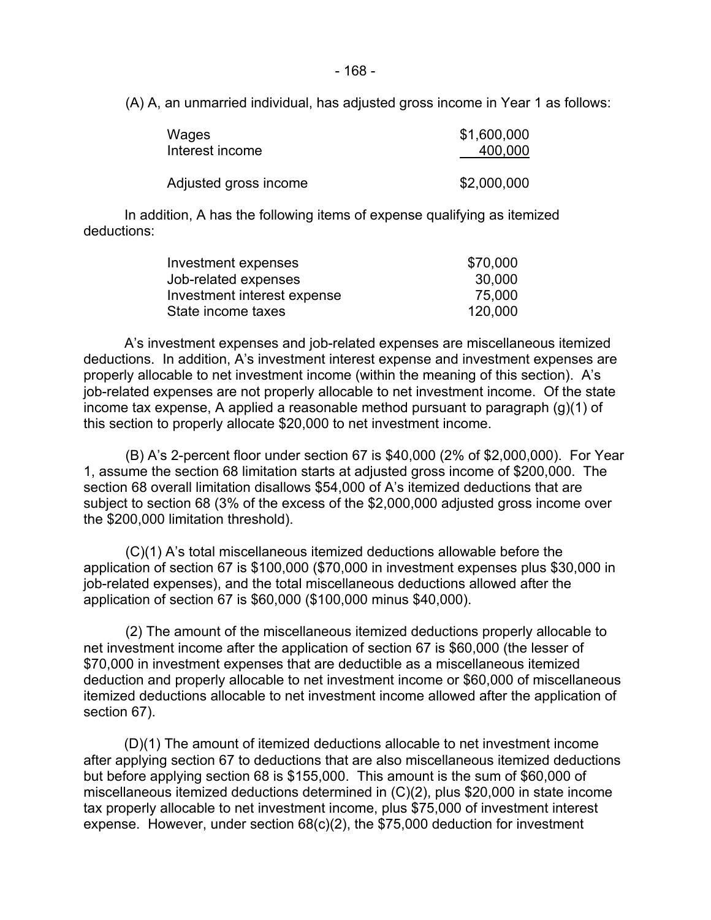- 168 -

(A) A, an unmarried individual, has adjusted gross income in Year 1 as follows:

| Wages                 | \$1,600,000 |
|-----------------------|-------------|
| Interest income       | 400,000     |
| Adjusted gross income | \$2,000,000 |

In addition, A has the following items of expense qualifying as itemized deductions:

| Investment expenses         | \$70,000 |
|-----------------------------|----------|
| Job-related expenses        | 30,000   |
| Investment interest expense | 75,000   |
| State income taxes          | 120,000  |

A's investment expenses and job-related expenses are miscellaneous itemized deductions. In addition, A's investment interest expense and investment expenses are properly allocable to net investment income (within the meaning of this section). A's job-related expenses are not properly allocable to net investment income. Of the state income tax expense, A applied a reasonable method pursuant to paragraph (g)(1) of this section to properly allocate \$20,000 to net investment income.

(B) A's 2-percent floor under section 67 is \$40,000 (2% of \$2,000,000). For Year 1, assume the section 68 limitation starts at adjusted gross income of \$200,000. The section 68 overall limitation disallows \$54,000 of A's itemized deductions that are subject to section 68 (3% of the excess of the \$2,000,000 adjusted gross income over the \$200,000 limitation threshold).

(C)(1) A's total miscellaneous itemized deductions allowable before the application of section 67 is \$100,000 (\$70,000 in investment expenses plus \$30,000 in job-related expenses), and the total miscellaneous deductions allowed after the application of section 67 is \$60,000 (\$100,000 minus \$40,000).

(2) The amount of the miscellaneous itemized deductions properly allocable to net investment income after the application of section 67 is \$60,000 (the lesser of \$70,000 in investment expenses that are deductible as a miscellaneous itemized deduction and properly allocable to net investment income or \$60,000 of miscellaneous itemized deductions allocable to net investment income allowed after the application of section 67).

(D)(1) The amount of itemized deductions allocable to net investment income after applying section 67 to deductions that are also miscellaneous itemized deductions but before applying section 68 is \$155,000. This amount is the sum of \$60,000 of miscellaneous itemized deductions determined in (C)(2), plus \$20,000 in state income tax properly allocable to net investment income, plus \$75,000 of investment interest expense. However, under section 68(c)(2), the \$75,000 deduction for investment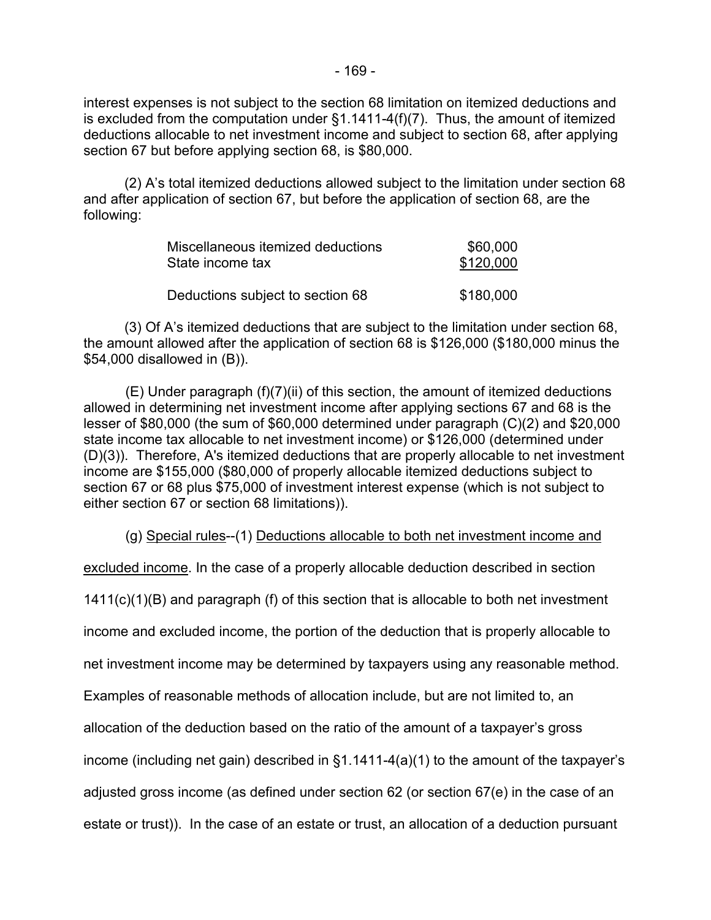interest expenses is not subject to the section 68 limitation on itemized deductions and is excluded from the computation under §1.1411-4(f)(7). Thus, the amount of itemized deductions allocable to net investment income and subject to section 68, after applying section 67 but before applying section 68, is \$80,000.

(2) A's total itemized deductions allowed subject to the limitation under section 68 and after application of section 67, but before the application of section 68, are the following:

| Miscellaneous itemized deductions | \$60,000  |
|-----------------------------------|-----------|
| State income tax                  | \$120,000 |
|                                   |           |
| Deductions subject to section 68  | \$180,000 |

(3) Of A's itemized deductions that are subject to the limitation under section 68, the amount allowed after the application of section 68 is \$126,000 (\$180,000 minus the \$54,000 disallowed in (B)).

(E) Under paragraph (f)(7)(ii) of this section, the amount of itemized deductions allowed in determining net investment income after applying sections 67 and 68 is the lesser of \$80,000 (the sum of \$60,000 determined under paragraph (C)(2) and \$20,000 state income tax allocable to net investment income) or \$126,000 (determined under (D)(3)). Therefore, A's itemized deductions that are properly allocable to net investment income are \$155,000 (\$80,000 of properly allocable itemized deductions subject to section 67 or 68 plus \$75,000 of investment interest expense (which is not subject to either section 67 or section 68 limitations)).

(g) Special rules--(1) Deductions allocable to both net investment income and

excluded income. In the case of a properly allocable deduction described in section

1411(c)(1)(B) and paragraph (f) of this section that is allocable to both net investment

income and excluded income, the portion of the deduction that is properly allocable to

net investment income may be determined by taxpayers using any reasonable method.

Examples of reasonable methods of allocation include, but are not limited to, an

allocation of the deduction based on the ratio of the amount of a taxpayer's gross

income (including net gain) described in §1.1411-4(a)(1) to the amount of the taxpayer's

adjusted gross income (as defined under section 62 (or section 67(e) in the case of an

estate or trust)). In the case of an estate or trust, an allocation of a deduction pursuant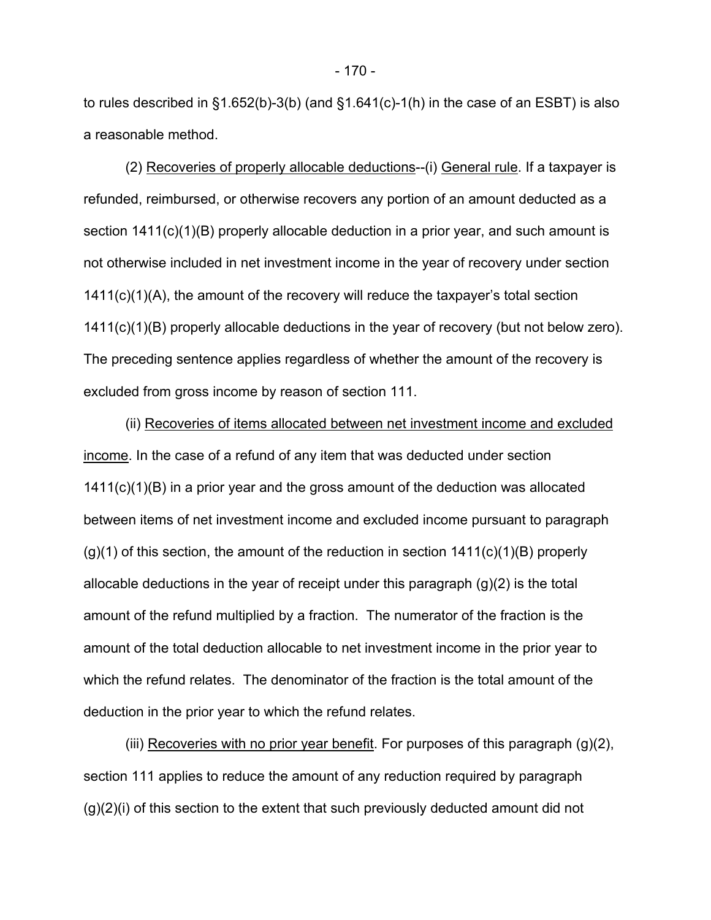to rules described in §1.652(b)-3(b) (and §1.641(c)-1(h) in the case of an ESBT) is also a reasonable method.

(2) Recoveries of properly allocable deductions--(i) General rule. If a taxpayer is refunded, reimbursed, or otherwise recovers any portion of an amount deducted as a section 1411(c)(1)(B) properly allocable deduction in a prior year, and such amount is not otherwise included in net investment income in the year of recovery under section 1411(c)(1)(A), the amount of the recovery will reduce the taxpayer's total section 1411(c)(1)(B) properly allocable deductions in the year of recovery (but not below zero). The preceding sentence applies regardless of whether the amount of the recovery is excluded from gross income by reason of section 111.

(ii) Recoveries of items allocated between net investment income and excluded income. In the case of a refund of any item that was deducted under section  $1411(c)(1)(B)$  in a prior year and the gross amount of the deduction was allocated between items of net investment income and excluded income pursuant to paragraph  $(g)(1)$  of this section, the amount of the reduction in section  $1411(c)(1)(B)$  properly allocable deductions in the year of receipt under this paragraph (g)(2) is the total amount of the refund multiplied by a fraction. The numerator of the fraction is the amount of the total deduction allocable to net investment income in the prior year to which the refund relates. The denominator of the fraction is the total amount of the deduction in the prior year to which the refund relates.

(iii) Recoveries with no prior year benefit. For purposes of this paragraph  $(g)(2)$ , section 111 applies to reduce the amount of any reduction required by paragraph (g)(2)(i) of this section to the extent that such previously deducted amount did not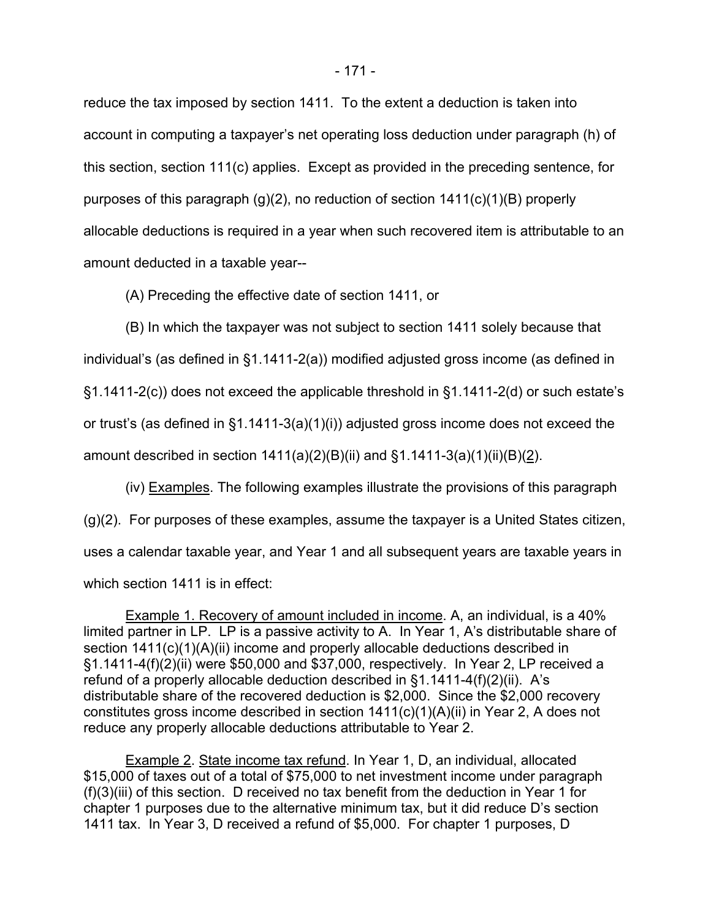reduce the tax imposed by section 1411. To the extent a deduction is taken into account in computing a taxpayer's net operating loss deduction under paragraph (h) of this section, section 111(c) applies. Except as provided in the preceding sentence, for purposes of this paragraph (g)(2), no reduction of section  $1411(c)(1)(B)$  properly allocable deductions is required in a year when such recovered item is attributable to an amount deducted in a taxable year--

(A) Preceding the effective date of section 1411, or

(B) In which the taxpayer was not subject to section 1411 solely because that individual's (as defined in §1.1411-2(a)) modified adjusted gross income (as defined in §1.1411-2(c)) does not exceed the applicable threshold in §1.1411-2(d) or such estate's or trust's (as defined in §1.1411-3(a)(1)(i)) adjusted gross income does not exceed the amount described in section  $1411(a)(2)(B)(ii)$  and  $§1.1411-3(a)(1)(ii)(B)(2)$ .

(iv) Examples. The following examples illustrate the provisions of this paragraph (g)(2). For purposes of these examples, assume the taxpayer is a United States citizen, uses a calendar taxable year, and Year 1 and all subsequent years are taxable years in which section 1411 is in effect:

Example 1. Recovery of amount included in income. A, an individual, is a 40% limited partner in LP. LP is a passive activity to A. In Year 1, A's distributable share of section 1411(c)(1)(A)(ii) income and properly allocable deductions described in §1.1411-4(f)(2)(ii) were \$50,000 and \$37,000, respectively. In Year 2, LP received a refund of a properly allocable deduction described in §1.1411-4(f)(2)(ii). A's distributable share of the recovered deduction is \$2,000. Since the \$2,000 recovery constitutes gross income described in section 1411(c)(1)(A)(ii) in Year 2, A does not reduce any properly allocable deductions attributable to Year 2.

Example 2. State income tax refund. In Year 1, D, an individual, allocated \$15,000 of taxes out of a total of \$75,000 to net investment income under paragraph (f)(3)(iii) of this section. D received no tax benefit from the deduction in Year 1 for chapter 1 purposes due to the alternative minimum tax, but it did reduce D's section 1411 tax. In Year 3, D received a refund of \$5,000. For chapter 1 purposes, D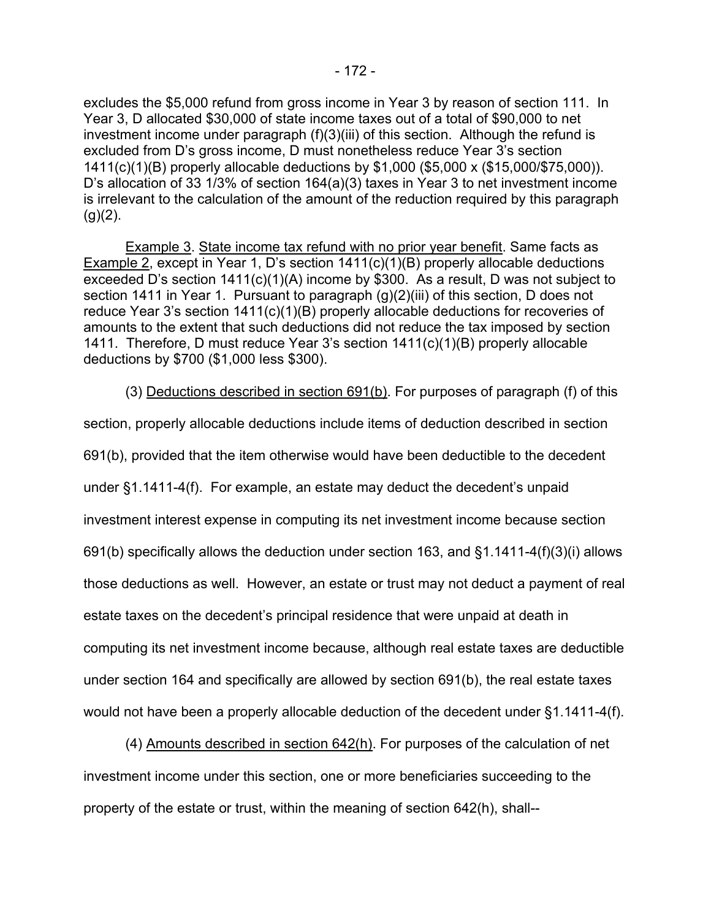excludes the \$5,000 refund from gross income in Year 3 by reason of section 111. In Year 3, D allocated \$30,000 of state income taxes out of a total of \$90,000 to net investment income under paragraph (f)(3)(iii) of this section. Although the refund is excluded from D's gross income, D must nonetheless reduce Year 3's section 1411(c)(1)(B) properly allocable deductions by \$1,000 (\$5,000 x (\$15,000/\$75,000)). D's allocation of 33 1/3% of section 164(a)(3) taxes in Year 3 to net investment income is irrelevant to the calculation of the amount of the reduction required by this paragraph  $(g)(2)$ .

Example 3. State income tax refund with no prior year benefit. Same facts as Example 2, except in Year 1, D's section 1411(c)(1)(B) properly allocable deductions exceeded D's section 1411(c)(1)(A) income by \$300. As a result, D was not subject to section 1411 in Year 1. Pursuant to paragraph (g)(2)(iii) of this section, D does not reduce Year 3's section 1411(c)(1)(B) properly allocable deductions for recoveries of amounts to the extent that such deductions did not reduce the tax imposed by section 1411. Therefore, D must reduce Year 3's section 1411(c)(1)(B) properly allocable deductions by \$700 (\$1,000 less \$300).

(3) Deductions described in section 691(b). For purposes of paragraph (f) of this

section, properly allocable deductions include items of deduction described in section 691(b), provided that the item otherwise would have been deductible to the decedent under §1.1411-4(f). For example, an estate may deduct the decedent's unpaid investment interest expense in computing its net investment income because section 691(b) specifically allows the deduction under section 163, and §1.1411-4(f)(3)(i) allows those deductions as well. However, an estate or trust may not deduct a payment of real estate taxes on the decedent's principal residence that were unpaid at death in computing its net investment income because, although real estate taxes are deductible under section 164 and specifically are allowed by section 691(b), the real estate taxes would not have been a properly allocable deduction of the decedent under §1.1411-4(f).

(4) Amounts described in section 642(h). For purposes of the calculation of net investment income under this section, one or more beneficiaries succeeding to the property of the estate or trust, within the meaning of section 642(h), shall--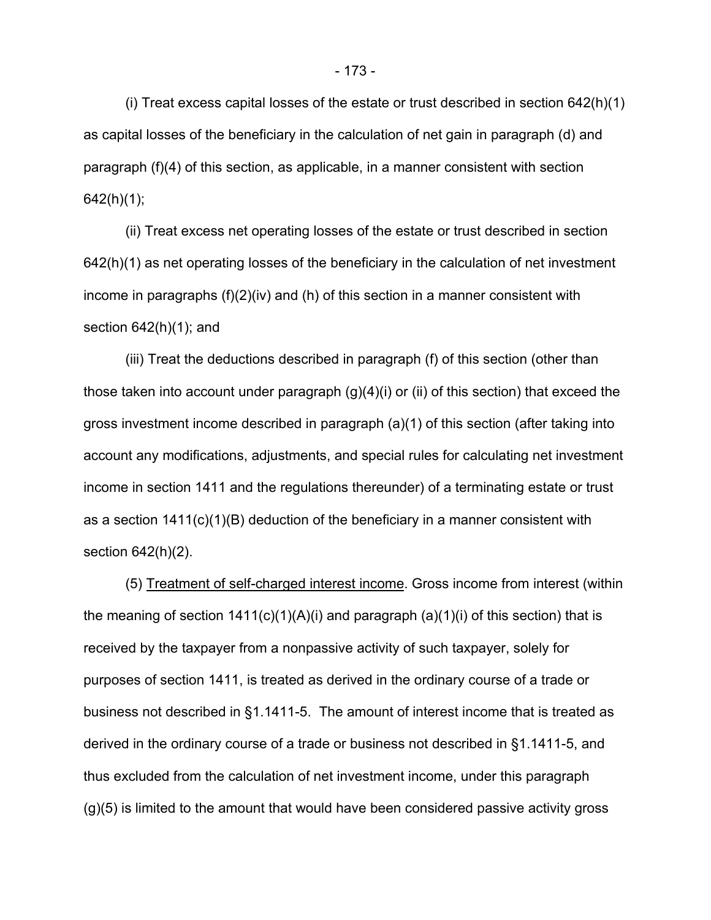(i) Treat excess capital losses of the estate or trust described in section 642(h)(1) as capital losses of the beneficiary in the calculation of net gain in paragraph (d) and paragraph (f)(4) of this section, as applicable, in a manner consistent with section  $642(h)(1)$ ;

(ii) Treat excess net operating losses of the estate or trust described in section 642(h)(1) as net operating losses of the beneficiary in the calculation of net investment income in paragraphs (f)(2)(iv) and (h) of this section in a manner consistent with section  $642(h)(1)$ ; and

(iii) Treat the deductions described in paragraph (f) of this section (other than those taken into account under paragraph (g)(4)(i) or (ii) of this section) that exceed the gross investment income described in paragraph (a)(1) of this section (after taking into account any modifications, adjustments, and special rules for calculating net investment income in section 1411 and the regulations thereunder) of a terminating estate or trust as a section 1411(c)(1)(B) deduction of the beneficiary in a manner consistent with section 642(h)(2).

(5) Treatment of self-charged interest income. Gross income from interest (within the meaning of section  $1411(c)(1)(A)(i)$  and paragraph  $(a)(1)(i)$  of this section) that is received by the taxpayer from a nonpassive activity of such taxpayer, solely for purposes of section 1411, is treated as derived in the ordinary course of a trade or business not described in §1.1411-5. The amount of interest income that is treated as derived in the ordinary course of a trade or business not described in §1.1411-5, and thus excluded from the calculation of net investment income, under this paragraph (g)(5) is limited to the amount that would have been considered passive activity gross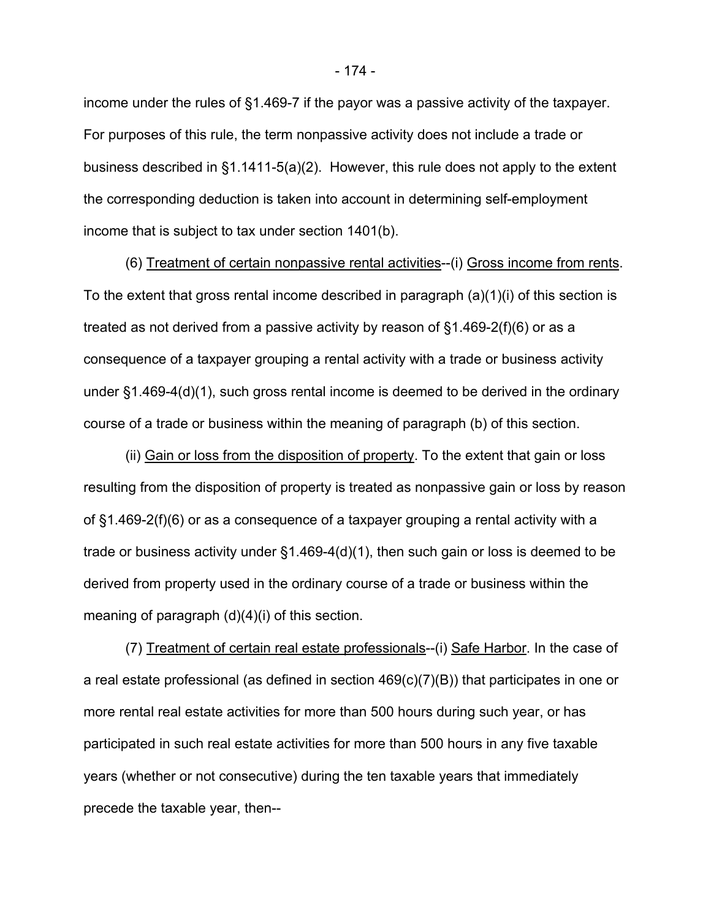income under the rules of §1.469-7 if the payor was a passive activity of the taxpayer. For purposes of this rule, the term nonpassive activity does not include a trade or business described in §1.1411-5(a)(2). However, this rule does not apply to the extent the corresponding deduction is taken into account in determining self-employment income that is subject to tax under section 1401(b).

(6) Treatment of certain nonpassive rental activities--(i) Gross income from rents. To the extent that gross rental income described in paragraph (a)(1)(i) of this section is treated as not derived from a passive activity by reason of §1.469-2(f)(6) or as a consequence of a taxpayer grouping a rental activity with a trade or business activity under §1.469-4(d)(1), such gross rental income is deemed to be derived in the ordinary course of a trade or business within the meaning of paragraph (b) of this section.

(ii) Gain or loss from the disposition of property. To the extent that gain or loss resulting from the disposition of property is treated as nonpassive gain or loss by reason of §1.469-2(f)(6) or as a consequence of a taxpayer grouping a rental activity with a trade or business activity under §1.469-4(d)(1), then such gain or loss is deemed to be derived from property used in the ordinary course of a trade or business within the meaning of paragraph (d)(4)(i) of this section.

(7) Treatment of certain real estate professionals--(i) Safe Harbor. In the case of a real estate professional (as defined in section 469(c)(7)(B)) that participates in one or more rental real estate activities for more than 500 hours during such year, or has participated in such real estate activities for more than 500 hours in any five taxable years (whether or not consecutive) during the ten taxable years that immediately precede the taxable year, then--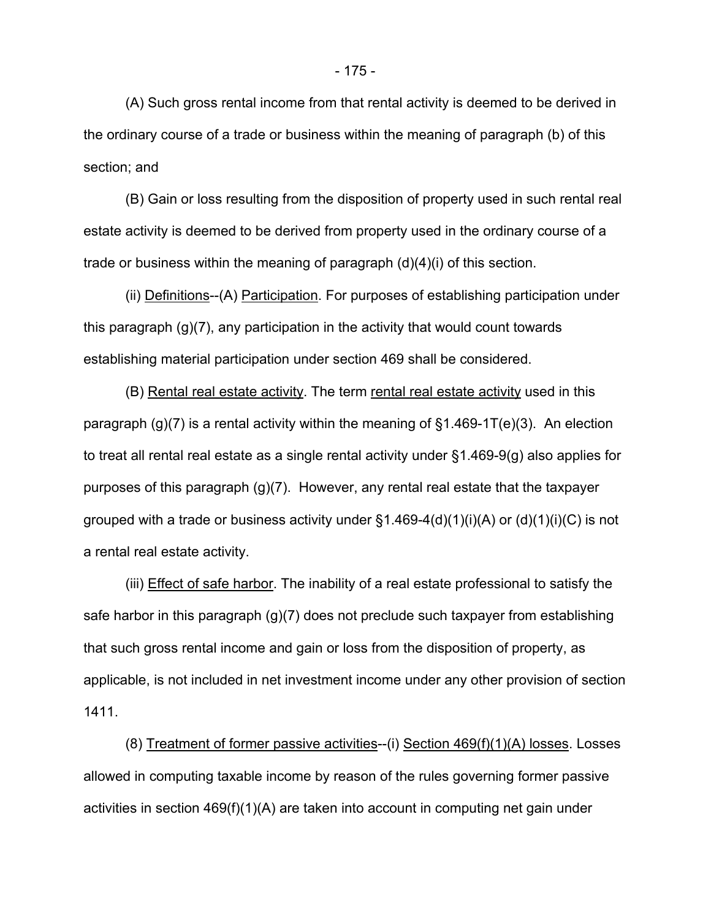(A) Such gross rental income from that rental activity is deemed to be derived in the ordinary course of a trade or business within the meaning of paragraph (b) of this section; and

(B) Gain or loss resulting from the disposition of property used in such rental real estate activity is deemed to be derived from property used in the ordinary course of a trade or business within the meaning of paragraph (d)(4)(i) of this section.

(ii) Definitions--(A) Participation. For purposes of establishing participation under this paragraph (g)(7), any participation in the activity that would count towards establishing material participation under section 469 shall be considered.

(B) Rental real estate activity. The term rental real estate activity used in this paragraph  $(g)(7)$  is a rental activity within the meaning of  $§1.469-1T(e)(3)$ . An election to treat all rental real estate as a single rental activity under §1.469-9(g) also applies for purposes of this paragraph (g)(7). However, any rental real estate that the taxpayer grouped with a trade or business activity under  $\S1.469-4(d)(1)(i)(A)$  or  $(d)(1)(i)(C)$  is not a rental real estate activity.

(iii) Effect of safe harbor. The inability of a real estate professional to satisfy the safe harbor in this paragraph (g)(7) does not preclude such taxpayer from establishing that such gross rental income and gain or loss from the disposition of property, as applicable, is not included in net investment income under any other provision of section 1411.

(8) Treatment of former passive activities--(i) Section 469(f)(1)(A) losses. Losses allowed in computing taxable income by reason of the rules governing former passive activities in section 469(f)(1)(A) are taken into account in computing net gain under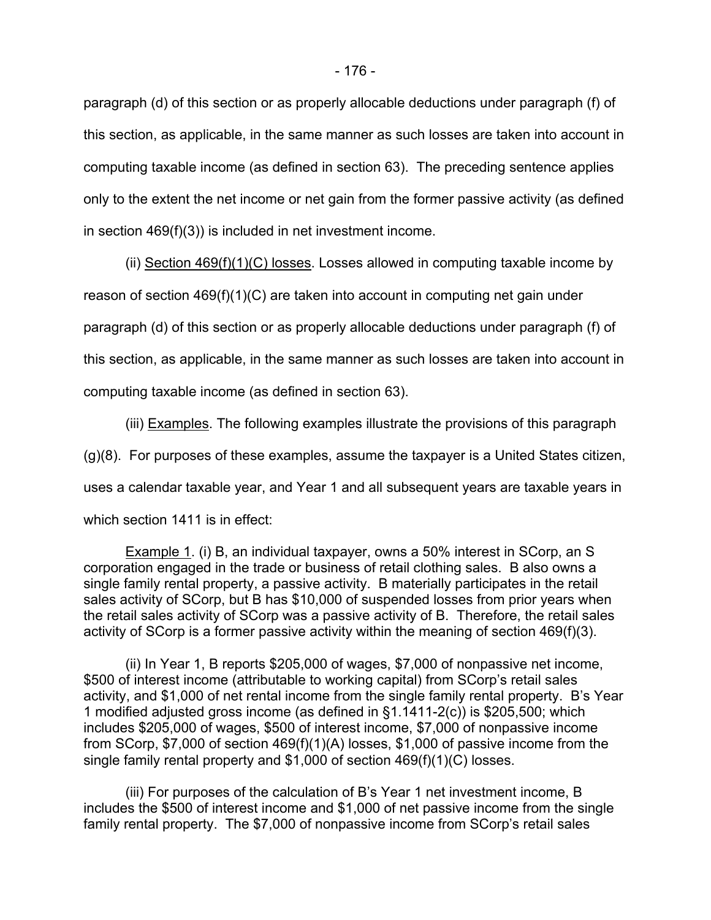paragraph (d) of this section or as properly allocable deductions under paragraph (f) of this section, as applicable, in the same manner as such losses are taken into account in computing taxable income (as defined in section 63). The preceding sentence applies only to the extent the net income or net gain from the former passive activity (as defined in section 469(f)(3)) is included in net investment income.

(ii) Section 469(f)(1)(C) losses. Losses allowed in computing taxable income by reason of section 469(f)(1)(C) are taken into account in computing net gain under paragraph (d) of this section or as properly allocable deductions under paragraph (f) of this section, as applicable, in the same manner as such losses are taken into account in computing taxable income (as defined in section 63).

(iii) Examples. The following examples illustrate the provisions of this paragraph (g)(8). For purposes of these examples, assume the taxpayer is a United States citizen, uses a calendar taxable year, and Year 1 and all subsequent years are taxable years in which section 1411 is in effect:

Example 1. (i) B, an individual taxpayer, owns a 50% interest in SCorp, an S corporation engaged in the trade or business of retail clothing sales. B also owns a single family rental property, a passive activity. B materially participates in the retail sales activity of SCorp, but B has \$10,000 of suspended losses from prior years when the retail sales activity of SCorp was a passive activity of B. Therefore, the retail sales activity of SCorp is a former passive activity within the meaning of section 469(f)(3).

(ii) In Year 1, B reports \$205,000 of wages, \$7,000 of nonpassive net income, \$500 of interest income (attributable to working capital) from SCorp's retail sales activity, and \$1,000 of net rental income from the single family rental property. B's Year 1 modified adjusted gross income (as defined in §1.1411-2(c)) is \$205,500; which includes \$205,000 of wages, \$500 of interest income, \$7,000 of nonpassive income from SCorp, \$7,000 of section 469(f)(1)(A) losses, \$1,000 of passive income from the single family rental property and \$1,000 of section 469(f)(1)(C) losses.

(iii) For purposes of the calculation of B's Year 1 net investment income, B includes the \$500 of interest income and \$1,000 of net passive income from the single family rental property. The \$7,000 of nonpassive income from SCorp's retail sales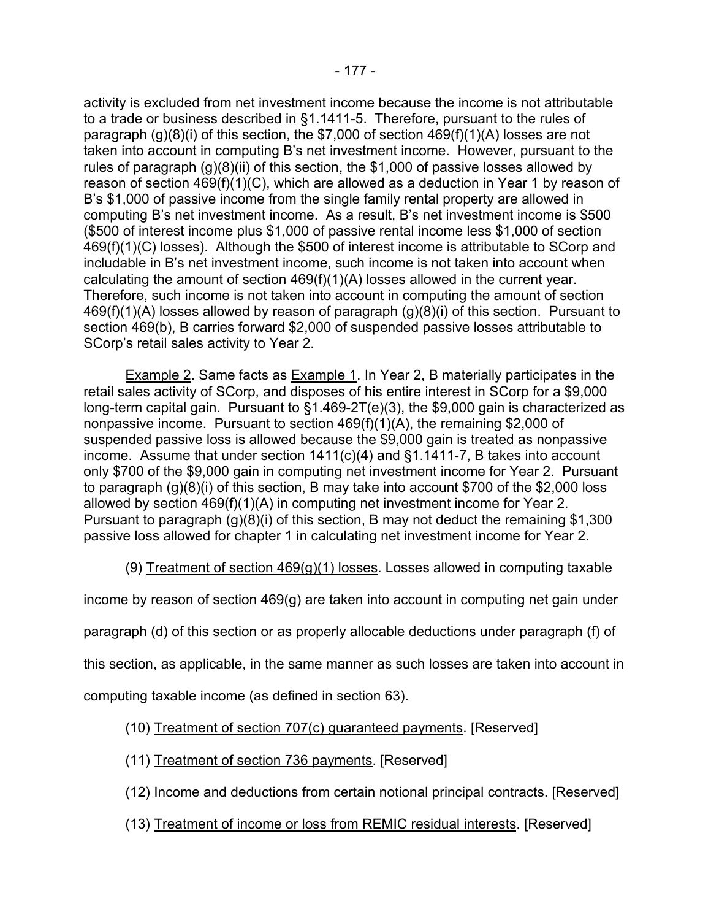activity is excluded from net investment income because the income is not attributable to a trade or business described in §1.1411-5. Therefore, pursuant to the rules of paragraph (g)(8)(i) of this section, the \$7,000 of section 469(f)(1)(A) losses are not taken into account in computing B's net investment income. However, pursuant to the rules of paragraph  $(g)(8)(ii)$  of this section, the \$1,000 of passive losses allowed by reason of section 469(f)(1)(C), which are allowed as a deduction in Year 1 by reason of B's \$1,000 of passive income from the single family rental property are allowed in computing B's net investment income. As a result, B's net investment income is \$500 (\$500 of interest income plus \$1,000 of passive rental income less \$1,000 of section 469(f)(1)(C) losses). Although the \$500 of interest income is attributable to SCorp and includable in B's net investment income, such income is not taken into account when calculating the amount of section 469(f)(1)(A) losses allowed in the current year. Therefore, such income is not taken into account in computing the amount of section 469(f)(1)(A) losses allowed by reason of paragraph (g)(8)(i) of this section. Pursuant to section 469(b), B carries forward \$2,000 of suspended passive losses attributable to SCorp's retail sales activity to Year 2.

Example 2. Same facts as Example 1. In Year 2, B materially participates in the retail sales activity of SCorp, and disposes of his entire interest in SCorp for a \$9,000 long-term capital gain. Pursuant to §1.469-2T(e)(3), the \$9,000 gain is characterized as nonpassive income. Pursuant to section 469(f)(1)(A), the remaining \$2,000 of suspended passive loss is allowed because the \$9,000 gain is treated as nonpassive income. Assume that under section 1411(c)(4) and §1.1411-7, B takes into account only \$700 of the \$9,000 gain in computing net investment income for Year 2. Pursuant to paragraph (g)(8)(i) of this section, B may take into account \$700 of the \$2,000 loss allowed by section 469(f)(1)(A) in computing net investment income for Year 2. Pursuant to paragraph (g)(8)(i) of this section, B may not deduct the remaining \$1,300 passive loss allowed for chapter 1 in calculating net investment income for Year 2.

(9) Treatment of section  $469(g)(1)$  losses. Losses allowed in computing taxable

income by reason of section 469(g) are taken into account in computing net gain under

paragraph (d) of this section or as properly allocable deductions under paragraph (f) of

this section, as applicable, in the same manner as such losses are taken into account in

computing taxable income (as defined in section 63).

## (10) Treatment of section 707(c) guaranteed payments. [Reserved]

- (11) Treatment of section 736 payments. [Reserved]
- (12) Income and deductions from certain notional principal contracts. [Reserved]
- (13) Treatment of income or loss from REMIC residual interests. [Reserved]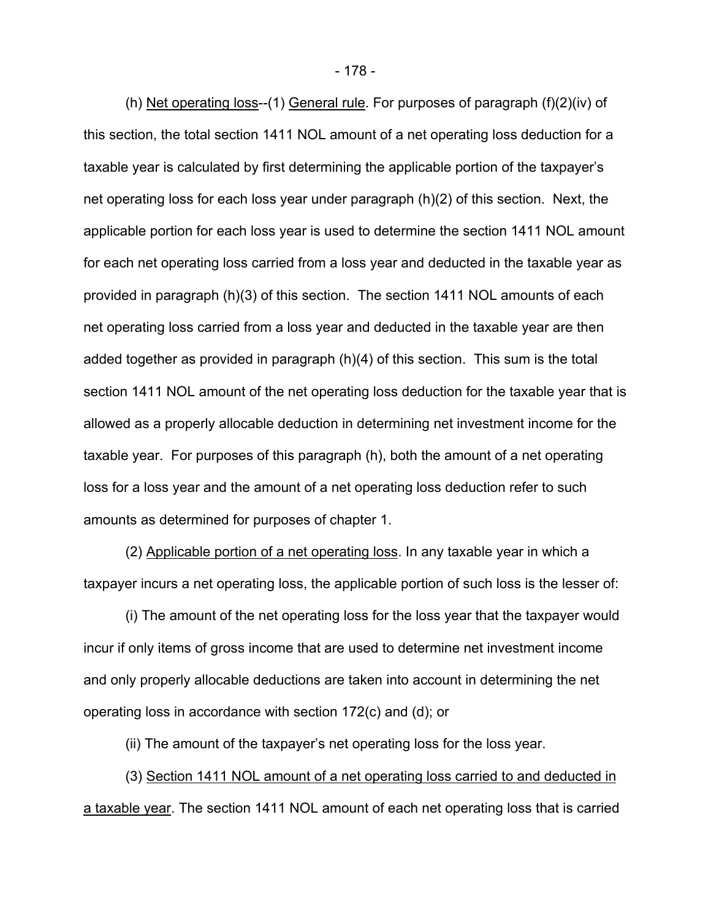(h) Net operating loss--(1) General rule. For purposes of paragraph (f)(2)(iv) of this section, the total section 1411 NOL amount of a net operating loss deduction for a taxable year is calculated by first determining the applicable portion of the taxpayer's net operating loss for each loss year under paragraph (h)(2) of this section. Next, the applicable portion for each loss year is used to determine the section 1411 NOL amount for each net operating loss carried from a loss year and deducted in the taxable year as provided in paragraph (h)(3) of this section. The section 1411 NOL amounts of each net operating loss carried from a loss year and deducted in the taxable year are then added together as provided in paragraph (h)(4) of this section. This sum is the total section 1411 NOL amount of the net operating loss deduction for the taxable year that is allowed as a properly allocable deduction in determining net investment income for the taxable year. For purposes of this paragraph (h), both the amount of a net operating loss for a loss year and the amount of a net operating loss deduction refer to such amounts as determined for purposes of chapter 1.

(2) Applicable portion of a net operating loss. In any taxable year in which a taxpayer incurs a net operating loss, the applicable portion of such loss is the lesser of:

(i) The amount of the net operating loss for the loss year that the taxpayer would incur if only items of gross income that are used to determine net investment income and only properly allocable deductions are taken into account in determining the net operating loss in accordance with section 172(c) and (d); or

(ii) The amount of the taxpayer's net operating loss for the loss year.

(3) Section 1411 NOL amount of a net operating loss carried to and deducted in a taxable year. The section 1411 NOL amount of each net operating loss that is carried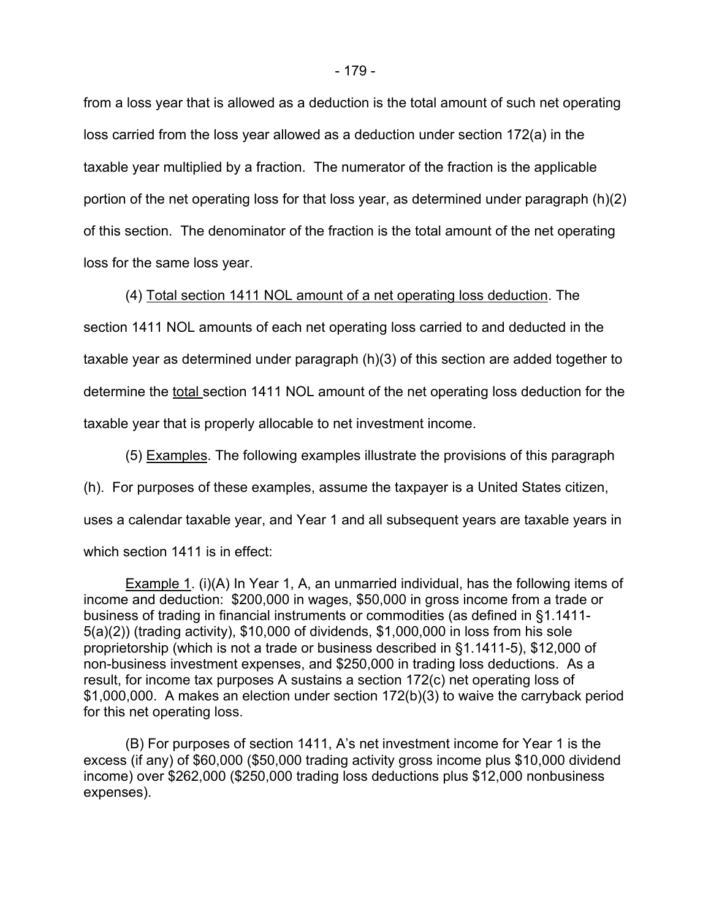from a loss year that is allowed as a deduction is the total amount of such net operating loss carried from the loss year allowed as a deduction under section 172(a) in the taxable year multiplied by a fraction. The numerator of the fraction is the applicable portion of the net operating loss for that loss year, as determined under paragraph (h)(2) of this section. The denominator of the fraction is the total amount of the net operating loss for the same loss year.

(4) Total section 1411 NOL amount of a net operating loss deduction. The section 1411 NOL amounts of each net operating loss carried to and deducted in the taxable year as determined under paragraph (h)(3) of this section are added together to determine the total section 1411 NOL amount of the net operating loss deduction for the taxable year that is properly allocable to net investment income.

(5) Examples. The following examples illustrate the provisions of this paragraph (h). For purposes of these examples, assume the taxpayer is a United States citizen, uses a calendar taxable year, and Year 1 and all subsequent years are taxable years in which section 1411 is in effect:

Example 1. (i)(A) In Year 1, A, an unmarried individual, has the following items of income and deduction: \$200,000 in wages, \$50,000 in gross income from a trade or business of trading in financial instruments or commodities (as defined in §1.1411- 5(a)(2)) (trading activity), \$10,000 of dividends, \$1,000,000 in loss from his sole proprietorship (which is not a trade or business described in §1.1411-5), \$12,000 of non-business investment expenses, and \$250,000 in trading loss deductions. As a result, for income tax purposes A sustains a section 172(c) net operating loss of \$1,000,000. A makes an election under section 172(b)(3) to waive the carryback period for this net operating loss.

(B) For purposes of section 1411, A's net investment income for Year 1 is the excess (if any) of \$60,000 (\$50,000 trading activity gross income plus \$10,000 dividend income) over \$262,000 (\$250,000 trading loss deductions plus \$12,000 nonbusiness expenses).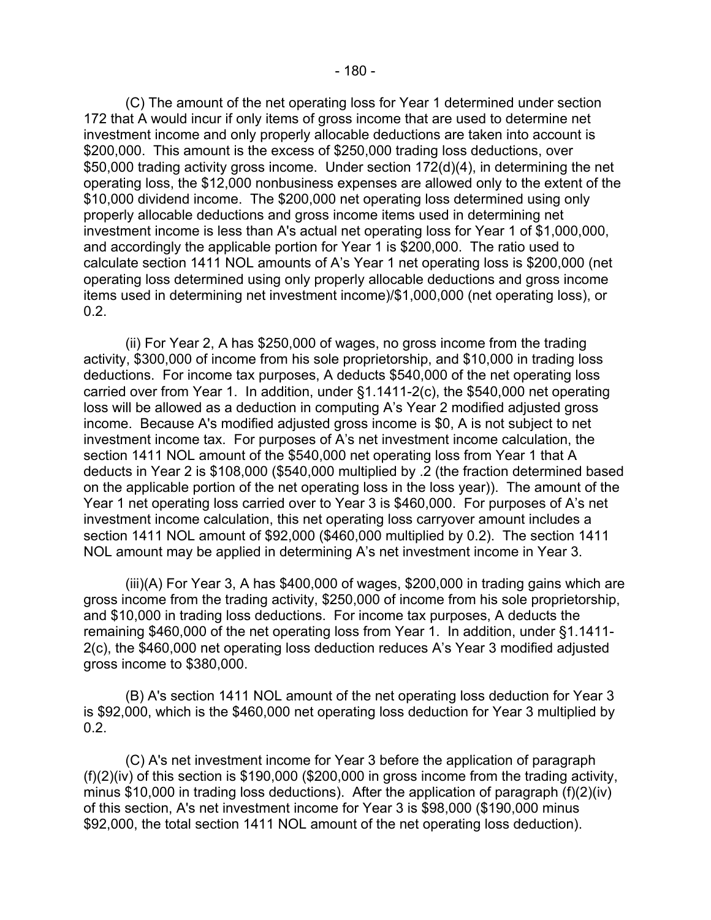(C) The amount of the net operating loss for Year 1 determined under section 172 that A would incur if only items of gross income that are used to determine net investment income and only properly allocable deductions are taken into account is \$200,000. This amount is the excess of \$250,000 trading loss deductions, over \$50,000 trading activity gross income. Under section 172(d)(4), in determining the net operating loss, the \$12,000 nonbusiness expenses are allowed only to the extent of the \$10,000 dividend income. The \$200,000 net operating loss determined using only properly allocable deductions and gross income items used in determining net investment income is less than A's actual net operating loss for Year 1 of \$1,000,000, and accordingly the applicable portion for Year 1 is \$200,000. The ratio used to calculate section 1411 NOL amounts of A's Year 1 net operating loss is \$200,000 (net operating loss determined using only properly allocable deductions and gross income items used in determining net investment income)/\$1,000,000 (net operating loss), or 0.2.

(ii) For Year 2, A has \$250,000 of wages, no gross income from the trading activity, \$300,000 of income from his sole proprietorship, and \$10,000 in trading loss deductions. For income tax purposes, A deducts \$540,000 of the net operating loss carried over from Year 1. In addition, under §1.1411-2(c), the \$540,000 net operating loss will be allowed as a deduction in computing A's Year 2 modified adjusted gross income. Because A's modified adjusted gross income is \$0, A is not subject to net investment income tax. For purposes of A's net investment income calculation, the section 1411 NOL amount of the \$540,000 net operating loss from Year 1 that A deducts in Year 2 is \$108,000 (\$540,000 multiplied by .2 (the fraction determined based on the applicable portion of the net operating loss in the loss year)). The amount of the Year 1 net operating loss carried over to Year 3 is \$460,000. For purposes of A's net investment income calculation, this net operating loss carryover amount includes a section 1411 NOL amount of \$92,000 (\$460,000 multiplied by 0.2). The section 1411 NOL amount may be applied in determining A's net investment income in Year 3.

(iii)(A) For Year 3, A has \$400,000 of wages, \$200,000 in trading gains which are gross income from the trading activity, \$250,000 of income from his sole proprietorship, and \$10,000 in trading loss deductions. For income tax purposes, A deducts the remaining \$460,000 of the net operating loss from Year 1. In addition, under §1.1411- 2(c), the \$460,000 net operating loss deduction reduces A's Year 3 modified adjusted gross income to \$380,000.

(B) A's section 1411 NOL amount of the net operating loss deduction for Year 3 is \$92,000, which is the \$460,000 net operating loss deduction for Year 3 multiplied by 0.2.

(C) A's net investment income for Year 3 before the application of paragraph (f)(2)(iv) of this section is \$190,000 (\$200,000 in gross income from the trading activity, minus \$10,000 in trading loss deductions). After the application of paragraph (f)(2)(iv) of this section, A's net investment income for Year 3 is \$98,000 (\$190,000 minus \$92,000, the total section 1411 NOL amount of the net operating loss deduction).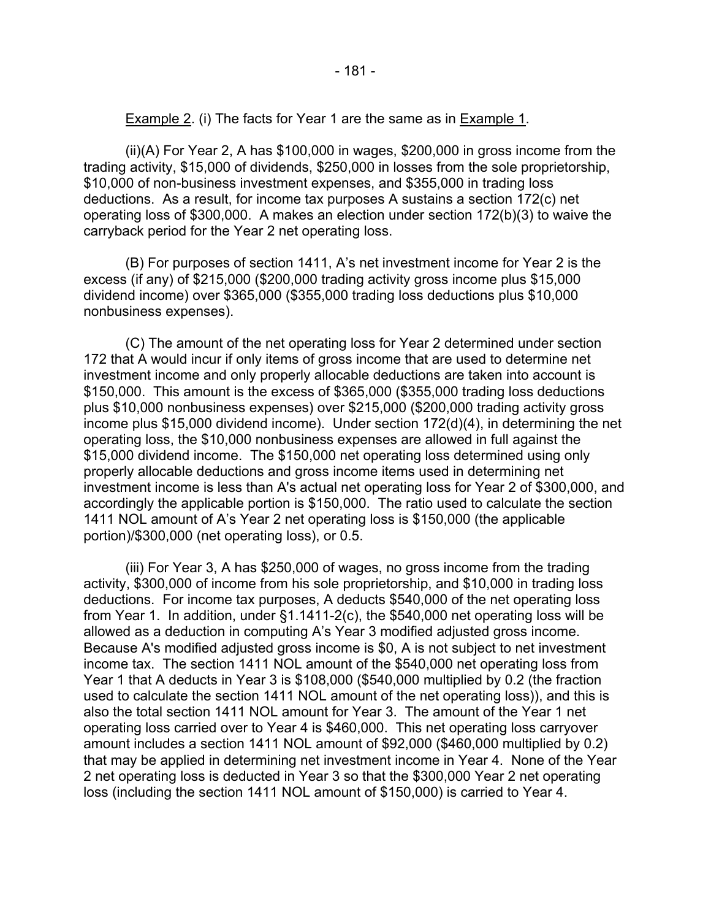Example 2. (i) The facts for Year 1 are the same as in Example 1.

 (ii)(A) For Year 2, A has \$100,000 in wages, \$200,000 in gross income from the trading activity, \$15,000 of dividends, \$250,000 in losses from the sole proprietorship, \$10,000 of non-business investment expenses, and \$355,000 in trading loss deductions. As a result, for income tax purposes A sustains a section 172(c) net operating loss of \$300,000. A makes an election under section 172(b)(3) to waive the carryback period for the Year 2 net operating loss.

(B) For purposes of section 1411, A's net investment income for Year 2 is the excess (if any) of \$215,000 (\$200,000 trading activity gross income plus \$15,000 dividend income) over \$365,000 (\$355,000 trading loss deductions plus \$10,000 nonbusiness expenses).

(C) The amount of the net operating loss for Year 2 determined under section 172 that A would incur if only items of gross income that are used to determine net investment income and only properly allocable deductions are taken into account is \$150,000. This amount is the excess of \$365,000 (\$355,000 trading loss deductions plus \$10,000 nonbusiness expenses) over \$215,000 (\$200,000 trading activity gross income plus \$15,000 dividend income). Under section 172(d)(4), in determining the net operating loss, the \$10,000 nonbusiness expenses are allowed in full against the \$15,000 dividend income. The \$150,000 net operating loss determined using only properly allocable deductions and gross income items used in determining net investment income is less than A's actual net operating loss for Year 2 of \$300,000, and accordingly the applicable portion is \$150,000. The ratio used to calculate the section 1411 NOL amount of A's Year 2 net operating loss is \$150,000 (the applicable portion)/\$300,000 (net operating loss), or 0.5.

(iii) For Year 3, A has \$250,000 of wages, no gross income from the trading activity, \$300,000 of income from his sole proprietorship, and \$10,000 in trading loss deductions. For income tax purposes, A deducts \$540,000 of the net operating loss from Year 1. In addition, under §1.1411-2(c), the \$540,000 net operating loss will be allowed as a deduction in computing A's Year 3 modified adjusted gross income. Because A's modified adjusted gross income is \$0, A is not subject to net investment income tax. The section 1411 NOL amount of the \$540,000 net operating loss from Year 1 that A deducts in Year 3 is \$108,000 (\$540,000 multiplied by 0.2 (the fraction used to calculate the section 1411 NOL amount of the net operating loss)), and this is also the total section 1411 NOL amount for Year 3. The amount of the Year 1 net operating loss carried over to Year 4 is \$460,000. This net operating loss carryover amount includes a section 1411 NOL amount of \$92,000 (\$460,000 multiplied by 0.2) that may be applied in determining net investment income in Year 4. None of the Year 2 net operating loss is deducted in Year 3 so that the \$300,000 Year 2 net operating loss (including the section 1411 NOL amount of \$150,000) is carried to Year 4.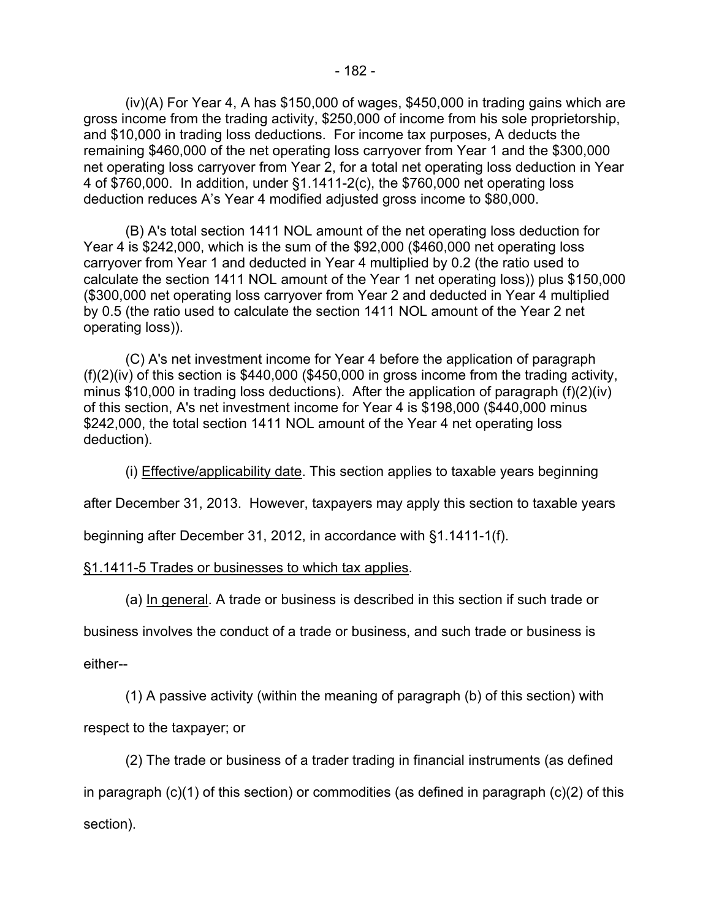(iv)(A) For Year 4, A has \$150,000 of wages, \$450,000 in trading gains which are gross income from the trading activity, \$250,000 of income from his sole proprietorship, and \$10,000 in trading loss deductions. For income tax purposes, A deducts the remaining \$460,000 of the net operating loss carryover from Year 1 and the \$300,000 net operating loss carryover from Year 2, for a total net operating loss deduction in Year 4 of \$760,000. In addition, under §1.1411-2(c), the \$760,000 net operating loss deduction reduces A's Year 4 modified adjusted gross income to \$80,000.

(B) A's total section 1411 NOL amount of the net operating loss deduction for Year 4 is \$242,000, which is the sum of the \$92,000 (\$460,000 net operating loss carryover from Year 1 and deducted in Year 4 multiplied by 0.2 (the ratio used to calculate the section 1411 NOL amount of the Year 1 net operating loss)) plus \$150,000 (\$300,000 net operating loss carryover from Year 2 and deducted in Year 4 multiplied by 0.5 (the ratio used to calculate the section 1411 NOL amount of the Year 2 net operating loss)).

(C) A's net investment income for Year 4 before the application of paragraph (f)(2)(iv) of this section is \$440,000 (\$450,000 in gross income from the trading activity, minus \$10,000 in trading loss deductions). After the application of paragraph (f)(2)(iv) of this section, A's net investment income for Year 4 is \$198,000 (\$440,000 minus \$242,000, the total section 1411 NOL amount of the Year 4 net operating loss deduction).

(i) Effective/applicability date. This section applies to taxable years beginning

after December 31, 2013. However, taxpayers may apply this section to taxable years

beginning after December 31, 2012, in accordance with §1.1411-1(f).

# §1.1411-5 Trades or businesses to which tax applies.

(a) In general. A trade or business is described in this section if such trade or

business involves the conduct of a trade or business, and such trade or business is

either--

(1) A passive activity (within the meaning of paragraph (b) of this section) with

respect to the taxpayer; or

(2) The trade or business of a trader trading in financial instruments (as defined

in paragraph (c)(1) of this section) or commodities (as defined in paragraph (c)(2) of this section).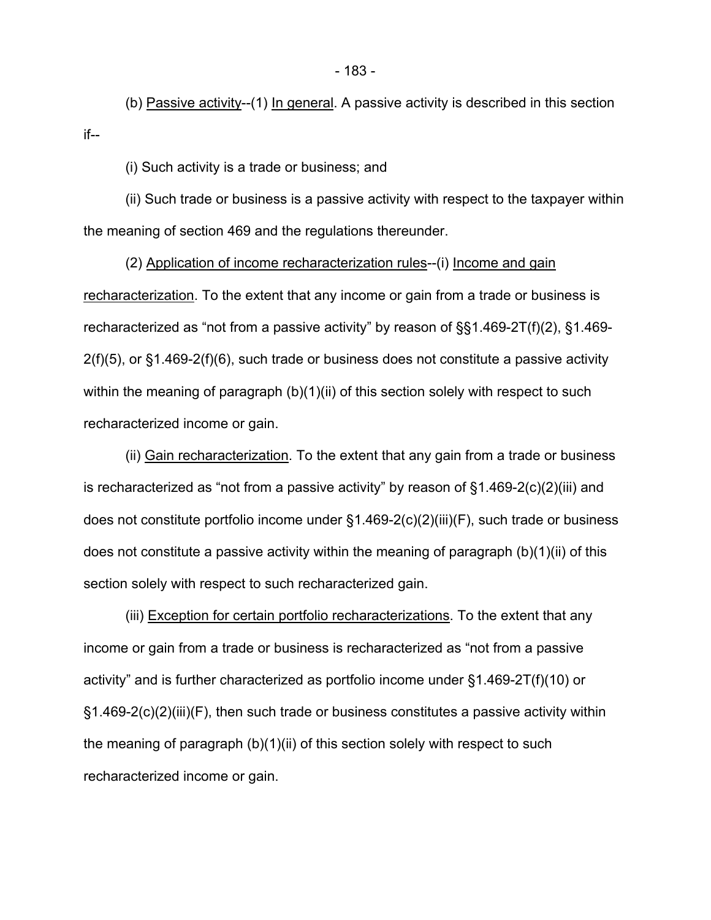(b) Passive activity--(1) In general. A passive activity is described in this section if--

(i) Such activity is a trade or business; and

(ii) Such trade or business is a passive activity with respect to the taxpayer within the meaning of section 469 and the regulations thereunder.

(2) Application of income recharacterization rules--(i) Income and gain recharacterization. To the extent that any income or gain from a trade or business is recharacterized as "not from a passive activity" by reason of §§1.469-2T(f)(2), §1.469-  $2(f)(5)$ , or §1.469-2(f)(6), such trade or business does not constitute a passive activity within the meaning of paragraph (b)(1)(ii) of this section solely with respect to such recharacterized income or gain.

(ii) Gain recharacterization. To the extent that any gain from a trade or business is recharacterized as "not from a passive activity" by reason of §1.469-2(c)(2)(iii) and does not constitute portfolio income under §1.469-2(c)(2)(iii)(F), such trade or business does not constitute a passive activity within the meaning of paragraph (b)(1)(ii) of this section solely with respect to such recharacterized gain.

(iii) Exception for certain portfolio recharacterizations. To the extent that any income or gain from a trade or business is recharacterized as "not from a passive activity" and is further characterized as portfolio income under §1.469-2T(f)(10) or §1.469-2(c)(2)(iii)(F), then such trade or business constitutes a passive activity within the meaning of paragraph (b)(1)(ii) of this section solely with respect to such recharacterized income or gain.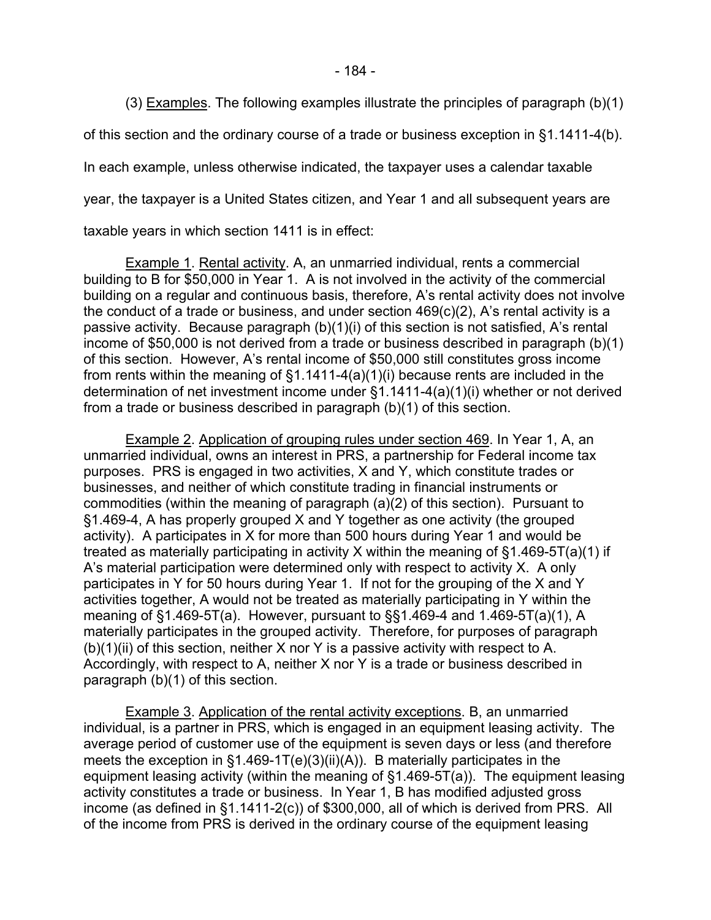- 184 -

(3) Examples. The following examples illustrate the principles of paragraph (b)(1)

of this section and the ordinary course of a trade or business exception in §1.1411-4(b).

In each example, unless otherwise indicated, the taxpayer uses a calendar taxable

year, the taxpayer is a United States citizen, and Year 1 and all subsequent years are

taxable years in which section 1411 is in effect:

Example 1. Rental activity. A, an unmarried individual, rents a commercial building to B for \$50,000 in Year 1. A is not involved in the activity of the commercial building on a regular and continuous basis, therefore, A's rental activity does not involve the conduct of a trade or business, and under section 469(c)(2), A's rental activity is a passive activity. Because paragraph (b)(1)(i) of this section is not satisfied, A's rental income of \$50,000 is not derived from a trade or business described in paragraph (b)(1) of this section. However, A's rental income of \$50,000 still constitutes gross income from rents within the meaning of §1.1411-4(a)(1)(i) because rents are included in the determination of net investment income under §1.1411-4(a)(1)(i) whether or not derived from a trade or business described in paragraph (b)(1) of this section.

Example 2. Application of grouping rules under section 469. In Year 1, A, an unmarried individual, owns an interest in PRS, a partnership for Federal income tax purposes. PRS is engaged in two activities, X and Y, which constitute trades or businesses, and neither of which constitute trading in financial instruments or commodities (within the meaning of paragraph (a)(2) of this section). Pursuant to §1.469-4, A has properly grouped X and Y together as one activity (the grouped activity). A participates in X for more than 500 hours during Year 1 and would be treated as materially participating in activity X within the meaning of §1.469-5T(a)(1) if A's material participation were determined only with respect to activity X. A only participates in Y for 50 hours during Year 1. If not for the grouping of the X and Y activities together, A would not be treated as materially participating in Y within the meaning of §1.469-5T(a). However, pursuant to §§1.469-4 and 1.469-5T(a)(1), A materially participates in the grouped activity. Therefore, for purposes of paragraph  $(b)(1)(ii)$  of this section, neither X nor Y is a passive activity with respect to A. Accordingly, with respect to A, neither X nor Y is a trade or business described in paragraph (b)(1) of this section.

Example 3. Application of the rental activity exceptions. B, an unmarried individual, is a partner in PRS, which is engaged in an equipment leasing activity. The average period of customer use of the equipment is seven days or less (and therefore meets the exception in §1.469-1T(e)(3)(ii)(A)). B materially participates in the equipment leasing activity (within the meaning of §1.469-5T(a)). The equipment leasing activity constitutes a trade or business. In Year 1, B has modified adjusted gross income (as defined in §1.1411-2(c)) of \$300,000, all of which is derived from PRS. All of the income from PRS is derived in the ordinary course of the equipment leasing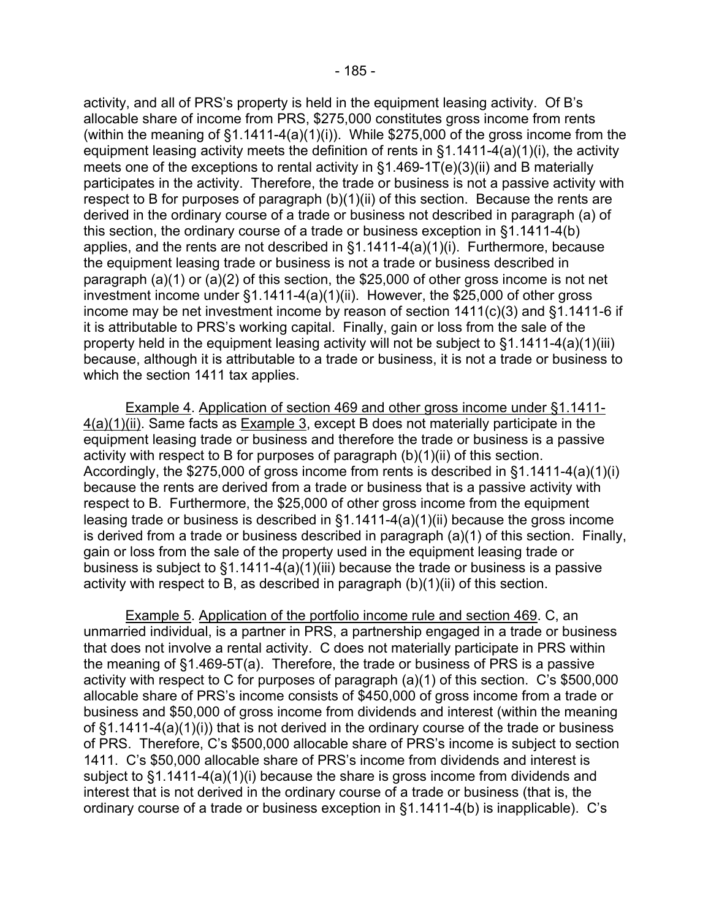activity, and all of PRS's property is held in the equipment leasing activity. Of B's allocable share of income from PRS, \$275,000 constitutes gross income from rents (within the meaning of  $\S1.1411-4(a)(1)(i)$ ). While  $\S275,000$  of the gross income from the equipment leasing activity meets the definition of rents in §1.1411-4(a)(1)(i), the activity meets one of the exceptions to rental activity in §1.469-1T(e)(3)(ii) and B materially participates in the activity. Therefore, the trade or business is not a passive activity with respect to B for purposes of paragraph (b)(1)(ii) of this section. Because the rents are derived in the ordinary course of a trade or business not described in paragraph (a) of this section, the ordinary course of a trade or business exception in §1.1411-4(b) applies, and the rents are not described in  $\S1.1411-4(a)(1)(i)$ . Furthermore, because the equipment leasing trade or business is not a trade or business described in paragraph (a)(1) or (a)(2) of this section, the \$25,000 of other gross income is not net investment income under §1.1411-4(a)(1)(ii). However, the \$25,000 of other gross income may be net investment income by reason of section 1411(c)(3) and §1.1411-6 if it is attributable to PRS's working capital. Finally, gain or loss from the sale of the property held in the equipment leasing activity will not be subject to §1.1411-4(a)(1)(iii) because, although it is attributable to a trade or business, it is not a trade or business to which the section 1411 tax applies.

Example 4. Application of section 469 and other gross income under §1.1411- 4(a)(1)(ii). Same facts as Example 3, except B does not materially participate in the equipment leasing trade or business and therefore the trade or business is a passive activity with respect to B for purposes of paragraph (b)(1)(ii) of this section. Accordingly, the \$275,000 of gross income from rents is described in §1.1411-4(a)(1)(i) because the rents are derived from a trade or business that is a passive activity with respect to B. Furthermore, the \$25,000 of other gross income from the equipment leasing trade or business is described in §1.1411-4(a)(1)(ii) because the gross income is derived from a trade or business described in paragraph (a)(1) of this section. Finally, gain or loss from the sale of the property used in the equipment leasing trade or business is subject to §1.1411-4(a)(1)(iii) because the trade or business is a passive activity with respect to B, as described in paragraph (b)(1)(ii) of this section.

Example 5. Application of the portfolio income rule and section 469. C, an unmarried individual, is a partner in PRS, a partnership engaged in a trade or business that does not involve a rental activity. C does not materially participate in PRS within the meaning of §1.469-5T(a). Therefore, the trade or business of PRS is a passive activity with respect to C for purposes of paragraph (a)(1) of this section. C's \$500,000 allocable share of PRS's income consists of \$450,000 of gross income from a trade or business and \$50,000 of gross income from dividends and interest (within the meaning of §1.1411-4(a)(1)(i)) that is not derived in the ordinary course of the trade or business of PRS. Therefore, C's \$500,000 allocable share of PRS's income is subject to section 1411. C's \$50,000 allocable share of PRS's income from dividends and interest is subject to §1.1411-4(a)(1)(i) because the share is gross income from dividends and interest that is not derived in the ordinary course of a trade or business (that is, the ordinary course of a trade or business exception in §1.1411-4(b) is inapplicable). C's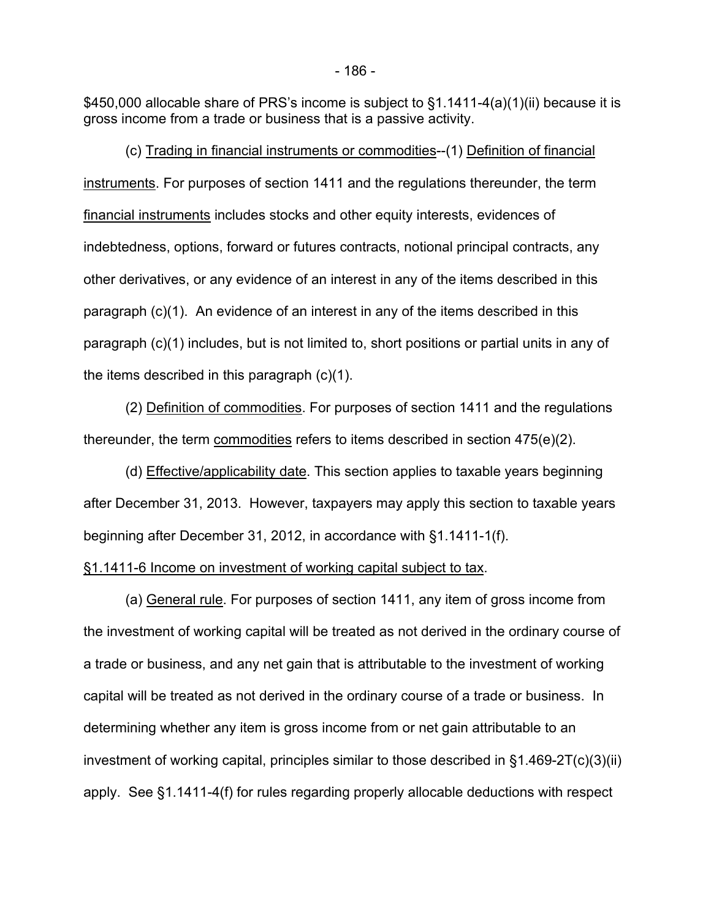\$450,000 allocable share of PRS's income is subject to §1.1411-4(a)(1)(ii) because it is gross income from a trade or business that is a passive activity.

(c) Trading in financial instruments or commodities--(1) Definition of financial instruments. For purposes of section 1411 and the regulations thereunder, the term financial instruments includes stocks and other equity interests, evidences of indebtedness, options, forward or futures contracts, notional principal contracts, any other derivatives, or any evidence of an interest in any of the items described in this paragraph (c)(1). An evidence of an interest in any of the items described in this paragraph (c)(1) includes, but is not limited to, short positions or partial units in any of the items described in this paragraph (c)(1).

(2) Definition of commodities. For purposes of section 1411 and the regulations thereunder, the term commodities refers to items described in section 475(e)(2).

(d) Effective/applicability date. This section applies to taxable years beginning after December 31, 2013. However, taxpayers may apply this section to taxable years beginning after December 31, 2012, in accordance with §1.1411-1(f).

#### §1.1411-6 Income on investment of working capital subject to tax.

(a) General rule. For purposes of section 1411, any item of gross income from the investment of working capital will be treated as not derived in the ordinary course of a trade or business, and any net gain that is attributable to the investment of working capital will be treated as not derived in the ordinary course of a trade or business. In determining whether any item is gross income from or net gain attributable to an investment of working capital, principles similar to those described in §1.469-2T(c)(3)(ii) apply. See §1.1411-4(f) for rules regarding properly allocable deductions with respect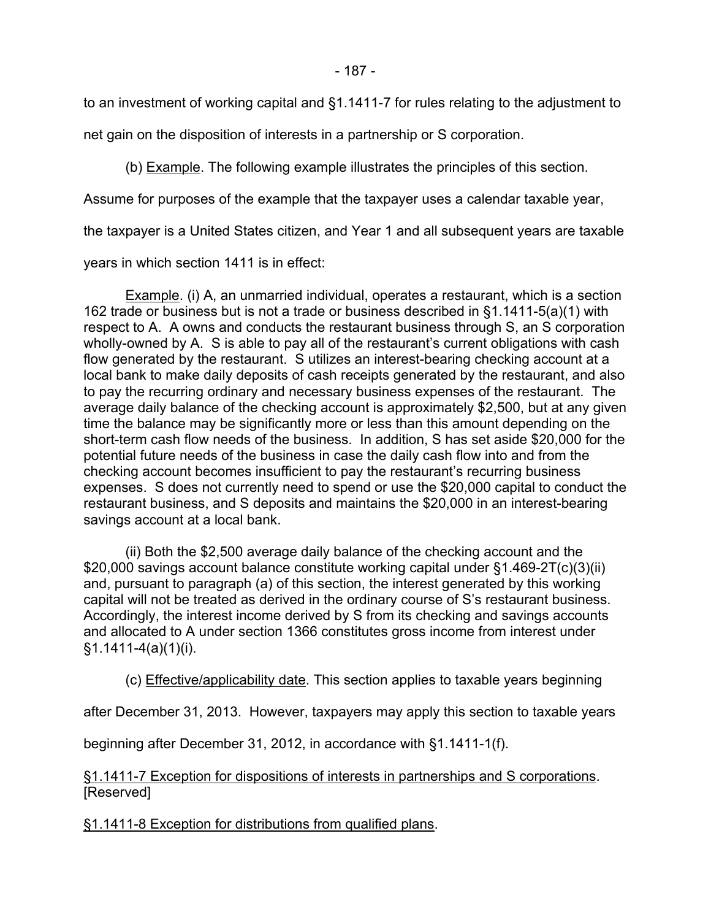to an investment of working capital and §1.1411-7 for rules relating to the adjustment to

net gain on the disposition of interests in a partnership or S corporation.

(b) Example. The following example illustrates the principles of this section.

Assume for purposes of the example that the taxpayer uses a calendar taxable year,

the taxpayer is a United States citizen, and Year 1 and all subsequent years are taxable

years in which section 1411 is in effect:

Example. (i) A, an unmarried individual, operates a restaurant, which is a section 162 trade or business but is not a trade or business described in §1.1411-5(a)(1) with respect to A. A owns and conducts the restaurant business through S, an S corporation wholly-owned by A. S is able to pay all of the restaurant's current obligations with cash flow generated by the restaurant. S utilizes an interest-bearing checking account at a local bank to make daily deposits of cash receipts generated by the restaurant, and also to pay the recurring ordinary and necessary business expenses of the restaurant. The average daily balance of the checking account is approximately \$2,500, but at any given time the balance may be significantly more or less than this amount depending on the short-term cash flow needs of the business. In addition, S has set aside \$20,000 for the potential future needs of the business in case the daily cash flow into and from the checking account becomes insufficient to pay the restaurant's recurring business expenses. S does not currently need to spend or use the \$20,000 capital to conduct the restaurant business, and S deposits and maintains the \$20,000 in an interest-bearing savings account at a local bank.

(ii) Both the \$2,500 average daily balance of the checking account and the \$20,000 savings account balance constitute working capital under §1.469-2T(c)(3)(ii) and, pursuant to paragraph (a) of this section, the interest generated by this working capital will not be treated as derived in the ordinary course of S's restaurant business. Accordingly, the interest income derived by S from its checking and savings accounts and allocated to A under section 1366 constitutes gross income from interest under §1.1411-4(a)(1)(i).

(c) Effective/applicability date. This section applies to taxable years beginning

after December 31, 2013. However, taxpayers may apply this section to taxable years

beginning after December 31, 2012, in accordance with §1.1411-1(f).

§1.1411-7 Exception for dispositions of interests in partnerships and S corporations. [Reserved]

§1.1411-8 Exception for distributions from qualified plans.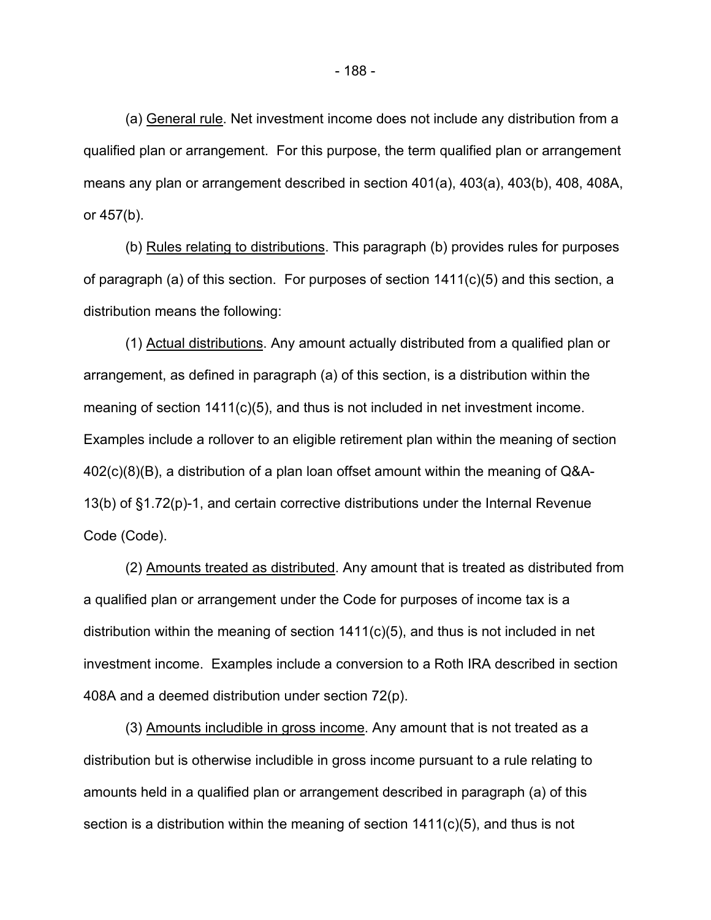(a) General rule. Net investment income does not include any distribution from a qualified plan or arrangement. For this purpose, the term qualified plan or arrangement means any plan or arrangement described in section 401(a), 403(a), 403(b), 408, 408A, or 457(b).

(b) Rules relating to distributions. This paragraph (b) provides rules for purposes of paragraph (a) of this section. For purposes of section  $1411(c)(5)$  and this section, a distribution means the following:

(1) Actual distributions. Any amount actually distributed from a qualified plan or arrangement, as defined in paragraph (a) of this section, is a distribution within the meaning of section 1411(c)(5), and thus is not included in net investment income. Examples include a rollover to an eligible retirement plan within the meaning of section 402(c)(8)(B), a distribution of a plan loan offset amount within the meaning of Q&A-13(b) of §1.72(p)-1, and certain corrective distributions under the Internal Revenue Code (Code).

(2) Amounts treated as distributed. Any amount that is treated as distributed from a qualified plan or arrangement under the Code for purposes of income tax is a distribution within the meaning of section 1411(c)(5), and thus is not included in net investment income. Examples include a conversion to a Roth IRA described in section 408A and a deemed distribution under section 72(p).

(3) Amounts includible in gross income. Any amount that is not treated as a distribution but is otherwise includible in gross income pursuant to a rule relating to amounts held in a qualified plan or arrangement described in paragraph (a) of this section is a distribution within the meaning of section  $1411(c)(5)$ , and thus is not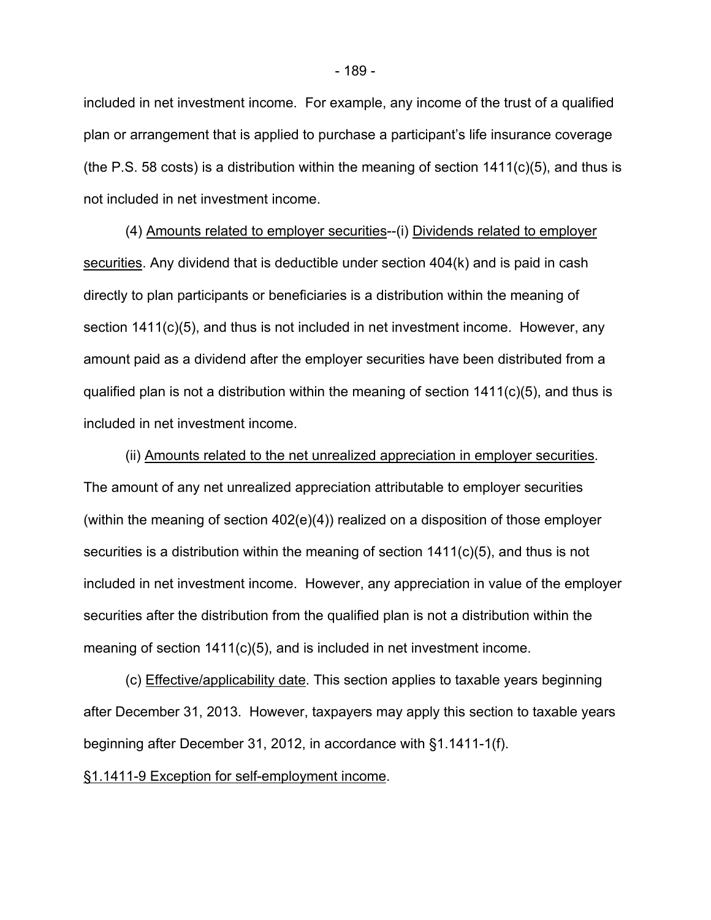included in net investment income. For example, any income of the trust of a qualified plan or arrangement that is applied to purchase a participant's life insurance coverage (the P.S. 58 costs) is a distribution within the meaning of section  $1411(c)(5)$ , and thus is not included in net investment income.

(4) Amounts related to employer securities--(i) Dividends related to employer securities. Any dividend that is deductible under section 404(k) and is paid in cash directly to plan participants or beneficiaries is a distribution within the meaning of section 1411(c)(5), and thus is not included in net investment income. However, any amount paid as a dividend after the employer securities have been distributed from a qualified plan is not a distribution within the meaning of section 1411(c)(5), and thus is included in net investment income.

(ii) Amounts related to the net unrealized appreciation in employer securities. The amount of any net unrealized appreciation attributable to employer securities (within the meaning of section 402(e)(4)) realized on a disposition of those employer securities is a distribution within the meaning of section 1411(c)(5), and thus is not included in net investment income. However, any appreciation in value of the employer securities after the distribution from the qualified plan is not a distribution within the meaning of section 1411(c)(5), and is included in net investment income.

(c) Effective/applicability date. This section applies to taxable years beginning after December 31, 2013. However, taxpayers may apply this section to taxable years beginning after December 31, 2012, in accordance with §1.1411-1(f).

§1.1411-9 Exception for self-employment income.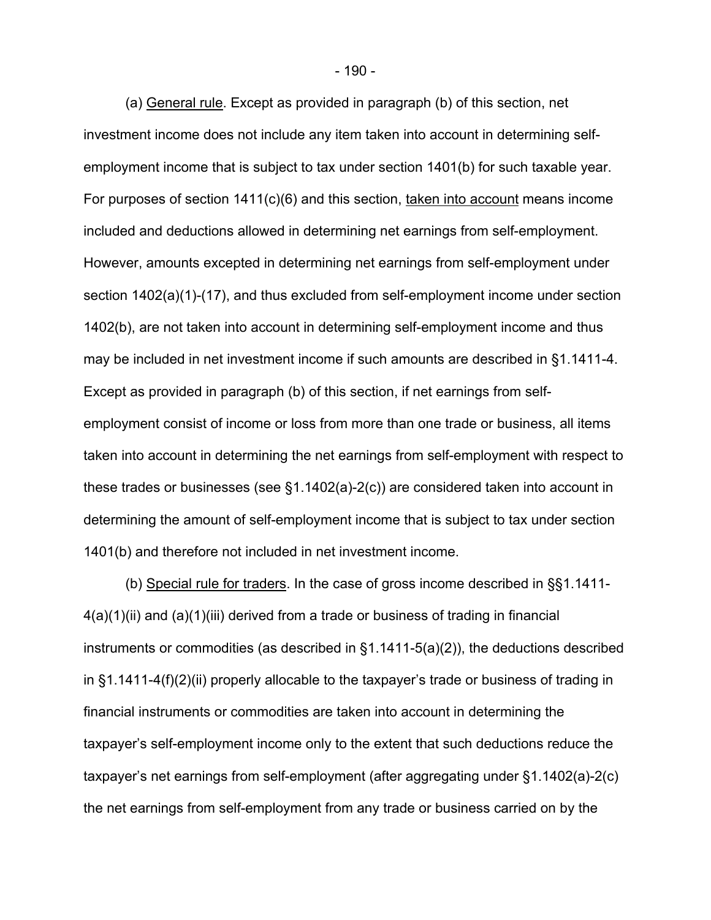(a) General rule. Except as provided in paragraph (b) of this section, net investment income does not include any item taken into account in determining selfemployment income that is subject to tax under section 1401(b) for such taxable year. For purposes of section 1411(c)(6) and this section, taken into account means income included and deductions allowed in determining net earnings from self-employment. However, amounts excepted in determining net earnings from self-employment under section 1402(a)(1)-(17), and thus excluded from self-employment income under section 1402(b), are not taken into account in determining self-employment income and thus may be included in net investment income if such amounts are described in §1.1411-4. Except as provided in paragraph (b) of this section, if net earnings from selfemployment consist of income or loss from more than one trade or business, all items taken into account in determining the net earnings from self-employment with respect to these trades or businesses (see §1.1402(a)-2(c)) are considered taken into account in determining the amount of self-employment income that is subject to tax under section 1401(b) and therefore not included in net investment income.

(b) Special rule for traders. In the case of gross income described in §§1.1411-  $4(a)(1)(ii)$  and  $(a)(1)(iii)$  derived from a trade or business of trading in financial instruments or commodities (as described in §1.1411-5(a)(2)), the deductions described in §1.1411-4(f)(2)(ii) properly allocable to the taxpayer's trade or business of trading in financial instruments or commodities are taken into account in determining the taxpayer's self-employment income only to the extent that such deductions reduce the taxpayer's net earnings from self-employment (after aggregating under §1.1402(a)-2(c) the net earnings from self-employment from any trade or business carried on by the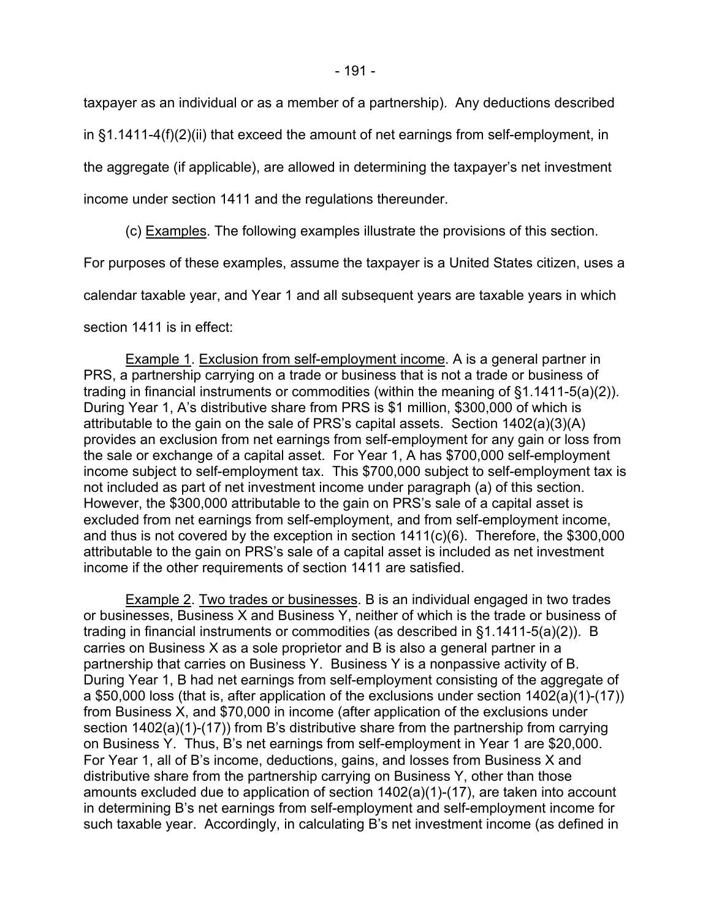taxpayer as an individual or as a member of a partnership). Any deductions described

in §1.1411-4(f)(2)(ii) that exceed the amount of net earnings from self-employment, in

the aggregate (if applicable), are allowed in determining the taxpayer's net investment

income under section 1411 and the regulations thereunder.

(c) Examples. The following examples illustrate the provisions of this section.

For purposes of these examples, assume the taxpayer is a United States citizen, uses a

calendar taxable year, and Year 1 and all subsequent years are taxable years in which

section 1411 is in effect:

Example 1. Exclusion from self-employment income. A is a general partner in PRS, a partnership carrying on a trade or business that is not a trade or business of trading in financial instruments or commodities (within the meaning of §1.1411-5(a)(2)). During Year 1, A's distributive share from PRS is \$1 million, \$300,000 of which is attributable to the gain on the sale of PRS's capital assets. Section 1402(a)(3)(A) provides an exclusion from net earnings from self-employment for any gain or loss from the sale or exchange of a capital asset. For Year 1, A has \$700,000 self-employment income subject to self-employment tax. This \$700,000 subject to self-employment tax is not included as part of net investment income under paragraph (a) of this section. However, the \$300,000 attributable to the gain on PRS's sale of a capital asset is excluded from net earnings from self-employment, and from self-employment income, and thus is not covered by the exception in section 1411(c)(6). Therefore, the \$300,000 attributable to the gain on PRS's sale of a capital asset is included as net investment income if the other requirements of section 1411 are satisfied.

Example 2. Two trades or businesses. B is an individual engaged in two trades or businesses, Business X and Business Y, neither of which is the trade or business of trading in financial instruments or commodities (as described in §1.1411-5(a)(2)). B carries on Business X as a sole proprietor and B is also a general partner in a partnership that carries on Business Y. Business Y is a nonpassive activity of B. During Year 1, B had net earnings from self-employment consisting of the aggregate of a \$50,000 loss (that is, after application of the exclusions under section 1402(a)(1)-(17)) from Business X, and \$70,000 in income (after application of the exclusions under section 1402(a)(1)-(17)) from B's distributive share from the partnership from carrying on Business Y. Thus, B's net earnings from self-employment in Year 1 are \$20,000. For Year 1, all of B's income, deductions, gains, and losses from Business X and distributive share from the partnership carrying on Business Y, other than those amounts excluded due to application of section 1402(a)(1)-(17), are taken into account in determining B's net earnings from self-employment and self-employment income for such taxable year. Accordingly, in calculating B's net investment income (as defined in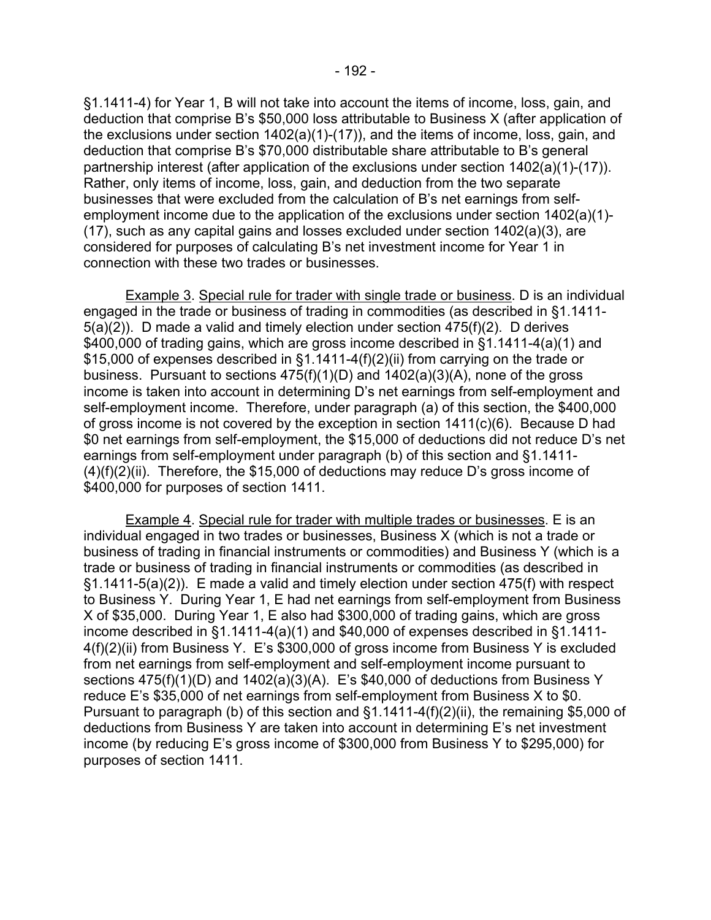§1.1411-4) for Year 1, B will not take into account the items of income, loss, gain, and deduction that comprise B's \$50,000 loss attributable to Business X (after application of the exclusions under section 1402(a)(1)-(17)), and the items of income, loss, gain, and deduction that comprise B's \$70,000 distributable share attributable to B's general partnership interest (after application of the exclusions under section 1402(a)(1)-(17)). Rather, only items of income, loss, gain, and deduction from the two separate businesses that were excluded from the calculation of B's net earnings from selfemployment income due to the application of the exclusions under section 1402(a)(1)-  $(17)$ , such as any capital gains and losses excluded under section  $1402(a)(3)$ , are considered for purposes of calculating B's net investment income for Year 1 in connection with these two trades or businesses.

Example 3. Special rule for trader with single trade or business. D is an individual engaged in the trade or business of trading in commodities (as described in §1.1411- 5(a)(2)). D made a valid and timely election under section 475(f)(2). D derives \$400,000 of trading gains, which are gross income described in §1.1411-4(a)(1) and \$15,000 of expenses described in §1.1411-4(f)(2)(ii) from carrying on the trade or business. Pursuant to sections 475(f)(1)(D) and 1402(a)(3)(A), none of the gross income is taken into account in determining D's net earnings from self-employment and self-employment income. Therefore, under paragraph (a) of this section, the \$400,000 of gross income is not covered by the exception in section 1411(c)(6). Because D had \$0 net earnings from self-employment, the \$15,000 of deductions did not reduce D's net earnings from self-employment under paragraph (b) of this section and §1.1411-  $(4)(f)(2)(ii)$ . Therefore, the \$15,000 of deductions may reduce D's gross income of \$400,000 for purposes of section 1411.

Example 4. Special rule for trader with multiple trades or businesses. E is an individual engaged in two trades or businesses, Business X (which is not a trade or business of trading in financial instruments or commodities) and Business Y (which is a trade or business of trading in financial instruments or commodities (as described in §1.1411-5(a)(2)). E made a valid and timely election under section 475(f) with respect to Business Y. During Year 1, E had net earnings from self-employment from Business X of \$35,000. During Year 1, E also had \$300,000 of trading gains, which are gross income described in §1.1411-4(a)(1) and \$40,000 of expenses described in §1.1411- 4(f)(2)(ii) from Business Y. E's \$300,000 of gross income from Business Y is excluded from net earnings from self-employment and self-employment income pursuant to sections 475(f)(1)(D) and 1402(a)(3)(A). E's \$40,000 of deductions from Business Y reduce E's \$35,000 of net earnings from self-employment from Business X to \$0. Pursuant to paragraph (b) of this section and §1.1411-4(f)(2)(ii), the remaining \$5,000 of deductions from Business Y are taken into account in determining E's net investment income (by reducing E's gross income of \$300,000 from Business Y to \$295,000) for purposes of section 1411.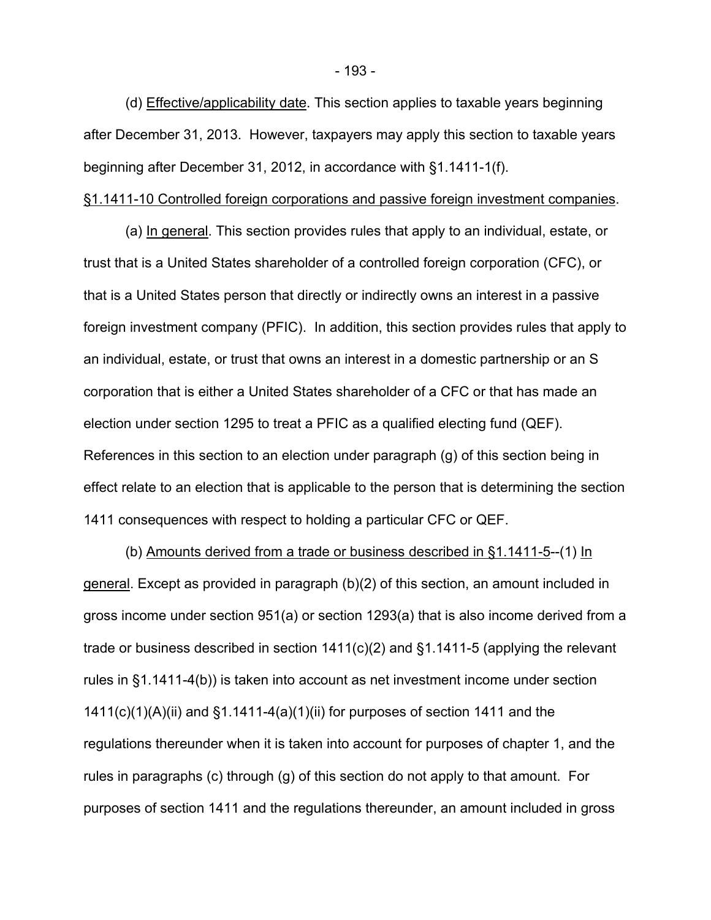(d) Effective/applicability date. This section applies to taxable years beginning after December 31, 2013. However, taxpayers may apply this section to taxable years beginning after December 31, 2012, in accordance with §1.1411-1(f).

### §1.1411-10 Controlled foreign corporations and passive foreign investment companies.

(a) In general. This section provides rules that apply to an individual, estate, or trust that is a United States shareholder of a controlled foreign corporation (CFC), or that is a United States person that directly or indirectly owns an interest in a passive foreign investment company (PFIC). In addition, this section provides rules that apply to an individual, estate, or trust that owns an interest in a domestic partnership or an S corporation that is either a United States shareholder of a CFC or that has made an election under section 1295 to treat a PFIC as a qualified electing fund (QEF). References in this section to an election under paragraph (g) of this section being in effect relate to an election that is applicable to the person that is determining the section 1411 consequences with respect to holding a particular CFC or QEF.

(b) Amounts derived from a trade or business described in §1.1411-5--(1) In general. Except as provided in paragraph (b)(2) of this section, an amount included in gross income under section 951(a) or section 1293(a) that is also income derived from a trade or business described in section 1411(c)(2) and §1.1411-5 (applying the relevant rules in §1.1411-4(b)) is taken into account as net investment income under section  $1411(c)(1)(A)(ii)$  and  $§1.1411-4(a)(1)(ii)$  for purposes of section 1411 and the regulations thereunder when it is taken into account for purposes of chapter 1, and the rules in paragraphs (c) through (g) of this section do not apply to that amount. For purposes of section 1411 and the regulations thereunder, an amount included in gross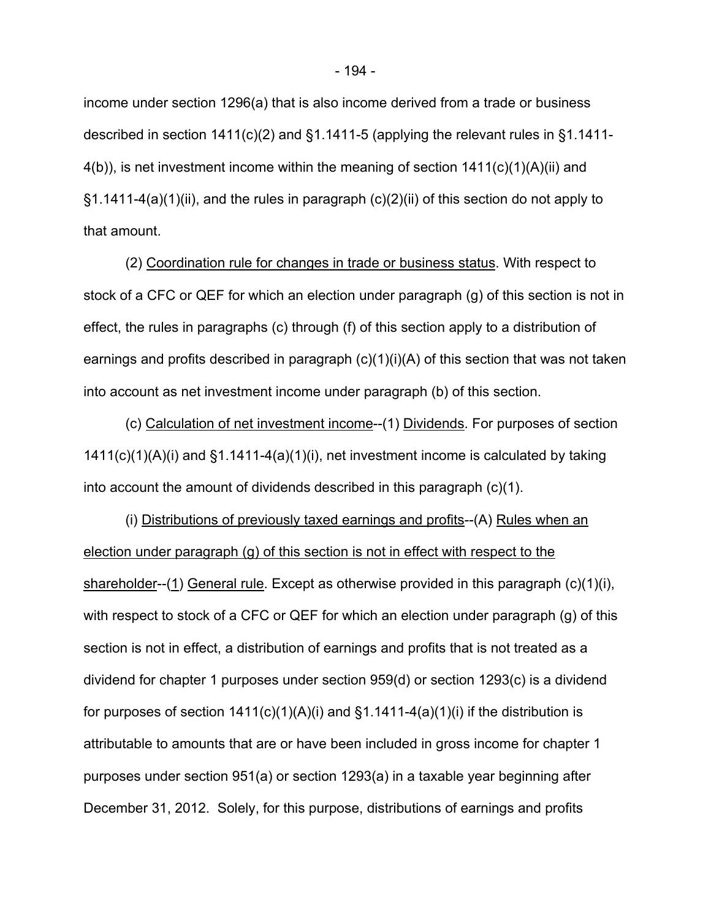income under section 1296(a) that is also income derived from a trade or business described in section 1411(c)(2) and §1.1411-5 (applying the relevant rules in §1.1411- 4(b)), is net investment income within the meaning of section 1411(c)(1)(A)(ii) and §1.1411-4(a)(1)(ii), and the rules in paragraph (c)(2)(ii) of this section do not apply to that amount.

(2) Coordination rule for changes in trade or business status. With respect to stock of a CFC or QEF for which an election under paragraph (g) of this section is not in effect, the rules in paragraphs (c) through (f) of this section apply to a distribution of earnings and profits described in paragraph  $(c)(1)(i)(A)$  of this section that was not taken into account as net investment income under paragraph (b) of this section.

(c) Calculation of net investment income--(1) Dividends. For purposes of section  $1411(c)(1)(A)(i)$  and  $§1.1411-4(a)(1)(i)$ , net investment income is calculated by taking into account the amount of dividends described in this paragraph  $(c)(1)$ .

(i) Distributions of previously taxed earnings and profits--(A) Rules when an election under paragraph (g) of this section is not in effect with respect to the shareholder--(1) General rule. Except as otherwise provided in this paragraph (c)(1)(i), with respect to stock of a CFC or QEF for which an election under paragraph (g) of this section is not in effect, a distribution of earnings and profits that is not treated as a dividend for chapter 1 purposes under section 959(d) or section 1293(c) is a dividend for purposes of section  $1411(c)(1)(A)(i)$  and  $§1.1411-4(a)(1)(i)$  if the distribution is attributable to amounts that are or have been included in gross income for chapter 1 purposes under section 951(a) or section 1293(a) in a taxable year beginning after December 31, 2012. Solely, for this purpose, distributions of earnings and profits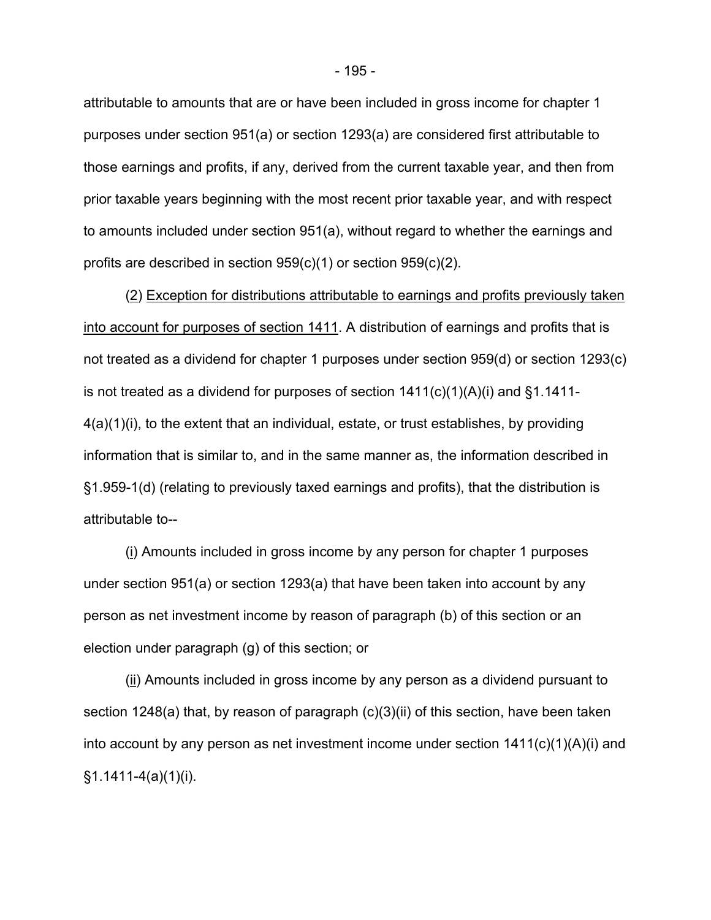attributable to amounts that are or have been included in gross income for chapter 1 purposes under section 951(a) or section 1293(a) are considered first attributable to those earnings and profits, if any, derived from the current taxable year, and then from prior taxable years beginning with the most recent prior taxable year, and with respect to amounts included under section 951(a), without regard to whether the earnings and profits are described in section 959(c)(1) or section 959(c)(2).

(2) Exception for distributions attributable to earnings and profits previously taken into account for purposes of section 1411. A distribution of earnings and profits that is not treated as a dividend for chapter 1 purposes under section 959(d) or section 1293(c) is not treated as a dividend for purposes of section  $1411(c)(1)(A)(i)$  and §1.1411-4(a)(1)(i), to the extent that an individual, estate, or trust establishes, by providing information that is similar to, and in the same manner as, the information described in §1.959-1(d) (relating to previously taxed earnings and profits), that the distribution is attributable to--

(i) Amounts included in gross income by any person for chapter 1 purposes under section 951(a) or section 1293(a) that have been taken into account by any person as net investment income by reason of paragraph (b) of this section or an election under paragraph (g) of this section; or

(ii) Amounts included in gross income by any person as a dividend pursuant to section 1248(a) that, by reason of paragraph (c)(3)(ii) of this section, have been taken into account by any person as net investment income under section  $1411(c)(1)(A)(i)$  and  $§1.1411-4(a)(1)(i).$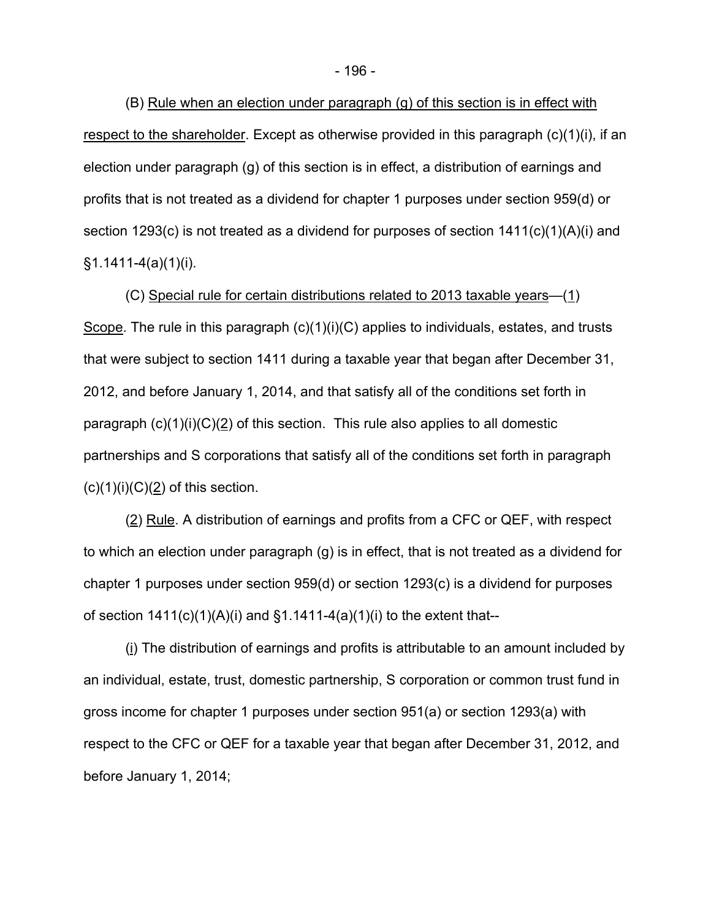(B) Rule when an election under paragraph (g) of this section is in effect with respect to the shareholder. Except as otherwise provided in this paragraph (c)(1)(i), if an election under paragraph (g) of this section is in effect, a distribution of earnings and profits that is not treated as a dividend for chapter 1 purposes under section 959(d) or section 1293(c) is not treated as a dividend for purposes of section 1411(c)(1)(A)(i) and  $§1.1411-4(a)(1)(i).$ 

(C) Special rule for certain distributions related to 2013 taxable years—(1) Scope. The rule in this paragraph (c)(1)(i)(C) applies to individuals, estates, and trusts that were subject to section 1411 during a taxable year that began after December 31, 2012, and before January 1, 2014, and that satisfy all of the conditions set forth in paragraph  $(c)(1)(i)(C)(2)$  of this section. This rule also applies to all domestic partnerships and S corporations that satisfy all of the conditions set forth in paragraph  $(c)(1)(i)(C)(2)$  of this section.

(2) Rule. A distribution of earnings and profits from a CFC or QEF, with respect to which an election under paragraph (g) is in effect, that is not treated as a dividend for chapter 1 purposes under section 959(d) or section 1293(c) is a dividend for purposes of section  $1411(c)(1)(A)(i)$  and  $§1.1411-4(a)(1)(i)$  to the extent that--

(i) The distribution of earnings and profits is attributable to an amount included by an individual, estate, trust, domestic partnership, S corporation or common trust fund in gross income for chapter 1 purposes under section 951(a) or section 1293(a) with respect to the CFC or QEF for a taxable year that began after December 31, 2012, and before January 1, 2014;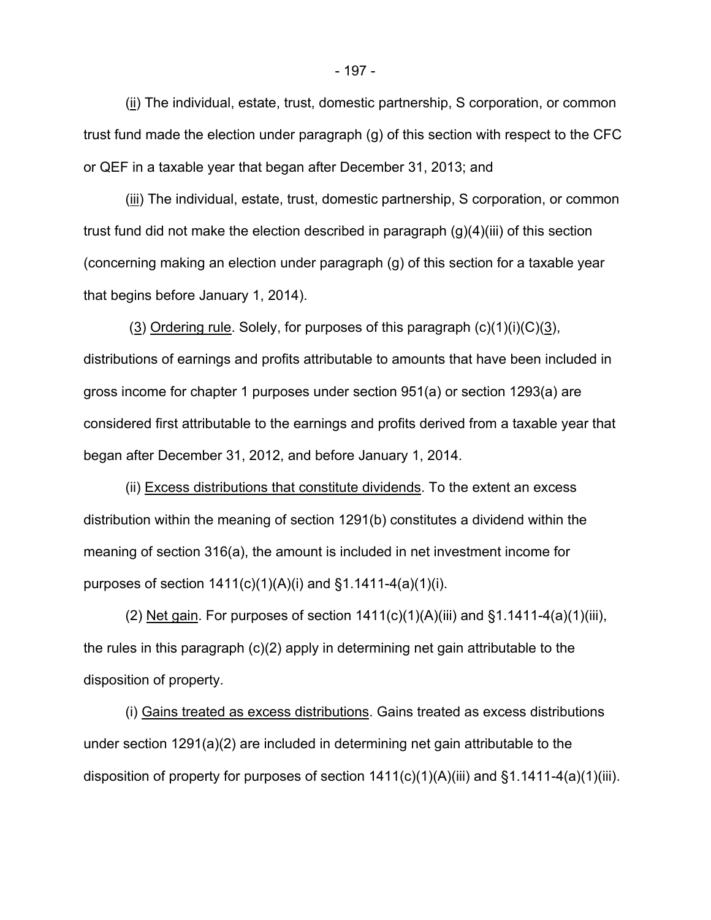(ii) The individual, estate, trust, domestic partnership, S corporation, or common trust fund made the election under paragraph (g) of this section with respect to the CFC or QEF in a taxable year that began after December 31, 2013; and

(iii) The individual, estate, trust, domestic partnership, S corporation, or common trust fund did not make the election described in paragraph (g)(4)(iii) of this section (concerning making an election under paragraph (g) of this section for a taxable year that begins before January 1, 2014).

(3) Ordering rule. Solely, for purposes of this paragraph  $(c)(1)(i)(C)(3)$ , distributions of earnings and profits attributable to amounts that have been included in gross income for chapter 1 purposes under section 951(a) or section 1293(a) are considered first attributable to the earnings and profits derived from a taxable year that began after December 31, 2012, and before January 1, 2014.

(ii) Excess distributions that constitute dividends. To the extent an excess distribution within the meaning of section 1291(b) constitutes a dividend within the meaning of section 316(a), the amount is included in net investment income for purposes of section  $1411(c)(1)(A)(i)$  and  $§1.1411-4(a)(1)(i)$ .

(2) Net gain. For purposes of section  $1411(c)(1)(A)(iii)$  and  $§1.1411-4(a)(1)(iii)$ , the rules in this paragraph (c)(2) apply in determining net gain attributable to the disposition of property.

(i) Gains treated as excess distributions. Gains treated as excess distributions under section 1291(a)(2) are included in determining net gain attributable to the disposition of property for purposes of section  $1411(c)(1)(A)(iii)$  and  $§1.1411-4(a)(1)(iii)$ .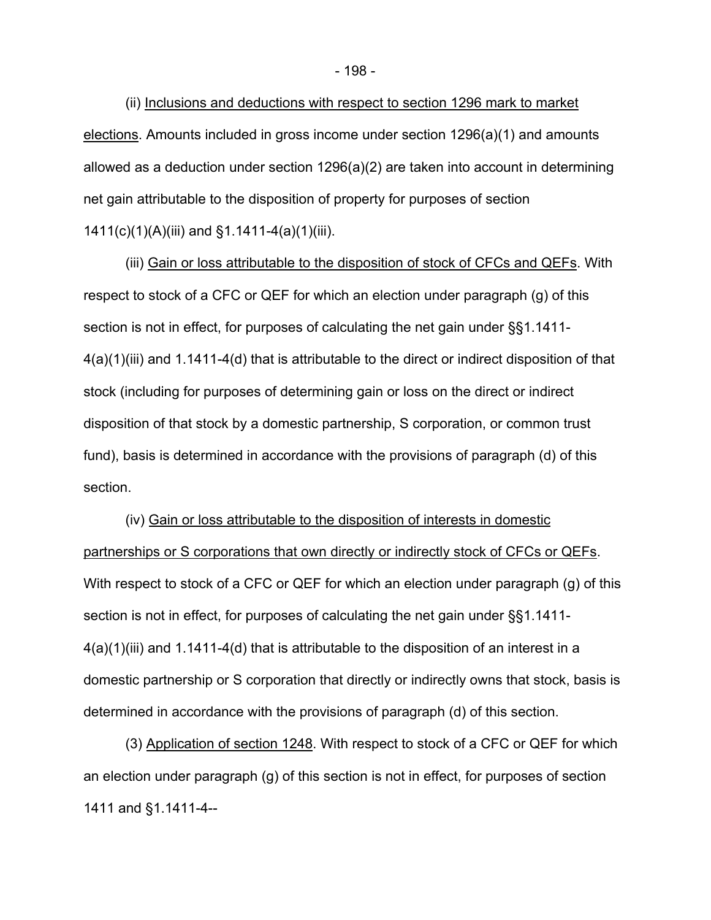(ii) Inclusions and deductions with respect to section 1296 mark to market elections. Amounts included in gross income under section 1296(a)(1) and amounts allowed as a deduction under section 1296(a)(2) are taken into account in determining net gain attributable to the disposition of property for purposes of section 1411(c)(1)(A)(iii) and §1.1411-4(a)(1)(iii).

(iii) Gain or loss attributable to the disposition of stock of CFCs and QEFs. With respect to stock of a CFC or QEF for which an election under paragraph (g) of this section is not in effect, for purposes of calculating the net gain under §§1.1411- 4(a)(1)(iii) and 1.1411-4(d) that is attributable to the direct or indirect disposition of that stock (including for purposes of determining gain or loss on the direct or indirect disposition of that stock by a domestic partnership, S corporation, or common trust fund), basis is determined in accordance with the provisions of paragraph (d) of this section.

(iv) Gain or loss attributable to the disposition of interests in domestic partnerships or S corporations that own directly or indirectly stock of CFCs or QEFs. With respect to stock of a CFC or QEF for which an election under paragraph (g) of this section is not in effect, for purposes of calculating the net gain under §§1.1411- 4(a)(1)(iii) and 1.1411-4(d) that is attributable to the disposition of an interest in a domestic partnership or S corporation that directly or indirectly owns that stock, basis is determined in accordance with the provisions of paragraph (d) of this section.

(3) Application of section 1248. With respect to stock of a CFC or QEF for which an election under paragraph (g) of this section is not in effect, for purposes of section 1411 and §1.1411-4--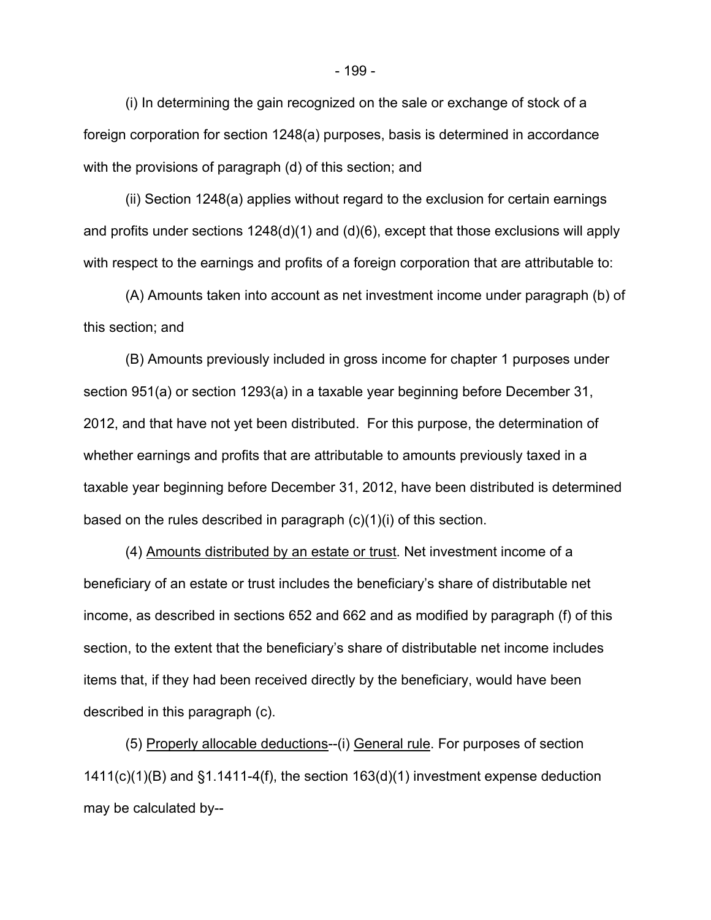(i) In determining the gain recognized on the sale or exchange of stock of a foreign corporation for section 1248(a) purposes, basis is determined in accordance with the provisions of paragraph (d) of this section; and

(ii) Section 1248(a) applies without regard to the exclusion for certain earnings and profits under sections  $1248(d)(1)$  and  $(d)(6)$ , except that those exclusions will apply with respect to the earnings and profits of a foreign corporation that are attributable to:

(A) Amounts taken into account as net investment income under paragraph (b) of this section; and

(B) Amounts previously included in gross income for chapter 1 purposes under section 951(a) or section 1293(a) in a taxable year beginning before December 31, 2012, and that have not yet been distributed. For this purpose, the determination of whether earnings and profits that are attributable to amounts previously taxed in a taxable year beginning before December 31, 2012, have been distributed is determined based on the rules described in paragraph (c)(1)(i) of this section.

(4) Amounts distributed by an estate or trust. Net investment income of a beneficiary of an estate or trust includes the beneficiary's share of distributable net income, as described in sections 652 and 662 and as modified by paragraph (f) of this section, to the extent that the beneficiary's share of distributable net income includes items that, if they had been received directly by the beneficiary, would have been described in this paragraph (c).

(5) Properly allocable deductions--(i) General rule. For purposes of section 1411(c)(1)(B) and §1.1411-4(f), the section 163(d)(1) investment expense deduction may be calculated by--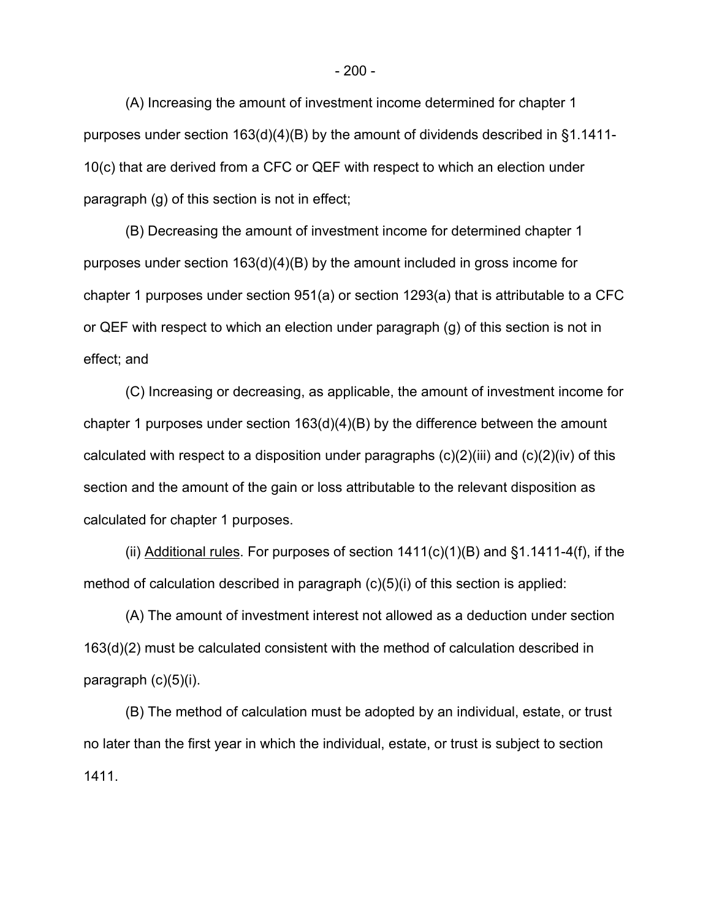(A) Increasing the amount of investment income determined for chapter 1 purposes under section 163(d)(4)(B) by the amount of dividends described in §1.1411- 10(c) that are derived from a CFC or QEF with respect to which an election under paragraph (g) of this section is not in effect;

(B) Decreasing the amount of investment income for determined chapter 1 purposes under section 163(d)(4)(B) by the amount included in gross income for chapter 1 purposes under section 951(a) or section 1293(a) that is attributable to a CFC or QEF with respect to which an election under paragraph (g) of this section is not in effect; and

(C) Increasing or decreasing, as applicable, the amount of investment income for chapter 1 purposes under section 163(d)(4)(B) by the difference between the amount calculated with respect to a disposition under paragraphs  $(c)(2)(iii)$  and  $(c)(2)(iv)$  of this section and the amount of the gain or loss attributable to the relevant disposition as calculated for chapter 1 purposes.

(ii) Additional rules. For purposes of section  $1411(c)(1)(B)$  and  $§1.1411-4(f)$ , if the method of calculation described in paragraph (c)(5)(i) of this section is applied:

(A) The amount of investment interest not allowed as a deduction under section 163(d)(2) must be calculated consistent with the method of calculation described in paragraph (c)(5)(i).

(B) The method of calculation must be adopted by an individual, estate, or trust no later than the first year in which the individual, estate, or trust is subject to section 1411.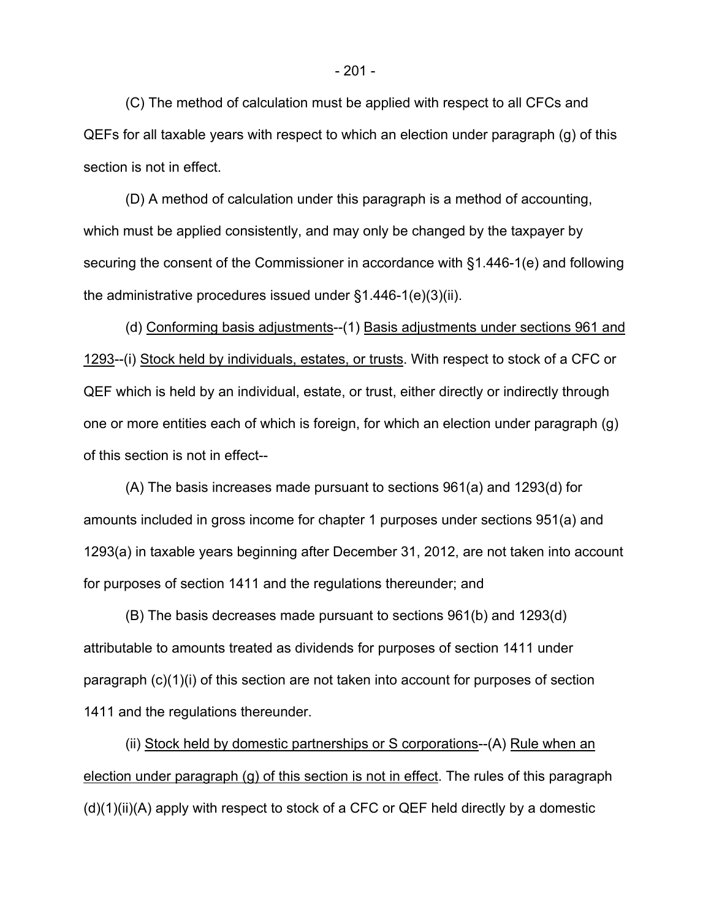(C) The method of calculation must be applied with respect to all CFCs and QEFs for all taxable years with respect to which an election under paragraph (g) of this section is not in effect.

(D) A method of calculation under this paragraph is a method of accounting, which must be applied consistently, and may only be changed by the taxpayer by securing the consent of the Commissioner in accordance with §1.446-1(e) and following the administrative procedures issued under §1.446-1(e)(3)(ii).

(d) Conforming basis adjustments--(1) Basis adjustments under sections 961 and 1293--(i) Stock held by individuals, estates, or trusts. With respect to stock of a CFC or QEF which is held by an individual, estate, or trust, either directly or indirectly through one or more entities each of which is foreign, for which an election under paragraph (g) of this section is not in effect--

(A) The basis increases made pursuant to sections 961(a) and 1293(d) for amounts included in gross income for chapter 1 purposes under sections 951(a) and 1293(a) in taxable years beginning after December 31, 2012, are not taken into account for purposes of section 1411 and the regulations thereunder; and

(B) The basis decreases made pursuant to sections 961(b) and 1293(d) attributable to amounts treated as dividends for purposes of section 1411 under paragraph (c)(1)(i) of this section are not taken into account for purposes of section 1411 and the regulations thereunder.

(ii) Stock held by domestic partnerships or S corporations--(A) Rule when an election under paragraph (g) of this section is not in effect. The rules of this paragraph  $(d)(1)(ii)(A)$  apply with respect to stock of a CFC or QEF held directly by a domestic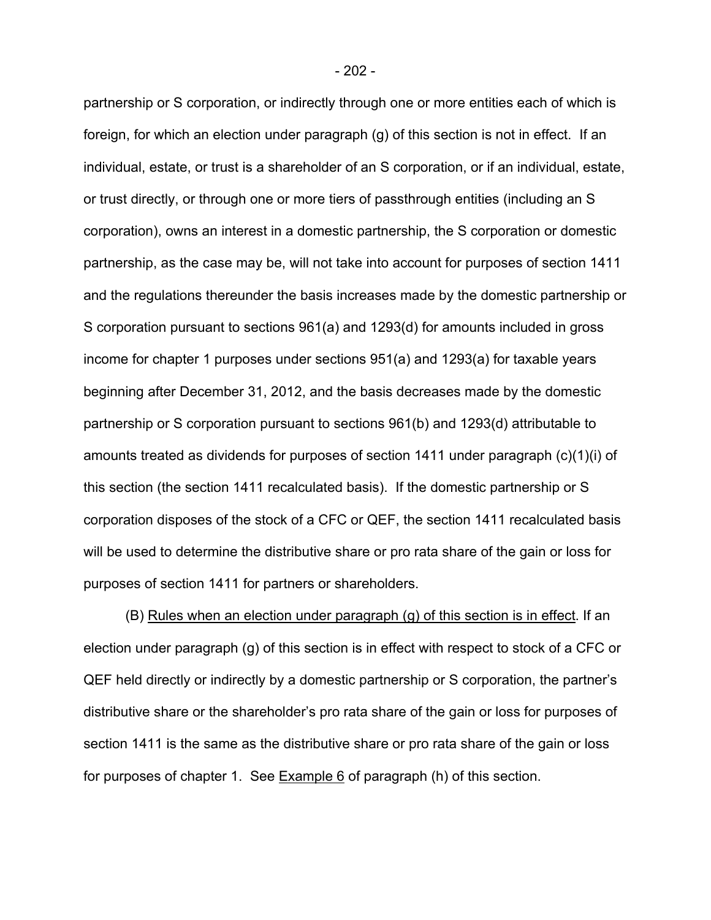partnership or S corporation, or indirectly through one or more entities each of which is foreign, for which an election under paragraph (g) of this section is not in effect. If an individual, estate, or trust is a shareholder of an S corporation, or if an individual, estate, or trust directly, or through one or more tiers of passthrough entities (including an S corporation), owns an interest in a domestic partnership, the S corporation or domestic partnership, as the case may be, will not take into account for purposes of section 1411 and the regulations thereunder the basis increases made by the domestic partnership or S corporation pursuant to sections 961(a) and 1293(d) for amounts included in gross income for chapter 1 purposes under sections 951(a) and 1293(a) for taxable years beginning after December 31, 2012, and the basis decreases made by the domestic partnership or S corporation pursuant to sections 961(b) and 1293(d) attributable to amounts treated as dividends for purposes of section 1411 under paragraph (c)(1)(i) of this section (the section 1411 recalculated basis). If the domestic partnership or S corporation disposes of the stock of a CFC or QEF, the section 1411 recalculated basis will be used to determine the distributive share or pro rata share of the gain or loss for purposes of section 1411 for partners or shareholders.

(B) Rules when an election under paragraph (g) of this section is in effect. If an election under paragraph (g) of this section is in effect with respect to stock of a CFC or QEF held directly or indirectly by a domestic partnership or S corporation, the partner's distributive share or the shareholder's pro rata share of the gain or loss for purposes of section 1411 is the same as the distributive share or pro rata share of the gain or loss for purposes of chapter 1. See Example 6 of paragraph (h) of this section.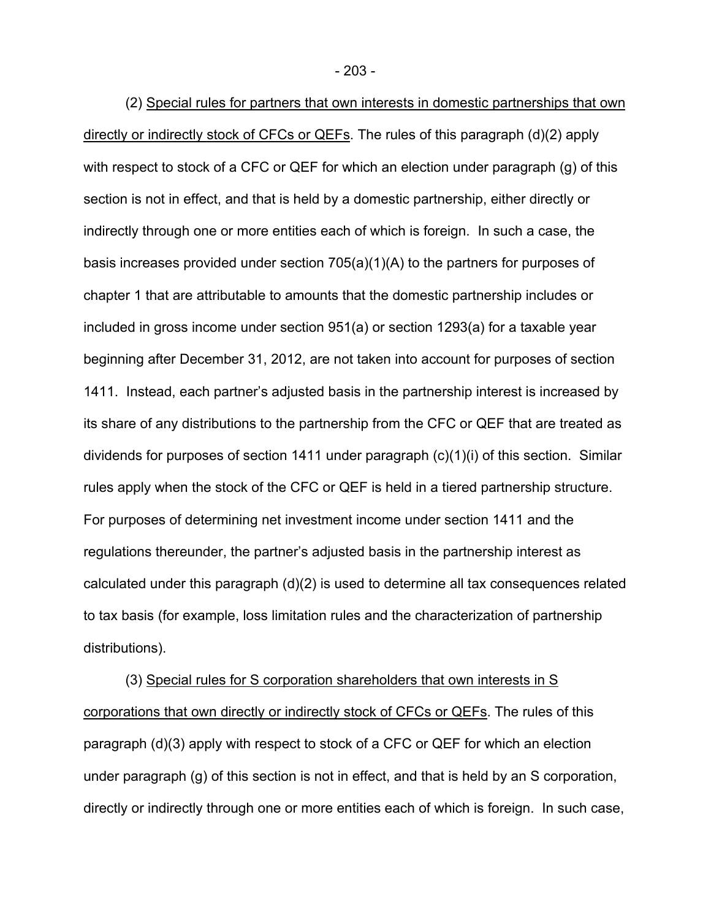(2) Special rules for partners that own interests in domestic partnerships that own directly or indirectly stock of CFCs or QEFs. The rules of this paragraph (d)(2) apply with respect to stock of a CFC or QEF for which an election under paragraph (g) of this section is not in effect, and that is held by a domestic partnership, either directly or indirectly through one or more entities each of which is foreign. In such a case, the basis increases provided under section 705(a)(1)(A) to the partners for purposes of chapter 1 that are attributable to amounts that the domestic partnership includes or included in gross income under section 951(a) or section 1293(a) for a taxable year beginning after December 31, 2012, are not taken into account for purposes of section 1411. Instead, each partner's adjusted basis in the partnership interest is increased by its share of any distributions to the partnership from the CFC or QEF that are treated as dividends for purposes of section 1411 under paragraph (c)(1)(i) of this section. Similar rules apply when the stock of the CFC or QEF is held in a tiered partnership structure. For purposes of determining net investment income under section 1411 and the regulations thereunder, the partner's adjusted basis in the partnership interest as calculated under this paragraph (d)(2) is used to determine all tax consequences related to tax basis (for example, loss limitation rules and the characterization of partnership distributions).

(3) Special rules for S corporation shareholders that own interests in S corporations that own directly or indirectly stock of CFCs or QEFs. The rules of this paragraph (d)(3) apply with respect to stock of a CFC or QEF for which an election under paragraph (g) of this section is not in effect, and that is held by an S corporation, directly or indirectly through one or more entities each of which is foreign. In such case,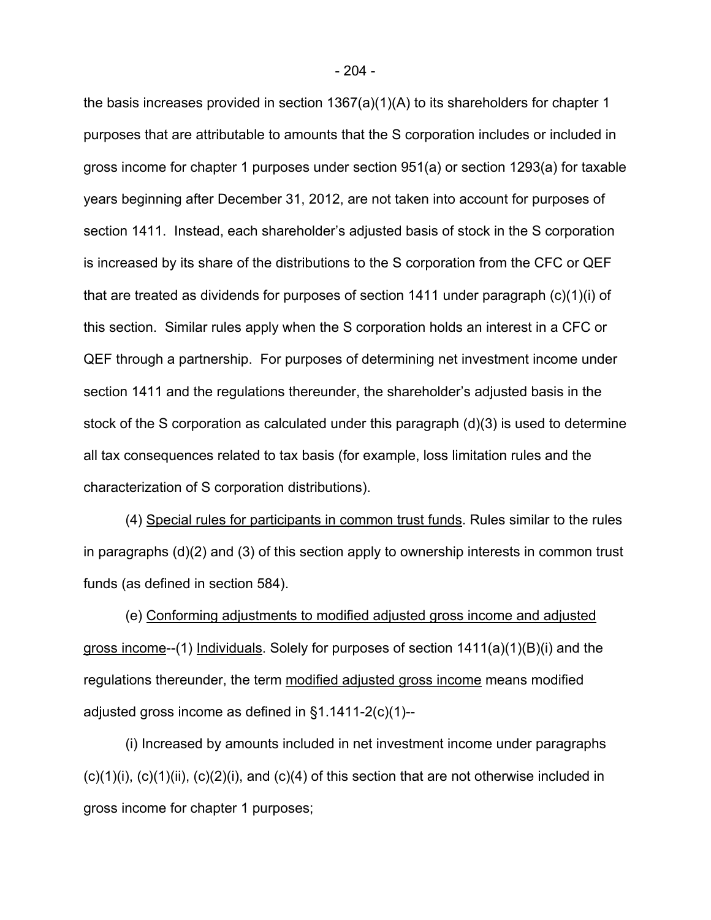the basis increases provided in section 1367(a)(1)(A) to its shareholders for chapter 1 purposes that are attributable to amounts that the S corporation includes or included in gross income for chapter 1 purposes under section 951(a) or section 1293(a) for taxable years beginning after December 31, 2012, are not taken into account for purposes of section 1411. Instead, each shareholder's adjusted basis of stock in the S corporation is increased by its share of the distributions to the S corporation from the CFC or QEF that are treated as dividends for purposes of section 1411 under paragraph (c)(1)(i) of this section. Similar rules apply when the S corporation holds an interest in a CFC or QEF through a partnership. For purposes of determining net investment income under section 1411 and the regulations thereunder, the shareholder's adjusted basis in the stock of the S corporation as calculated under this paragraph (d)(3) is used to determine all tax consequences related to tax basis (for example, loss limitation rules and the characterization of S corporation distributions).

(4) Special rules for participants in common trust funds. Rules similar to the rules in paragraphs (d)(2) and (3) of this section apply to ownership interests in common trust funds (as defined in section 584).

(e) Conforming adjustments to modified adjusted gross income and adjusted gross income--(1) Individuals. Solely for purposes of section 1411(a)(1)(B)(i) and the regulations thereunder, the term modified adjusted gross income means modified adjusted gross income as defined in §1.1411-2(c)(1)--

(i) Increased by amounts included in net investment income under paragraphs  $(c)(1)(i)$ ,  $(c)(1)(ii)$ ,  $(c)(2)(i)$ , and  $(c)(4)$  of this section that are not otherwise included in gross income for chapter 1 purposes;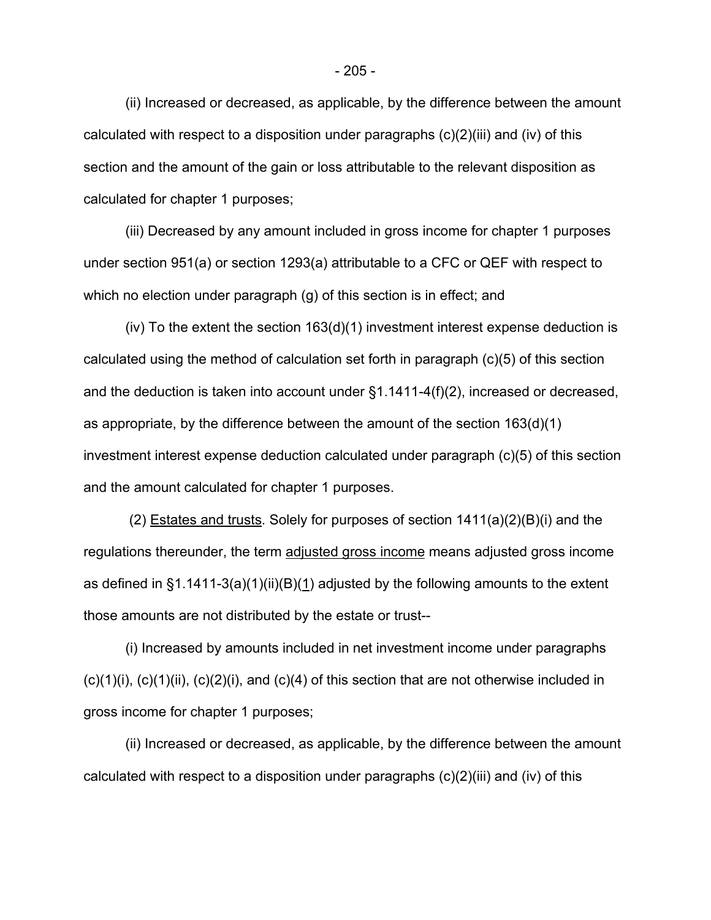(ii) Increased or decreased, as applicable, by the difference between the amount calculated with respect to a disposition under paragraphs (c)(2)(iii) and (iv) of this section and the amount of the gain or loss attributable to the relevant disposition as calculated for chapter 1 purposes;

(iii) Decreased by any amount included in gross income for chapter 1 purposes under section 951(a) or section 1293(a) attributable to a CFC or QEF with respect to which no election under paragraph (g) of this section is in effect; and

(iv) To the extent the section 163(d)(1) investment interest expense deduction is calculated using the method of calculation set forth in paragraph (c)(5) of this section and the deduction is taken into account under §1.1411-4(f)(2), increased or decreased, as appropriate, by the difference between the amount of the section 163(d)(1) investment interest expense deduction calculated under paragraph (c)(5) of this section and the amount calculated for chapter 1 purposes.

 (2) Estates and trusts. Solely for purposes of section 1411(a)(2)(B)(i) and the regulations thereunder, the term adjusted gross income means adjusted gross income as defined in  $\S1.1411-3(a)(1)(ii)(B)(1)$  adjusted by the following amounts to the extent those amounts are not distributed by the estate or trust--

(i) Increased by amounts included in net investment income under paragraphs  $(c)(1)(i)$ ,  $(c)(1)(ii)$ ,  $(c)(2)(i)$ , and  $(c)(4)$  of this section that are not otherwise included in gross income for chapter 1 purposes;

(ii) Increased or decreased, as applicable, by the difference between the amount calculated with respect to a disposition under paragraphs (c)(2)(iii) and (iv) of this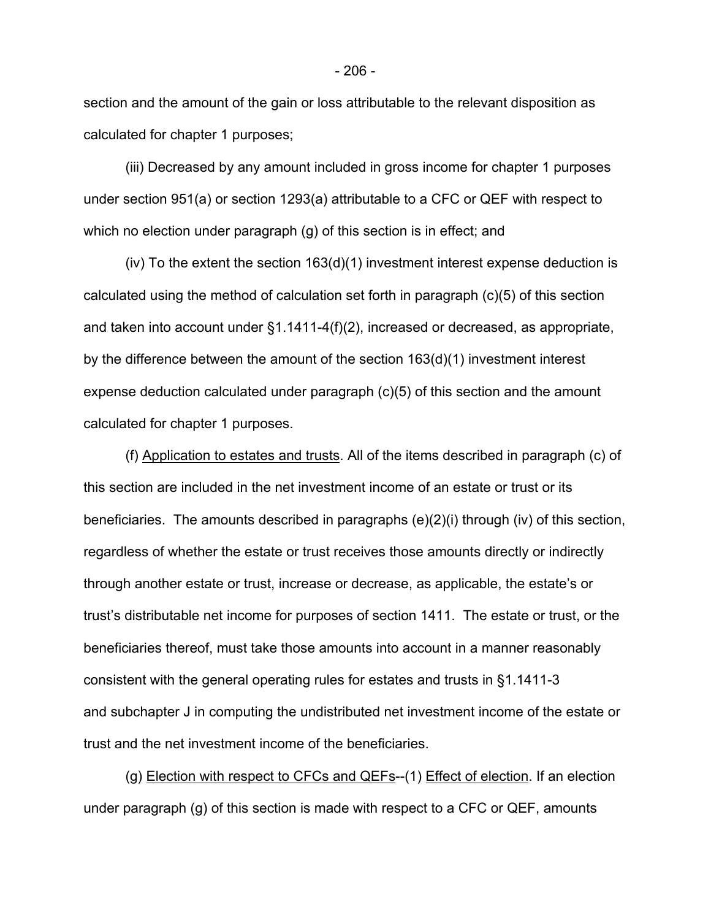section and the amount of the gain or loss attributable to the relevant disposition as calculated for chapter 1 purposes;

(iii) Decreased by any amount included in gross income for chapter 1 purposes under section 951(a) or section 1293(a) attributable to a CFC or QEF with respect to which no election under paragraph (g) of this section is in effect; and

(iv) To the extent the section 163(d)(1) investment interest expense deduction is calculated using the method of calculation set forth in paragraph (c)(5) of this section and taken into account under §1.1411-4(f)(2), increased or decreased, as appropriate, by the difference between the amount of the section 163(d)(1) investment interest expense deduction calculated under paragraph (c)(5) of this section and the amount calculated for chapter 1 purposes.

(f) Application to estates and trusts. All of the items described in paragraph (c) of this section are included in the net investment income of an estate or trust or its beneficiaries. The amounts described in paragraphs (e)(2)(i) through (iv) of this section, regardless of whether the estate or trust receives those amounts directly or indirectly through another estate or trust, increase or decrease, as applicable, the estate's or trust's distributable net income for purposes of section 1411. The estate or trust, or the beneficiaries thereof, must take those amounts into account in a manner reasonably consistent with the general operating rules for estates and trusts in §1.1411-3 and subchapter J in computing the undistributed net investment income of the estate or trust and the net investment income of the beneficiaries.

(g) Election with respect to CFCs and QEFs--(1) Effect of election. If an election under paragraph (g) of this section is made with respect to a CFC or QEF, amounts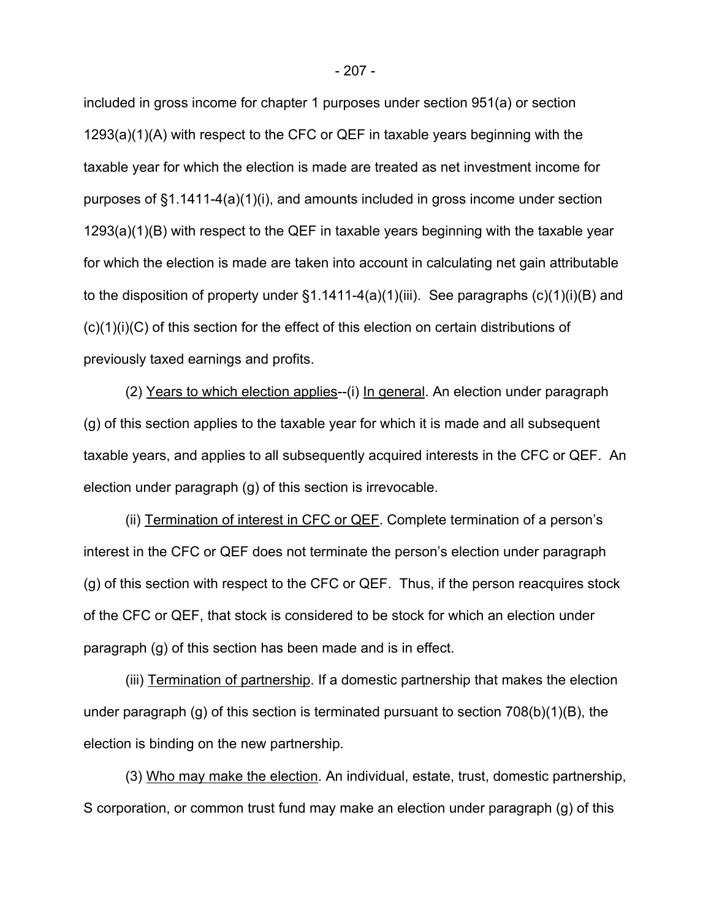included in gross income for chapter 1 purposes under section 951(a) or section 1293(a)(1)(A) with respect to the CFC or QEF in taxable years beginning with the taxable year for which the election is made are treated as net investment income for purposes of §1.1411-4(a)(1)(i), and amounts included in gross income under section 1293(a)(1)(B) with respect to the QEF in taxable years beginning with the taxable year for which the election is made are taken into account in calculating net gain attributable to the disposition of property under  $\S1.1411-4(a)(1)(iii)$ . See paragraphs  $(c)(1)(i)(B)$  and (c)(1)(i)(C) of this section for the effect of this election on certain distributions of previously taxed earnings and profits.

(2) Years to which election applies--(i) In general. An election under paragraph (g) of this section applies to the taxable year for which it is made and all subsequent taxable years, and applies to all subsequently acquired interests in the CFC or QEF. An election under paragraph (g) of this section is irrevocable.

(ii) Termination of interest in CFC or QEF. Complete termination of a person's interest in the CFC or QEF does not terminate the person's election under paragraph (g) of this section with respect to the CFC or QEF. Thus, if the person reacquires stock of the CFC or QEF, that stock is considered to be stock for which an election under paragraph (g) of this section has been made and is in effect.

(iii) Termination of partnership. If a domestic partnership that makes the election under paragraph (g) of this section is terminated pursuant to section  $708(b)(1)(B)$ , the election is binding on the new partnership.

(3) Who may make the election. An individual, estate, trust, domestic partnership, S corporation, or common trust fund may make an election under paragraph (g) of this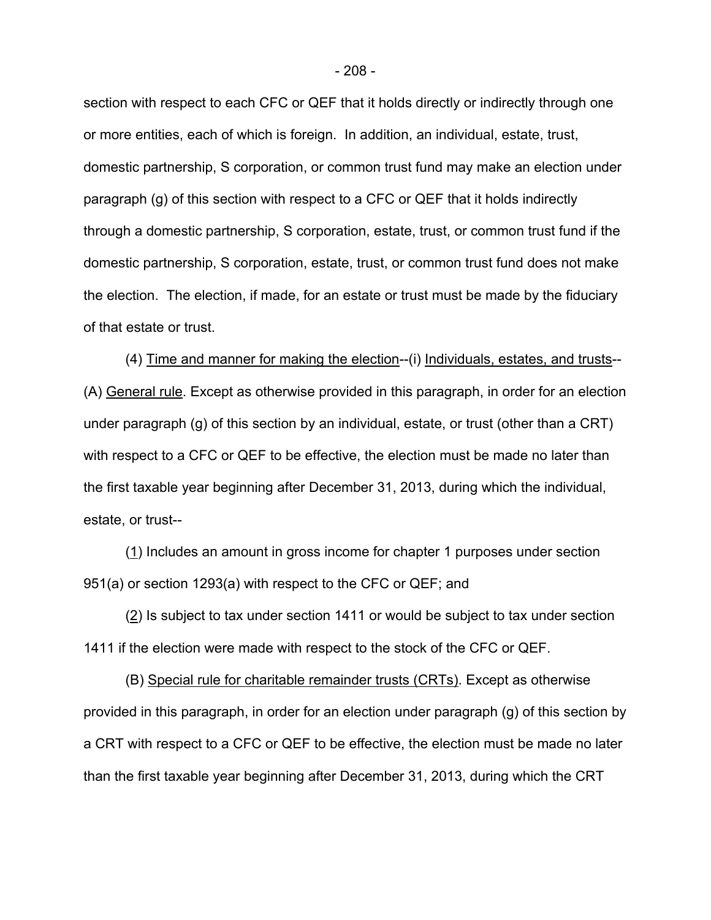section with respect to each CFC or QEF that it holds directly or indirectly through one or more entities, each of which is foreign. In addition, an individual, estate, trust, domestic partnership, S corporation, or common trust fund may make an election under paragraph (g) of this section with respect to a CFC or QEF that it holds indirectly through a domestic partnership, S corporation, estate, trust, or common trust fund if the domestic partnership, S corporation, estate, trust, or common trust fund does not make the election. The election, if made, for an estate or trust must be made by the fiduciary of that estate or trust.

(4) Time and manner for making the election--(i) Individuals, estates, and trusts-- (A) General rule. Except as otherwise provided in this paragraph, in order for an election under paragraph (g) of this section by an individual, estate, or trust (other than a CRT) with respect to a CFC or QEF to be effective, the election must be made no later than the first taxable year beginning after December 31, 2013, during which the individual, estate, or trust--

(1) Includes an amount in gross income for chapter 1 purposes under section 951(a) or section 1293(a) with respect to the CFC or QEF; and

(2) Is subject to tax under section 1411 or would be subject to tax under section 1411 if the election were made with respect to the stock of the CFC or QEF.

(B) Special rule for charitable remainder trusts (CRTs). Except as otherwise provided in this paragraph, in order for an election under paragraph (g) of this section by a CRT with respect to a CFC or QEF to be effective, the election must be made no later than the first taxable year beginning after December 31, 2013, during which the CRT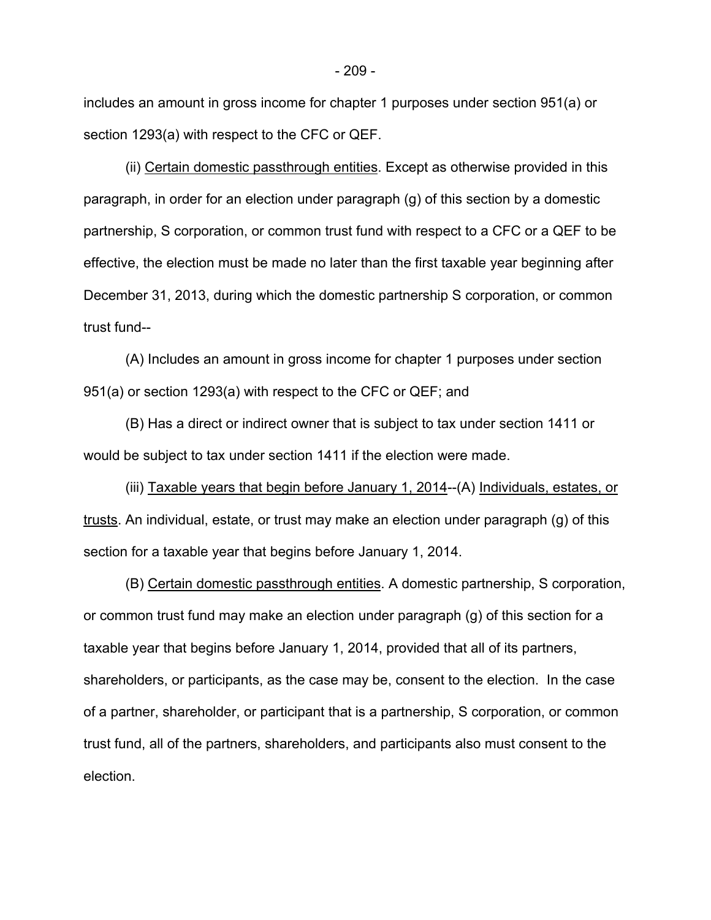includes an amount in gross income for chapter 1 purposes under section 951(a) or section 1293(a) with respect to the CFC or QEF.

(ii) Certain domestic passthrough entities. Except as otherwise provided in this paragraph, in order for an election under paragraph (g) of this section by a domestic partnership, S corporation, or common trust fund with respect to a CFC or a QEF to be effective, the election must be made no later than the first taxable year beginning after December 31, 2013, during which the domestic partnership S corporation, or common trust fund--

(A) Includes an amount in gross income for chapter 1 purposes under section 951(a) or section 1293(a) with respect to the CFC or QEF; and

(B) Has a direct or indirect owner that is subject to tax under section 1411 or would be subject to tax under section 1411 if the election were made.

(iii) Taxable years that begin before January 1, 2014--(A) Individuals, estates, or trusts. An individual, estate, or trust may make an election under paragraph (g) of this section for a taxable year that begins before January 1, 2014.

(B) Certain domestic passthrough entities. A domestic partnership, S corporation, or common trust fund may make an election under paragraph (g) of this section for a taxable year that begins before January 1, 2014, provided that all of its partners, shareholders, or participants, as the case may be, consent to the election. In the case of a partner, shareholder, or participant that is a partnership, S corporation, or common trust fund, all of the partners, shareholders, and participants also must consent to the election.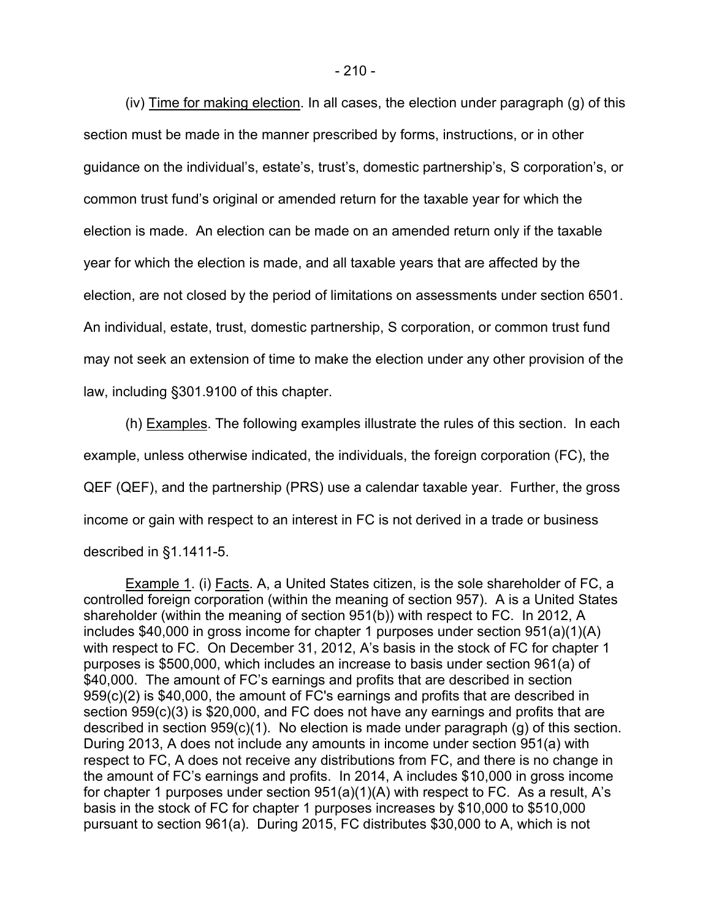(iv) Time for making election. In all cases, the election under paragraph (g) of this section must be made in the manner prescribed by forms, instructions, or in other guidance on the individual's, estate's, trust's, domestic partnership's, S corporation's, or common trust fund's original or amended return for the taxable year for which the election is made. An election can be made on an amended return only if the taxable year for which the election is made, and all taxable years that are affected by the election, are not closed by the period of limitations on assessments under section 6501. An individual, estate, trust, domestic partnership, S corporation, or common trust fund may not seek an extension of time to make the election under any other provision of the law, including §301.9100 of this chapter.

(h) Examples. The following examples illustrate the rules of this section. In each example, unless otherwise indicated, the individuals, the foreign corporation (FC), the QEF (QEF), and the partnership (PRS) use a calendar taxable year. Further, the gross income or gain with respect to an interest in FC is not derived in a trade or business described in §1.1411-5.

Example 1. (i) Facts. A, a United States citizen, is the sole shareholder of FC, a controlled foreign corporation (within the meaning of section 957). A is a United States shareholder (within the meaning of section 951(b)) with respect to FC. In 2012, A includes \$40,000 in gross income for chapter 1 purposes under section 951(a)(1)(A) with respect to FC. On December 31, 2012, A's basis in the stock of FC for chapter 1 purposes is \$500,000, which includes an increase to basis under section 961(a) of \$40,000. The amount of FC's earnings and profits that are described in section 959(c)(2) is \$40,000, the amount of FC's earnings and profits that are described in section 959(c)(3) is \$20,000, and FC does not have any earnings and profits that are described in section 959(c)(1). No election is made under paragraph (g) of this section. During 2013, A does not include any amounts in income under section 951(a) with respect to FC, A does not receive any distributions from FC, and there is no change in the amount of FC's earnings and profits. In 2014, A includes \$10,000 in gross income for chapter 1 purposes under section 951(a)(1)(A) with respect to FC. As a result, A's basis in the stock of FC for chapter 1 purposes increases by \$10,000 to \$510,000 pursuant to section 961(a). During 2015, FC distributes \$30,000 to A, which is not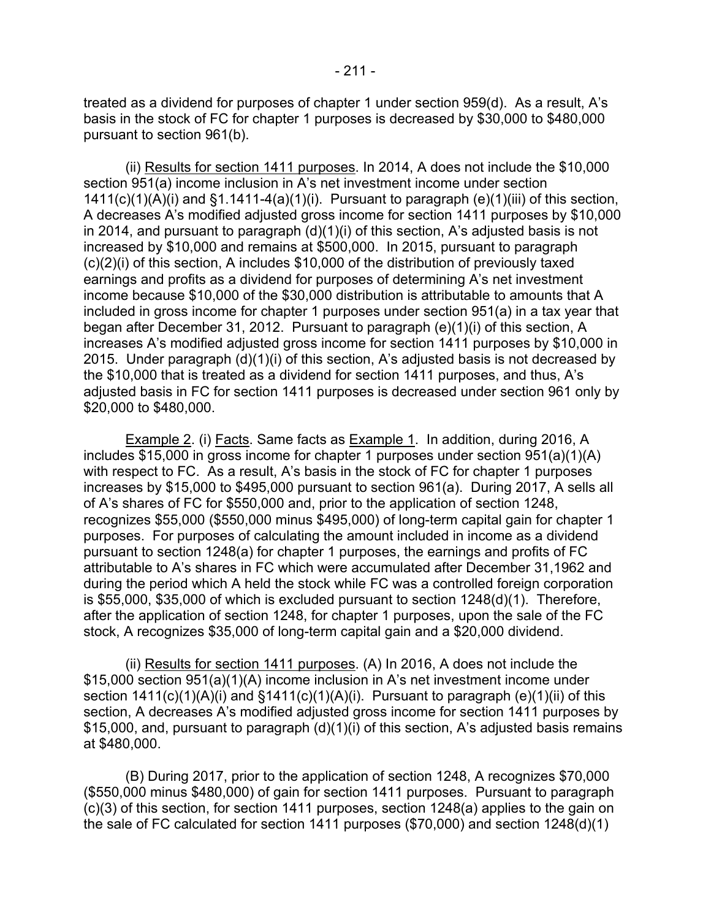treated as a dividend for purposes of chapter 1 under section 959(d). As a result, A's basis in the stock of FC for chapter 1 purposes is decreased by \$30,000 to \$480,000 pursuant to section 961(b).

(ii) Results for section 1411 purposes. In 2014, A does not include the \$10,000 section 951(a) income inclusion in A's net investment income under section  $1411(c)(1)(A)(i)$  and  $§1.1411-4(a)(1)(i)$ . Pursuant to paragraph (e)(1)(iii) of this section, A decreases A's modified adjusted gross income for section 1411 purposes by \$10,000 in 2014, and pursuant to paragraph (d)(1)(i) of this section, A's adjusted basis is not increased by \$10,000 and remains at \$500,000. In 2015, pursuant to paragraph (c)(2)(i) of this section, A includes \$10,000 of the distribution of previously taxed earnings and profits as a dividend for purposes of determining A's net investment income because \$10,000 of the \$30,000 distribution is attributable to amounts that A included in gross income for chapter 1 purposes under section 951(a) in a tax year that began after December 31, 2012. Pursuant to paragraph (e)(1)(i) of this section, A increases A's modified adjusted gross income for section 1411 purposes by \$10,000 in 2015. Under paragraph (d)(1)(i) of this section, A's adjusted basis is not decreased by the \$10,000 that is treated as a dividend for section 1411 purposes, and thus, A's adjusted basis in FC for section 1411 purposes is decreased under section 961 only by \$20,000 to \$480,000.

**Example 2.** (i) Facts. Same facts as **Example 1.** In addition, during 2016, A includes \$15,000 in gross income for chapter 1 purposes under section 951(a)(1)(A) with respect to FC. As a result, A's basis in the stock of FC for chapter 1 purposes increases by \$15,000 to \$495,000 pursuant to section 961(a). During 2017, A sells all of A's shares of FC for \$550,000 and, prior to the application of section 1248, recognizes \$55,000 (\$550,000 minus \$495,000) of long-term capital gain for chapter 1 purposes. For purposes of calculating the amount included in income as a dividend pursuant to section 1248(a) for chapter 1 purposes, the earnings and profits of FC attributable to A's shares in FC which were accumulated after December 31,1962 and during the period which A held the stock while FC was a controlled foreign corporation is \$55,000, \$35,000 of which is excluded pursuant to section 1248(d)(1). Therefore, after the application of section 1248, for chapter 1 purposes, upon the sale of the FC stock, A recognizes \$35,000 of long-term capital gain and a \$20,000 dividend.

(ii) Results for section 1411 purposes. (A) In 2016, A does not include the \$15,000 section 951(a)(1)(A) income inclusion in A's net investment income under section  $1411(c)(1)(A)(i)$  and  $§1411(c)(1)(A)(i)$ . Pursuant to paragraph (e)(1)(ii) of this section, A decreases A's modified adjusted gross income for section 1411 purposes by \$15,000, and, pursuant to paragraph (d)(1)(i) of this section, A's adjusted basis remains at \$480,000.

(B) During 2017, prior to the application of section 1248, A recognizes \$70,000 (\$550,000 minus \$480,000) of gain for section 1411 purposes. Pursuant to paragraph (c)(3) of this section, for section 1411 purposes, section 1248(a) applies to the gain on the sale of FC calculated for section 1411 purposes (\$70,000) and section 1248(d)(1)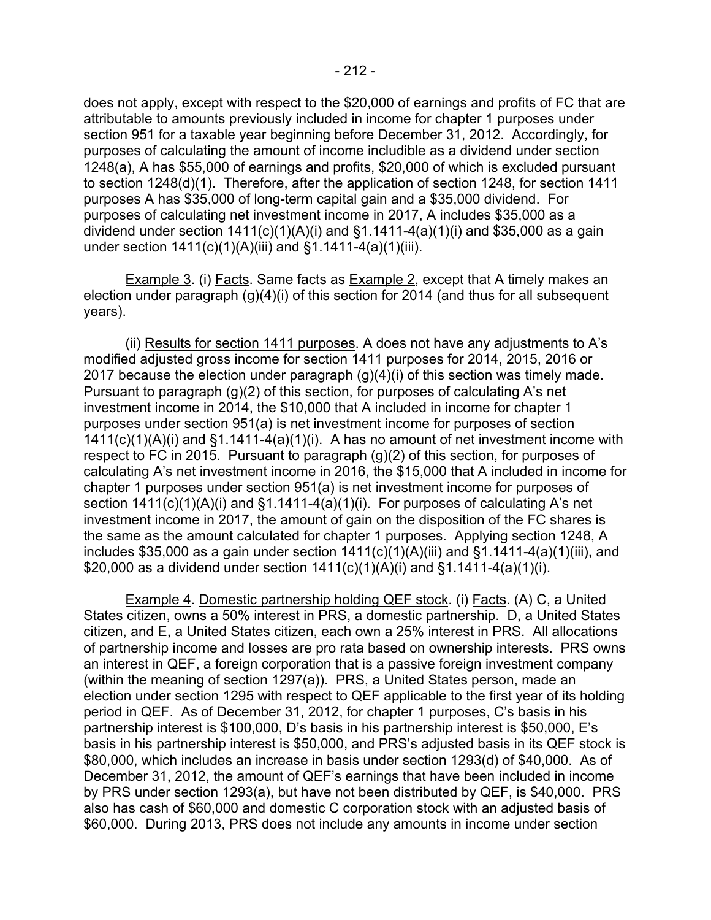does not apply, except with respect to the \$20,000 of earnings and profits of FC that are attributable to amounts previously included in income for chapter 1 purposes under section 951 for a taxable year beginning before December 31, 2012. Accordingly, for purposes of calculating the amount of income includible as a dividend under section 1248(a), A has \$55,000 of earnings and profits, \$20,000 of which is excluded pursuant to section 1248(d)(1). Therefore, after the application of section 1248, for section 1411 purposes A has \$35,000 of long-term capital gain and a \$35,000 dividend. For purposes of calculating net investment income in 2017, A includes \$35,000 as a dividend under section  $1411(c)(1)(A)(i)$  and  $§1.1411-4(a)(1)(i)$  and \$35,000 as a gain under section 1411(c)(1)(A)(iii) and §1.1411-4(a)(1)(iii).

Example 3. (i) Facts. Same facts as Example 2, except that A timely makes an election under paragraph (g)(4)(i) of this section for 2014 (and thus for all subsequent years).

(ii) Results for section 1411 purposes. A does not have any adjustments to A's modified adjusted gross income for section 1411 purposes for 2014, 2015, 2016 or 2017 because the election under paragraph (g)(4)(i) of this section was timely made. Pursuant to paragraph (g)(2) of this section, for purposes of calculating A's net investment income in 2014, the \$10,000 that A included in income for chapter 1 purposes under section 951(a) is net investment income for purposes of section  $1411(c)(1)(A)(i)$  and  $§1.1411-4(a)(1)(i)$ . A has no amount of net investment income with respect to FC in 2015. Pursuant to paragraph (g)(2) of this section, for purposes of calculating A's net investment income in 2016, the \$15,000 that A included in income for chapter 1 purposes under section 951(a) is net investment income for purposes of section 1411(c)(1)(A)(i) and §1.1411-4(a)(1)(i). For purposes of calculating A's net investment income in 2017, the amount of gain on the disposition of the FC shares is the same as the amount calculated for chapter 1 purposes. Applying section 1248, A includes \$35,000 as a gain under section  $1411(c)(1)(A)(iii)$  and  $§1.1411-4(a)(1)(iii)$ , and \$20,000 as a dividend under section 1411(c)(1)(A)(i) and §1.1411-4(a)(1)(i).

Example 4. Domestic partnership holding QEF stock. (i) Facts. (A) C, a United States citizen, owns a 50% interest in PRS, a domestic partnership. D, a United States citizen, and E, a United States citizen, each own a 25% interest in PRS. All allocations of partnership income and losses are pro rata based on ownership interests. PRS owns an interest in QEF, a foreign corporation that is a passive foreign investment company (within the meaning of section 1297(a)). PRS, a United States person, made an election under section 1295 with respect to QEF applicable to the first year of its holding period in QEF. As of December 31, 2012, for chapter 1 purposes, C's basis in his partnership interest is \$100,000, D's basis in his partnership interest is \$50,000, E's basis in his partnership interest is \$50,000, and PRS's adjusted basis in its QEF stock is \$80,000, which includes an increase in basis under section 1293(d) of \$40,000. As of December 31, 2012, the amount of QEF's earnings that have been included in income by PRS under section 1293(a), but have not been distributed by QEF, is \$40,000. PRS also has cash of \$60,000 and domestic C corporation stock with an adjusted basis of \$60,000. During 2013, PRS does not include any amounts in income under section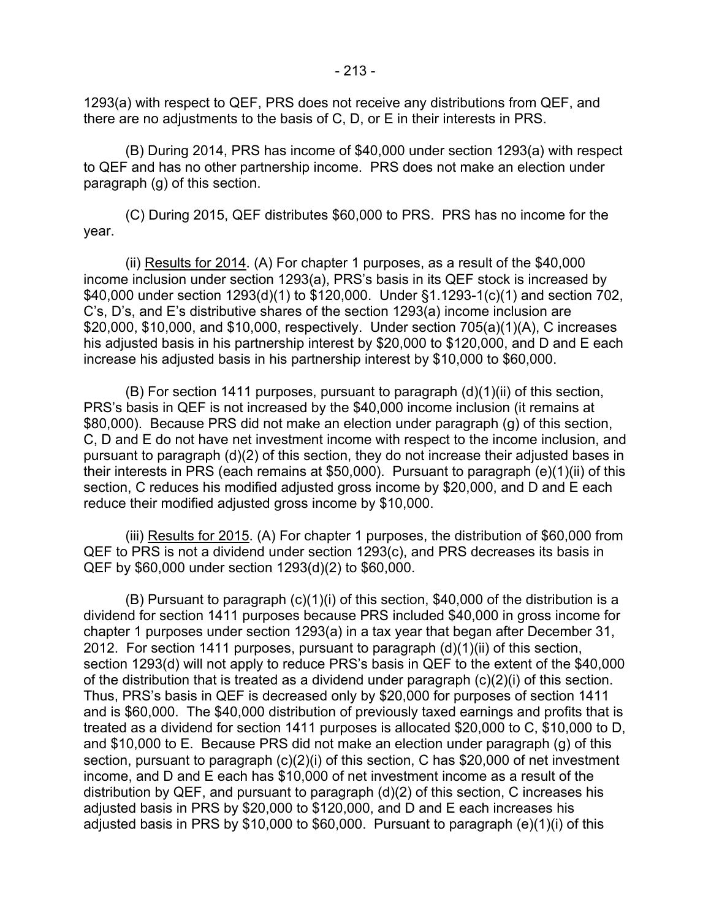1293(a) with respect to QEF, PRS does not receive any distributions from QEF, and there are no adjustments to the basis of C, D, or E in their interests in PRS.

(B) During 2014, PRS has income of \$40,000 under section 1293(a) with respect to QEF and has no other partnership income. PRS does not make an election under paragraph (g) of this section.

(C) During 2015, QEF distributes \$60,000 to PRS. PRS has no income for the year.

(ii) Results for 2014. (A) For chapter 1 purposes, as a result of the \$40,000 income inclusion under section 1293(a), PRS's basis in its QEF stock is increased by \$40,000 under section 1293(d)(1) to \$120,000. Under §1.1293-1(c)(1) and section 702, C's, D's, and E's distributive shares of the section 1293(a) income inclusion are \$20,000, \$10,000, and \$10,000, respectively. Under section 705(a)(1)(A), C increases his adjusted basis in his partnership interest by \$20,000 to \$120,000, and D and E each increase his adjusted basis in his partnership interest by \$10,000 to \$60,000.

(B) For section 1411 purposes, pursuant to paragraph (d)(1)(ii) of this section, PRS's basis in QEF is not increased by the \$40,000 income inclusion (it remains at \$80,000). Because PRS did not make an election under paragraph (g) of this section, C, D and E do not have net investment income with respect to the income inclusion, and pursuant to paragraph (d)(2) of this section, they do not increase their adjusted bases in their interests in PRS (each remains at \$50,000). Pursuant to paragraph (e)(1)(ii) of this section, C reduces his modified adjusted gross income by \$20,000, and D and E each reduce their modified adjusted gross income by \$10,000.

(iii) Results for 2015. (A) For chapter 1 purposes, the distribution of \$60,000 from QEF to PRS is not a dividend under section 1293(c), and PRS decreases its basis in QEF by \$60,000 under section 1293(d)(2) to \$60,000.

(B) Pursuant to paragraph (c)(1)(i) of this section, \$40,000 of the distribution is a dividend for section 1411 purposes because PRS included \$40,000 in gross income for chapter 1 purposes under section 1293(a) in a tax year that began after December 31, 2012. For section 1411 purposes, pursuant to paragraph (d)(1)(ii) of this section, section 1293(d) will not apply to reduce PRS's basis in QEF to the extent of the \$40,000 of the distribution that is treated as a dividend under paragraph (c)(2)(i) of this section. Thus, PRS's basis in QEF is decreased only by \$20,000 for purposes of section 1411 and is \$60,000. The \$40,000 distribution of previously taxed earnings and profits that is treated as a dividend for section 1411 purposes is allocated \$20,000 to C, \$10,000 to D, and \$10,000 to E. Because PRS did not make an election under paragraph (g) of this section, pursuant to paragraph (c)(2)(i) of this section, C has \$20,000 of net investment income, and D and E each has \$10,000 of net investment income as a result of the distribution by QEF, and pursuant to paragraph (d)(2) of this section, C increases his adjusted basis in PRS by \$20,000 to \$120,000, and D and E each increases his adjusted basis in PRS by \$10,000 to \$60,000. Pursuant to paragraph (e)(1)(i) of this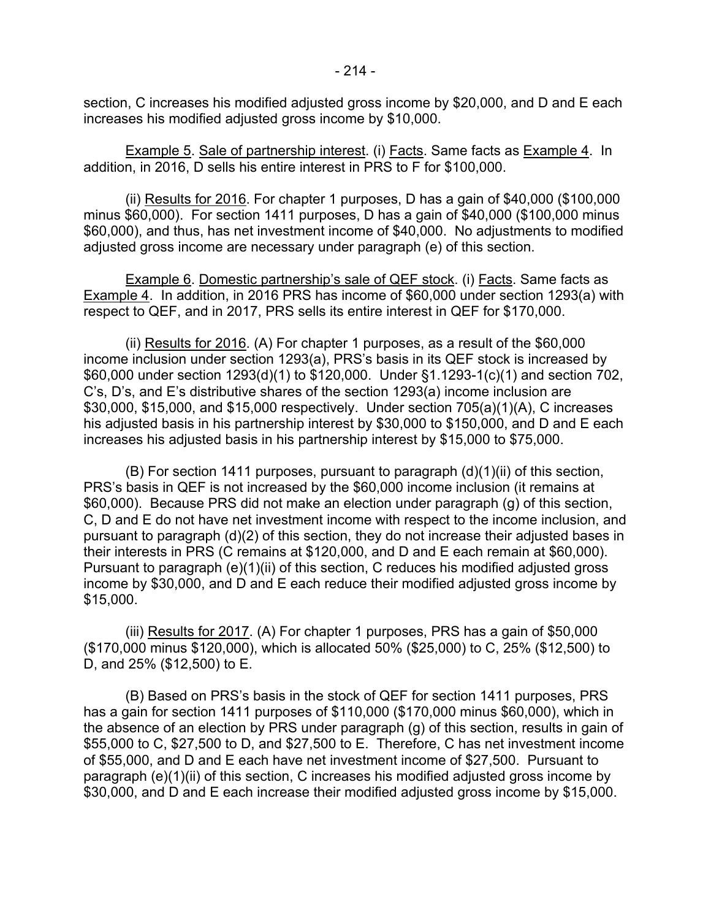section, C increases his modified adjusted gross income by \$20,000, and D and E each increases his modified adjusted gross income by \$10,000.

Example 5. Sale of partnership interest. (i) Facts. Same facts as Example 4. In addition, in 2016, D sells his entire interest in PRS to F for \$100,000.

(ii) Results for 2016. For chapter 1 purposes, D has a gain of \$40,000 (\$100,000 minus \$60,000). For section 1411 purposes, D has a gain of \$40,000 (\$100,000 minus \$60,000), and thus, has net investment income of \$40,000. No adjustments to modified adjusted gross income are necessary under paragraph (e) of this section.

Example 6. Domestic partnership's sale of QEF stock. (i) Facts. Same facts as Example 4. In addition, in 2016 PRS has income of \$60,000 under section 1293(a) with respect to QEF, and in 2017, PRS sells its entire interest in QEF for \$170,000.

(ii) Results for 2016. (A) For chapter 1 purposes, as a result of the \$60,000 income inclusion under section 1293(a), PRS's basis in its QEF stock is increased by \$60,000 under section 1293(d)(1) to \$120,000. Under §1.1293-1(c)(1) and section 702, C's, D's, and E's distributive shares of the section 1293(a) income inclusion are \$30,000, \$15,000, and \$15,000 respectively. Under section 705(a)(1)(A), C increases his adjusted basis in his partnership interest by \$30,000 to \$150,000, and D and E each increases his adjusted basis in his partnership interest by \$15,000 to \$75,000.

(B) For section 1411 purposes, pursuant to paragraph (d)(1)(ii) of this section, PRS's basis in QEF is not increased by the \$60,000 income inclusion (it remains at \$60,000). Because PRS did not make an election under paragraph (g) of this section, C, D and E do not have net investment income with respect to the income inclusion, and pursuant to paragraph (d)(2) of this section, they do not increase their adjusted bases in their interests in PRS (C remains at \$120,000, and D and E each remain at \$60,000). Pursuant to paragraph (e)(1)(ii) of this section, C reduces his modified adjusted gross income by \$30,000, and D and E each reduce their modified adjusted gross income by \$15,000.

(iii) Results for 2017. (A) For chapter 1 purposes, PRS has a gain of \$50,000 (\$170,000 minus \$120,000), which is allocated 50% (\$25,000) to C, 25% (\$12,500) to D, and 25% (\$12,500) to E.

(B) Based on PRS's basis in the stock of QEF for section 1411 purposes, PRS has a gain for section 1411 purposes of \$110,000 (\$170,000 minus \$60,000), which in the absence of an election by PRS under paragraph (g) of this section, results in gain of \$55,000 to C, \$27,500 to D, and \$27,500 to E. Therefore, C has net investment income of \$55,000, and D and E each have net investment income of \$27,500. Pursuant to paragraph (e)(1)(ii) of this section, C increases his modified adjusted gross income by \$30,000, and D and E each increase their modified adjusted gross income by \$15,000.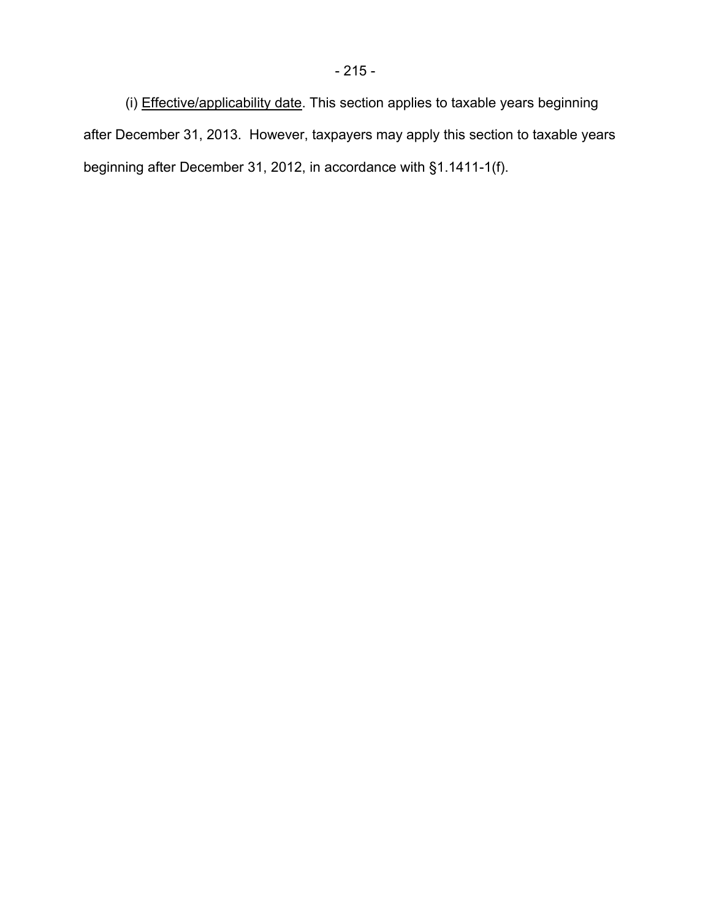(i) Effective/applicability date. This section applies to taxable years beginning after December 31, 2013. However, taxpayers may apply this section to taxable years beginning after December 31, 2012, in accordance with §1.1411-1(f).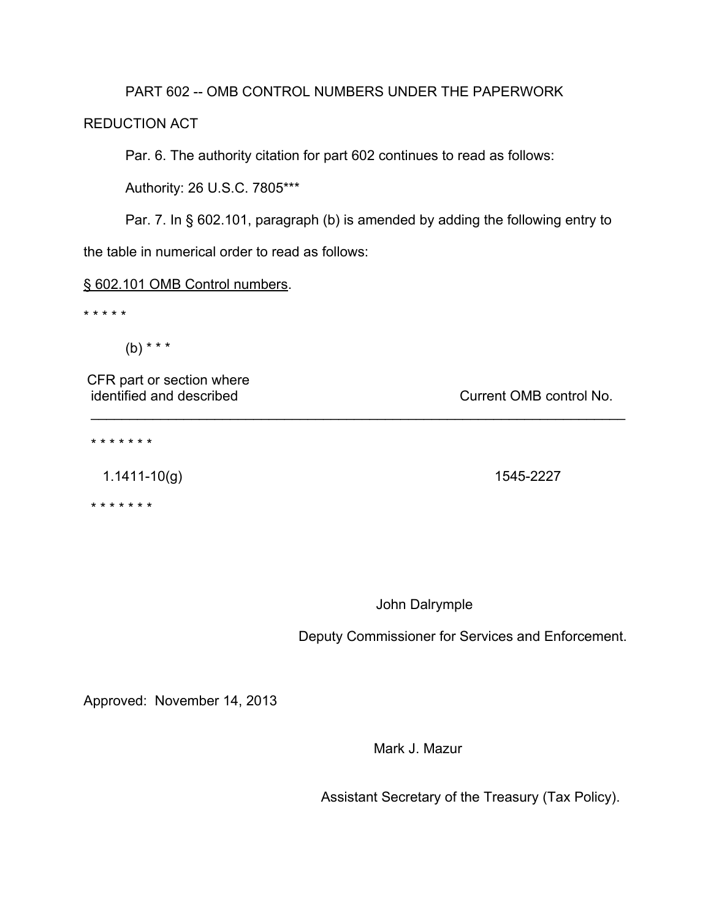## PART 602 -- OMB CONTROL NUMBERS UNDER THE PAPERWORK

# REDUCTION ACT

Par. 6. The authority citation for part 602 continues to read as follows:

Authority: 26 U.S.C. 7805\*\*\*

Par. 7. In § 602.101, paragraph (b) is amended by adding the following entry to the table in numerical order to read as follows:

\_\_\_\_\_\_\_\_\_\_\_\_\_\_\_\_\_\_\_\_\_\_\_\_\_\_\_\_\_\_\_\_\_\_\_\_\_\_\_\_\_\_\_\_\_\_\_\_\_\_\_\_\_\_\_\_\_\_\_\_\_\_\_\_\_\_\_\_\_

### § 602.101 OMB Control numbers.

\* \* \* \* \*

 $(b)$  \* \* \*

CFR part or section where identified and described in the current OMB control No.

\* \* \* \* \* \* \*

1.1411-10(g) 1545-2227

\* \* \* \* \* \* \*

John Dalrymple

Deputy Commissioner for Services and Enforcement.

Approved: November 14, 2013

Mark J. Mazur

Assistant Secretary of the Treasury (Tax Policy).